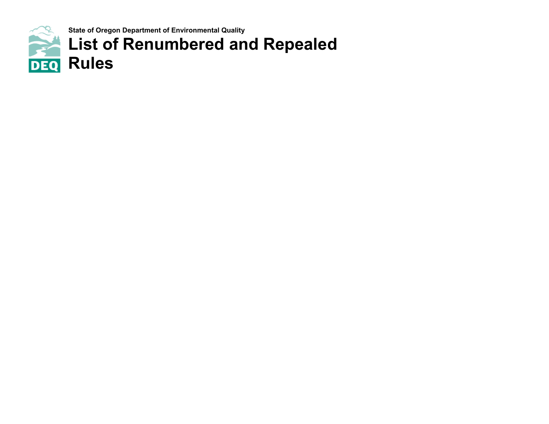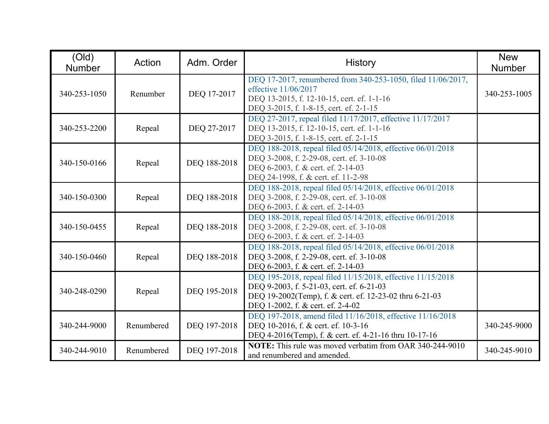| (Old)<br><b>Number</b> | Action     | Adm. Order   | <b>History</b>                                                                                                                                                                                           | <b>New</b><br><b>Number</b> |
|------------------------|------------|--------------|----------------------------------------------------------------------------------------------------------------------------------------------------------------------------------------------------------|-----------------------------|
| 340-253-1050           | Renumber   | DEQ 17-2017  | DEQ 17-2017, renumbered from 340-253-1050, filed 11/06/2017,<br>effective 11/06/2017<br>DEQ 13-2015, f. 12-10-15, cert. ef. 1-1-16<br>DEQ 3-2015, f. 1-8-15, cert. ef. 2-1-15                            | 340-253-1005                |
| 340-253-2200           | Repeal     | DEQ 27-2017  | DEQ 27-2017, repeal filed 11/17/2017, effective 11/17/2017<br>DEQ 13-2015, f. 12-10-15, cert. ef. 1-1-16<br>DEQ 3-2015, f. 1-8-15, cert. ef. 2-1-15                                                      |                             |
| 340-150-0166           | Repeal     | DEQ 188-2018 | DEQ 188-2018, repeal filed 05/14/2018, effective 06/01/2018<br>DEQ 3-2008, f. 2-29-08, cert. ef. 3-10-08<br>DEQ 6-2003, f. & cert. ef. 2-14-03<br>DEQ 24-1998, f. & cert. ef. 11-2-98                    |                             |
| 340-150-0300           | Repeal     | DEQ 188-2018 | DEQ 188-2018, repeal filed 05/14/2018, effective 06/01/2018<br>DEQ 3-2008, f. 2-29-08, cert. ef. 3-10-08<br>DEQ 6-2003, f. & cert. ef. 2-14-03                                                           |                             |
| 340-150-0455           | Repeal     | DEQ 188-2018 | DEQ 188-2018, repeal filed 05/14/2018, effective 06/01/2018<br>DEQ 3-2008, f. 2-29-08, cert. ef. 3-10-08<br>DEQ 6-2003, f. & cert. ef. 2-14-03                                                           |                             |
| 340-150-0460           | Repeal     | DEQ 188-2018 | DEQ 188-2018, repeal filed 05/14/2018, effective 06/01/2018<br>DEQ 3-2008, f. 2-29-08, cert. ef. 3-10-08<br>DEQ 6-2003, f. & cert. ef. 2-14-03                                                           |                             |
| 340-248-0290           | Repeal     | DEQ 195-2018 | DEQ 195-2018, repeal filed 11/15/2018, effective 11/15/2018<br>DEQ 9-2003, f. 5-21-03, cert. ef. 6-21-03<br>DEQ 19-2002(Temp), f. & cert. ef. 12-23-02 thru 6-21-03<br>DEQ 1-2002, f. & cert. ef. 2-4-02 |                             |
| 340-244-9000           | Renumbered | DEQ 197-2018 | DEQ 197-2018, amend filed 11/16/2018, effective 11/16/2018<br>DEQ 10-2016, f. & cert. ef. 10-3-16<br>DEQ 4-2016(Temp), f. & cert. ef. 4-21-16 thru 10-17-16                                              | 340-245-9000                |
| 340-244-9010           | Renumbered | DEQ 197-2018 | <b>NOTE:</b> This rule was moved verbatim from OAR 340-244-9010<br>and renumbered and amended.                                                                                                           | 340-245-9010                |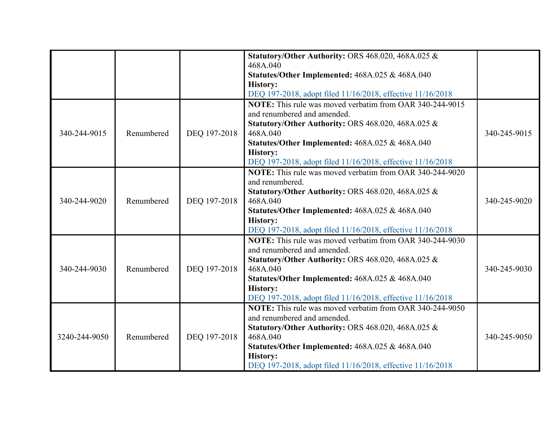|               |            |              | Statutory/Other Authority: ORS 468.020, 468A.025 &<br>468A.040<br>Statutes/Other Implemented: 468A.025 & 468A.040<br><b>History:</b><br>DEQ 197-2018, adopt filed 11/16/2018, effective 11/16/2018                                                                                                              |              |
|---------------|------------|--------------|-----------------------------------------------------------------------------------------------------------------------------------------------------------------------------------------------------------------------------------------------------------------------------------------------------------------|--------------|
| 340-244-9015  | Renumbered | DEQ 197-2018 | <b>NOTE:</b> This rule was moved verbatim from OAR 340-244-9015<br>and renumbered and amended.<br><b>Statutory/Other Authority: ORS 468.020, 468A.025 &amp;</b><br>468A.040<br>Statutes/Other Implemented: 468A.025 & 468A.040<br><b>History:</b><br>DEQ 197-2018, adopt filed 11/16/2018, effective 11/16/2018 | 340-245-9015 |
| 340-244-9020  | Renumbered | DEQ 197-2018 | <b>NOTE:</b> This rule was moved verbatim from OAR 340-244-9020<br>and renumbered.<br><b>Statutory/Other Authority: ORS 468.020, 468A.025 &amp;</b><br>468A.040<br>Statutes/Other Implemented: 468A.025 & 468A.040<br><b>History:</b><br>DEQ 197-2018, adopt filed 11/16/2018, effective 11/16/2018             | 340-245-9020 |
| 340-244-9030  | Renumbered | DEQ 197-2018 | <b>NOTE:</b> This rule was moved verbatim from OAR 340-244-9030<br>and renumbered and amended.<br>Statutory/Other Authority: ORS 468.020, 468A.025 &<br>468A.040<br>Statutes/Other Implemented: 468A.025 & 468A.040<br><b>History:</b><br>DEQ 197-2018, adopt filed 11/16/2018, effective 11/16/2018            | 340-245-9030 |
| 3240-244-9050 | Renumbered | DEQ 197-2018 | <b>NOTE:</b> This rule was moved verbatim from OAR 340-244-9050<br>and renumbered and amended.<br>Statutory/Other Authority: ORS 468.020, 468A.025 &<br>468A.040<br>Statutes/Other Implemented: 468A.025 & 468A.040<br><b>History:</b><br>DEQ 197-2018, adopt filed 11/16/2018, effective 11/16/2018            | 340-245-9050 |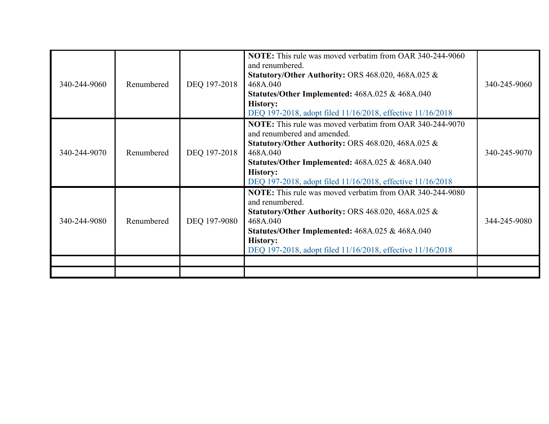| 340-244-9060 | Renumbered | DEQ 197-2018 | <b>NOTE:</b> This rule was moved verbatim from OAR 340-244-9060<br>and renumbered.<br><b>Statutory/Other Authority: ORS 468.020, 468A.025 &amp;</b><br>468A.040<br>Statutes/Other Implemented: 468A.025 & 468A.040<br><b>History:</b><br>DEQ 197-2018, adopt filed 11/16/2018, effective 11/16/2018               | 340-245-9060 |
|--------------|------------|--------------|-------------------------------------------------------------------------------------------------------------------------------------------------------------------------------------------------------------------------------------------------------------------------------------------------------------------|--------------|
| 340-244-9070 | Renumbered | DEQ 197-2018 | <b>NOTE:</b> This rule was moved verbatim from OAR 340-244-9070<br>and renumbered and amended.<br>Statutory/Other Authority: ORS $468.020, 468A.025$ &<br>468A.040<br>Statutes/Other Implemented: 468A.025 & 468A.040<br><b>History:</b><br>DEQ 197-2018, adopt filed 11/16/2018, effective 11/16/2018            | 340-245-9070 |
| 340-244-9080 | Renumbered | DEQ 197-9080 | <b>NOTE:</b> This rule was moved verbatim from OAR 340-244-9080<br>and renumbered.<br><b>Statutory/Other Authority: ORS 468.020, 468A.025 <math>\&amp;</math></b><br>468A.040<br>Statutes/Other Implemented: 468A.025 & 468A.040<br><b>History:</b><br>DEQ 197-2018, adopt filed 11/16/2018, effective 11/16/2018 | 344-245-9080 |
|              |            |              |                                                                                                                                                                                                                                                                                                                   |              |
|              |            |              |                                                                                                                                                                                                                                                                                                                   |              |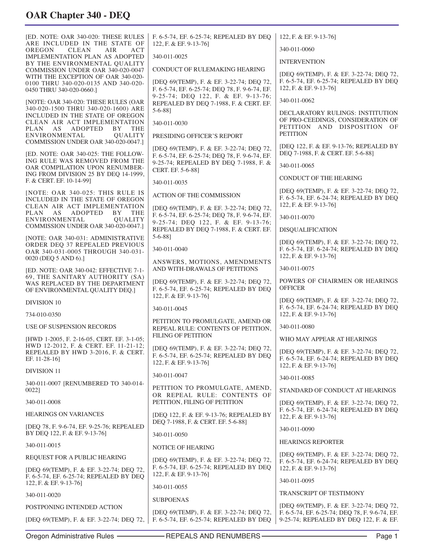| <b>IED. NOTE: OAR 340-020: THESE RULES</b><br>ARE INCLUDED IN THE STATE OF                            | F. 6-5-74, EF. 6-25-74; REPEALED BY DEQ<br>122, F. & EF. 9-13-76]                                             | 122, F. & EF. 9-13-76]                                                                                        |
|-------------------------------------------------------------------------------------------------------|---------------------------------------------------------------------------------------------------------------|---------------------------------------------------------------------------------------------------------------|
| OREGON<br><b>CLEAN</b><br>AIR<br>ACT<br><b>IMPLEMENTATION PLAN AS ADOPTED</b>                         | 340-011-0025                                                                                                  | 340-011-0060                                                                                                  |
| BY THE ENVIRONMENTAL QUALITY<br>COMMISSION UNDER OAR 340-020-0047                                     | CONDUCT OF RULEMAKING HEARING                                                                                 | <b>INTERVENTION</b>                                                                                           |
| WITH THE EXCEPTION OF OAR 340-020-<br>0100 THRU 340-020-0135 AND 340-020-<br>0450 THRU 340-020-0660.] | [DEQ 69(TEMP), F. & EF. 3-22-74; DEQ 72,<br>F. 6-5-74, EF. 6-25-74; DEQ 78, F. 9-6-74, EF.                    | [DEQ 69(TEMP), F. & EF. 3-22-74; DEQ 72,<br>F. 6-5-74, EF. 6-25-74; REPEALED BY DEQ<br>122, F. & EF. 9-13-76] |
| [NOTE: OAR 340-020: THESE RULES (OAR                                                                  | 9-25-74; DEQ 122, F. & EF. 9-13-76;<br>REPEALED BY DEQ 7-1988, F. & CERT. EF.                                 | 340-011-0062                                                                                                  |
| 340-020-1500 THRU 340-020-1600) ARE<br>INCLUDED IN THE STATE OF OREGON                                | $5 - 6 - 881$                                                                                                 | DECLARATORY RULINGS: INSTITUTION                                                                              |
| CLEAN AIR ACT IMPLEMENTATION<br>ADOPTED<br>PLAN AS<br>BY THE                                          | 340-011-0030                                                                                                  | OF PRO-CEEDINGS, CONSIDERATION OF<br>PETITION AND DISPOSITION OF                                              |
| ENVIRONMENTAL<br><b>QUALITY</b><br>COMMISSION UNDER OAR 340-020-0047.]                                | PRESIDING OFFICER'S REPORT                                                                                    | <b>PETITION</b>                                                                                               |
| [ED. NOTE: OAR 340-025: THE FOLLOW-                                                                   | [DEQ 69(TEMP), F. & EF. 3-22-74; DEQ 72,                                                                      | [DEQ 122, F. & EF. 9-13-76; REPEALED BY<br>DEQ 7-1988, F. & CERT. EF. 5-6-88]                                 |
| ING RULE WAS REMOVED FROM THE<br>OAR COMPILATION UPON RENUMBER-                                       | F. 6-5-74, EF. 6-25-74; DEQ 78, F. 9-6-74, EF.<br>9-25-74; REPEALED BY DEQ 7-1988, F. &                       | 340-011-0065                                                                                                  |
| ING FROM DIVISION 25 BY DEQ 14-1999,<br>F. & CERT. EF. 10-14-99]                                      | CERT. EF. 5-6-88]                                                                                             | <b>CONDUCT OF THE HEARING</b>                                                                                 |
| [NOTE: OAR 340-025: THIS RULE IS                                                                      | 340-011-0035                                                                                                  | [DEQ 69(TEMP), F. & EF. 3-22-74; DEQ 72,                                                                      |
| INCLUDED IN THE STATE OF OREGON<br>CLEAN AIR ACT IMPLEMENTATION                                       | <b>ACTION OF THE COMMISSION</b>                                                                               | F. 6-5-74, EF. 6-24-74; REPEALED BY DEQ<br>122, F. & EF. 9-13-76]                                             |
| PLAN AS ADOPTED<br>BY THE<br>ENVIRONMENTAL<br><b>QUALITY</b>                                          | [DEQ 69(TEMP), F. & EF. 3-22-74; DEQ 72,<br>F. 6-5-74, EF. 6-25-74; DEQ 78, F. 9-6-74, EF.                    | 340-011-0070                                                                                                  |
| COMMISSION UNDER OAR 340-020-0047.]                                                                   | 9-25-74; DEQ 122, F. & EF. 9-13-76;<br>REPEALED BY DEQ 7-1988, F. & CERT. EF.                                 | <b>DISQUALIFICATION</b>                                                                                       |
| [NOTE: OAR 340-031: ADMINISTRATIVE<br>ORDER DEQ 37 REPEALED PREVIOUS                                  | $5-6-88$ ]                                                                                                    | [DEQ 69(TEMP), F. & EF. 3-22-74; DEQ 72,                                                                      |
| OAR 340-031-0005 THROUGH 340-031-                                                                     | 340-011-0040                                                                                                  | F. 6-5-74, EF. 6-24-74; REPEALED BY DEQ<br>122, F. & EF. 9-13-76]                                             |
| 0020 (DEQ 5 AND 6).]<br>[ED. NOTE: OAR 340-042: EFFECTIVE 7-1-                                        | ANSWERS, MOTIONS, AMENDMENTS<br>AND WITH-DRAWALS OF PETITIONS                                                 | 340-011-0075                                                                                                  |
| 69, THE SANITARY AUTHORITY (SA)<br>WAS REPLACED BY THE DEPARTMENT                                     | [DEQ 69(TEMP), F. & EF. 3-22-74; DEQ 72,                                                                      | POWERS OF CHAIRMEN OR HEARINGS                                                                                |
| OF ENVIRONMENTAL QUALITY DEQ.]                                                                        | F. 6-5-74, EF. 6-25-74; REPEALED BY DEQ<br>122, F. & EF. 9-13-761                                             | <b>OFFICER</b>                                                                                                |
| <b>DIVISION 10</b>                                                                                    | 340-011-0045                                                                                                  | [DEQ 69(TEMP), F. & EF. 3-22-74; DEQ 72,<br>F. 6-5-74, EF. 6-24-74; REPEALED BY DEQ                           |
| 734-010-0350                                                                                          | PETITION TO PROMULGATE, AMEND OR                                                                              | 122, F. & EF. 9-13-76]                                                                                        |
| USE OF SUSPENSION RECORDS                                                                             | REPEAL RULE: CONTENTS OF PETITION,                                                                            | 340-011-0080                                                                                                  |
| [HWD 1-2005, F. 2-16-05, CERT, EF. 3-1-05;<br>HWD 12-2012, F. & CERT. EF. 11-21-12;                   | <b>FILING OF PETITION</b>                                                                                     | WHO MAY APPEAR AT HEARINGS                                                                                    |
| REPEALED BY HWD 3-2016, F. & CERT.<br>EF. 11-28-16]                                                   | [DEQ 69(TEMP), F. & EF. 3-22-74; DEQ 72,<br>F. 6-5-74, EF. 6-25-74; REPEALED BY DEQ<br>122, F. & EF. 9-13-76] | [DEQ 69(TEMP), F. & EF. 3-22-74; DEQ 72,<br>F. 6-5-74, EF. 6-24-74; REPEALED BY DEQ<br>122, F. & EF. 9-13-76] |
| <b>DIVISION 11</b>                                                                                    | 340-011-0047                                                                                                  | 340-011-0085                                                                                                  |
| 340-011-0007 [RENUMBERED TO 340-014-<br>0022]                                                         | PETITION TO PROMULGATE, AMEND,                                                                                | STANDARD OF CONDUCT AT HEARINGS                                                                               |
| 340-011-0008                                                                                          | OR REPEAL RULE: CONTENTS OF<br>PETITION, FILING OF PETITION                                                   | [DEQ 69(TEMP), F. & EF. 3-22-74; DEQ 72,                                                                      |
| <b>HEARINGS ON VARIANCES</b>                                                                          | [DEO 122, F. & EF. 9-13-76; REPEALED BY                                                                       | F. 6-5-74, EF. 6-24-74; REPEALED BY DEQ<br>122, F. & EF. 9-13-76]                                             |
| [DEQ 78, F. 9-6-74, EF. 9-25-76; REPEALED<br>BY DEQ 122, F. & EF. 9-13-76]                            | DEQ 7-1988, F. & CERT. EF. 5-6-88]<br>340-011-0050                                                            | 340-011-0090                                                                                                  |
| 340-011-0015                                                                                          | NOTICE OF HEARING                                                                                             | <b>HEARINGS REPORTER</b>                                                                                      |
| REQUEST FOR A PUBLIC HEARING                                                                          | [DEQ 69(TEMP), F. & EF. 3-22-74; DEQ 72,                                                                      | [DEQ 69(TEMP), F. & EF. 3-22-74; DEQ 72,                                                                      |
| [DEQ 69(TEMP), F. & EF. 3-22-74; DEQ 72,                                                              | F. 6-5-74, EF. 6-25-74; REPEALED BY DEQ                                                                       | F. 6-5-74, EF. 6-24-74; REPEALED BY DEQ<br>122, F. & EF. 9-13-76]                                             |
| F. 6-5-74, EF. 6-25-74; REPEALED BY DEQ<br>122, F. & EF. 9-13-76]                                     | 122, F. & EF. 9-13-76]                                                                                        | 340-011-0095                                                                                                  |
| 340-011-0020                                                                                          | 340-011-0055                                                                                                  | <b>TRANSCRIPT OF TESTIMONY</b>                                                                                |
| POSTPONING INTENDED ACTION                                                                            | <b>SUBPOENAS</b>                                                                                              | [DEQ 69(TEMP), F. & EF. 3-22-74; DEQ 72,                                                                      |
| [DEQ 69(TEMP), F. & EF. 3-22-74; DEQ 72,                                                              | [DEQ 69(TEMP), F. & EF. 3-22-74; DEQ 72,<br>F. 6-5-74, EF. 6-25-74; REPEALED BY DEQ                           | F. 6-5-74, EF. 6-25-74; DEQ 78, F. 9-6-74, EF.<br>9-25-74; REPEALED BY DEQ 122, F. & EF.                      |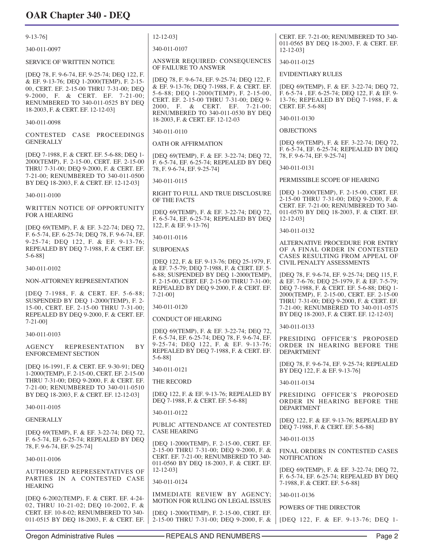| $9-13-76$                                                                                                                                                                                         | $12 - 12 - 03$                                                                                                                                                                                     | CERT. EF. 7-21-00; RENUMBERED TO 340-                                                                                                                |
|---------------------------------------------------------------------------------------------------------------------------------------------------------------------------------------------------|----------------------------------------------------------------------------------------------------------------------------------------------------------------------------------------------------|------------------------------------------------------------------------------------------------------------------------------------------------------|
| 340-011-0097                                                                                                                                                                                      | 340-011-0107                                                                                                                                                                                       | 011-0565 BY DEQ 18-2003, F. & CERT. EF.<br>$12 - 12 - 03$                                                                                            |
| <b>SERVICE OF WRITTEN NOTICE</b>                                                                                                                                                                  | ANSWER REQUIRED: CONSEQUENCES<br>OF FAILURE TO ANSWER                                                                                                                                              | 340-011-0125                                                                                                                                         |
| [DEQ 78, F. 9-6-74, EF. 9-25-74; DEQ 122, F.                                                                                                                                                      | [DEQ 78, F. 9-6-74, EF. 9-25-74; DEQ 122, F.                                                                                                                                                       | <b>EVIDENTIARY RULES</b>                                                                                                                             |
| & EF. 9-13-76; DEQ 1-2000(TEMP), F. 2-15-<br>00, CERT. EF. 2-15-00 THRU 7-31-00; DEQ<br>9-2000, F. & CERT. EF. 7-21-00;<br>RENUMBERED TO 340-011-0525 BY DEQ<br>18-2003, F. & CERT. EF. 12-12-03] | & EF. 9-13-76; DEQ 7-1988, F. & CERT. EF.<br>5-6-88; DEQ 1-2000(TEMP), F. 2-15-00,<br>CERT. EF. 2-15-00 THRU 7-31-00; DEQ 9-<br>2000, F. & CERT. EF. 7-21-00;<br>RENUMBERED TO 340-011-0530 BY DEQ | [DEQ 69(TEMP), F. & EF. 3-22-74; DEQ 72,<br>F. 6-5-74, EF. 6-25-74; DEQ 122, F. & EF. 9-<br>13-76; REPEALED BY DEQ 7-1988, F. &<br>CERT. EF. 5-6-88] |
| 340-011-0098                                                                                                                                                                                      | 18-2003, F. & CERT. EF. 12-12-03                                                                                                                                                                   | 340-011-0130                                                                                                                                         |
| CONTESTED CASE PROCEEDINGS                                                                                                                                                                        | 340-011-0110                                                                                                                                                                                       | <b>OBJECTIONS</b>                                                                                                                                    |
| <b>GENERALLY</b>                                                                                                                                                                                  | OATH OR AFFIRMATION                                                                                                                                                                                | [DEQ 69(TEMP), F. & EF. 3-22-74; DEQ 72,<br>F. 6-5-74, EF. 6-25-74; REPEALED BY DEQ                                                                  |
| [DEQ 7-1988, F. & CERT. EF. 5-6-88; DEQ 1-<br>2000(TEMP), F. 2-15-00, CERT. EF. 2-15-00<br>THRU 7-31-00; DEQ 9-2000, F. & CERT. EF.                                                               | [DEQ 69(TEMP), F. & EF. 3-22-74; DEQ 72,<br>F. 6-5-74, EF. 6-25-74; REPEALED BY DEQ                                                                                                                | 78, F. 9-6-74, EF. 9-25-74]<br>340-011-0131                                                                                                          |
| 7-21-00; RENUMBERED TO 340-011-0500                                                                                                                                                               | 78, F. 9-6-74, EF. 9-25-74]                                                                                                                                                                        | PERMISSIBLE SCOPE OF HEARING                                                                                                                         |
| BY DEQ 18-2003, F. & CERT. EF. 12-12-03]                                                                                                                                                          | 340-011-0115                                                                                                                                                                                       | [DEQ 1-2000(TEMP), F. 2-15-00, CERT. EF.                                                                                                             |
| 340-011-0100                                                                                                                                                                                      | RIGHT TO FULL AND TRUE DISCLOSURE<br>OF THE FACTS                                                                                                                                                  | 2-15-00 THRU 7-31-00; DEQ 9-2000, F. &                                                                                                               |
| WRITTEN NOTICE OF OPPORTUNITY<br><b>FOR A HEARING</b>                                                                                                                                             | [DEQ 69(TEMP), F. & EF. 3-22-74; DEQ 72,<br>F. 6-5-74, EF. 6-25-74; REPEALED BY DEQ                                                                                                                | CERT. EF. 7-21-00; RENUMBERED TO 340-<br>011-0570 BY DEQ 18-2003, F. & CERT. EF.<br>$12 - 12 - 03$                                                   |
| [DEQ 69(TEMP), F. & EF. 3-22-74; DEQ 72,<br>F. 6-5-74, EF. 6-25-74; DEQ 78, F. 9-6-74, EF.                                                                                                        | 122, F. & EF. 9-13-761                                                                                                                                                                             | 340-011-0132                                                                                                                                         |
| 9-25-74; DEQ 122, F. & EF. 9-13-76;                                                                                                                                                               | 340-011-0116                                                                                                                                                                                       | ALTERNATIVE PROCEDURE FOR ENTRY                                                                                                                      |
| REPEALED BY DEQ 7-1988, F. & CERT. EF.<br>$5 - 6 - 88$ ]                                                                                                                                          | <b>SUBPOENAS</b>                                                                                                                                                                                   | OF A FINAL ORDER IN CONTESTED<br>CASES RESULTING FROM APPEAL OF                                                                                      |
| 340-011-0102                                                                                                                                                                                      | [DEQ 122, F. & EF. 9-13-76; DEQ 25-1979, F.<br>& EF. 7-5-79; DEQ 7-1988, F. & CERT. EF. 5-                                                                                                         | <b>CIVIL PENALTY ASSESSMENTS</b>                                                                                                                     |
| NON-ATTORNEY REPRESENTATION                                                                                                                                                                       | 6-88; SUSPENDED BY DEQ 1-2000(TEMP),<br>F. 2-15-00, CERT. EF. 2-15-00 THRU 7-31-00;<br>REPEALED BY DEQ 9-2000, F. & CERT. EF.                                                                      | [DEQ 78, F. 9-6-74, EF. 9-25-74; DEQ 115, F.<br>& EF. 7-6-76; DEQ 25-1979, F. & EF. 7-5-79;<br>DEQ 7-1988, F. & CERT. EF. 5-6-88; DEQ 1-             |
| [DEQ 7-1988, F. & CERT. EF. 5-6-88;<br>SUSPENDED BY DEQ 1-2000(TEMP), F. 2-                                                                                                                       | $7 - 21 - 00$                                                                                                                                                                                      | 2000(TEMP), F. 2-15-00, CERT. EF. 2-15-00<br>THRU 7-31-00; DEQ 9-2000, F. & CERT. EF.                                                                |
| 15-00, CERT. EF. 2-15-00 THRU 7-31-00;<br>REPEALED BY DEQ 9-2000, F. & CERT. EF.<br>$7-21-00$ ]                                                                                                   | 340-011-0120<br><b>CONDUCT OF HEARING</b>                                                                                                                                                          | 7-21-00; RENUMBERED TO 340-011-0575<br>BY DEQ 18-2003, F. & CERT. EF. 12-12-03]                                                                      |
| 340-011-0103                                                                                                                                                                                      | [DEQ 69(TEMP), F. & EF. 3-22-74; DEQ 72,                                                                                                                                                           | 340-011-0133                                                                                                                                         |
| <b>BY</b><br><b>REPRESENTATION</b><br>AGENCY<br>ENFORCEMENT SECTION                                                                                                                               | F. 6-5-74, EF. 6-25-74; DEQ 78, F. 9-6-74, EF.<br>9-25-74; DEQ 122, F. & EF. 9-13-76;<br>REPEALED BY DEQ 7-1988, F. & CERT. EF.                                                                    | PRESIDING OFFICER'S PROPOSED<br>ORDER IN HEARING BEFORE THE<br><b>DEPARTMENT</b>                                                                     |
| [DEQ 16-1991, F. & CERT. EF. 9-30-91; DEQ                                                                                                                                                         | $5-6-88$ ]                                                                                                                                                                                         | [DEQ 78, F. 9-6-74, EF. 9-25-74; REPEALED                                                                                                            |
| 1-2000(TEMP), F. 2-15-00, CERT. EF. 2-15-00                                                                                                                                                       | 340-011-0121                                                                                                                                                                                       | BY DEQ 122, F. & EF. 9-13-76]                                                                                                                        |
| THRU 7-31-00; DEQ 9-2000, F. & CERT. EF.<br>7-21-00; RENUMBERED TO 340-011-0510                                                                                                                   | THE RECORD                                                                                                                                                                                         | 340-011-0134                                                                                                                                         |
| BY DEQ 18-2003, F. & CERT. EF. 12-12-03]                                                                                                                                                          | [DEQ 122, F. & EF. 9-13-76; REPEALED BY<br>DEQ 7-1988, F. & CERT. EF. 5-6-88]                                                                                                                      | PRESIDING OFFICER'S PROPOSED<br>ORDER IN HEARING BEFORE THE                                                                                          |
| 340-011-0105                                                                                                                                                                                      | 340-011-0122                                                                                                                                                                                       | <b>DEPARTMENT</b>                                                                                                                                    |
| <b>GENERALLY</b><br>[DEQ 69(TEMP), F. & EF. 3-22-74; DEQ 72,                                                                                                                                      | PUBLIC ATTENDANCE AT CONTESTED<br><b>CASE HEARING</b>                                                                                                                                              | [DEQ 122, F. & EF. 9-13-76; REPEALED BY<br>DEQ 7-1988, F. & CERT. EF. 5-6-88]                                                                        |
| F. 6-5-74, EF. 6-25-74; REPEALED BY DEQ                                                                                                                                                           | [DEQ 1-2000(TEMP), F. 2-15-00, CERT. EF.                                                                                                                                                           | 340-011-0135                                                                                                                                         |
| 78, F. 9-6-74, EF. 9-25-741<br>340-011-0106                                                                                                                                                       | 2-15-00 THRU 7-31-00; DEQ 9-2000, F. &<br>CERT. EF. 7-21-00; RENUMBERED TO 340-<br>011-0560 BY DEQ 18-2003, F. & CERT. EF.                                                                         | FINAL ORDERS IN CONTESTED CASES<br><b>NOTIFICATION</b>                                                                                               |
| AUTHORIZED REPRESENTATIVES OF<br>PARTIES IN A CONTESTED CASE<br><b>HEARING</b>                                                                                                                    | $12 - 12 - 03$<br>340-011-0124                                                                                                                                                                     | [DEQ 69(TEMP), F. & EF. 3-22-74; DEQ 72,<br>F. 6-5-74, EF. 6-25-74; REPEALED BY DEQ<br>7-1988, F. & CERT. EF. 5-6-88]                                |
| [DEQ 6-2002(TEMP), F. & CERT. EF. 4-24-                                                                                                                                                           | IMMEDIATE REVIEW BY AGENCY;                                                                                                                                                                        | 340-011-0136                                                                                                                                         |
| 02, THRU 10-21-02; DEQ 10-2002, F. &                                                                                                                                                              | MOTION FOR RULING ON LEGAL ISSUES                                                                                                                                                                  | POWERS OF THE DIRECTOR                                                                                                                               |
| CERT. EF. 10-8-02; RENUMBERED TO 340-<br>011-0515 BY DEQ 18-2003, F. & CERT. EF.                                                                                                                  | [DEQ 1-2000(TEMP), F. 2-15-00, CERT. EF.<br>2-15-00 THRU 7-31-00; DEQ 9-2000, F. &                                                                                                                 | [DEQ 122, F. & EF. 9-13-76; DEQ 1-                                                                                                                   |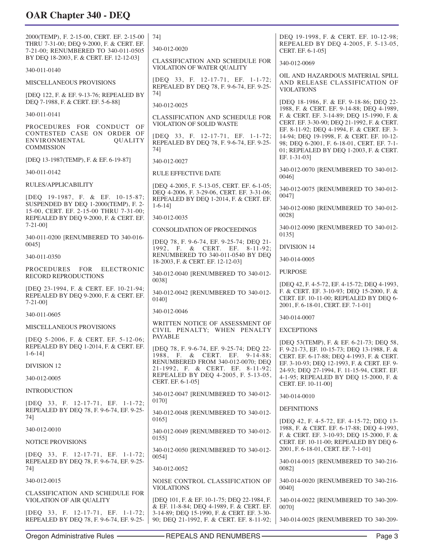| 2000(TEMP), F. 2-15-00, CERT. EF. 2-15-00<br>THRU 7-31-00; DEQ 9-2000, F. & CERT. EF.<br>7-21-00; RENUMBERED TO 340-011-0505 | 741<br>340-012-0020                                                                                                                 | DEQ 19-1998, F. & CERT. EF. 10-12-98;<br>REPEALED BY DEQ 4-2005, F. 5-13-05,<br>CERT. EF. 6-1-05]                                                                          |
|------------------------------------------------------------------------------------------------------------------------------|-------------------------------------------------------------------------------------------------------------------------------------|----------------------------------------------------------------------------------------------------------------------------------------------------------------------------|
| BY DEQ 18-2003, F. & CERT. EF. 12-12-03]<br>340-011-0140                                                                     | <b>CLASSIFICATION AND SCHEDULE FOR</b><br>VIOLATION OF WATER QUALITY                                                                | 340-012-0069                                                                                                                                                               |
| MISCELLANEOUS PROVISIONS                                                                                                     | [DEO 33, F. 12-17-71, EF. 1-1-72;<br>REPEALED BY DEQ 78, F. 9-6-74, EF. 9-25-                                                       | OIL AND HAZARDOUS MATERIAL SPILL<br>AND RELEASE CLASSIFICATION OF                                                                                                          |
| [DEQ 122, F. & EF. 9-13-76; REPEALED BY<br>DEQ 7-1988, F. & CERT. EF. 5-6-88]                                                | 74]                                                                                                                                 | <b>VIOLATIONS</b><br>[DEQ 18-1986, F. & EF. 9-18-86; DEQ 22-                                                                                                               |
| 340-011-0141                                                                                                                 | 340-012-0025                                                                                                                        | 1988, F. & CERT. EF. 9-14-88; DEQ 4-1989,                                                                                                                                  |
| PROCEDURES FOR CONDUCT OF                                                                                                    | CLASSIFICATION AND SCHEDULE FOR<br><b>VIOLATION OF SOLID WASTE</b>                                                                  | F. & CERT. EF. 3-14-89; DEQ 15-1990, F. &<br>CERT. EF. 3-30-90; DEQ 21-1992, F. & CERT.<br>EF. 8-11-92; DEQ 4-1994, F. & CERT. EF. 3-                                      |
| CONTESTED CASE ON ORDER OF<br>ENVIRONMENTAL<br><b>QUALITY</b><br><b>COMMISSION</b>                                           | [DEQ 33, F. 12-17-71, EF. 1-1-72;<br>REPEALED BY DEQ 78, F. 9-6-74, EF. 9-25-<br>74]                                                | 14-94; DEQ 19-1998, F. & CERT. EF. 10-12-<br>98; DEQ 6-2001, F. 6-18-01, CERT. EF. 7-1-<br>01; REPEALED BY DEQ 1-2003, F. & CERT.                                          |
| [DEQ 13-1987(TEMP), F. & EF. 6-19-87]                                                                                        | 340-012-0027                                                                                                                        | EF. 1-31-03]                                                                                                                                                               |
| 340-011-0142                                                                                                                 | <b>RULE EFFECTIVE DATE</b>                                                                                                          | 340-012-0070 [RENUMBERED TO 340-012-<br>0046]                                                                                                                              |
| RULES/APPLICABILITY<br>[DEQ 19-1987, F. & EF. 10-15-87;                                                                      | [DEO 4-2005, F. 5-13-05, CERT. EF. 6-1-05;<br>DEQ 4-2006, F. 3-29-06, CERT. EF. 3-31-06;<br>REPEALED BY DEQ 1-2014, F. & CERT. EF.  | 340-012-0075 [RENUMBERED TO 340-012-<br>00471                                                                                                                              |
| SUSPENDED BY DEQ 1-2000(TEMP), F. 2-<br>15-00, CERT. EF. 2-15-00 THRU 7-31-00;<br>REPEALED BY DEQ 9-2000, F. & CERT. EF.     | $1-6-14$ ]<br>340-012-0035                                                                                                          | 340-012-0080 [RENUMBERED TO 340-012-<br>00281                                                                                                                              |
| $7-21-00$ ]                                                                                                                  | <b>CONSOLIDATION OF PROCEEDINGS</b>                                                                                                 | 340-012-0090 [RENUMBERED TO 340-012-<br>01351                                                                                                                              |
| 340-011-0200 [RENUMBERED TO 340-016-<br>0045]                                                                                | [DEQ 78, F. 9-6-74, EF. 9-25-74; DEQ 21-<br>1992, F. & CERT. EF. 8-11-92;                                                           | <b>DIVISION 14</b>                                                                                                                                                         |
| 340-011-0350                                                                                                                 | RENUMBERED TO 340-011-0540 BY DEQ<br>18-2003, F. & CERT. EF. 12-12-03]                                                              | 340-014-0005                                                                                                                                                               |
| <b>PROCEDURES</b><br>FOR ELECTRONIC<br><b>RECORD REPRODUCTIONS</b>                                                           | 340-012-0040 [RENUMBERED TO 340-012-                                                                                                | <b>PURPOSE</b>                                                                                                                                                             |
| [DEQ 23-1994, F. & CERT. EF. 10-21-94;<br>REPEALED BY DEQ 9-2000, F. & CERT. EF.<br>$7 - 21 - 00$ ]                          | 0038]<br>340-012-0042 [RENUMBERED TO 340-012-<br>0140]                                                                              | [DEQ 42, F. 4-5-72, EF. 4-15-72; DEQ 4-1993,<br>F. & CERT. EF. 3-10-93; DEQ 15-2000, F. &<br>CERT. EF. 10-11-00; REPEALED BY DEQ 6-<br>2001, F. 6-18-01, CERT. EF. 7-1-01] |
| 340-011-0605                                                                                                                 | 340-012-0046                                                                                                                        | 340-014-0007                                                                                                                                                               |
| MISCELLANEOUS PROVISIONS                                                                                                     | WRITTEN NOTICE OF ASSESSMENT OF<br>CIVIL PENALTY; WHEN PENALTY<br><b>PAYABLE</b>                                                    | <b>EXCEPTIONS</b>                                                                                                                                                          |
| [DEQ 5-2006, F. & CERT. EF. 5-12-06;<br>REPEALED BY DEO 1-2014, F. & CERT. EF.<br>$1-6-14$ ]                                 | [DEQ 78, F. 9-6-74, EF. 9-25-74; DEQ 22-<br>1988, F. & CERT. EF. 9-14-88;                                                           | [DEQ 53(TEMP), F. & EF. 6-21-73; DEQ 58,<br>F. 9-21-73, EF. 10-15-73; DEQ 13-1988, F. &<br>CERT. EF. 6-17-88; DEQ 4-1993, F. & CERT.                                       |
| <b>DIVISION 12</b>                                                                                                           | RENUMBERED FROM 340-012-0070; DEQ<br>21-1992, F. & CERT. EF. 8-11-92;                                                               | EF. 3-10-93; DEQ 12-1993, F. & CERT. EF. 9-<br>24-93; DEQ 27-1994, F. 11-15-94, CERT. EF.                                                                                  |
| 340-012-0005                                                                                                                 | REPEALED BY DEQ 4-2005, F. 5-13-05,<br>CERT. EF. 6-1-05]                                                                            | 4-1-95; REPEALED BY DEQ 15-2000, F. &<br>CERT. EF. 10-11-00]                                                                                                               |
| <b>INTRODUCTION</b>                                                                                                          | 340-012-0047 [RENUMBERED TO 340-012-                                                                                                | 340-014-0010                                                                                                                                                               |
| [DEQ 33, F. 12-17-71, EF. 1-1-72;<br>REPEALED BY DEQ 78, F. 9-6-74, EF. 9-25-                                                | 0170]<br>340-012-0048 [RENUMBERED TO 340-012-                                                                                       | <b>DEFINITIONS</b>                                                                                                                                                         |
| 74]<br>340-012-0010                                                                                                          | 0165]                                                                                                                               | [DEQ 42, F. 4-5-72, EF. 4-15-72; DEQ 13-<br>1988, F. & CERT. EF. 6-17-88; DEQ 4-1993,                                                                                      |
| NOTICE PROVISIONS                                                                                                            | 340-012-0049 [RENUMBERED TO 340-012-<br>0155]                                                                                       | F. & CERT. EF. 3-10-93; DEQ 15-2000, F. &<br>CERT. EF. 10-11-00; REPEALED BY DEQ 6-                                                                                        |
| [DEQ 33, F. 12-17-71, EF. 1-1-72;                                                                                            | 340-012-0050 [RENUMBERED TO 340-012-<br>0054]                                                                                       | 2001, F. 6-18-01, CERT. EF. 7-1-01]                                                                                                                                        |
| REPEALED BY DEQ 78, F. 9-6-74, EF. 9-25-<br>74]                                                                              | 340-012-0052                                                                                                                        | 340-014-0015 [RENUMBERED TO 340-216-<br>0082]                                                                                                                              |
| 340-012-0015                                                                                                                 | NOISE CONTROL CLASSIFICATION OF                                                                                                     | 340-014-0020 [RENUMBERED TO 340-216-                                                                                                                                       |
| <b>CLASSIFICATION AND SCHEDULE FOR</b><br>VIOLATION OF AIR QUALITY                                                           | <b>VIOLATIONS</b><br>[DEQ 101, F. & EF. 10-1-75; DEQ 22-1984, F.                                                                    | 0040]<br>340-014-0022 [RENUMBERED TO 340-209-                                                                                                                              |
| [DEQ 33, F. 12-17-71, EF. 1-1-72;<br>REPEALED BY DEQ 78, F. 9-6-74, EF. 9-25-                                                | & EF. 11-8-84; DEQ 4-1989, F. & CERT. EF.<br>3-14-89; DEQ 15-1990, F. & CERT. EF. 3-30-<br>90; DEQ 21-1992, F. & CERT. EF. 8-11-92; | 00701<br>340-014-0025 [RENUMBERED TO 340-209-                                                                                                                              |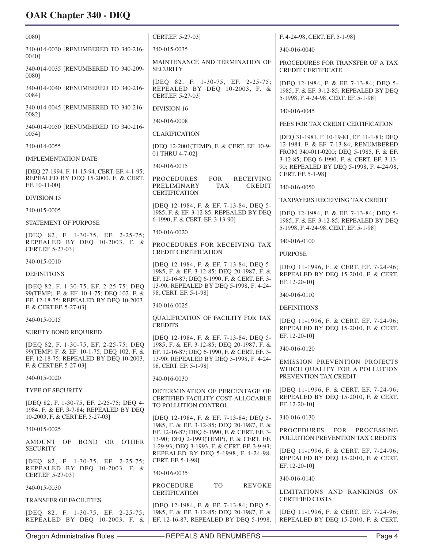| 0080]                                                                                   | CERT.EF. 5-27-03]                                                                                                             | F. 4-24-98, CERT. EF. 5-1-98]                                                                                              |
|-----------------------------------------------------------------------------------------|-------------------------------------------------------------------------------------------------------------------------------|----------------------------------------------------------------------------------------------------------------------------|
| 340-014-0030 [RENUMBERED TO 340-216-                                                    | 340-015-0035                                                                                                                  | 340-016-0040                                                                                                               |
| 0040]<br>340-014-0035 [RENUMBERED TO 340-209-<br>00801                                  | MAINTENANCE AND TERMINATION OF<br><b>SECURITY</b>                                                                             | PROCEDURES FOR TRANSFER OF A TAX<br><b>CREDIT CERTIFICATE</b>                                                              |
| 340-014-0040 [RENUMBERED TO 340-216-<br>0084]                                           | [DEQ 82, F. 1-30-75, EF. 2-25-75;<br>REPEALED BY DEQ 10-2003, F. &<br>CERT.EF. 5-27-03]                                       | [DEQ 12-1984, F. & EF. 7-13-84; DEQ 5-<br>1985, F. & EF. 3-12-85; REPEALED BY DEQ<br>5-1998, F. 4-24-98, CERT. EF. 5-1-98] |
| 340-014-0045 [RENUMBERED TO 340-216-<br>00821                                           | <b>DIVISION 16</b>                                                                                                            | 340-016-0045                                                                                                               |
| 340-014-0050 [RENUMBERED TO 340-216-                                                    | 340-016-0008                                                                                                                  | FEES FOR TAX CREDIT CERTIFICATION                                                                                          |
| 00541                                                                                   | <b>CLARIFICATION</b>                                                                                                          | [DEQ 31-1981, F. 10-19-81, EF. 11-1-81; DEQ                                                                                |
| 340-014-0055                                                                            | [DEQ 12-2001(TEMP), F. & CERT. EF. 10-9-<br>01 THRU 4-7-02]                                                                   | 12-1984, F. & EF. 7-13-84; RENUMBERED<br>FROM 340-011-0200; DEQ 5-1985, F. & EF.                                           |
| <b>IMPLEMENTATION DATE</b>                                                              |                                                                                                                               | 3-12-85; DEQ 6-1990, F. & CERT. EF. 3-13-                                                                                  |
| [DEQ 27-1994, F. 11-15-94, CERT. EF. 4-1-95;                                            | 340-016-0015                                                                                                                  | 90; REPEALED BY DEQ 5-1998, F. 4-24-98,<br>CERT. EF. 5-1-98]                                                               |
| REPEALED BY DEQ 15-2000, F. & CERT.<br>EF. 10-11-00]                                    | <b>FOR</b><br><b>RECEIVING</b><br>PROCEDURES<br>PRELIMINARY<br>TAX<br><b>CREDIT</b>                                           | 340-016-0050                                                                                                               |
| <b>DIVISION 15</b>                                                                      | <b>CERTIFICATION</b>                                                                                                          | <b>TAXPAYERS RECEIVING TAX CREDIT</b>                                                                                      |
| 340-015-0005                                                                            | [DEQ 12-1984, F. & EF. 7-13-84; DEQ 5-<br>1985, F. & EF. 3-12-85; REPEALED BY DEQ                                             | [DEQ 12-1984, F. & EF. 7-13-84; DEQ 5-                                                                                     |
| STATEMENT OF PURPOSE                                                                    | 6-1990, F. & CERT. EF. 3-13-90]                                                                                               | 1985, F. & EF. 3-12-85; REPEALED BY DEQ<br>5-1998, F. 4-24-98, CERT. EF. 5-1-98]                                           |
| [DEQ 82, F. 1-30-75, EF. 2-25-75;                                                       | 340-016-0020                                                                                                                  |                                                                                                                            |
| REPEALED BY DEQ 10-2003, F. &<br>CERT.EF. 5-27-03]                                      | PROCEDURES FOR RECEIVING TAX<br><b>CREDIT CERTIFICATION</b>                                                                   | 340-016-0100<br><b>PURPOSE</b>                                                                                             |
| 340-015-0010                                                                            | [DEQ 12-1984, F. & EF. 7-13-84; DEQ 5-                                                                                        |                                                                                                                            |
| <b>DEFINITIONS</b>                                                                      | 1985, F. & EF. 3-12-85; DEQ 20-1987, F. &<br>EF. 12-16-87; DEQ 6-1990, F. & CERT. EF. 3-                                      | [DEQ 11-1996, F. & CERT. EF. 7-24-96;<br>REPEALED BY DEQ 15-2010, F. & CERT.                                               |
| [DEQ 82, F. 1-30-75, EF. 2-25-75; DEQ<br>99(TEMP), F. & EF. 10-1-75; DEQ 102, F. &      | 13-90; REPEALED BY DEQ 5-1998, F. 4-24-<br>98, CERT. EF. 5-1-98]                                                              | EF. 12-20-10]<br>340-016-0110                                                                                              |
| EF. 12-18-75; REPEALED BY DEQ 10-2003,<br>F. & CERT.EF. 5-27-03]                        | 340-016-0025                                                                                                                  | <b>DEFINITIONS</b>                                                                                                         |
| 340-015-0015                                                                            | QUALIFICATION OF FACILITY FOR TAX                                                                                             | [DEQ 11-1996, F. & CERT. EF. 7-24-96;                                                                                      |
| <b>SURETY BOND REQUIRED</b>                                                             | <b>CREDITS</b><br>[DEQ 12-1984, F. & EF. 7-13-84; DEQ 5-                                                                      | REPEALED BY DEQ 15-2010, F. & CERT.<br>EF. 12-20-101                                                                       |
| [DEQ 82, F. 1-30-75, EF. 2-25-75; DEQ<br>99(TEMP) F. & EF. 10-1-75; DEQ 102, F. &       | 1985, F. & EF. 3-12-85; DEQ 20-1987, F. &<br>EF. 12-16-87; DEQ 6-1990, F. & CERT. EF. 3-                                      | 340-016-0120                                                                                                               |
| EF. 12-18-75; REPEALED BY DEQ 10-2003,<br>F. & CERT.EF. 5-27-03]                        | 13-90; REPEALED BY DEQ 5-1998, F. 4-24-<br>98, CERT. EF. 5-1-98]                                                              | EMISSION PREVENTION PROJECTS<br>WHICH QUALIFY FOR A POLLUTION                                                              |
| 340-015-0020                                                                            | 340-016-0030                                                                                                                  | PREVENTION TAX CREDIT                                                                                                      |
| TYPE OF SECURITY                                                                        | DETERMINATION OF PERCENTAGE OF                                                                                                | [DEQ 11-1996, F. & CERT. EF. 7-24-96;<br>REPEALED BY DEQ 15-2010, F. & CERT.                                               |
| [DEQ 82, F. 1-30-75, EF. 2-25-75; DEQ 4-<br>1984, F. & EF. 3-7-84; REPEALED BY DEQ      | CERTIFIED FACILITY COST ALLOCABLE<br>TO POLLUTION CONTROL                                                                     | EF. 12-20-101                                                                                                              |
| 10-2003, F. & CERT.EF. 5-27-03]                                                         | [DEQ 12-1984, F. & EF. 7-13-84; DEQ 5-<br>1985, F. & EF. 3-12-85; DEQ 20-1987, F. &                                           | 340-016-0130                                                                                                               |
| 340-015-0025                                                                            | EF. 12-16-87; DEQ 6-1990, F. & CERT. EF. 3-                                                                                   | <b>PROCEDURES</b><br><b>FOR</b><br>PROCESSING<br>POLLUTION PREVENTION TAX CREDITS                                          |
| BOND OR OTHER<br>AMOUNT OF<br><b>SECURITY</b>                                           | 13-90; DEQ 2-1993(TEMP), F. & CERT. EF.<br>1-29-93; DEQ 3-1993, F. & CERT. EF. 3-9-93;<br>REPEALED BY DEQ 5-1998, F. 4-24-98, | [DEQ 11-1996, F. & CERT. EF. 7-24-96;                                                                                      |
| [DEQ 82, F. 1-30-75, EF. 2-25-75;<br>REPEALED BY DEQ 10-2003, F. &<br>CERT.EF. 5-27-03] | CERT. EF. 5-1-98]<br>340-016-0035                                                                                             | REPEALED BY DEQ 15-2010, F. & CERT.<br>EF. 12-20-101                                                                       |
|                                                                                         | T <sub>O</sub><br>PROCEDURE<br>REVOKE                                                                                         | 340-016-0140                                                                                                               |
| 340-015-0030                                                                            | <b>CERTIFICATION</b>                                                                                                          | LIMITATIONS AND RANKINGS ON<br><b>CERTIFIED COSTS</b>                                                                      |
| <b>TRANSFER OF FACILITIES</b>                                                           | [DEQ 12-1984, F. & EF. 7-13-84; DEQ 5-                                                                                        |                                                                                                                            |
| [DEQ 82, F. 1-30-75, EF. 2-25-75;<br>REPEALED BY DEQ 10-2003, F. &                      | 1985, F. & EF. 3-12-85; DEQ 20-1987, F. &<br>EF. 12-16-87; REPEALED BY DEQ 5-1998,                                            | [DEQ 11-1996, F. & CERT. EF. 7-24-96;<br>REPEALED BY DEQ 15-2010, F. & CERT.                                               |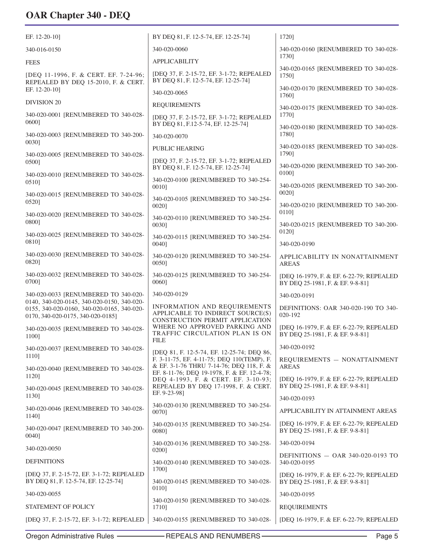| EF. 12-20-10]                                                                      | BY DEQ 81, F. 12-5-74, EF. 12-25-74]                                                                                                  | 1720]                                                                        |
|------------------------------------------------------------------------------------|---------------------------------------------------------------------------------------------------------------------------------------|------------------------------------------------------------------------------|
| 340-016-0150                                                                       | 340-020-0060                                                                                                                          | 340-020-0160 [RENUMBERED TO 340-028-                                         |
| <b>FEES</b>                                                                        | <b>APPLICABILITY</b>                                                                                                                  | 1730]                                                                        |
| [DEQ 11-1996, F. & CERT. EF. 7-24-96;<br>REPEALED BY DEQ 15-2010, F. & CERT.       | [DEQ 37, F. 2-15-72, EF. 3-1-72; REPEALED<br>BY DEQ 81, F. 12-5-74, EF. 12-25-74]                                                     | 340-020-0165 [RENUMBERED TO 340-028-<br>1750]                                |
| EF. 12-20-10]                                                                      | 340-020-0065                                                                                                                          | 340-020-0170 [RENUMBERED TO 340-028-<br>1760]                                |
| <b>DIVISION 20</b>                                                                 | <b>REQUIREMENTS</b>                                                                                                                   | 340-020-0175 [RENUMBERED TO 340-028-                                         |
| 340-020-0001 [RENUMBERED TO 340-028-<br>0600]                                      | [DEQ 37, F. 2-15-72, EF. 3-1-72; REPEALED<br>BY DEQ 81, F.12-5-74, EF. 12-25-74]                                                      | 1770]<br>340-020-0180 [RENUMBERED TO 340-028-                                |
| 340-020-0003 [RENUMBERED TO 340-200-<br>00301                                      | 340-020-0070                                                                                                                          | 1780]                                                                        |
|                                                                                    | <b>PUBLIC HEARING</b>                                                                                                                 | 340-020-0185 [RENUMBERED TO 340-028-<br>1790]                                |
| 340-020-0005 [RENUMBERED TO 340-028-<br>0500]                                      | [DEQ 37, F. 2-15-72, EF. 3-1-72; REPEALED<br>BY DEQ 81, F. 12-5-74, EF. 12-25-74]                                                     | 340-020-0200 [RENUMBERED TO 340-200-                                         |
| 340-020-0010 [RENUMBERED TO 340-028-<br>0510]                                      | 340-020-0100 [RENUMBERED TO 340-254-<br>0010]                                                                                         | 01001<br>340-020-0205 [RENUMBERED TO 340-200-                                |
| 340-020-0015 [RENUMBERED TO 340-028-<br>0520]                                      | 340-020-0105 [RENUMBERED TO 340-254-<br>0020]                                                                                         | 0020]<br>340-020-0210 [RENUMBERED TO 340-200-                                |
| 340-020-0020 [RENUMBERED TO 340-028-<br>0800]                                      | 340-020-0110 [RENUMBERED TO 340-254-<br>0030]                                                                                         | 0110]<br>340-020-0215 [RENUMBERED TO 340-200-                                |
| 340-020-0025 [RENUMBERED TO 340-028-<br>08101                                      | 340-020-0115 [RENUMBERED TO 340-254-                                                                                                  | 0120]                                                                        |
| 340-020-0030 [RENUMBERED TO 340-028-                                               | 0040]                                                                                                                                 | 340-020-0190                                                                 |
| 08201                                                                              | 340-020-0120 [RENUMBERED TO 340-254-<br>00501                                                                                         | APPLICABILITY IN NONATTAINMENT<br><b>AREAS</b>                               |
| 340-020-0032 [RENUMBERED TO 340-028-<br>07001                                      | 340-020-0125 [RENUMBERED TO 340-254-<br>0060]                                                                                         | [DEQ 16-1979, F. & EF. 6-22-79; REPEALED<br>BY DEQ 25-1981, F. & EF. 9-8-81] |
| 340-020-0033 [RENUMBERED TO 340-020-<br>0140, 340-020-0145, 340-020-0150, 340-020- | 340-020-0129                                                                                                                          | 340-020-0191                                                                 |
| 0155, 340-020-0160, 340-020-0165, 340-020-<br>0170, 340-020-0175, 340-020-0185]    | <b>INFORMATION AND REQUIREMENTS</b><br>APPLICABLE TO INDIRECT SOURCE(S)<br>CONSTRUCTION PERMIT APPLICATION                            | DEFINITIONS: OAR 340-020-190 TO 340-<br>020-192                              |
| 340-020-0035 [RENUMBERED TO 340-028-<br>1100]                                      | WHERE NO APPROVED PARKING AND<br>TRAFFIC CIRCULATION PLAN IS ON<br><b>FILE</b>                                                        | [DEQ 16-1979, F. & EF. 6-22-79; REPEALED<br>BY DEQ 25-1981, F. & EF. 9-8-81] |
| 340-020-0037 [RENUMBERED TO 340-028-                                               | [DEQ 81, F. 12-5-74, EF. 12-25-74; DEQ 86,                                                                                            | 340-020-0192                                                                 |
| 1110]<br>340-020-0040 [RENUMBERED TO 340-028-                                      | F. 3-11-75, EF. 4-11-75; DEQ 110(TEMP), F.<br>& EF. 3-1-76 THRU 7-14-76; DEQ 118, F. &<br>EF. 8-11-76; DEQ 19-1978, F. & EF. 12-4-78; | REQUIREMENTS - NONATTAINMENT<br><b>AREAS</b>                                 |
| 1120]<br>340-020-0045 [RENUMBERED TO 340-028-                                      | DEQ 4-1993, F. & CERT. EF. 3-10-93;<br>REPEALED BY DEQ 17-1998, F. & CERT.                                                            | [DEQ 16-1979, F. & EF. 6-22-79; REPEALED<br>BY DEQ 25-1981, F. & EF. 9-8-81] |
| 11301                                                                              | EF. 9-23-98]                                                                                                                          | 340-020-0193                                                                 |
| 340-020-0046 [RENUMBERED TO 340-028-<br>1140]                                      | 340-020-0130 [RENUMBERED TO 340-254-<br>0070]                                                                                         | APPLICABILITY IN ATTAINMENT AREAS                                            |
| 340-020-0047 [RENUMBERED TO 340-200-<br>0040]                                      | 340-020-0135 [RENUMBERED TO 340-254-<br>0080]                                                                                         | [DEQ 16-1979, F. & EF. 6-22-79; REPEALED<br>BY DEQ 25-1981, F. & EF. 9-8-81] |
| 340-020-0050                                                                       | 340-020-0136 [RENUMBERED TO 340-258-<br>0200]                                                                                         | 340-020-0194                                                                 |
| <b>DEFINITIONS</b>                                                                 | 340-020-0140 [RENUMBERED TO 340-028-                                                                                                  | DEFINITIONS $-$ OAR 340-020-0193 TO<br>340-020-0195                          |
| [DEQ 37, F. 2-15-72, EF. 3-1-72; REPEALED<br>BY DEQ 81, F. 12-5-74, EF. 12-25-74]  | 1700]<br>340-020-0145 [RENUMBERED TO 340-028-                                                                                         | [DEQ 16-1979, F. & EF. 6-22-79; REPEALED<br>BY DEQ 25-1981, F. & EF. 9-8-81] |
| 340-020-0055                                                                       | 0110]                                                                                                                                 | 340-020-0195                                                                 |
| STATEMENT OF POLICY                                                                | 340-020-0150 [RENUMBERED TO 340-028-<br>1710]                                                                                         | <b>REQUIREMENTS</b>                                                          |
| [DEQ 37, F. 2-15-72, EF. 3-1-72; REPEALED                                          | 340-020-0155 [RENUMBERED TO 340-028-                                                                                                  | [DEQ 16-1979, F. & EF. 6-22-79; REPEALED                                     |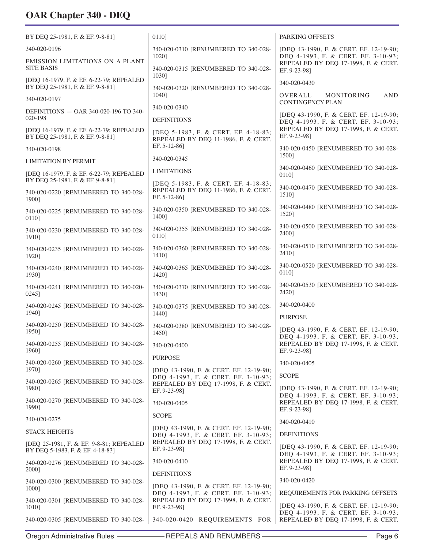| BY DEQ 25-1981, F. & EF. 9-8-81]                                             | 01101                                                                         | PARKING OFFSETS                                                                            |
|------------------------------------------------------------------------------|-------------------------------------------------------------------------------|--------------------------------------------------------------------------------------------|
| 340-020-0196                                                                 | 340-020-0310 [RENUMBERED TO 340-028-                                          | [DEQ 43-1990, F. & CERT. EF. 12-19-90;                                                     |
| EMISSION LIMITATIONS ON A PLANT<br><b>SITE BASIS</b>                         | 1020]<br>340-020-0315 [RENUMBERED TO 340-028-                                 | DEQ 4-1993, F. & CERT. EF. 3-10-93;<br>REPEALED BY DEQ 17-1998, F. & CERT.<br>EF. 9-23-981 |
| [DEQ 16-1979, F. & EF. 6-22-79; REPEALED<br>BY DEQ 25-1981, F. & EF. 9-8-81] | 1030]<br>340-020-0320 [RENUMBERED TO 340-028-                                 | 340-020-0430                                                                               |
| 340-020-0197                                                                 | 1040]                                                                         | <b>AND</b><br>OVERALL<br>MONITORING<br><b>CONTINGENCY PLAN</b>                             |
| DEFINITIONS - OAR 340-020-196 TO 340-                                        | 340-020-0340                                                                  | [DEQ 43-1990, F. & CERT. EF. 12-19-90;                                                     |
| 020-198                                                                      | <b>DEFINITIONS</b>                                                            | DEQ 4-1993, F. & CERT. EF. 3-10-93;                                                        |
| [DEQ 16-1979, F. & EF. 6-22-79; REPEALED<br>BY DEQ 25-1981, F. & EF. 9-8-81] | [DEQ 5-1983, F. & CERT. EF. 4-18-83;<br>REPEALED BY DEQ 11-1986, F. & CERT.   | REPEALED BY DEQ 17-1998, F. & CERT.<br>EF. 9-23-981                                        |
| 340-020-0198                                                                 | EF. 5-12-86]                                                                  | 340-020-0450 [RENUMBERED TO 340-028-<br>1500]                                              |
| <b>LIMITATION BY PERMIT</b>                                                  | 340-020-0345                                                                  |                                                                                            |
| [DEQ 16-1979, F. & EF. 6-22-79; REPEALED<br>BY DEQ 25-1981, F. & EF. 9-8-81] | <b>LIMITATIONS</b><br>[DEQ 5-1983, F. & CERT. EF. 4-18-83;                    | 340-020-0460 [RENUMBERED TO 340-028-<br>01101                                              |
| 340-020-0220 [RENUMBERED TO 340-028-<br>1900]                                | REPEALED BY DEQ 11-1986, F. & CERT.<br>EF. 5-12-86]                           | 340-020-0470 [RENUMBERED TO 340-028-<br>1510]                                              |
| 340-020-0225 [RENUMBERED TO 340-028-<br>0110]                                | 340-020-0350 [RENUMBERED TO 340-028-<br>1400]                                 | 340-020-0480 [RENUMBERED TO 340-028-<br>1520]                                              |
| 340-020-0230 [RENUMBERED TO 340-028-<br>1910]                                | 340-020-0355 [RENUMBERED TO 340-028-<br>0110]                                 | 340-020-0500 [RENUMBERED TO 340-028-<br>24001                                              |
| 340-020-0235 [RENUMBERED TO 340-028-<br>1920]                                | 340-020-0360 [RENUMBERED TO 340-028-<br>1410]                                 | 340-020-0510 [RENUMBERED TO 340-028-<br>2410]                                              |
| 340-020-0240 [RENUMBERED TO 340-028-<br>1930]                                | 340-020-0365 [RENUMBERED TO 340-028-<br>1420]                                 | 340-020-0520 [RENUMBERED TO 340-028-<br>01101                                              |
| 340-020-0241 [RENUMBERED TO 340-020-<br>02451                                | 340-020-0370 [RENUMBERED TO 340-028-<br>1430]                                 | 340-020-0530 [RENUMBERED TO 340-028-<br>2420]                                              |
| 340-020-0245 [RENUMBERED TO 340-028-<br>1940]                                | 340-020-0375 [RENUMBERED TO 340-028-<br>1440]                                 | 340-020-0400<br><b>PURPOSE</b>                                                             |
| 340-020-0250 [RENUMBERED TO 340-028-<br>1950]                                | 340-020-0380 [RENUMBERED TO 340-028-<br>1450]                                 | [DEQ 43-1990, F. & CERT. EF. 12-19-90;<br>DEQ 4-1993, F. & CERT. EF. 3-10-93;              |
| 340-020-0255 [RENUMBERED TO 340-028-<br>1960]                                | 340-020-0400                                                                  | REPEALED BY DEQ 17-1998, F. & CERT.<br>EF. 9-23-981                                        |
| 340-020-0260 [RENUMBERED TO 340-028-                                         | <b>PURPOSE</b>                                                                | 340-020-0405                                                                               |
| 1970]                                                                        | [DEQ 43-1990, F. & CERT. EF. 12-19-90;<br>DEQ 4-1993, F. & CERT. EF. 3-10-93; | <b>SCOPE</b>                                                                               |
| 340-020-0265 [RENUMBERED TO 340-028-<br>1980]                                | REPEALED BY DEQ 17-1998, F. & CERT.<br>EF. 9-23-98]                           | [DEQ 43-1990, F. & CERT. EF. 12-19-90;<br>DEQ 4-1993, F. & CERT. EF. 3-10-93;              |
| 340-020-0270 [RENUMBERED TO 340-028-<br>1990]                                | 340-020-0405                                                                  | REPEALED BY DEQ 17-1998, F. & CERT.<br>EF. 9-23-98]                                        |
| 340-020-0275                                                                 | <b>SCOPE</b>                                                                  | 340-020-0410                                                                               |
| <b>STACK HEIGHTS</b>                                                         | [DEQ 43-1990, F. & CERT. EF. 12-19-90;<br>DEQ 4-1993, F. & CERT. EF. 3-10-93; | <b>DEFINITIONS</b>                                                                         |
| [DEQ 25-1981, F. & EF. 9-8-81; REPEALED<br>BY DEQ 5-1983, F. & EF. 4-18-83]  | REPEALED BY DEQ 17-1998, F. & CERT.<br>EF. 9-23-98]                           | [DEQ 43-1990, F. & CERT. EF. 12-19-90;<br>DEQ 4-1993, F. & CERT. EF. 3-10-93;              |
| 340-020-0276 [RENUMBERED TO 340-028-<br>2000]                                | 340-020-0410                                                                  | REPEALED BY DEQ 17-1998, F. & CERT.<br>EF. 9-23-98]                                        |
| 340-020-0300 [RENUMBERED TO 340-028-                                         | <b>DEFINITIONS</b>                                                            | 340-020-0420                                                                               |
| 1000]                                                                        | [DEQ 43-1990, F. & CERT. EF. 12-19-90;<br>DEQ 4-1993, F. & CERT. EF. 3-10-93; | REQUIREMENTS FOR PARKING OFFSETS                                                           |
| 340-020-0301 [RENUMBERED TO 340-028-<br>1010]                                | REPEALED BY DEQ 17-1998, F. & CERT.<br>EF. 9-23-98]                           | [DEQ 43-1990, F. & CERT. EF. 12-19-90;<br>DEQ 4-1993, F. & CERT. EF. 3-10-93;              |
| 340-020-0305 [RENUMBERED TO 340-028-                                         | 340-020-0420 REQUIREMENTS FOR                                                 | REPEALED BY DEQ 17-1998, F. & CERT.                                                        |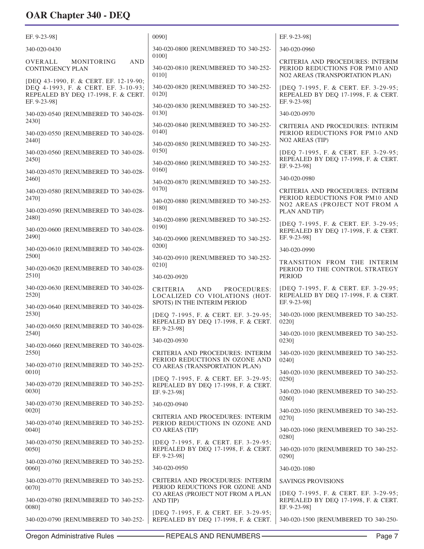| EF. 9-23-981                                                                                                                         | 0090]                                                                                                | EF. 9-23-981                                                                                          |
|--------------------------------------------------------------------------------------------------------------------------------------|------------------------------------------------------------------------------------------------------|-------------------------------------------------------------------------------------------------------|
| 340-020-0430                                                                                                                         | 340-020-0800 [RENUMBERED TO 340-252-                                                                 | 340-020-0960                                                                                          |
| <b>AND</b><br>OVERALL<br>MONITORING<br><b>CONTINGENCY PLAN</b>                                                                       | 0100]<br>340-020-0810 [RENUMBERED TO 340-252-<br>0110]                                               | CRITERIA AND PROCEDURES: INTERIM<br>PERIOD REDUCTIONS FOR PM10 AND<br>NO2 AREAS (TRANSPORTATION PLAN) |
| [DEQ 43-1990, F. & CERT. EF. 12-19-90;<br>DEQ 4-1993, F. & CERT. EF. 3-10-93;<br>REPEALED BY DEQ 17-1998, F. & CERT.<br>EF. 9-23-98] | 340-020-0820 [RENUMBERED TO 340-252-<br>01201                                                        | [DEQ 7-1995, F. & CERT. EF. 3-29-95;<br>REPEALED BY DEQ 17-1998, F. & CERT.<br>EF. 9-23-98]           |
| 340-020-0540 [RENUMBERED TO 340-028-                                                                                                 | 340-020-0830 [RENUMBERED TO 340-252-<br>0130]                                                        | 340-020-0970                                                                                          |
| 2430]<br>340-020-0550 [RENUMBERED TO 340-028-                                                                                        | 340-020-0840 [RENUMBERED TO 340-252-<br>0140]                                                        | CRITERIA AND PROCEDURES: INTERIM<br>PERIOD REDUCTIONS FOR PM10 AND                                    |
| 2440]                                                                                                                                | 340-020-0850 [RENUMBERED TO 340-252-<br>01501                                                        | NO <sub>2</sub> AREAS (TIP)                                                                           |
| 340-020-0560 [RENUMBERED TO 340-028-<br>2450]                                                                                        | 340-020-0860 [RENUMBERED TO 340-252-                                                                 | [DEQ 7-1995, F. & CERT. EF. 3-29-95;<br>REPEALED BY DEQ 17-1998, F. & CERT.<br>EF. 9-23-98]           |
| 340-020-0570 [RENUMBERED TO 340-028-<br>2460]                                                                                        | 0160]<br>340-020-0870 [RENUMBERED TO 340-252-                                                        | 340-020-0980                                                                                          |
| 340-020-0580 [RENUMBERED TO 340-028-<br>24701                                                                                        | 0170]                                                                                                | CRITERIA AND PROCEDURES: INTERIM<br>PERIOD REDUCTIONS FOR PM10 AND                                    |
| 340-020-0590 [RENUMBERED TO 340-028-                                                                                                 | 340-020-0880 [RENUMBERED TO 340-252-<br>01801                                                        | NO2 AREAS (PROJECT NOT FROM A<br>PLAN AND TIP)                                                        |
| 2480]<br>340-020-0600 [RENUMBERED TO 340-028-                                                                                        | 340-020-0890 [RENUMBERED TO 340-252-<br>0190]                                                        | [DEQ 7-1995, F. & CERT. EF. 3-29-95;<br>REPEALED BY DEQ 17-1998, F. & CERT.                           |
| 2490]                                                                                                                                | 340-020-0900 [RENUMBERED TO 340-252-<br>0200]                                                        | EF. 9-23-981                                                                                          |
| 340-020-0610 [RENUMBERED TO 340-028-<br>2500]                                                                                        | 340-020-0910 [RENUMBERED TO 340-252-                                                                 | 340-020-0990                                                                                          |
| 340-020-0620 [RENUMBERED TO 340-028-<br>2510]                                                                                        | 02101<br>340-020-0920                                                                                | TRANSITION FROM THE INTERIM<br>PERIOD TO THE CONTROL STRATEGY<br><b>PERIOD</b>                        |
| 340-020-0630 [RENUMBERED TO 340-028-<br>2520]                                                                                        | CRITERIA<br><b>AND</b><br>PROCEDURES:<br>LOCALIZED CO VIOLATIONS (HOT-                               | [DEQ 7-1995, F. & CERT. EF. 3-29-95;<br>REPEALED BY DEQ 17-1998, F. & CERT.                           |
| 340-020-0640 [RENUMBERED TO 340-028-<br>2530]                                                                                        | SPOTS) IN THE INTERIM PERIOD<br>[DEQ 7-1995, F. & CERT. EF. 3-29-95;                                 | EF. 9-23-98]<br>340-020-1000 [RENUMBERED TO 340-252-                                                  |
| 340-020-0650 [RENUMBERED TO 340-028-<br>2540]                                                                                        | REPEALED BY DEQ 17-1998, F. & CERT.<br>EF. 9-23-981                                                  | 02201<br>340-020-1010 [RENUMBERED TO 340-252-                                                         |
| 340-020-0660 [RENUMBERED TO 340-028-                                                                                                 | 340-020-0930                                                                                         | 0230]                                                                                                 |
| 2550]<br>340-020-0710 [RENUMBERED TO 340-252-                                                                                        | CRITERIA AND PROCEDURES: INTERIM<br>PERIOD REDUCTIONS IN OZONE AND<br>CO AREAS (TRANSPORTATION PLAN) | 340-020-1020 [RENUMBERED TO 340-252-<br>0240]                                                         |
| 0010]                                                                                                                                | [DEQ 7-1995, F. & CERT. EF. 3-29-95;                                                                 | 340-020-1030 [RENUMBERED TO 340-252-<br>0250]                                                         |
| 340-020-0720 [RENUMBERED TO 340-252-<br>0030]                                                                                        | REPEALED BY DEQ 17-1998, F. & CERT.<br>EF. 9-23-98]                                                  | 340-020-1040 [RENUMBERED TO 340-252-<br>0260]                                                         |
| 340-020-0730 [RENUMBERED TO 340-252-<br>00201                                                                                        | 340-020-0940                                                                                         | 340-020-1050 [RENUMBERED TO 340-252-                                                                  |
| 340-020-0740 [RENUMBERED TO 340-252-<br>0040]                                                                                        | CRITERIA AND PROCEDURES: INTERIM<br>PERIOD REDUCTIONS IN OZONE AND<br>CO AREAS (TIP)                 | 0270]<br>340-020-1060 [RENUMBERED TO 340-252-                                                         |
| 340-020-0750 [RENUMBERED TO 340-252-<br>0050]                                                                                        | [DEQ 7-1995, F. & CERT. EF. 3-29-95;<br>REPEALED BY DEQ 17-1998, F. & CERT.<br>EF. 9-23-98]          | 0280]<br>340-020-1070 [RENUMBERED TO 340-252-<br>0290]                                                |
| 340-020-0760 [RENUMBERED TO 340-252-<br>0060]                                                                                        | 340-020-0950                                                                                         | 340-020-1080                                                                                          |
| 340-020-0770 [RENUMBERED TO 340-252-                                                                                                 | CRITERIA AND PROCEDURES: INTERIM                                                                     | <b>SAVINGS PROVISIONS</b>                                                                             |
| 0070]<br>340-020-0780 [RENUMBERED TO 340-252-<br>0080]                                                                               | PERIOD REDUCTIONS FOR OZONE AND<br>CO AREAS (PROJECT NOT FROM A PLAN<br>AND TIP)                     | [DEQ 7-1995, F. & CERT. EF. 3-29-95;<br>REPEALED BY DEQ 17-1998, F. & CERT.<br>EF. 9-23-98]           |
| 340-020-0790 [RENUMBERED TO 340-252-                                                                                                 | [DEQ 7-1995, F. & CERT. EF. 3-29-95;<br>REPEALED BY DEQ 17-1998, F. & CERT.                          | 340-020-1500 [RENUMBERED TO 340-250-                                                                  |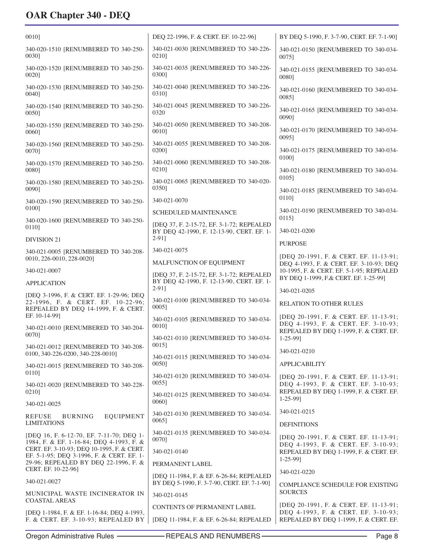| 0010]                                                                                                                | DEQ 22-1996, F. & CERT. EF. 10-22-96]                                                   | BY DEQ 5-1990, F. 3-7-90, CERT. EF. 7-1-90]                                                                             |
|----------------------------------------------------------------------------------------------------------------------|-----------------------------------------------------------------------------------------|-------------------------------------------------------------------------------------------------------------------------|
| 340-020-1510 [RENUMBERED TO 340-250-<br>00301                                                                        | 340-021-0030 [RENUMBERED TO 340-226-<br>02101                                           | 340-021-0150 [RENUMBERED TO 340-034-<br>0075]                                                                           |
| 340-020-1520 [RENUMBERED TO 340-250-<br>0020]                                                                        | 340-021-0035 [RENUMBERED TO 340-226-<br>03001                                           | 340-021-0155 [RENUMBERED TO 340-034-<br>00801                                                                           |
| 340-020-1530 [RENUMBERED TO 340-250-<br>0040]                                                                        | 340-021-0040 [RENUMBERED TO 340-226-<br>0310]                                           | 340-021-0160 [RENUMBERED TO 340-034-<br>00851                                                                           |
| 340-020-1540 [RENUMBERED TO 340-250-<br>00501                                                                        | 340-021-0045 [RENUMBERED TO 340-226-<br>0320                                            | 340-021-0165 [RENUMBERED TO 340-034-<br>00901                                                                           |
| 340-020-1550 [RENUMBERED TO 340-250-<br>00601                                                                        | 340-021-0050 [RENUMBERED TO 340-208-<br>0010]                                           | 340-021-0170 [RENUMBERED TO 340-034-<br>00951                                                                           |
| 340-020-1560 [RENUMBERED TO 340-250-<br>00701                                                                        | 340-021-0055 [RENUMBERED TO 340-208-<br>0200]                                           | 340-021-0175 [RENUMBERED TO 340-034-<br>01001                                                                           |
| 340-020-1570 [RENUMBERED TO 340-250-<br>0080]                                                                        | 340-021-0060 [RENUMBERED TO 340-208-<br>0210]                                           | 340-021-0180 [RENUMBERED TO 340-034-                                                                                    |
| 340-020-1580 [RENUMBERED TO 340-250-<br>00901                                                                        | 340-021-0065 [RENUMBERED TO 340-020-<br>03501                                           | 0105]<br>340-021-0185 [RENUMBERED TO 340-034-                                                                           |
| 340-020-1590 [RENUMBERED TO 340-250-                                                                                 | 340-021-0070                                                                            | 01101                                                                                                                   |
| 01001                                                                                                                | <b>SCHEDULED MAINTENANCE</b>                                                            | 340-021-0190 [RENUMBERED TO 340-034-<br>0115]                                                                           |
| 340-020-1600 [RENUMBERED TO 340-250-<br>0110]                                                                        | [DEO 37, F. 2-15-72, EF. 3-1-72; REPEALED<br>BY DEQ 42-1990, F. 12-13-90, CERT. EF. 1-  | 340-021-0200                                                                                                            |
| <b>DIVISION 21</b>                                                                                                   | $2-91$ ]                                                                                | <b>PURPOSE</b>                                                                                                          |
| 340-021-0005 [RENUMBERED TO 340-208-                                                                                 | 340-021-0075                                                                            | [DEQ 20-1991, F. & CERT. EF. 11-13-91;                                                                                  |
| 0010, 226-0010, 228-0020]<br>340-021-0007                                                                            | MALFUNCTION OF EQUIPMENT                                                                | DEQ 4-1993, F. & CERT. EF. 3-10-93; DEQ<br>10-1995, F. & CERT. EF. 5-1-95; REPEALED                                     |
| <b>APPLICATION</b>                                                                                                   | [DEQ 37, F. 2-15-72, EF. 3-1-72; REPEALED<br>BY DEQ 42-1990, F. 12-13-90, CERT. EF. 1-  | BY DEQ 1-1999, F.& CERT. EF. 1-25-99]                                                                                   |
|                                                                                                                      | $2 - 91$ ]                                                                              | 340-021-0205                                                                                                            |
| [DEQ 3-1996, F. & CERT. EF. 1-29-96; DEQ<br>22-1996, F. & CERT. EF. 10-22-96;<br>REPEALED BY DEQ 14-1999, F. & CERT. | 340-021-0100 [RENUMBERED TO 340-034-<br>$0005$ ]                                        | RELATION TO OTHER RULES                                                                                                 |
| EF. 10-14-99]<br>340-021-0010 [RENUMBERED TO 340-204-                                                                | 340-021-0105 [RENUMBERED TO 340-034-<br>0010]                                           | [DEQ 20-1991, F. & CERT. EF. 11-13-91;<br>DEQ 4-1993, F. & CERT. EF. 3-10-93;<br>REPEALED BY DEQ 1-1999, F. & CERT. EF. |
| 0070]<br>340-021-0012 [RENUMBERED TO 340-208-                                                                        | 340-021-0110 [RENUMBERED TO 340-034-<br>0015]                                           | $1-25-99$ ]                                                                                                             |
| 0100, 340-226-0200, 340-228-0010]                                                                                    | 340-021-0115 [RENUMBERED TO 340-034-                                                    | 340-021-0210                                                                                                            |
| 340-021-0015 [RENUMBERED TO 340-208-                                                                                 | 0050]                                                                                   | <b>APPLICABILITY</b>                                                                                                    |
| 0110]<br>340-021-0020 [RENUMBERED TO 340-228-                                                                        | 340-021-0120 [RENUMBERED TO 340-034-<br>0055]                                           | [DEQ 20-1991, F. & CERT. EF. 11-13-91;<br>DEQ 4-1993, F. & CERT. EF. 3-10-93;                                           |
| 0210]                                                                                                                | 340-021-0125 [RENUMBERED TO 340-034-<br>0060]                                           | REPEALED BY DEQ 1-1999, F. & CERT. EF.<br>$1 - 25 - 99$ ]                                                               |
| 340-021-0025                                                                                                         | 340-021-0130 [RENUMBERED TO 340-034-                                                    | 340-021-0215                                                                                                            |
| <b>EQUIPMENT</b><br><b>REFUSE</b><br><b>BURNING</b><br><b>LIMITATIONS</b>                                            | 00651                                                                                   | <b>DEFINITIONS</b>                                                                                                      |
| [DEQ 16, F. 6-12-70, EF. 7-11-70; DEQ 1-<br>1984, F. & EF. 1-16-84; DEQ 4-1993, F. &                                 | 340-021-0135 [RENUMBERED TO 340-034-<br>00701                                           | [DEQ 20-1991, F. & CERT. EF. 11-13-91;<br>DEQ 4-1993, F. & CERT. EF. 3-10-93;                                           |
| CERT. EF. 3-10-93; DEQ 10-1995, F. & CERT.<br>EF. 5-1-95; DEQ 3-1996, F. & CERT. EF. 1-                              | 340-021-0140                                                                            | REPEALED BY DEQ 1-1999, F. & CERT. EF.<br>$1 - 25 - 99$ ]                                                               |
| 29-96; REPEALED BY DEQ 22-1996, F. &<br>CERT. EF. 10-22-96]                                                          | PERMANENT LABEL                                                                         | 340-021-0220                                                                                                            |
| 340-021-0027                                                                                                         | [DEQ 11-1984, F. & EF. 6-26-84; REPEALED<br>BY DEQ 5-1990, F. 3-7-90, CERT. EF. 7-1-90] | COMPLIANCE SCHEDULE FOR EXISTING                                                                                        |
| MUNICIPAL WASTE INCINERATOR IN<br><b>COASTAL AREAS</b>                                                               | 340-021-0145                                                                            | <b>SOURCES</b>                                                                                                          |
| [DEQ 1-1984, F. & EF. 1-16-84; DEQ 4-1993,                                                                           | CONTENTS OF PERMANENT LABEL                                                             | [DEQ 20-1991, F. & CERT. EF. 11-13-91;<br>DEQ 4-1993, F. & CERT. EF. 3-10-93;                                           |
| F. & CERT. EF. 3-10-93; REPEALED BY                                                                                  |                                                                                         |                                                                                                                         |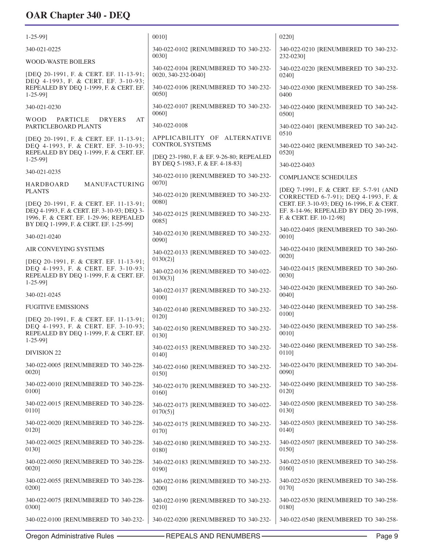| $1 - 25 - 99$ ]                                                                                                         | 0010]                                                              | 0220]                                                                          |
|-------------------------------------------------------------------------------------------------------------------------|--------------------------------------------------------------------|--------------------------------------------------------------------------------|
| 340-021-0225                                                                                                            | 340-022-0102 [RENUMBERED TO 340-232-<br>0030]                      | 340-022-0210 [RENUMBERED TO 340-232-<br>232-0230]                              |
| <b>WOOD-WASTE BOILERS</b>                                                                                               | 340-022-0104 [RENUMBERED TO 340-232-                               | 340-022-0220 [RENUMBERED TO 340-232-                                           |
| [DEQ 20-1991, F. & CERT. EF. 11-13-91;                                                                                  | 0020, 340-232-0040]                                                | 02401                                                                          |
| DEQ 4-1993, F. & CERT. EF. 3-10-93;<br>REPEALED BY DEQ 1-1999, F. & CERT. EF.<br>$1 - 25 - 99$ ]                        | 340-022-0106 [RENUMBERED TO 340-232-<br>00501                      | 340-022-0300 [RENUMBERED TO 340-258-<br>0400                                   |
| 340-021-0230                                                                                                            | 340-022-0107 [RENUMBERED TO 340-232-<br>0060]                      | 340-022-0400 [RENUMBERED TO 340-242-<br>05001                                  |
| <b>PARTICLE</b><br><b>WOOD</b><br><b>DRYERS</b><br>AT<br>PARTICLEBOARD PLANTS                                           | 340-022-0108                                                       | 340-022-0401 [RENUMBERED TO 340-242-                                           |
| [DEQ 20-1991, F. & CERT. EF. 11-13-91;                                                                                  | APPLICABILITY OF ALTERNATIVE                                       | 0510                                                                           |
| DEQ 4-1993, F. & CERT. EF. 3-10-93;                                                                                     | <b>CONTROL SYSTEMS</b>                                             | 340-022-0402 [RENUMBERED TO 340-242-                                           |
| REPEALED BY DEQ 1-1999, F. & CERT. EF.                                                                                  | [DEO 23-1980, F. & EF. 9-26-80; REPEALED                           | 05201                                                                          |
| $1 - 25 - 99$ ]                                                                                                         | BY DEQ 5-1983, F. & EF. 4-18-83]                                   | 340-022-0403                                                                   |
| 340-021-0235                                                                                                            | 340-022-0110 [RENUMBERED TO 340-232-<br>00701                      | <b>COMPLIANCE SCHEDULES</b>                                                    |
| MANUFACTURING<br>HARDBOARD<br><b>PLANTS</b>                                                                             | 340-022-0120 [RENUMBERED TO 340-232-                               | [DEQ 7-1991, F. & CERT. EF. 5-7-91 (AND<br>CORRECTED 6-7-91); DEQ 4-1993, F. & |
| [DEQ 20-1991, F. & CERT. EF. 11-13-91;                                                                                  | 0080]                                                              | CERT. EF. 3-10-93; DEQ 16-1996, F. & CERT.                                     |
| DEQ 4-1993, F. & CERT. EF. 3-10-93; DEQ 3-                                                                              | 340-022-0125 [RENUMBERED TO 340-232-                               | EF. 8-14-96; REPEALED BY DEQ 20-1998,                                          |
| 1996, F. & CERT. EF. 1-29-96; REPEALED                                                                                  | 0085]                                                              | F. & CERT. EF. 10-12-98]                                                       |
| BY DEQ 1-1999, F. & CERT. EF. 1-25-99]                                                                                  | 340-022-0130 [RENUMBERED TO 340-232-                               | 340-022-0405 [RENUMBERED TO 340-260-                                           |
| 340-021-0240                                                                                                            | 0090]                                                              | 00101                                                                          |
| AIR CONVEYING SYSTEMS                                                                                                   | 340-022-0133 [RENUMBERED TO 340-022-                               | 340-022-0410 [RENUMBERED TO 340-260-<br>00201                                  |
| [DEQ 20-1991, F. & CERT. EF. 11-13-91;<br>DEQ 4-1993, F. & CERT. EF. 3-10-93;<br>REPEALED BY DEQ 1-1999, F. & CERT. EF. | $0130(2)$ ]<br>340-022-0136 [RENUMBERED TO 340-022-<br>$0130(3)$ ] | 340-022-0415 [RENUMBERED TO 340-260-<br>00301                                  |
| $1 - 25 - 99$ ]<br>340-021-0245                                                                                         | 340-022-0137 [RENUMBERED TO 340-232-                               | 340-022-0420 [RENUMBERED TO 340-260-<br>0040]                                  |
| <b>FUGITIVE EMISSIONS</b>                                                                                               | 01001<br>340-022-0140 [RENUMBERED TO 340-232-                      | 340-022-0440 [RENUMBERED TO 340-258-                                           |
| [DEQ 20-1991, F. & CERT. EF. 11-13-91;                                                                                  | 0120]                                                              | 01001                                                                          |
| DEQ 4-1993, F. & CERT. EF. 3-10-93;                                                                                     | 340-022-0150 [RENUMBERED TO 340-232-                               | 340-022-0450 [RENUMBERED TO 340-258-                                           |
| REPEALED BY DEQ 1-1999, F. & CERT. EF.                                                                                  | 0130]                                                              | 0010]                                                                          |
| $1 - 25 - 99$ ]                                                                                                         | 340-022-0153 [RENUMBERED TO 340-232-                               | 340-022-0460 [RENUMBERED TO 340-258-                                           |
| DIVISION 22                                                                                                             | 0140]                                                              | 0110]                                                                          |
| 340-022-0005 [RENUMBERED TO 340-228-                                                                                    | 340-022-0160 [RENUMBERED TO 340-232-                               | 340-022-0470 [RENUMBERED TO 340-204-                                           |
| 0020]                                                                                                                   | 0150]                                                              | 00901                                                                          |
| 340-022-0010 [RENUMBERED TO 340-228-                                                                                    | 340-022-0170 [RENUMBERED TO 340-232-                               | 340-022-0490 [RENUMBERED TO 340-258-                                           |
| 0100]                                                                                                                   | 0160]                                                              | 0120]                                                                          |
| 340-022-0015 [RENUMBERED TO 340-228-                                                                                    | 340-022-0173 [RENUMBERED TO 340-022-                               | 340-022-0500 [RENUMBERED TO 340-258-                                           |
| 0110]                                                                                                                   | $0170(5)$ ]                                                        | 0130]                                                                          |
| 340-022-0020 [RENUMBERED TO 340-228-                                                                                    | 340-022-0175 [RENUMBERED TO 340-232-                               | 340-022-0503 [RENUMBERED TO 340-258-                                           |
| 0120]                                                                                                                   | 0170]                                                              | 0140]                                                                          |
| 340-022-0025 [RENUMBERED TO 340-228-                                                                                    | 340-022-0180 [RENUMBERED TO 340-232-                               | 340-022-0507 [RENUMBERED TO 340-258-                                           |
| 0130]                                                                                                                   | 0180]                                                              | 0150]                                                                          |
| 340-022-0050 [RENUMBERED TO 340-228-                                                                                    | 340-022-0183 [RENUMBERED TO 340-232-                               | 340-022-0510 [RENUMBERED TO 340-258-                                           |
| 0020]                                                                                                                   | 0190]                                                              | 0160]                                                                          |
| 340-022-0055 [RENUMBERED TO 340-228-                                                                                    | 340-022-0186 [RENUMBERED TO 340-232-                               | 340-022-0520 [RENUMBERED TO 340-258-                                           |
| 0200]                                                                                                                   | 0200]                                                              | 0170]                                                                          |
| 340-022-0075 [RENUMBERED TO 340-228-                                                                                    | 340-022-0190 [RENUMBERED TO 340-232-                               | 340-022-0530 [RENUMBERED TO 340-258-                                           |
| 0300]                                                                                                                   | 0210]                                                              | 0180]                                                                          |
| 340-022-0100 [RENUMBERED TO 340-232-                                                                                    | 340-022-0200 [RENUMBERED TO 340-232-                               | 340-022-0540 [RENUMBERED TO 340-258-                                           |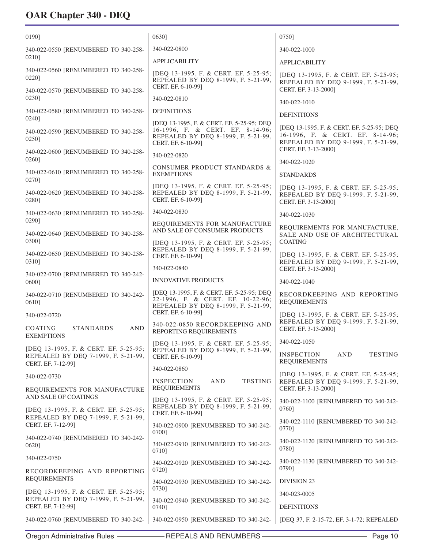| 0190]                                                          | 0630]                                                                                                                 | 0750]                                                                                                                |
|----------------------------------------------------------------|-----------------------------------------------------------------------------------------------------------------------|----------------------------------------------------------------------------------------------------------------------|
| 340-022-0550 [RENUMBERED TO 340-258-                           | 340-022-0800                                                                                                          | 340-022-1000                                                                                                         |
| 02101                                                          | <b>APPLICABILITY</b>                                                                                                  | <b>APPLICABILITY</b>                                                                                                 |
| 340-022-0560 [RENUMBERED TO 340-258-<br>02201                  | [DEQ 13-1995, F. & CERT. EF. 5-25-95;<br>REPEALED BY DEQ 8-1999, F. 5-21-99,<br>CERT. EF. 6-10-991                    | [DEQ 13-1995, F. & CERT. EF. 5-25-95;<br>REPEALED BY DEQ 9-1999, F. 5-21-99,                                         |
| 340-022-0570 [RENUMBERED TO 340-258-<br>02301                  | 340-022-0810                                                                                                          | CERT. EF. 3-13-2000]                                                                                                 |
| 340-022-0580 [RENUMBERED TO 340-258-                           | <b>DEFINITIONS</b>                                                                                                    | 340-022-1010                                                                                                         |
| 0240]                                                          | [DEQ 13-1995, F. & CERT. EF. 5-25-95; DEQ                                                                             | <b>DEFINITIONS</b>                                                                                                   |
| 340-022-0590 [RENUMBERED TO 340-258-<br>0250]                  | 16-1996, F. & CERT. EF. 8-14-96;<br>REPEALED BY DEQ 8-1999, F. 5-21-99,<br>CERT. EF. 6-10-99]                         | [DEQ 13-1995, F. & CERT. EF. 5-25-95; DEQ<br>16-1996, F. & CERT. EF. 8-14-96;<br>REPEALED BY DEQ 9-1999, F. 5-21-99, |
| 340-022-0600 [RENUMBERED TO 340-258-<br>0260]                  | 340-022-0820                                                                                                          | CERT. EF. 3-13-2000]                                                                                                 |
| 340-022-0610 [RENUMBERED TO 340-258-                           | <b>CONSUMER PRODUCT STANDARDS &amp;</b><br><b>EXEMPTIONS</b>                                                          | 340-022-1020                                                                                                         |
| 02701                                                          | [DEQ 13-1995, F. & CERT. EF. 5-25-95;                                                                                 | <b>STANDARDS</b>                                                                                                     |
| 340-022-0620 [RENUMBERED TO 340-258-<br>0280]                  | REPEALED BY DEQ 8-1999, F. 5-21-99,<br>CERT. EF. 6-10-99]                                                             | [DEQ 13-1995, F. & CERT. EF. 5-25-95;<br>REPEALED BY DEQ 9-1999, F. 5-21-99,<br>CERT. EF. 3-13-2000]                 |
| 340-022-0630 [RENUMBERED TO 340-258-                           | 340-022-0830                                                                                                          | 340-022-1030                                                                                                         |
| 0290]<br>340-022-0640 [RENUMBERED TO 340-258-                  | REQUIREMENTS FOR MANUFACTURE<br>AND SALE OF CONSUMER PRODUCTS                                                         | REQUIREMENTS FOR MANUFACTURE,<br>SALE AND USE OF ARCHITECTURAL                                                       |
| 0300]                                                          | [DEQ 13-1995, F. & CERT. EF. 5-25-95;<br>REPEALED BY DEQ 8-1999, F. 5-21-99,                                          | <b>COATING</b>                                                                                                       |
| 340-022-0650 [RENUMBERED TO 340-258-<br>03101                  | CERT. EF. 6-10-99]                                                                                                    | [DEQ 13-1995, F. & CERT. EF. 5-25-95;<br>REPEALED BY DEQ 9-1999, F. 5-21-99,                                         |
| 340-022-0700 [RENUMBERED TO 340-242-                           | 340-022-0840                                                                                                          | CERT. EF. 3-13-2000]                                                                                                 |
| 0600]                                                          | <b>INNOVATIVE PRODUCTS</b>                                                                                            | 340-022-1040                                                                                                         |
| 340-022-0710 [RENUMBERED TO 340-242-<br>0610]                  | [DEQ 13-1995, F. & CERT. EF. 5-25-95; DEQ<br>22-1996, F. & CERT. EF. 10-22-96;<br>REPEALED BY DEQ 8-1999, F. 5-21-99, | RECORDKEEPING AND REPORTING<br><b>REQUIREMENTS</b>                                                                   |
| 340-022-0720                                                   | CERT. EF. 6-10-99]                                                                                                    | [DEQ 13-1995, F. & CERT. EF. 5-25-95;<br>REPEALED BY DEQ 9-1999, F. 5-21-99,                                         |
| <b>STANDARDS</b><br><b>COATING</b><br>AND<br><b>EXEMPTIONS</b> | 340-022-0850 RECORDKEEPING AND<br>REPORTING REQUIREMENTS                                                              | CERT. EF. 3-13-2000]                                                                                                 |
| [DEQ 13-1995, F. & CERT. EF. 5-25-95;                          | [DEQ 13-1995, F. & CERT. EF. 5-25-95;<br>REPEALED BY DEQ 8-1999, F. 5-21-99,                                          | 340-022-1050                                                                                                         |
| REPEALED BY DEQ 7-1999, F. 5-21-99,<br>CERT. EF. 7-12-99]      | CERT. EF. 6-10-99]                                                                                                    | <b>INSPECTION</b><br>AND<br><b>TESTING</b><br><b>REQUIREMENTS</b>                                                    |
| 340-022-0730                                                   | 340-022-0860                                                                                                          | [DEQ 13-1995, F. & CERT. EF. 5-25-95;                                                                                |
| REQUIREMENTS FOR MANUFACTURE<br>AND SALE OF COATINGS           | <b>TESTING</b><br><b>INSPECTION</b><br>AND<br><b>REQUIREMENTS</b>                                                     | REPEALED BY DEQ 9-1999, F. 5-21-99,<br>CERT. EF. 3-13-2000]                                                          |
| [DEQ 13-1995, F. & CERT. EF. 5-25-95;                          | [DEQ 13-1995, F. & CERT. EF. 5-25-95;<br>REPEALED BY DEQ 8-1999, F. 5-21-99,<br>CERT. EF. 6-10-99]                    | 340-022-1100 [RENUMBERED TO 340-242-<br>0760]                                                                        |
| REPEALED BY DEQ 7-1999, F. 5-21-99,<br>CERT. EF. 7-12-99]      | 340-022-0900 [RENUMBERED TO 340-242-<br>0700]                                                                         | 340-022-1110 [RENUMBERED TO 340-242-<br>0770]                                                                        |
| 340-022-0740 [RENUMBERED TO 340-242-<br>0620]                  | 340-022-0910 [RENUMBERED TO 340-242-<br>0710]                                                                         | 340-022-1120 [RENUMBERED TO 340-242-<br>0780]                                                                        |
| 340-022-0750                                                   | 340-022-0920 [RENUMBERED TO 340-242-                                                                                  | 340-022-1130 [RENUMBERED TO 340-242-                                                                                 |
| RECORDKEEPING AND REPORTING<br><b>REQUIREMENTS</b>             | 0720]<br>340-022-0930 [RENUMBERED TO 340-242-                                                                         | 07901<br><b>DIVISION 23</b>                                                                                          |
| [DEQ 13-1995, F. & CERT. EF. 5-25-95;                          | 0730]                                                                                                                 | 340-023-0005                                                                                                         |
| REPEALED BY DEQ 7-1999, F. 5-21-99,<br>CERT. EF. 7-12-99]      | 340-022-0940 [RENUMBERED TO 340-242-<br>0740]                                                                         | <b>DEFINITIONS</b>                                                                                                   |
| 340-022-0760 [RENUMBERED TO 340-242-                           | 340-022-0950 [RENUMBERED TO 340-242-                                                                                  | [DEQ 37, F. 2-15-72, EF. 3-1-72; REPEALED                                                                            |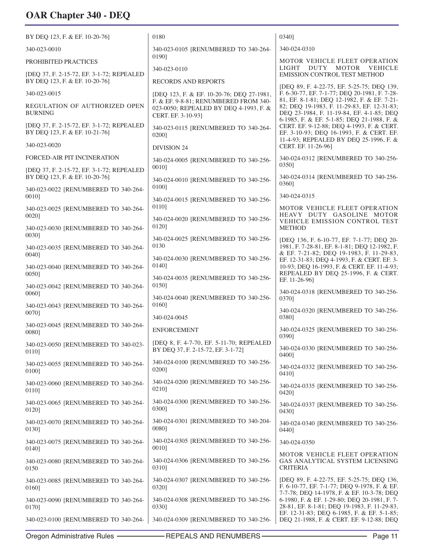| BY DEO 123, F. & EF. 10-20-761                                              | 0180                                                                                                  | 0340]                                                                                                                                                                         |
|-----------------------------------------------------------------------------|-------------------------------------------------------------------------------------------------------|-------------------------------------------------------------------------------------------------------------------------------------------------------------------------------|
| 340-023-0010                                                                | 340-023-0105 [RENUMBERED TO 340-264-                                                                  | 340-024-0310                                                                                                                                                                  |
| PROHIBITED PRACTICES                                                        | 01901<br>340-023-0110                                                                                 | <b>MOTOR VEHICLE FLEET OPERATION</b><br>LIGHT DUTY MOTOR VEHICLE                                                                                                              |
| [DEQ 37, F. 2-15-72, EF. 3-1-72; REPEALED<br>BY DEQ 123, F. & EF. 10-20-76] | <b>RECORDS AND REPORTS</b>                                                                            | EMISSION CONTROL TEST METHOD                                                                                                                                                  |
| 340-023-0015                                                                | [DEQ 123, F. & EF. 10-20-76; DEQ 27-1981,                                                             | [DEQ 89, F. 4-22-75, EF. 5-25-75; DEQ 139,<br>F. 6-30-77, EF. 7-1-77; DEQ 20-1981, F. 7-28-                                                                                   |
| REGULATION OF AUTHORIZED OPEN<br><b>BURNING</b>                             | F. & EF. 9-8-81; RENUMBERED FROM 340-<br>023-0050; REPEALED BY DEQ 4-1993, F. &<br>CERT. EF. 3-10-93] | 81, EF. 8-1-81; DEQ 12-1982, F. & EF. 7-21-<br>82; DEQ 19-1983, F. 11-29-83, EF. 12-31-83;<br>DEQ 23-1984, F. 11-19-84, EF. 4-1-85; DEQ                                       |
| [DEQ 37, F. 2-15-72, EF. 3-1-72; REPEALED<br>BY DEQ 123, F. & EF. 10-21-76] | 340-023-0115 [RENUMBERED TO 340-264-<br>0200]                                                         | 6-1985, F. & EF. 5-1-85; DEQ 21-1988, F. &<br>CERT. EF. 9-12-88; DEQ 4-1993, F. & CERT.<br>EF. 3-10-93; DEQ 16-1993, F. & CERT. EF.<br>11-4-93; REPEALED BY DEQ 25-1996, F. & |
| 340-023-0020                                                                | <b>DIVISION 24</b>                                                                                    | CERT. EF. 11-26-96]                                                                                                                                                           |
| FORCED-AIR PIT INCINERATION<br>[DEQ 37, F. 2-15-72, EF. 3-1-72; REPEALED    | 340-024-0005 [RENUMBERED TO 340-256-<br>00101                                                         | 340-024-0312 [RENUMBERED TO 340-256-<br>0350]                                                                                                                                 |
| BY DEQ 123, F. & EF. 10-20-76]                                              | 340-024-0010 [RENUMBERED TO 340-256-<br>0100]                                                         | 340-024-0314 [RENUMBERED TO 340-256-<br>0360]                                                                                                                                 |
| 340-023-0022 [RENUMBERED TO 340-264-<br>00101                               | 340-024-0015 [RENUMBERED TO 340-256-                                                                  | 340-024-0315                                                                                                                                                                  |
| 340-023-0025 [RENUMBERED TO 340-264-<br>00201                               | 0110]                                                                                                 | MOTOR VEHICLE FLEET OPERATION<br>HEAVY DUTY GASOLINE MOTOR                                                                                                                    |
| 340-023-0030 [RENUMBERED TO 340-264-<br>0030]                               | 340-024-0020 [RENUMBERED TO 340-256-<br>0120]                                                         | VEHICLE EMISSION CONTROL TEST<br><b>METHOD</b>                                                                                                                                |
| 340-023-0035 [RENUMBERED TO 340-264-                                        | 340-024-0025 [RENUMBERED TO 340-256-<br>0130                                                          | [DEQ 136, F. 6-10-77, EF. 7-1-77; DEQ 20-<br>1981, F. 7-28-81, EF. 8-1-81; DEQ 12-1982, F.<br>& EF. 7-21-82; DEQ 19-1983, F. 11-29-83,                                        |
| 0040]<br>340-023-0040 [RENUMBERED TO 340-264-<br>00501                      | 340-024-0030 [RENUMBERED TO 340-256-<br>01401                                                         | EF. 12-31-83; DEQ 4-1993, F. & CERT. EF. 3-<br>10-93; DEQ 16-1993, F. & CERT. EF. 11-4-93;<br>REPEALED BY DEQ 25-1996, F. & CERT.                                             |
| 340-023-0042 [RENUMBERED TO 340-264-                                        | 340-024-0035 [RENUMBERED TO 340-256-<br>0150]                                                         | EF. 11-26-96]<br>340-024-0318 [RENUMBERED TO 340-256-                                                                                                                         |
| 00601<br>340-023-0043 [RENUMBERED TO 340-264-                               | 340-024-0040 [RENUMBERED TO 340-256-<br>01601                                                         | 0370]                                                                                                                                                                         |
| 0070]                                                                       | 340-024-0045                                                                                          | 340-024-0320 [RENUMBERED TO 340-256-<br>0380]                                                                                                                                 |
| 340-023-0045 [RENUMBERED TO 340-264-<br>00801                               | <b>ENFORCEMENT</b>                                                                                    | 340-024-0325 [RENUMBERED TO 340-256-<br>0390]                                                                                                                                 |
| 340-023-0050 [RENUMBERED TO 340-023-<br>01101                               | [DEQ 8, F. 4-7-70, EF. 5-11-70; REPEALED<br>BY DEQ 37, F. 2-15-72, EF. 3-1-72]                        | 340-024-0330 [RENUMBERED TO 340-256-<br>0400]                                                                                                                                 |
| 340-023-0055 [RENUMBERED TO 340-264-<br>0100]                               | 340-024-0100 [RENUMBERED TO 340-256-<br>0200]                                                         | 340-024-0332 [RENUMBERED TO 340-256-<br>0410]                                                                                                                                 |
| 340-023-0060 [RENUMBERED TO 340-264-<br>0110]                               | 340-024-0200 [RENUMBERED TO 340-256-<br>0210]                                                         | 340-024-0335 [RENUMBERED TO 340-256-<br>0420]                                                                                                                                 |
| 340-023-0065 [RENUMBERED TO 340-264-<br>0120]                               | 340-024-0300 [RENUMBERED TO 340-256-<br>0300]                                                         | 340-024-0337 [RENUMBERED TO 340-256-<br>0430]                                                                                                                                 |
| 340-023-0070 [RENUMBERED TO 340-264-<br>01301                               | 340-024-0301 [RENUMBERED TO 340-204-<br>0080]                                                         | 340-024-0340 [RENUMBERED TO 340-256-<br>0440]                                                                                                                                 |
| 340-023-0075 [RENUMBERED TO 340-264-<br>0140]                               | 340-024-0305 [RENUMBERED TO 340-256-<br>0010]                                                         | 340-024-0350                                                                                                                                                                  |
| 340-023-0080 [RENUMBERED TO 340-264-<br>0150                                | 340-024-0306 [RENUMBERED TO 340-256-<br>0310]                                                         | MOTOR VEHICLE FLEET OPERATION<br>GAS ANALYTICAL SYSTEM LICENSING<br><b>CRITERIA</b>                                                                                           |
| 340-023-0085 [RENUMBERED TO 340-264-<br>0160]                               | 340-024-0307 [RENUMBERED TO 340-256-<br>0320]                                                         | [DEQ 89, F. 4-22-75, EF. 5-25-75; DEQ 136,<br>F. 6-10-77, EF. 7-1-77; DEQ 9-1978, F. & EF.                                                                                    |
| 340-023-0090 [RENUMBERED TO 340-264-<br>0170]                               | 340-024-0308 [RENUMBERED TO 340-256-<br>0330]                                                         | 7-7-78; DEQ 14-1978, F. & EF. 10-3-78; DEQ<br>6-1980, F. & EF. 1-29-80; DEQ 20-1981, F. 7-<br>28-81, EF. 8-1-81; DEQ 19-1983, F. 11-29-83,                                    |
| 340-023-0100 [RENUMBERED TO 340-264-                                        | 340-024-0309 [RENUMBERED TO 340-256-                                                                  | EF. 12-31-83; DEQ 6-1985, F. & EF. 5-1-85;<br>DEQ 21-1988, F. & CERT. EF. 9-12-88; DEQ                                                                                        |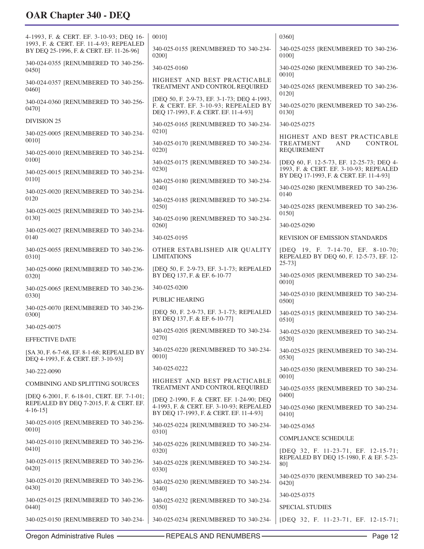| 4-1993, F. & CERT. EF. 3-10-93; DEQ 16-                                              | 00101                                                                                                                      | 03601                                                                                                                          |
|--------------------------------------------------------------------------------------|----------------------------------------------------------------------------------------------------------------------------|--------------------------------------------------------------------------------------------------------------------------------|
| 1993, F. & CERT. EF. 11-4-93; REPEALED<br>BY DEQ 25-1996, F. & CERT. EF. 11-26-96]   | 340-025-0155 [RENUMBERED TO 340-234-<br>0200]                                                                              | 340-025-0255 [RENUMBERED TO 340-236-<br>01001                                                                                  |
| 340-024-0355 [RENUMBERED TO 340-256-<br>0450]                                        | 340-025-0160                                                                                                               | 340-025-0260 [RENUMBERED TO 340-236-<br>00101                                                                                  |
| 340-024-0357 [RENUMBERED TO 340-256-<br>0460]                                        | HIGHEST AND BEST PRACTICABLE<br>TREATMENT AND CONTROL REQUIRED                                                             | 340-025-0265 [RENUMBERED TO 340-236-<br>01201                                                                                  |
| 340-024-0360 [RENUMBERED TO 340-256-<br>04701                                        | [DEQ 50, F. 2-9-73, EF. 3-1-73; DEQ 4-1993,<br>F. & CERT. EF. 3-10-93; REPEALED BY<br>DEQ 17-1993, F. & CERT. EF. 11-4-93] | 340-025-0270 [RENUMBERED TO 340-236-<br>01301                                                                                  |
| <b>DIVISION 25</b>                                                                   | 340-025-0165 [RENUMBERED TO 340-234-                                                                                       | 340-025-0275                                                                                                                   |
| 340-025-0005 [RENUMBERED TO 340-234-                                                 | 0210]                                                                                                                      | HIGHEST AND BEST PRACTICABLE                                                                                                   |
| 00101<br>340-025-0010 [RENUMBERED TO 340-234-                                        | 340-025-0170 [RENUMBERED TO 340-234-<br>02201                                                                              | CONTROL<br><b>TREATMENT</b><br><b>AND</b><br><b>REQUIREMENT</b>                                                                |
| 01001<br>340-025-0015 [RENUMBERED TO 340-234-                                        | 340-025-0175 [RENUMBERED TO 340-234-<br>0230]                                                                              | [DEQ 60, F. 12-5-73, EF. 12-25-73; DEQ 4-<br>1993, F. & CERT. EF. 3-10-93; REPEALED<br>BY DEQ 17-1993, F. & CERT. EF. 11-4-93] |
| 0110]<br>340-025-0020 [RENUMBERED TO 340-234-                                        | 340-025-0180 [RENUMBERED TO 340-234-<br>0240]                                                                              | 340-025-0280 [RENUMBERED TO 340-236-<br>0140                                                                                   |
| 0120                                                                                 | 340-025-0185 [RENUMBERED TO 340-234-<br>0250]                                                                              | 340-025-0285 [RENUMBERED TO 340-236-                                                                                           |
| 340-025-0025 [RENUMBERED TO 340-234-<br>0130]                                        | 340-025-0190 [RENUMBERED TO 340-234-                                                                                       | 0150]                                                                                                                          |
| 340-025-0027 [RENUMBERED TO 340-234-                                                 | 0260]                                                                                                                      | 340-025-0290                                                                                                                   |
| 0140                                                                                 | 340-025-0195                                                                                                               | REVISION OF EMISSION STANDARDS                                                                                                 |
| 340-025-0055 [RENUMBERED TO 340-236-<br>0310]                                        | OTHER ESTABLISHED AIR QUALITY<br><b>LIMITATIONS</b>                                                                        | [DEO 19, F. 7-14-70, EF. 8-10-70;<br>REPEALED BY DEQ 60, F. 12-5-73, EF. 12-<br>$25 - 73$                                      |
| 340-025-0060 [RENUMBERED TO 340-236-<br>0320]                                        | [DEQ 50, F. 2-9-73, EF. 3-1-73; REPEALED<br>BY DEQ 137, F. & EF. 6-10-77                                                   | 340-025-0305 [RENUMBERED TO 340-234-<br>00101                                                                                  |
| 340-025-0065 [RENUMBERED TO 340-236-<br>0330]                                        | 340-025-0200                                                                                                               | 340-025-0310 [RENUMBERED TO 340-234-                                                                                           |
| 340-025-0070 [RENUMBERED TO 340-236-                                                 | PUBLIC HEARING                                                                                                             | 0500]                                                                                                                          |
| 0300]                                                                                | [DEQ 50, F. 2-9-73, EF. 3-1-73; REPEALED<br>BY DEQ 137, F. & EF. 6-10-77]                                                  | 340-025-0315 [RENUMBERED TO 340-234-<br>0510]                                                                                  |
| 340-025-0075<br><b>EFFECTIVE DATE</b>                                                | 340-025-0205 [RENUMBERED TO 340-234-<br>0270]                                                                              | 340-025-0320 [RENUMBERED TO 340-234-<br>0520]                                                                                  |
| [SA 30, F. 6-7-68, EF. 8-1-68; REPEALED BY<br>DEQ 4-1993, F. & CERT. EF. 3-10-93]    | 340-025-0220 [RENUMBERED TO 340-234-<br>0010]                                                                              | 340-025-0325 [RENUMBERED TO 340-234-<br>0530]                                                                                  |
| 340-222-0090                                                                         | 340-025-0222                                                                                                               | 340-025-0350 [RENUMBERED TO 340-234-                                                                                           |
| <b>COMBINING AND SPLITTING SOURCES</b>                                               | HIGHEST AND BEST PRACTICABLE<br>TREATMENT AND CONTROL REQUIRED                                                             | 00101<br>340-025-0355 [RENUMBERED TO 340-234-                                                                                  |
| [DEQ 6-2001, F. 6-18-01, CERT. EF. 7-1-01;<br>REPEALED BY DEQ 7-2015, F. & CERT. EF. | [DEQ 2-1990, F. & CERT. EF. 1-24-90; DEQ<br>4-1993, F. & CERT. EF. 3-10-93; REPEALED                                       | 04001<br>340-025-0360 [RENUMBERED TO 340-234-                                                                                  |
| $4-16-15$ ]                                                                          | BY DEQ 17-1993, F. & CERT. EF. 11-4-93]                                                                                    | 04101                                                                                                                          |
| 340-025-0105 [RENUMBERED TO 340-236-<br>0010]                                        | 340-025-0224 [RENUMBERED TO 340-234-<br>0310]                                                                              | 340-025-0365                                                                                                                   |
| 340-025-0110 [RENUMBERED TO 340-236-<br>0410]                                        | 340-025-0226 [RENUMBERED TO 340-234-<br>0320]                                                                              | COMPLIANCE SCHEDULE<br>[DEQ 32, F. 11-23-71, EF. 12-15-71;                                                                     |
| 340-025-0115 [RENUMBERED TO 340-236-<br>0420]                                        | 340-025-0228 [RENUMBERED TO 340-234-<br>0330]                                                                              | REPEALED BY DEQ 15-1980, F. & EF. 5-23-<br>801                                                                                 |
| 340-025-0120 [RENUMBERED TO 340-236-<br>0430]                                        | 340-025-0230 [RENUMBERED TO 340-234-<br>0340]                                                                              | 340-025-0370 [RENUMBERED TO 340-234-<br>0420]                                                                                  |
| 340-025-0125 [RENUMBERED TO 340-236-                                                 | 340-025-0232 [RENUMBERED TO 340-234-                                                                                       | 340-025-0375                                                                                                                   |
| 0440]                                                                                | 0350]                                                                                                                      | <b>SPECIAL STUDIES</b>                                                                                                         |
| 340-025-0150 [RENUMBERED TO 340-234-                                                 | 340-025-0234 [RENUMBERED TO 340-234-                                                                                       | [DEQ 32, F. 11-23-71, EF. 12-15-71;                                                                                            |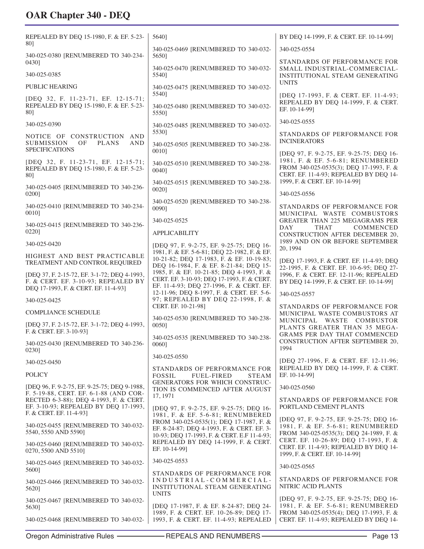| REPEALED BY DEQ 15-1980, F. & EF. 5-23-<br>801                                                                              | 5640]                                                                                                                                | BY DEO 14-1999, F. & CERT. EF. 10-14-991                                                                                 |
|-----------------------------------------------------------------------------------------------------------------------------|--------------------------------------------------------------------------------------------------------------------------------------|--------------------------------------------------------------------------------------------------------------------------|
|                                                                                                                             | 340-025-0469 [RENUMBERED TO 340-032-                                                                                                 | 340-025-0554                                                                                                             |
| 340-025-0380 [RENUMBERED TO 340-234-<br>0430]                                                                               | 5650]                                                                                                                                | STANDARDS OF PERFORMANCE FOR                                                                                             |
| 340-025-0385                                                                                                                | 340-025-0470 [RENUMBERED TO 340-032-<br>5540]                                                                                        | SMALL INDUSTRIAL-COMMERCIAL-<br>INSTITUTIONAL STEAM GENERATING<br><b>UNITS</b>                                           |
| <b>PUBLIC HEARING</b>                                                                                                       | 340-025-0475 [RENUMBERED TO 340-032-<br>5540]                                                                                        |                                                                                                                          |
| [DEQ 32, F. 11-23-71, EF. 12-15-71;<br>REPEALED BY DEQ 15-1980, F. & EF. 5-23-<br>80]                                       | 340-025-0480 [RENUMBERED TO 340-032-<br>5550]                                                                                        | [DEQ 17-1993, F. & CERT. EF. 11-4-93;<br>REPEALED BY DEQ 14-1999, F. & CERT.<br>EF. 10-14-99]                            |
| 340-025-0390                                                                                                                | 340-025-0485 [RENUMBERED TO 340-032-                                                                                                 | 340-025-0555                                                                                                             |
| NOTICE OF CONSTRUCTION AND                                                                                                  | 5530]                                                                                                                                | STANDARDS OF PERFORMANCE FOR                                                                                             |
| <b>SUBMISSION</b><br>OF<br><b>PLANS</b><br><b>AND</b><br><b>SPECIFICATIONS</b>                                              | 340-025-0505 [RENUMBERED TO 340-238-<br>00101                                                                                        | <b>INCINERATORS</b><br>[DEQ 97, F. 9-2-75, EF. 9-25-75; DEQ 16-                                                          |
| [DEQ 32, F. 11-23-71, EF. 12-15-71;<br>REPEALED BY DEQ 15-1980, F. & EF. 5-23-<br>80]                                       | 340-025-0510 [RENUMBERED TO 340-238-<br>00401                                                                                        | 1981, F. & EF. 5-6-81; RENUMBERED<br>FROM 340-025-0535(3); DEQ 17-1993, F. &<br>CERT. EF. 11-4-93; REPEALED BY DEQ 14-   |
| 340-025-0405 [RENUMBERED TO 340-236-<br>02001                                                                               | 340-025-0515 [RENUMBERED TO 340-238-<br>00201                                                                                        | 1999, F. & CERT. EF. 10-14-99]<br>340-025-0556                                                                           |
| 340-025-0410 [RENUMBERED TO 340-234-<br>00101                                                                               | 340-025-0520 [RENUMBERED TO 340-238-<br>00901                                                                                        | STANDARDS OF PERFORMANCE FOR<br>MUNICIPAL WASTE COMBUSTORS                                                               |
| 340-025-0415 [RENUMBERED TO 340-236-                                                                                        | 340-025-0525                                                                                                                         | <b>GREATER THAN 225 MEGAGRAMS PER</b><br>DAY<br><b>THAT</b><br>COMMENCED                                                 |
| 0220]                                                                                                                       | <b>APPLICABILITY</b>                                                                                                                 | CONSTRUCTION AFTER DECEMBER 20,                                                                                          |
| 340-025-0420                                                                                                                | [DEQ 97, F. 9-2-75, EF. 9-25-75; DEQ 16-                                                                                             | 1989 AND ON OR BEFORE SEPTEMBER<br>20, 1994                                                                              |
| HIGHEST AND BEST PRACTICABLE<br>TREATMENT AND CONTROL REQUIRED                                                              | 1981, F. & EF. 5-6-81; DEQ 22-1982, F. & EF.<br>10-21-82; DEQ 17-1983, F. & EF. 10-19-83;<br>DEQ 16-1984, F. & EF. 8-21-84; DEQ 15-  | [DEQ 17-1993, F. & CERT. EF. 11-4-93; DEQ<br>22-1995, F. & CERT. EF. 10-6-95; DEQ 27-                                    |
| [DEQ 37, F. 2-15-72, EF. 3-1-72; DEQ 4-1993,<br>F. & CERT. EF. 3-10-93; REPEALED BY<br>DEQ 17-1993, F. & CERT. EF. 11-4-93] | 1985, F. & EF. 10-21-85; DEQ 4-1993, F. &<br>CERT. EF. 3-10-93; DEQ 17-1993, F. & CERT.<br>EF. 11-4-93; DEQ 27-1996, F. & CERT. EF.  | 1996, F. & CERT. EF. 12-11-96; REPEALED<br>BY DEQ 14-1999, F. & CERT. EF. 10-14-99]                                      |
| 340-025-0425                                                                                                                | 12-11-96; DEQ 8-1997, F. & CERT. EF. 5-6-<br>97; REPEALED BY DEQ 22-1998, F. &                                                       | 340-025-0557                                                                                                             |
| <b>COMPLIANCE SCHEDULE</b>                                                                                                  | CERT. EF. 10-21-98]                                                                                                                  | STANDARDS OF PERFORMANCE FOR<br>MUNICIPAL WASTE COMBUSTORS AT                                                            |
| [DEQ 37, F. 2-15-72, EF. 3-1-72; DEQ 4-1993,                                                                                | 340-025-0530 [RENUMBERED TO 340-238-<br>0050]                                                                                        | MUNICIPAL WASTE COMBUSTOR<br>PLANTS GREATER THAN 35 MEGA-                                                                |
| F. & CERT. EF. 3-10-93]<br>340-025-0430 [RENUMBERED TO 340-236-                                                             | 340-025-0535 [RENUMBERED TO 340-238-<br>00601                                                                                        | GRAMS PER DAY THAT COMMENCED<br>CONSTRUCTION AFTER SEPTEMBER 20,<br>1994                                                 |
| 0230]                                                                                                                       | 340-025-0550                                                                                                                         | [DEQ 27-1996, F. & CERT. EF. 12-11-96;                                                                                   |
| 340-025-0450<br><b>POLICY</b>                                                                                               | STANDARDS OF PERFORMANCE FOR<br>FOSSIL<br><b>FUEL-FIRED</b><br><b>STEAM</b>                                                          | REPEALED BY DEQ 14-1999, F. & CERT.<br>EF. 10-14-99]                                                                     |
| [DEQ 96, F. 9-2-75, EF. 9-25-75; DEQ 9-1988,                                                                                | GENERATORS FOR WHICH CONSTRUC-<br>TION IS COMMENCED AFTER AUGUST                                                                     | 340-025-0560                                                                                                             |
| F. 5-19-88, CERT. EF. 6-1-88 (AND COR-<br>RECTED 6-3-88); DEQ 4-1993, F. & CERT.                                            | 17, 1971                                                                                                                             | STANDARDS OF PERFORMANCE FOR                                                                                             |
| EF. 3-10-93; REPEALED BY DEQ 17-1993,<br>F. & CERT. EF. 11-4-93]                                                            | [DEQ 97, F. 9-2-75, EF. 9-25-75; DEQ 16-<br>1981, F. & EF. 5-6-81; RENUMBERED                                                        | PORTLAND CEMENT PLANTS                                                                                                   |
| 340-025-0455 [RENUMBERED TO 340-032-<br>5540, 5550 AND 5590]                                                                | FROM 340-025-0535(1); DEQ 17-1987, F. &<br>EF. 8-24-87; DEQ 4-1993, F. & CERT. EF. 3-<br>10-93; DEQ 17-1993, F. & CERT. E.F 11-4-93; | [DEQ 97, F. 9-2-75, EF. 9-25-75; DEQ 16-<br>1981, F. & EF. 5-6-81; RENUMBERED<br>FROM 340-025-0535(3); DEQ 24-1989, F. & |
| 340-025-0460 [RENUMBERED TO 340-032-<br>0270, 5500 AND 5510]                                                                | REPEALED BY DEQ 14-1999, F. & CERT.<br>EF. 10-14-99]                                                                                 | CERT. EF. 10-26-89; DEQ 17-1993, F. &<br>CERT. EF. 11-4-93; REPEALED BY DEQ 14-<br>1999, F. & CERT. EF. 10-14-99]        |
| 340-025-0465 [RENUMBERED TO 340-032-                                                                                        | 340-025-0553                                                                                                                         | 340-025-0565                                                                                                             |
| 5600]<br>340-025-0466 [RENUMBERED TO 340-032-<br>5620]                                                                      | STANDARDS OF PERFORMANCE FOR<br>INDUSTRIAL-COMMERCIAL-<br>INSTITUTIONAL STEAM GENERATING                                             | STANDARDS OF PERFORMANCE FOR<br>NITRIC ACID PLANTS                                                                       |
| 340-025-0467 [RENUMBERED TO 340-032-<br>5630]                                                                               | <b>UNITS</b><br>[DEQ 17-1987, F. & EF. 8-24-87; DEQ 24-<br>1989, F. & CERT. EF. 10-26-89; DEQ 17-                                    | [DEQ 97, F. 9-2-75, EF. 9-25-75; DEQ 16-<br>1981, F. & EF. 5-6-81; RENUMBERED<br>FROM 340-025-0535(4); DEQ 17-1993, F. & |
| 340-025-0468 [RENUMBERED TO 340-032-                                                                                        | 1993, F. & CERT. EF. 11-4-93; REPEALED                                                                                               | CERT. EF. 11-4-93; REPEALED BY DEQ 14-                                                                                   |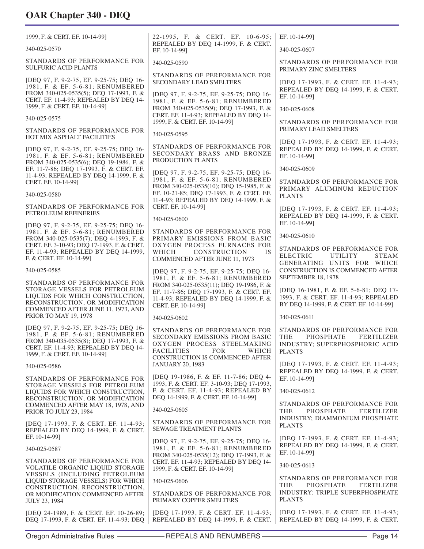| 1999, F. & CERT. EF. 10-14-99]                                                                                                                                                                       | 22-1995, F. & CERT. EF. 10-6-95;                                                                                                                                            | EF. 10-14-99]                                                                                                                |
|------------------------------------------------------------------------------------------------------------------------------------------------------------------------------------------------------|-----------------------------------------------------------------------------------------------------------------------------------------------------------------------------|------------------------------------------------------------------------------------------------------------------------------|
| 340-025-0570                                                                                                                                                                                         | REPEALED BY DEQ 14-1999, F. & CERT.<br>EF. 10-14-991                                                                                                                        | 340-025-0607                                                                                                                 |
| STANDARDS OF PERFORMANCE FOR<br><b>SULFURIC ACID PLANTS</b>                                                                                                                                          | 340-025-0590                                                                                                                                                                | STANDARDS OF PERFORMANCE FOR<br>PRIMARY ZINC SMELTERS                                                                        |
| [DEQ 97, F. 9-2-75, EF. 9-25-75; DEQ 16-<br>1981, F. & EF. 5-6-81; RENUMBERED<br>FROM 340-025-0535(5); DEQ 17-1993, F. &<br>CERT. EF. 11-4-93; REPEALED BY DEQ 14-                                   | STANDARDS OF PERFORMANCE FOR<br><b>SECONDARY LEAD SMELTERS</b><br>[DEQ 97, F. 9-2-75, EF. 9-25-75; DEQ 16-                                                                  | [DEQ 17-1993, F. & CERT. EF. 11-4-93;<br>REPEALED BY DEQ 14-1999, F. & CERT.<br>EF. 10-14-991                                |
| 1999, F. & CERT. EF. 10-14-99]                                                                                                                                                                       | 1981, F. & EF. 5-6-81; RENUMBERED<br>FROM 340-025-0535(9); DEQ 17-1993, F. &                                                                                                | 340-025-0608                                                                                                                 |
| 340-025-0575                                                                                                                                                                                         | CERT. EF. 11-4-93; REPEALED BY DEQ 14-<br>1999, F. & CERT. EF. 10-14-99]                                                                                                    | STANDARDS OF PERFORMANCE FOR                                                                                                 |
| STANDARDS OF PERFORMANCE FOR<br>HOT MIX ASPHALT FACILITIES                                                                                                                                           | 340-025-0595                                                                                                                                                                | PRIMARY LEAD SMELTERS<br>[DEQ 17-1993, F. & CERT. EF. 11-4-93;                                                               |
| [DEQ 97, F. 9-2-75, EF. 9-25-75; DEQ 16-<br>1981, F. & EF. 5-6-81; RENUMBERED<br>FROM 340-025-0535(6); DEQ 19-1986, F. &<br>EF. 11-7-86; DEQ 17-1993, F. & CERT. EF.                                 | STANDARDS OF PERFORMANCE FOR<br>SECONDARY BRASS AND BRONZE<br>PRODUCTION PLANTS                                                                                             | REPEALED BY DEQ 14-1999, F. & CERT.<br>EF. 10-14-99]<br>340-025-0609                                                         |
| 11-4-93; REPEALED BY DEQ 14-1999, F. &<br>CERT. EF. 10-14-99]                                                                                                                                        | [DEQ 97, F. 9-2-75, EF. 9-25-75; DEQ 16-<br>1981, F. & EF. 5-6-81; RENUMBERED<br>FROM 340-025-0535(10); DEQ 15-1985, F. &                                                   | STANDARDS OF PERFORMANCE FOR                                                                                                 |
| 340-025-0580                                                                                                                                                                                         | EF. 10-21-85; DEQ 17-1993, F. & CERT. EF.<br>11-4-93; REPEALED BY DEQ 14-1999, F. &                                                                                         | PRIMARY ALUMINUM REDUCTION<br><b>PLANTS</b>                                                                                  |
| STANDARDS OF PERFORMANCE FOR<br>PETROLEUM REFINERIES                                                                                                                                                 | CERT. EF. 10-14-99]<br>340-025-0600                                                                                                                                         | [DEQ 17-1993, F. & CERT. EF. 11-4-93;<br>REPEALED BY DEQ 14-1999, F. & CERT.                                                 |
| [DEQ 97, F. 9-2-75, EF. 9-25-75; DEQ 16-<br>1981, F. & EF. 5-6-81; RENUMBERED                                                                                                                        | STANDARDS OF PERFORMANCE FOR                                                                                                                                                | EF. 10-14-99]<br>340-025-0610                                                                                                |
| FROM 340-025-0535(7); DEQ 4-1993, F. &<br>CERT. EF. 3-10-93; DEQ 17-1993, F. & CERT.<br>EF. 11-4-93; REPEALED BY DEQ 14-1999,<br>F. & CERT. EF. 10-14-99]                                            | PRIMARY EMISSIONS FROM BASIC<br>OXYGEN PROCESS FURNACES FOR<br>WHICH<br><b>CONSTRUCTION</b><br><b>IS</b><br>COMMENCED AFTER JUNE 11, 1973                                   | STANDARDS OF PERFORMANCE FOR<br><b>ELECTRIC</b><br><b>UTILITY</b><br><b>STEAM</b><br>GENERATING UNITS FOR WHICH              |
| 340-025-0585                                                                                                                                                                                         | [DEQ 97, F. 9-2-75, EF. 9-25-75; DEQ 16-<br>1981, F. & EF. 5-6-81; RENUMBERED                                                                                               | CONSTRUCTION IS COMMENCED AFTER<br>SEPTEMBER 18, 1978                                                                        |
| STANDARDS OF PERFORMANCE FOR<br>STORAGE VESSELS FOR PETROLEUM<br>LIQUIDS FOR WHICH CONSTRUCTION,<br>RECONSTRUCTION, OR MODIFICATION<br>COMMENCED AFTER JUNE 11, 1973, AND                            | FROM 340-025-0535(11); DEQ 19-1986, F. &<br>EF. 11-7-86; DEQ 17-1993, F. & CERT. EF.<br>11-4-93; REPEALED BY DEQ 14-1999, F. &<br>CERT. EF. 10-14-991                       | [DEQ 16-1981, F. & EF. 5-6-81; DEQ 17-<br>1993, F. & CERT. EF. 11-4-93; REPEALED<br>BY DEQ 14-1999, F. & CERT. EF. 10-14-99] |
| PRIOR TO MAY 19, 1978                                                                                                                                                                                | 340-025-0602                                                                                                                                                                | 340-025-0611                                                                                                                 |
| [DEQ 97, F. 9-2-75, EF. 9-25-75; DEQ 16-<br>1981, F. & EF. 5-6-81; RENUMBERED<br>FROM 340-035-0535(8); DEQ 17-1993, F. &<br>CERT. EF. 11-4-93; REPEALED BY DEQ 14-<br>1999, F. & CERT. EF. 10-14-99] | STANDARDS OF PERFORMANCE FOR<br>SECONDARY EMISSIONS FROM BASIC<br>OXYGEN PROCESS STEELMAKING<br><b>FACILITIES</b><br><b>FOR</b><br>WHICH<br>CONSTRUCTION IS COMMENCED AFTER | STANDARDS OF PERFORMANCE FOR<br>PHOSPHATE<br><b>THE</b><br>FERTILIZER<br>INDUSTRY; SUPERPHOSPHORIC ACID<br><b>PLANTS</b>     |
| 340-025-0586                                                                                                                                                                                         | <b>JANUARY 20, 1983</b>                                                                                                                                                     | [DEO 17-1993, F. & CERT. EF. 11-4-93;<br>REPEALED BY DEQ 14-1999, F. & CERT.                                                 |
| STANDARDS OF PERFORMANCE FOR<br>STORAGE VESSELS FOR PETROLEUM<br>LIQUIDS FOR WHICH CONSTRUCTION,                                                                                                     | [DEQ 19-1986, F. & EF. 11-7-86; DEQ 4-<br>1993, F. & CERT. EF. 3-10-93; DEQ 17-1993,<br>F. & CERT. EF. 11-4-93; REPEALED BY                                                 | EF. 10-14-991<br>340-025-0612                                                                                                |
| RECONSTRUCTION, OR MODIFICATION<br>COMMENCED AFTER MAY 18, 1978, AND                                                                                                                                 | DEQ 14-1999, F. & CERT. EF. 10-14-99]                                                                                                                                       | STANDARDS OF PERFORMANCE FOR                                                                                                 |
| PRIOR TO JULY 23, 1984                                                                                                                                                                               | 340-025-0605                                                                                                                                                                | <b>PHOSPHATE</b><br><b>THE</b><br>FERTILIZER<br>INDUSTRY; DIAMMONIUM PHOSPHATE                                               |
| [DEQ 17-1993, F. & CERT. EF. 11-4-93;<br>REPEALED BY DEQ 14-1999, F. & CERT.<br>EF. 10-14-991                                                                                                        | STANDARDS OF PERFORMANCE FOR<br>SEWAGE TREATMENT PLANTS                                                                                                                     | <b>PLANTS</b>                                                                                                                |
| 340-025-0587                                                                                                                                                                                         | [DEQ 97, F. 9-2-75, EF. 9-25-75; DEQ 16-<br>1981, F. & EF. 5-6-81; RENUMBERED<br>FROM 340-025-0535(12); DEQ 17-1993, F. &                                                   | [DEQ 17-1993, F. & CERT. EF. 11-4-93;<br>REPEALED BY DEQ 14-1999, F. & CERT.<br>EF. 10-14-991                                |
| STANDARDS OF PERFORMANCE FOR<br>VOLATILE ORGANIC LIQUID STORAGE                                                                                                                                      | CERT. EF. 11-4-93; REPEALED BY DEQ 14-<br>1999, F. & CERT. EF. 10-14-99]                                                                                                    | 340-025-0613                                                                                                                 |
| VESSELS (INCLUDING PETROLEUM<br>LIQUID STORAGE VESSELS) FOR WHICH                                                                                                                                    | 340-025-0606                                                                                                                                                                | STANDARDS OF PERFORMANCE FOR<br><b>THE</b><br><b>PHOSPHATE</b><br><b>FERTILIZER</b>                                          |
| CONSTRUCTION, RECONSTRUCTION,<br>OR MODIFICATION COMMENCED AFTER<br><b>JULY 23, 1984</b>                                                                                                             | STANDARDS OF PERFORMANCE FOR<br>PRIMARY COPPER SMELTERS                                                                                                                     | INDUSTRY: TRIPLE SUPERPHOSPHATE<br><b>PLANTS</b>                                                                             |
| [DEQ 24-1989, F. & CERT. EF. 10-26-89;<br>DEQ 17-1993, F. & CERT. EF. 11-4-93; DEQ                                                                                                                   | [DEQ 17-1993, F. & CERT. EF. 11-4-93;<br>REPEALED BY DEQ 14-1999, F. & CERT.                                                                                                | [DEQ 17-1993, F. & CERT. EF. 11-4-93;<br>REPEALED BY DEQ 14-1999, F. & CERT.                                                 |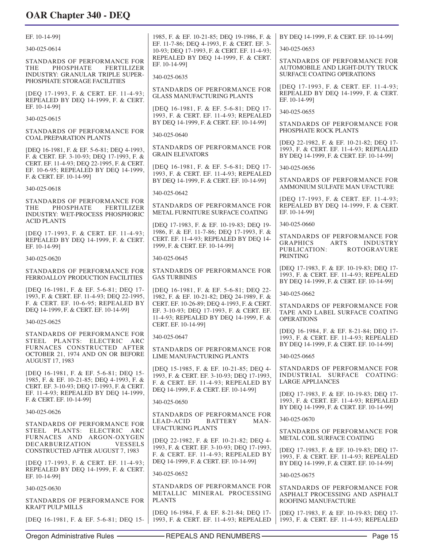| 1985, F. & EF. 10-21-85; DEQ 19-1986, F. &<br>BY DEQ 14-1999, F. & CERT. EF. 10-14-99]<br>EF. 10-14-99]<br>EF. 11-7-86; DEQ 4-1993, F. & CERT. EF. 3-<br>340-025-0614<br>340-025-0653<br>10-93; DEQ 17-1993, F. & CERT. EF. 11-4-93;<br>REPEALED BY DEQ 14-1999, F. & CERT.<br>STANDARDS OF PERFORMANCE FOR<br>STANDARDS OF PERFORMANCE FOR<br>EF. 10-14-991<br><b>PHOSPHATE</b><br>FERTILIZER<br>AUTOMOBILE AND LIGHT-DUTY TRUCK<br>THE<br><b>SURFACE COATING OPERATIONS</b><br><b>INDUSTRY: GRANULAR TRIPLE SUPER-</b><br>340-025-0635<br>PHOSPHATE STORAGE FACILITIES<br>[DEQ 17-1993, F. & CERT. EF. 11-4-93;<br>STANDARDS OF PERFORMANCE FOR<br>REPEALED BY DEQ 14-1999, F. & CERT.<br>[DEO 17-1993, F. & CERT. EF. 11-4-93;<br><b>GLASS MANUFACTURING PLANTS</b><br>EF. 10-14-991<br>REPEALED BY DEQ 14-1999, F. & CERT.<br>EF. 10-14-991<br>[DEQ 16-1981, F. & EF. 5-6-81; DEQ 17-<br>340-025-0655<br>1993, F. & CERT. EF. 11-4-93; REPEALED<br>340-025-0615<br>BY DEQ 14-1999, F. & CERT. EF. 10-14-99]<br>STANDARDS OF PERFORMANCE FOR<br>PHOSPHATE ROCK PLANTS<br>STANDARDS OF PERFORMANCE FOR<br>340-025-0640<br><b>COAL PREPARATION PLANTS</b><br>[DEQ 22-1982, F. & EF. 10-21-82; DEQ 17-<br>STANDARDS OF PERFORMANCE FOR<br>1993, F. & CERT. EF. 11-4-93; REPEALED<br>[DEQ 16-1981, F. & EF. 5-6-81; DEQ 4-1993,<br><b>GRAIN ELEVATORS</b><br>BY DEQ 14-1999, F. & CERT. EF. 10-14-99]<br>F. & CERT. EF. 3-10-93; DEQ 17-1993, F. &<br>CERT. EF. 11-4-93; DEQ 22-1995, F. & CERT.<br>[DEQ 16-1981, F. & EF. 5-6-81; DEQ 17-<br>340-025-0656<br>EF. 10-6-95; REPEALED BY DEQ 14-1999,<br>1993, F. & CERT. EF. 11-4-93; REPEALED<br>F. & CERT. EF. 10-14-99]<br>STANDARDS OF PERFORMANCE FOR<br>BY DEQ 14-1999, F. & CERT. EF. 10-14-99]<br>AMMONIUM SULFATE MAN UFACTURE<br>340-025-0618<br>340-025-0642<br>[DEQ 17-1993, F. & CERT. EF. 11-4-93;<br>STANDARDS OF PERFORMANCE FOR<br>STANDARDS OF PERFORMANCE FOR<br>REPEALED BY DEQ 14-1999, F. & CERT.<br><b>PHOSPHATE</b><br><b>FERTILIZER</b><br>THE<br>EF. 10-14-991<br>METAL FURNITURE SURFACE COATING<br>INDUSTRY: WET-PROCESS PHOSPHORIC<br><b>ACID PLANTS</b><br>340-025-0660<br>[DEQ 17-1983, F. & EF. 10-19-83; DEQ 19-<br>1986, F. & EF. 11-7-86; DEQ 17-1993, F. &<br>[DEQ 17-1993, F. & CERT. EF. 11-4-93;<br>STANDARDS OF PERFORMANCE FOR<br>CERT. EF. 11-4-93; REPEALED BY DEQ 14-<br>REPEALED BY DEQ 14-1999, F. & CERT.<br><b>GRAPHICS</b><br>ARTS<br><b>INDUSTRY</b><br>1999, F. & CERT. EF. 10-14-99]<br>EF. 10-14-991<br>PUBLICATION:<br><b>ROTOGRAVURE</b><br><b>PRINTING</b><br>340-025-0645<br>340-025-0620<br>[DEQ 17-1983, F. & EF. 10-19-83; DEQ 17-<br>STANDARDS OF PERFORMANCE FOR<br>STANDARDS OF PERFORMANCE FOR<br>1993, F. & CERT. EF. 11-4-93; REPEALED<br>FERROALLOY PRODUCTION FACILITIES<br><b>GAS TURBINES</b><br>BY DEQ 14-1999, F. & CERT. EF. 10-14-99]<br>[DEQ 16-1981, F. & EF. 5-6-81; DEQ 17-<br>[DEQ 16-1981, F. & EF. 5-6-81; DEQ 22-<br>340-025-0662<br>1993, F. & CERT. EF. 11-4-93; DEQ 22-1995,<br>1982, F. & EF. 10-21-82; DEQ 24-1989, F. &<br>F. & CERT. EF. 10-6-95; REPEALED BY<br>CERT. EF. 10-26-89; DEQ 4-1993, F. & CERT.<br>STANDARDS OF PERFORMANCE FOR<br>DEQ 14-1999, F. & CERT. EF. 10-14-99]<br>EF. 3-10-93; DEQ 17-1993, F. & CERT. EF.<br>TAPE AND LABEL SURFACE COATING<br>11-4-93; REPEALED BY DEQ 14-1999, F. &<br><b>OPERATIONS</b><br>340-025-0625<br>CERT. EF. 10-14-991<br>[DEQ 16-1984, F. & EF. 8-21-84; DEQ 17-<br>STANDARDS OF PERFORMANCE FOR<br>340-025-0647<br>1993, F. & CERT. EF. 11-4-93; REPEALED<br>STEEL PLANTS: ELECTRIC ARC<br>BY DEQ 14-1999, F. & CERT. EF. 10-14-99]<br>FURNACES CONSTRUCTED AFTER<br>STANDARDS OF PERFORMANCE FOR<br>OCTOBER 21, 1974 AND ON OR BEFORE<br>LIME MANUFACTURING PLANTS<br>340-025-0665<br><b>AUGUST 17, 1983</b><br>STANDARDS OF PERFORMANCE FOR<br>[DEO 15-1985, F. & EF. 10-21-85; DEO 4-<br>[DEQ 16-1981, F. & EF. 5-6-81; DEQ 15-<br>INDUSTRIAL SURFACE COATING:<br>1993, F. & CERT. EF. 3-10-93; DEQ 17-1993,<br>1985, F. & EF. 10-21-85; DEQ 4-1993, F. &<br><b>LARGE APPLIANCES</b><br>F. & CERT. EF. 11-4-93; REPEALED BY<br>CERT. EF. 3-10-93; DEQ 17-1993, F. & CERT.<br>DEO 14-1999, F. & CERT, EF. 10-14-991<br>EF. 11-4-93; REPEALED BY DEQ 14-1999,<br>[DEQ 17-1983, F. & EF. 10-19-83; DEQ 17-<br>F. & CERT. EF. 10-14-991<br>1993, F. & CERT. EF. 11-4-93; REPEALED<br>340-025-0650<br>BY DEQ 14-1999, F. & CERT. EF. 10-14-99]<br>340-025-0626<br>STANDARDS OF PERFORMANCE FOR<br>340-025-0670<br>LEAD-ACID<br><b>BATTERY</b><br>MAN-<br>STANDARDS OF PERFORMANCE FOR<br><b>UFACTURING PLANTS</b><br>STEEL PLANTS: ELECTRIC ARC<br>STANDARDS OF PERFORMANCE FOR<br>FURNACES AND ARGON-OXYGEN<br>METAL COIL SURFACE COATING<br>[DEQ 22-1982, F. & EF. 10-21-82; DEQ 4-<br>DECARBURIZATION<br><b>VESSELS</b><br>1993, F. & CERT. EF. 3-10-93; DEQ 17-1993,<br>[DEQ 17-1983, F. & EF. 10-19-83; DEQ 17-<br>CONSTRUCTED AFTER AUGUST 7, 1983<br>F. & CERT. EF. 11-4-93; REPEALED BY<br>1993, F. & CERT. EF. 11-4-93; REPEALED<br>DEQ 14-1999, F. & CERT. EF. 10-14-99]<br>[DEQ 17-1993, F. & CERT. EF. 11-4-93;<br>BY DEQ 14-1999, F. & CERT. EF. 10-14-99]<br>REPEALED BY DEQ 14-1999, F. & CERT.<br>340-025-0652<br>340-025-0675<br>EF. 10-14-99]<br>STANDARDS OF PERFORMANCE FOR<br>STANDARDS OF PERFORMANCE FOR<br>340-025-0630<br>METALLIC MINERAL PROCESSING<br>ASPHALT PROCESSING AND ASPHALT<br><b>PLANTS</b><br>STANDARDS OF PERFORMANCE FOR<br>ROOFING MANUFACTURE<br><b>KRAFT PULP MILLS</b><br>[DEQ 16-1984, F. & EF. 8-21-84; DEQ 17-<br>[DEQ 17-1983, F. & EF. 10-19-83; DEQ 17-<br>1993, F. & CERT. EF. 11-4-93; REPEALED<br>[DEQ 16-1981, F. & EF. 5-6-81; DEQ 15-<br>1993, F. & CERT. EF. 11-4-93; REPEALED |  |  |
|-----------------------------------------------------------------------------------------------------------------------------------------------------------------------------------------------------------------------------------------------------------------------------------------------------------------------------------------------------------------------------------------------------------------------------------------------------------------------------------------------------------------------------------------------------------------------------------------------------------------------------------------------------------------------------------------------------------------------------------------------------------------------------------------------------------------------------------------------------------------------------------------------------------------------------------------------------------------------------------------------------------------------------------------------------------------------------------------------------------------------------------------------------------------------------------------------------------------------------------------------------------------------------------------------------------------------------------------------------------------------------------------------------------------------------------------------------------------------------------------------------------------------------------------------------------------------------------------------------------------------------------------------------------------------------------------------------------------------------------------------------------------------------------------------------------------------------------------------------------------------------------------------------------------------------------------------------------------------------------------------------------------------------------------------------------------------------------------------------------------------------------------------------------------------------------------------------------------------------------------------------------------------------------------------------------------------------------------------------------------------------------------------------------------------------------------------------------------------------------------------------------------------------------------------------------------------------------------------------------------------------------------------------------------------------------------------------------------------------------------------------------------------------------------------------------------------------------------------------------------------------------------------------------------------------------------------------------------------------------------------------------------------------------------------------------------------------------------------------------------------------------------------------------------------------------------------------------------------------------------------------------------------------------------------------------------------------------------------------------------------------------------------------------------------------------------------------------------------------------------------------------------------------------------------------------------------------------------------------------------------------------------------------------------------------------------------------------------------------------------------------------------------------------------------------------------------------------------------------------------------------------------------------------------------------------------------------------------------------------------------------------------------------------------------------------------------------------------------------------------------------------------------------------------------------------------------------------------------------------------------------------------------------------------------------------------------------------------------------------------------------------------------------------------------------------------------------------------------------------------------------------------------------------------------------------------------------------------------------------------------------------------------------------------------------------------------------------------------------------------------------------------------------------------------------------------------------------------------------------------------------------------------------------------------------------------------------------------------------------------------------------------------------------------------------------------------------------------------------------------------------------------------------------------------------------------------------------------------------------------------------------------------------------------------------------------------------------------------------------------------------------------------------------------------------------------------------------------------------------------------------------------------------------------------------------------------------------------------------------------------------------------------------------------------------------------------------------------------------------|--|--|
|                                                                                                                                                                                                                                                                                                                                                                                                                                                                                                                                                                                                                                                                                                                                                                                                                                                                                                                                                                                                                                                                                                                                                                                                                                                                                                                                                                                                                                                                                                                                                                                                                                                                                                                                                                                                                                                                                                                                                                                                                                                                                                                                                                                                                                                                                                                                                                                                                                                                                                                                                                                                                                                                                                                                                                                                                                                                                                                                                                                                                                                                                                                                                                                                                                                                                                                                                                                                                                                                                                                                                                                                                                                                                                                                                                                                                                                                                                                                                                                                                                                                                                                                                                                                                                                                                                                                                                                                                                                                                                                                                                                                                                                                                                                                                                                                                                                                                                                                                                                                                                                                                                                                                                                                                                                                                                                                                                                                                                                                                                                                                                                                                                                                                                                                   |  |  |
|                                                                                                                                                                                                                                                                                                                                                                                                                                                                                                                                                                                                                                                                                                                                                                                                                                                                                                                                                                                                                                                                                                                                                                                                                                                                                                                                                                                                                                                                                                                                                                                                                                                                                                                                                                                                                                                                                                                                                                                                                                                                                                                                                                                                                                                                                                                                                                                                                                                                                                                                                                                                                                                                                                                                                                                                                                                                                                                                                                                                                                                                                                                                                                                                                                                                                                                                                                                                                                                                                                                                                                                                                                                                                                                                                                                                                                                                                                                                                                                                                                                                                                                                                                                                                                                                                                                                                                                                                                                                                                                                                                                                                                                                                                                                                                                                                                                                                                                                                                                                                                                                                                                                                                                                                                                                                                                                                                                                                                                                                                                                                                                                                                                                                                                                   |  |  |
|                                                                                                                                                                                                                                                                                                                                                                                                                                                                                                                                                                                                                                                                                                                                                                                                                                                                                                                                                                                                                                                                                                                                                                                                                                                                                                                                                                                                                                                                                                                                                                                                                                                                                                                                                                                                                                                                                                                                                                                                                                                                                                                                                                                                                                                                                                                                                                                                                                                                                                                                                                                                                                                                                                                                                                                                                                                                                                                                                                                                                                                                                                                                                                                                                                                                                                                                                                                                                                                                                                                                                                                                                                                                                                                                                                                                                                                                                                                                                                                                                                                                                                                                                                                                                                                                                                                                                                                                                                                                                                                                                                                                                                                                                                                                                                                                                                                                                                                                                                                                                                                                                                                                                                                                                                                                                                                                                                                                                                                                                                                                                                                                                                                                                                                                   |  |  |
|                                                                                                                                                                                                                                                                                                                                                                                                                                                                                                                                                                                                                                                                                                                                                                                                                                                                                                                                                                                                                                                                                                                                                                                                                                                                                                                                                                                                                                                                                                                                                                                                                                                                                                                                                                                                                                                                                                                                                                                                                                                                                                                                                                                                                                                                                                                                                                                                                                                                                                                                                                                                                                                                                                                                                                                                                                                                                                                                                                                                                                                                                                                                                                                                                                                                                                                                                                                                                                                                                                                                                                                                                                                                                                                                                                                                                                                                                                                                                                                                                                                                                                                                                                                                                                                                                                                                                                                                                                                                                                                                                                                                                                                                                                                                                                                                                                                                                                                                                                                                                                                                                                                                                                                                                                                                                                                                                                                                                                                                                                                                                                                                                                                                                                                                   |  |  |
|                                                                                                                                                                                                                                                                                                                                                                                                                                                                                                                                                                                                                                                                                                                                                                                                                                                                                                                                                                                                                                                                                                                                                                                                                                                                                                                                                                                                                                                                                                                                                                                                                                                                                                                                                                                                                                                                                                                                                                                                                                                                                                                                                                                                                                                                                                                                                                                                                                                                                                                                                                                                                                                                                                                                                                                                                                                                                                                                                                                                                                                                                                                                                                                                                                                                                                                                                                                                                                                                                                                                                                                                                                                                                                                                                                                                                                                                                                                                                                                                                                                                                                                                                                                                                                                                                                                                                                                                                                                                                                                                                                                                                                                                                                                                                                                                                                                                                                                                                                                                                                                                                                                                                                                                                                                                                                                                                                                                                                                                                                                                                                                                                                                                                                                                   |  |  |
|                                                                                                                                                                                                                                                                                                                                                                                                                                                                                                                                                                                                                                                                                                                                                                                                                                                                                                                                                                                                                                                                                                                                                                                                                                                                                                                                                                                                                                                                                                                                                                                                                                                                                                                                                                                                                                                                                                                                                                                                                                                                                                                                                                                                                                                                                                                                                                                                                                                                                                                                                                                                                                                                                                                                                                                                                                                                                                                                                                                                                                                                                                                                                                                                                                                                                                                                                                                                                                                                                                                                                                                                                                                                                                                                                                                                                                                                                                                                                                                                                                                                                                                                                                                                                                                                                                                                                                                                                                                                                                                                                                                                                                                                                                                                                                                                                                                                                                                                                                                                                                                                                                                                                                                                                                                                                                                                                                                                                                                                                                                                                                                                                                                                                                                                   |  |  |
|                                                                                                                                                                                                                                                                                                                                                                                                                                                                                                                                                                                                                                                                                                                                                                                                                                                                                                                                                                                                                                                                                                                                                                                                                                                                                                                                                                                                                                                                                                                                                                                                                                                                                                                                                                                                                                                                                                                                                                                                                                                                                                                                                                                                                                                                                                                                                                                                                                                                                                                                                                                                                                                                                                                                                                                                                                                                                                                                                                                                                                                                                                                                                                                                                                                                                                                                                                                                                                                                                                                                                                                                                                                                                                                                                                                                                                                                                                                                                                                                                                                                                                                                                                                                                                                                                                                                                                                                                                                                                                                                                                                                                                                                                                                                                                                                                                                                                                                                                                                                                                                                                                                                                                                                                                                                                                                                                                                                                                                                                                                                                                                                                                                                                                                                   |  |  |
|                                                                                                                                                                                                                                                                                                                                                                                                                                                                                                                                                                                                                                                                                                                                                                                                                                                                                                                                                                                                                                                                                                                                                                                                                                                                                                                                                                                                                                                                                                                                                                                                                                                                                                                                                                                                                                                                                                                                                                                                                                                                                                                                                                                                                                                                                                                                                                                                                                                                                                                                                                                                                                                                                                                                                                                                                                                                                                                                                                                                                                                                                                                                                                                                                                                                                                                                                                                                                                                                                                                                                                                                                                                                                                                                                                                                                                                                                                                                                                                                                                                                                                                                                                                                                                                                                                                                                                                                                                                                                                                                                                                                                                                                                                                                                                                                                                                                                                                                                                                                                                                                                                                                                                                                                                                                                                                                                                                                                                                                                                                                                                                                                                                                                                                                   |  |  |
|                                                                                                                                                                                                                                                                                                                                                                                                                                                                                                                                                                                                                                                                                                                                                                                                                                                                                                                                                                                                                                                                                                                                                                                                                                                                                                                                                                                                                                                                                                                                                                                                                                                                                                                                                                                                                                                                                                                                                                                                                                                                                                                                                                                                                                                                                                                                                                                                                                                                                                                                                                                                                                                                                                                                                                                                                                                                                                                                                                                                                                                                                                                                                                                                                                                                                                                                                                                                                                                                                                                                                                                                                                                                                                                                                                                                                                                                                                                                                                                                                                                                                                                                                                                                                                                                                                                                                                                                                                                                                                                                                                                                                                                                                                                                                                                                                                                                                                                                                                                                                                                                                                                                                                                                                                                                                                                                                                                                                                                                                                                                                                                                                                                                                                                                   |  |  |
|                                                                                                                                                                                                                                                                                                                                                                                                                                                                                                                                                                                                                                                                                                                                                                                                                                                                                                                                                                                                                                                                                                                                                                                                                                                                                                                                                                                                                                                                                                                                                                                                                                                                                                                                                                                                                                                                                                                                                                                                                                                                                                                                                                                                                                                                                                                                                                                                                                                                                                                                                                                                                                                                                                                                                                                                                                                                                                                                                                                                                                                                                                                                                                                                                                                                                                                                                                                                                                                                                                                                                                                                                                                                                                                                                                                                                                                                                                                                                                                                                                                                                                                                                                                                                                                                                                                                                                                                                                                                                                                                                                                                                                                                                                                                                                                                                                                                                                                                                                                                                                                                                                                                                                                                                                                                                                                                                                                                                                                                                                                                                                                                                                                                                                                                   |  |  |
|                                                                                                                                                                                                                                                                                                                                                                                                                                                                                                                                                                                                                                                                                                                                                                                                                                                                                                                                                                                                                                                                                                                                                                                                                                                                                                                                                                                                                                                                                                                                                                                                                                                                                                                                                                                                                                                                                                                                                                                                                                                                                                                                                                                                                                                                                                                                                                                                                                                                                                                                                                                                                                                                                                                                                                                                                                                                                                                                                                                                                                                                                                                                                                                                                                                                                                                                                                                                                                                                                                                                                                                                                                                                                                                                                                                                                                                                                                                                                                                                                                                                                                                                                                                                                                                                                                                                                                                                                                                                                                                                                                                                                                                                                                                                                                                                                                                                                                                                                                                                                                                                                                                                                                                                                                                                                                                                                                                                                                                                                                                                                                                                                                                                                                                                   |  |  |
|                                                                                                                                                                                                                                                                                                                                                                                                                                                                                                                                                                                                                                                                                                                                                                                                                                                                                                                                                                                                                                                                                                                                                                                                                                                                                                                                                                                                                                                                                                                                                                                                                                                                                                                                                                                                                                                                                                                                                                                                                                                                                                                                                                                                                                                                                                                                                                                                                                                                                                                                                                                                                                                                                                                                                                                                                                                                                                                                                                                                                                                                                                                                                                                                                                                                                                                                                                                                                                                                                                                                                                                                                                                                                                                                                                                                                                                                                                                                                                                                                                                                                                                                                                                                                                                                                                                                                                                                                                                                                                                                                                                                                                                                                                                                                                                                                                                                                                                                                                                                                                                                                                                                                                                                                                                                                                                                                                                                                                                                                                                                                                                                                                                                                                                                   |  |  |
|                                                                                                                                                                                                                                                                                                                                                                                                                                                                                                                                                                                                                                                                                                                                                                                                                                                                                                                                                                                                                                                                                                                                                                                                                                                                                                                                                                                                                                                                                                                                                                                                                                                                                                                                                                                                                                                                                                                                                                                                                                                                                                                                                                                                                                                                                                                                                                                                                                                                                                                                                                                                                                                                                                                                                                                                                                                                                                                                                                                                                                                                                                                                                                                                                                                                                                                                                                                                                                                                                                                                                                                                                                                                                                                                                                                                                                                                                                                                                                                                                                                                                                                                                                                                                                                                                                                                                                                                                                                                                                                                                                                                                                                                                                                                                                                                                                                                                                                                                                                                                                                                                                                                                                                                                                                                                                                                                                                                                                                                                                                                                                                                                                                                                                                                   |  |  |
|                                                                                                                                                                                                                                                                                                                                                                                                                                                                                                                                                                                                                                                                                                                                                                                                                                                                                                                                                                                                                                                                                                                                                                                                                                                                                                                                                                                                                                                                                                                                                                                                                                                                                                                                                                                                                                                                                                                                                                                                                                                                                                                                                                                                                                                                                                                                                                                                                                                                                                                                                                                                                                                                                                                                                                                                                                                                                                                                                                                                                                                                                                                                                                                                                                                                                                                                                                                                                                                                                                                                                                                                                                                                                                                                                                                                                                                                                                                                                                                                                                                                                                                                                                                                                                                                                                                                                                                                                                                                                                                                                                                                                                                                                                                                                                                                                                                                                                                                                                                                                                                                                                                                                                                                                                                                                                                                                                                                                                                                                                                                                                                                                                                                                                                                   |  |  |
|                                                                                                                                                                                                                                                                                                                                                                                                                                                                                                                                                                                                                                                                                                                                                                                                                                                                                                                                                                                                                                                                                                                                                                                                                                                                                                                                                                                                                                                                                                                                                                                                                                                                                                                                                                                                                                                                                                                                                                                                                                                                                                                                                                                                                                                                                                                                                                                                                                                                                                                                                                                                                                                                                                                                                                                                                                                                                                                                                                                                                                                                                                                                                                                                                                                                                                                                                                                                                                                                                                                                                                                                                                                                                                                                                                                                                                                                                                                                                                                                                                                                                                                                                                                                                                                                                                                                                                                                                                                                                                                                                                                                                                                                                                                                                                                                                                                                                                                                                                                                                                                                                                                                                                                                                                                                                                                                                                                                                                                                                                                                                                                                                                                                                                                                   |  |  |
|                                                                                                                                                                                                                                                                                                                                                                                                                                                                                                                                                                                                                                                                                                                                                                                                                                                                                                                                                                                                                                                                                                                                                                                                                                                                                                                                                                                                                                                                                                                                                                                                                                                                                                                                                                                                                                                                                                                                                                                                                                                                                                                                                                                                                                                                                                                                                                                                                                                                                                                                                                                                                                                                                                                                                                                                                                                                                                                                                                                                                                                                                                                                                                                                                                                                                                                                                                                                                                                                                                                                                                                                                                                                                                                                                                                                                                                                                                                                                                                                                                                                                                                                                                                                                                                                                                                                                                                                                                                                                                                                                                                                                                                                                                                                                                                                                                                                                                                                                                                                                                                                                                                                                                                                                                                                                                                                                                                                                                                                                                                                                                                                                                                                                                                                   |  |  |
|                                                                                                                                                                                                                                                                                                                                                                                                                                                                                                                                                                                                                                                                                                                                                                                                                                                                                                                                                                                                                                                                                                                                                                                                                                                                                                                                                                                                                                                                                                                                                                                                                                                                                                                                                                                                                                                                                                                                                                                                                                                                                                                                                                                                                                                                                                                                                                                                                                                                                                                                                                                                                                                                                                                                                                                                                                                                                                                                                                                                                                                                                                                                                                                                                                                                                                                                                                                                                                                                                                                                                                                                                                                                                                                                                                                                                                                                                                                                                                                                                                                                                                                                                                                                                                                                                                                                                                                                                                                                                                                                                                                                                                                                                                                                                                                                                                                                                                                                                                                                                                                                                                                                                                                                                                                                                                                                                                                                                                                                                                                                                                                                                                                                                                                                   |  |  |
|                                                                                                                                                                                                                                                                                                                                                                                                                                                                                                                                                                                                                                                                                                                                                                                                                                                                                                                                                                                                                                                                                                                                                                                                                                                                                                                                                                                                                                                                                                                                                                                                                                                                                                                                                                                                                                                                                                                                                                                                                                                                                                                                                                                                                                                                                                                                                                                                                                                                                                                                                                                                                                                                                                                                                                                                                                                                                                                                                                                                                                                                                                                                                                                                                                                                                                                                                                                                                                                                                                                                                                                                                                                                                                                                                                                                                                                                                                                                                                                                                                                                                                                                                                                                                                                                                                                                                                                                                                                                                                                                                                                                                                                                                                                                                                                                                                                                                                                                                                                                                                                                                                                                                                                                                                                                                                                                                                                                                                                                                                                                                                                                                                                                                                                                   |  |  |
|                                                                                                                                                                                                                                                                                                                                                                                                                                                                                                                                                                                                                                                                                                                                                                                                                                                                                                                                                                                                                                                                                                                                                                                                                                                                                                                                                                                                                                                                                                                                                                                                                                                                                                                                                                                                                                                                                                                                                                                                                                                                                                                                                                                                                                                                                                                                                                                                                                                                                                                                                                                                                                                                                                                                                                                                                                                                                                                                                                                                                                                                                                                                                                                                                                                                                                                                                                                                                                                                                                                                                                                                                                                                                                                                                                                                                                                                                                                                                                                                                                                                                                                                                                                                                                                                                                                                                                                                                                                                                                                                                                                                                                                                                                                                                                                                                                                                                                                                                                                                                                                                                                                                                                                                                                                                                                                                                                                                                                                                                                                                                                                                                                                                                                                                   |  |  |
|                                                                                                                                                                                                                                                                                                                                                                                                                                                                                                                                                                                                                                                                                                                                                                                                                                                                                                                                                                                                                                                                                                                                                                                                                                                                                                                                                                                                                                                                                                                                                                                                                                                                                                                                                                                                                                                                                                                                                                                                                                                                                                                                                                                                                                                                                                                                                                                                                                                                                                                                                                                                                                                                                                                                                                                                                                                                                                                                                                                                                                                                                                                                                                                                                                                                                                                                                                                                                                                                                                                                                                                                                                                                                                                                                                                                                                                                                                                                                                                                                                                                                                                                                                                                                                                                                                                                                                                                                                                                                                                                                                                                                                                                                                                                                                                                                                                                                                                                                                                                                                                                                                                                                                                                                                                                                                                                                                                                                                                                                                                                                                                                                                                                                                                                   |  |  |
|                                                                                                                                                                                                                                                                                                                                                                                                                                                                                                                                                                                                                                                                                                                                                                                                                                                                                                                                                                                                                                                                                                                                                                                                                                                                                                                                                                                                                                                                                                                                                                                                                                                                                                                                                                                                                                                                                                                                                                                                                                                                                                                                                                                                                                                                                                                                                                                                                                                                                                                                                                                                                                                                                                                                                                                                                                                                                                                                                                                                                                                                                                                                                                                                                                                                                                                                                                                                                                                                                                                                                                                                                                                                                                                                                                                                                                                                                                                                                                                                                                                                                                                                                                                                                                                                                                                                                                                                                                                                                                                                                                                                                                                                                                                                                                                                                                                                                                                                                                                                                                                                                                                                                                                                                                                                                                                                                                                                                                                                                                                                                                                                                                                                                                                                   |  |  |
|                                                                                                                                                                                                                                                                                                                                                                                                                                                                                                                                                                                                                                                                                                                                                                                                                                                                                                                                                                                                                                                                                                                                                                                                                                                                                                                                                                                                                                                                                                                                                                                                                                                                                                                                                                                                                                                                                                                                                                                                                                                                                                                                                                                                                                                                                                                                                                                                                                                                                                                                                                                                                                                                                                                                                                                                                                                                                                                                                                                                                                                                                                                                                                                                                                                                                                                                                                                                                                                                                                                                                                                                                                                                                                                                                                                                                                                                                                                                                                                                                                                                                                                                                                                                                                                                                                                                                                                                                                                                                                                                                                                                                                                                                                                                                                                                                                                                                                                                                                                                                                                                                                                                                                                                                                                                                                                                                                                                                                                                                                                                                                                                                                                                                                                                   |  |  |
|                                                                                                                                                                                                                                                                                                                                                                                                                                                                                                                                                                                                                                                                                                                                                                                                                                                                                                                                                                                                                                                                                                                                                                                                                                                                                                                                                                                                                                                                                                                                                                                                                                                                                                                                                                                                                                                                                                                                                                                                                                                                                                                                                                                                                                                                                                                                                                                                                                                                                                                                                                                                                                                                                                                                                                                                                                                                                                                                                                                                                                                                                                                                                                                                                                                                                                                                                                                                                                                                                                                                                                                                                                                                                                                                                                                                                                                                                                                                                                                                                                                                                                                                                                                                                                                                                                                                                                                                                                                                                                                                                                                                                                                                                                                                                                                                                                                                                                                                                                                                                                                                                                                                                                                                                                                                                                                                                                                                                                                                                                                                                                                                                                                                                                                                   |  |  |
|                                                                                                                                                                                                                                                                                                                                                                                                                                                                                                                                                                                                                                                                                                                                                                                                                                                                                                                                                                                                                                                                                                                                                                                                                                                                                                                                                                                                                                                                                                                                                                                                                                                                                                                                                                                                                                                                                                                                                                                                                                                                                                                                                                                                                                                                                                                                                                                                                                                                                                                                                                                                                                                                                                                                                                                                                                                                                                                                                                                                                                                                                                                                                                                                                                                                                                                                                                                                                                                                                                                                                                                                                                                                                                                                                                                                                                                                                                                                                                                                                                                                                                                                                                                                                                                                                                                                                                                                                                                                                                                                                                                                                                                                                                                                                                                                                                                                                                                                                                                                                                                                                                                                                                                                                                                                                                                                                                                                                                                                                                                                                                                                                                                                                                                                   |  |  |
|                                                                                                                                                                                                                                                                                                                                                                                                                                                                                                                                                                                                                                                                                                                                                                                                                                                                                                                                                                                                                                                                                                                                                                                                                                                                                                                                                                                                                                                                                                                                                                                                                                                                                                                                                                                                                                                                                                                                                                                                                                                                                                                                                                                                                                                                                                                                                                                                                                                                                                                                                                                                                                                                                                                                                                                                                                                                                                                                                                                                                                                                                                                                                                                                                                                                                                                                                                                                                                                                                                                                                                                                                                                                                                                                                                                                                                                                                                                                                                                                                                                                                                                                                                                                                                                                                                                                                                                                                                                                                                                                                                                                                                                                                                                                                                                                                                                                                                                                                                                                                                                                                                                                                                                                                                                                                                                                                                                                                                                                                                                                                                                                                                                                                                                                   |  |  |
|                                                                                                                                                                                                                                                                                                                                                                                                                                                                                                                                                                                                                                                                                                                                                                                                                                                                                                                                                                                                                                                                                                                                                                                                                                                                                                                                                                                                                                                                                                                                                                                                                                                                                                                                                                                                                                                                                                                                                                                                                                                                                                                                                                                                                                                                                                                                                                                                                                                                                                                                                                                                                                                                                                                                                                                                                                                                                                                                                                                                                                                                                                                                                                                                                                                                                                                                                                                                                                                                                                                                                                                                                                                                                                                                                                                                                                                                                                                                                                                                                                                                                                                                                                                                                                                                                                                                                                                                                                                                                                                                                                                                                                                                                                                                                                                                                                                                                                                                                                                                                                                                                                                                                                                                                                                                                                                                                                                                                                                                                                                                                                                                                                                                                                                                   |  |  |
|                                                                                                                                                                                                                                                                                                                                                                                                                                                                                                                                                                                                                                                                                                                                                                                                                                                                                                                                                                                                                                                                                                                                                                                                                                                                                                                                                                                                                                                                                                                                                                                                                                                                                                                                                                                                                                                                                                                                                                                                                                                                                                                                                                                                                                                                                                                                                                                                                                                                                                                                                                                                                                                                                                                                                                                                                                                                                                                                                                                                                                                                                                                                                                                                                                                                                                                                                                                                                                                                                                                                                                                                                                                                                                                                                                                                                                                                                                                                                                                                                                                                                                                                                                                                                                                                                                                                                                                                                                                                                                                                                                                                                                                                                                                                                                                                                                                                                                                                                                                                                                                                                                                                                                                                                                                                                                                                                                                                                                                                                                                                                                                                                                                                                                                                   |  |  |
|                                                                                                                                                                                                                                                                                                                                                                                                                                                                                                                                                                                                                                                                                                                                                                                                                                                                                                                                                                                                                                                                                                                                                                                                                                                                                                                                                                                                                                                                                                                                                                                                                                                                                                                                                                                                                                                                                                                                                                                                                                                                                                                                                                                                                                                                                                                                                                                                                                                                                                                                                                                                                                                                                                                                                                                                                                                                                                                                                                                                                                                                                                                                                                                                                                                                                                                                                                                                                                                                                                                                                                                                                                                                                                                                                                                                                                                                                                                                                                                                                                                                                                                                                                                                                                                                                                                                                                                                                                                                                                                                                                                                                                                                                                                                                                                                                                                                                                                                                                                                                                                                                                                                                                                                                                                                                                                                                                                                                                                                                                                                                                                                                                                                                                                                   |  |  |
|                                                                                                                                                                                                                                                                                                                                                                                                                                                                                                                                                                                                                                                                                                                                                                                                                                                                                                                                                                                                                                                                                                                                                                                                                                                                                                                                                                                                                                                                                                                                                                                                                                                                                                                                                                                                                                                                                                                                                                                                                                                                                                                                                                                                                                                                                                                                                                                                                                                                                                                                                                                                                                                                                                                                                                                                                                                                                                                                                                                                                                                                                                                                                                                                                                                                                                                                                                                                                                                                                                                                                                                                                                                                                                                                                                                                                                                                                                                                                                                                                                                                                                                                                                                                                                                                                                                                                                                                                                                                                                                                                                                                                                                                                                                                                                                                                                                                                                                                                                                                                                                                                                                                                                                                                                                                                                                                                                                                                                                                                                                                                                                                                                                                                                                                   |  |  |
|                                                                                                                                                                                                                                                                                                                                                                                                                                                                                                                                                                                                                                                                                                                                                                                                                                                                                                                                                                                                                                                                                                                                                                                                                                                                                                                                                                                                                                                                                                                                                                                                                                                                                                                                                                                                                                                                                                                                                                                                                                                                                                                                                                                                                                                                                                                                                                                                                                                                                                                                                                                                                                                                                                                                                                                                                                                                                                                                                                                                                                                                                                                                                                                                                                                                                                                                                                                                                                                                                                                                                                                                                                                                                                                                                                                                                                                                                                                                                                                                                                                                                                                                                                                                                                                                                                                                                                                                                                                                                                                                                                                                                                                                                                                                                                                                                                                                                                                                                                                                                                                                                                                                                                                                                                                                                                                                                                                                                                                                                                                                                                                                                                                                                                                                   |  |  |
|                                                                                                                                                                                                                                                                                                                                                                                                                                                                                                                                                                                                                                                                                                                                                                                                                                                                                                                                                                                                                                                                                                                                                                                                                                                                                                                                                                                                                                                                                                                                                                                                                                                                                                                                                                                                                                                                                                                                                                                                                                                                                                                                                                                                                                                                                                                                                                                                                                                                                                                                                                                                                                                                                                                                                                                                                                                                                                                                                                                                                                                                                                                                                                                                                                                                                                                                                                                                                                                                                                                                                                                                                                                                                                                                                                                                                                                                                                                                                                                                                                                                                                                                                                                                                                                                                                                                                                                                                                                                                                                                                                                                                                                                                                                                                                                                                                                                                                                                                                                                                                                                                                                                                                                                                                                                                                                                                                                                                                                                                                                                                                                                                                                                                                                                   |  |  |
|                                                                                                                                                                                                                                                                                                                                                                                                                                                                                                                                                                                                                                                                                                                                                                                                                                                                                                                                                                                                                                                                                                                                                                                                                                                                                                                                                                                                                                                                                                                                                                                                                                                                                                                                                                                                                                                                                                                                                                                                                                                                                                                                                                                                                                                                                                                                                                                                                                                                                                                                                                                                                                                                                                                                                                                                                                                                                                                                                                                                                                                                                                                                                                                                                                                                                                                                                                                                                                                                                                                                                                                                                                                                                                                                                                                                                                                                                                                                                                                                                                                                                                                                                                                                                                                                                                                                                                                                                                                                                                                                                                                                                                                                                                                                                                                                                                                                                                                                                                                                                                                                                                                                                                                                                                                                                                                                                                                                                                                                                                                                                                                                                                                                                                                                   |  |  |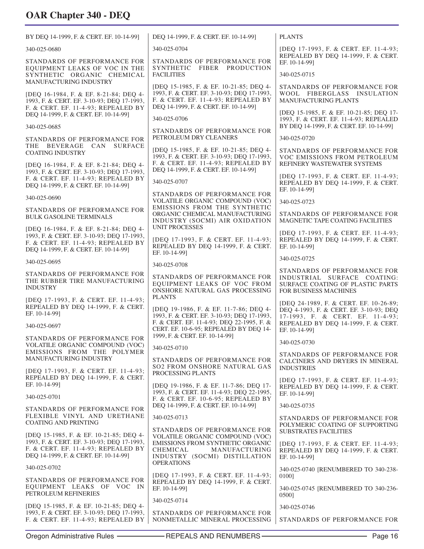| BY DEQ 14-1999, F. & CERT. EF. 10-14-99]                                                                                                                              | DEQ 14-1999, F. & CERT. EF. 10-14-99]                                                                                                                                 | <b>PLANTS</b>                                                                                                            |
|-----------------------------------------------------------------------------------------------------------------------------------------------------------------------|-----------------------------------------------------------------------------------------------------------------------------------------------------------------------|--------------------------------------------------------------------------------------------------------------------------|
| 340-025-0680                                                                                                                                                          | 340-025-0704                                                                                                                                                          | [DEO 17-1993, F. & CERT. EF. 11-4-93;                                                                                    |
| STANDARDS OF PERFORMANCE FOR                                                                                                                                          | STANDARDS OF PERFORMANCE FOR                                                                                                                                          | REPEALED BY DEQ 14-1999, F. & CERT.<br>EF. 10-14-991                                                                     |
| EQUIPMENT LEAKS OF VOC IN THE<br>SYNTHETIC ORGANIC CHEMICAL<br>MANUFACTURING INDUSTRY                                                                                 | SYNTHETIC FIBER PRODUCTION<br><b>FACILITIES</b>                                                                                                                       | 340-025-0715                                                                                                             |
| [DEQ 16-1984, F. & EF. 8-21-84; DEQ 4-<br>1993, F. & CERT. EF. 3-10-93; DEO 17-1993,<br>F. & CERT. EF. 11-4-93; REPEALED BY                                           | [DEQ 15-1985, F. & EF. 10-21-85; DEQ 4-<br>1993, F. & CERT. EF. 3-10-93; DEQ 17-1993,<br>F. & CERT. EF. 11-4-93; REPEALED BY<br>DEQ 14-1999, F. & CERT. EF. 10-14-99] | STANDARDS OF PERFORMANCE FOR<br>WOOL FIBERGLASS INSULATION<br><b>MANUFACTURING PLANTS</b>                                |
| DEQ 14-1999, F. & CERT. EF. 10-14-99]                                                                                                                                 | 340-025-0706                                                                                                                                                          | [DEQ 15-1985, F. & EF. 10-21-85; DEQ 17-<br>1993, F. & CERT. EF. 11-4-93; REPEALED                                       |
| 340-025-0685<br>STANDARDS OF PERFORMANCE FOR                                                                                                                          | STANDARDS OF PERFORMANCE FOR<br>PETROLEUM DRY CLEANERS                                                                                                                | BY DEQ 14-1999, F. & CERT. EF. 10-14-99]<br>340-025-0720                                                                 |
| THE BEVERAGE CAN<br><b>SURFACE</b><br><b>COATING INDUSTRY</b>                                                                                                         | [DEQ 15-1985, F. & EF. 10-21-85; DEQ 4-<br>1993, F. & CERT. EF. 3-10-93; DEQ 17-1993,                                                                                 | STANDARDS OF PERFORMANCE FOR                                                                                             |
| [DEQ 16-1984, F. & EF. 8-21-84; DEQ 4-<br>1993, F. & CERT. EF. 3-10-93; DEQ 17-1993,                                                                                  | F. & CERT. EF. 11-4-93; REPEALED BY<br>DEQ 14-1999, F. & CERT. EF. 10-14-99]                                                                                          | VOC EMISSIONS FROM PETROLEUM<br>REFINERY WASTEWATER SYSTEMS                                                              |
| F. & CERT. EF. 11-4-93; REPEALED BY<br>DEQ 14-1999, F. & CERT. EF. 10-14-99]                                                                                          | 340-025-0707                                                                                                                                                          | [DEQ 17-1993, F. & CERT. EF. 11-4-93;<br>REPEALED BY DEQ 14-1999, F. & CERT.<br>EF. 10-14-991                            |
| 340-025-0690                                                                                                                                                          | STANDARDS OF PERFORMANCE FOR<br>VOLATILE ORGANIC COMPOUND (VOC)                                                                                                       | 340-025-0723                                                                                                             |
| STANDARDS OF PERFORMANCE FOR                                                                                                                                          | EMISSIONS FROM THE SYNTHETIC<br>ORGANIC CHEMICAL MANUFACTURING                                                                                                        | STANDARDS OF PERFORMANCE FOR                                                                                             |
| <b>BULK GASOLINE TERMINALS</b>                                                                                                                                        | INDUSTRY (SOCMI) AIR OXIDATION<br><b>UNIT PROCESSES</b>                                                                                                               | MAGNETIC TAPE COATING FACILITIES                                                                                         |
| [DEQ 16-1984, F. & EF. 8-21-84; DEQ 4-<br>1993, F. & CERT. EF. 3-10-93; DEQ 17-1993,<br>F. & CERT. EF. 11-4-93; REPEALED BY<br>DEQ 14-1999, F. & CERT. EF. 10-14-99]  | [DEQ 17-1993, F. & CERT. EF. 11-4-93;<br>REPEALED BY DEQ 14-1999, F. & CERT.                                                                                          | [DEO 17-1993, F. & CERT. EF. 11-4-93;<br>REPEALED BY DEQ 14-1999, F. & CERT.<br>EF. 10-14-991                            |
| 340-025-0695                                                                                                                                                          | EF. 10-14-991<br>340-025-0708                                                                                                                                         | 340-025-0725                                                                                                             |
| STANDARDS OF PERFORMANCE FOR<br>THE RUBBER TIRE MANUFACTURING<br><b>INDUSTRY</b>                                                                                      | STANDARDS OF PERFORMANCE FOR<br>EQUIPMENT LEAKS OF VOC FROM<br>ONSHORE NATURAL GAS PROCESSING                                                                         | STANDARDS OF PERFORMANCE FOR<br>INDUSTRIAL SURFACE COATING:<br>SURFACE COATING OF PLASTIC PARTS<br>FOR BUSINESS MACHINES |
| [DEQ 17-1993, F. & CERT. EF. 11-4-93;<br>REPEALED BY DEQ 14-1999, F. & CERT.                                                                                          | <b>PLANTS</b>                                                                                                                                                         | [DEQ 24-1989, F. & CERT. EF. 10-26-89;                                                                                   |
| EF. 10-14-991                                                                                                                                                         | [DEQ 19-1986, F. & EF. 11-7-86; DEQ 4-<br>1993, F. & CERT. EF. 3-10-93; DEQ 17-1993,<br>F. & CERT. EF. 11-4-93; DEQ 22-1995, F. &                                     | DEQ 4-1993, F. & CERT. EF. 3-10-93; DEQ<br>17-1993, F. & CERT. EF. 11-4-93;<br>REPEALED BY DEQ 14-1999, F. & CERT.       |
| 340-025-0697                                                                                                                                                          | CERT. EF. 10-6-95; REPEALED BY DEQ 14-<br>1999, F. & CERT. EF. 10-14-99]                                                                                              | EF. 10-14-991                                                                                                            |
| STANDARDS OF PERFORMANCE FOR<br>VOLATILE ORGANIC COMPOUND (VOC)                                                                                                       | 340-025-0710                                                                                                                                                          | 340-025-0730                                                                                                             |
| EMISSIONS FROM THE POLYMER<br><b>MANUFACTURING INDUSTRY</b><br>[DEQ 17-1993, F. & CERT. EF. 11-4-93;                                                                  | STANDARDS OF PERFORMANCE FOR<br><b>SO2 FROM ONSHORE NATURAL GAS</b>                                                                                                   | STANDARDS OF PERFORMANCE FOR<br>CALCINERS AND DRYERS IN MINERAL<br><b>INDUSTRIES</b>                                     |
| REPEALED BY DEQ 14-1999, F. & CERT.<br>EF. 10-14-991                                                                                                                  | PROCESSING PLANTS<br>[DEQ 19-1986, F. & EF. 11-7-86; DEQ 17-                                                                                                          | [DEQ 17-1993, F. & CERT. EF. 11-4-93;<br>REPEALED BY DEQ 14-1999, F. & CERT.                                             |
| 340-025-0701                                                                                                                                                          | 1993, F. & CERT. EF. 11-4-93; DEQ 22-1995,<br>F. & CERT. EF. 10-6-95; REPEALED BY                                                                                     | EF. 10-14-99]                                                                                                            |
| STANDARDS OF PERFORMANCE FOR<br>FLEXIBLE VINYL AND URETHANE                                                                                                           | DEQ 14-1999, F. & CERT. EF. 10-14-99]                                                                                                                                 | 340-025-0735                                                                                                             |
| <b>COATING AND PRINTING</b>                                                                                                                                           | 340-025-0713<br>STANDARDS OF PERFORMANCE FOR                                                                                                                          | STANDARDS OF PERFORMANCE FOR<br>POLYMERIC COATING OF SUPPORTING<br><b>SUBSTRATES FACILITIES</b>                          |
| [DEQ 15-1985, F. & EF. 10-21-85; DEQ 4-<br>1993, F. & CERT. EF. 3-10-93; DEQ 17-1993,<br>F. & CERT. EF. 11-4-93; REPEALED BY<br>DEQ 14-1999, F. & CERT. EF. 10-14-99] | VOLATILE ORGANIC COMPOUND (VOC)<br><b>EMISSIONS FROM SYNTHETIC ORGANIC</b><br>CHEMICAL<br>MANUFACTURING<br>INDUSTRY (SOCMI) DISTILLATION                              | [DEQ 17-1993, F. & CERT. EF. 11-4-93;<br>REPEALED BY DEQ 14-1999, F. & CERT.<br>EF. 10-14-991                            |
| 340-025-0702                                                                                                                                                          | <b>OPERATIONS</b>                                                                                                                                                     | 340-025-0740 [RENUMBERED TO 340-238-                                                                                     |
| STANDARDS OF PERFORMANCE FOR<br>EQUIPMENT LEAKS OF VOC IN                                                                                                             | [DEQ 17-1993, F. & CERT. EF. 11-4-93;<br>REPEALED BY DEQ 14-1999, F. & CERT.<br>EF. 10-14-99]                                                                         | 01001<br>340-025-0745 [RENUMBERED TO 340-236-                                                                            |
| PETROLEUM REFINERIES                                                                                                                                                  | 340-025-0714                                                                                                                                                          | 0500]                                                                                                                    |
| [DEQ 15-1985, F. & EF. 10-21-85; DEQ 4-<br>1993, F. & CERT. EF. 3-10-93; DEQ 17-1993,<br>F. & CERT. EF. 11-4-93; REPEALED BY                                          | STANDARDS OF PERFORMANCE FOR<br>NONMETALLIC MINERAL PROCESSING                                                                                                        | 340-025-0746<br>STANDARDS OF PERFORMANCE FOR                                                                             |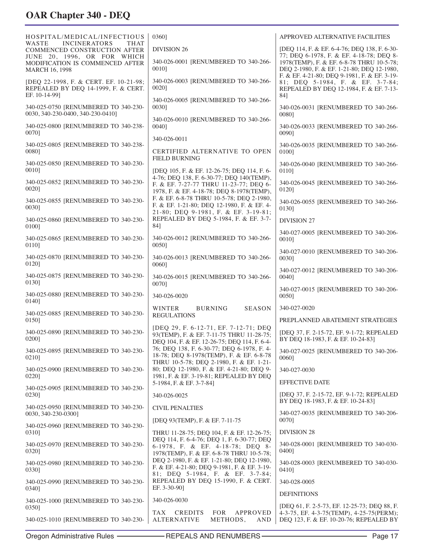| HOSPITAL/MEDICAL/INFECTIOUS<br>WASTE<br><b>INCINERATORS</b><br>THAT                            | 0360]                                                                                                                                   | APPROVED ALTERNATIVE FACILITIES                                                                                                    |
|------------------------------------------------------------------------------------------------|-----------------------------------------------------------------------------------------------------------------------------------------|------------------------------------------------------------------------------------------------------------------------------------|
| COMMENCED CONSTRUCTION AFTER                                                                   | <b>DIVISION 26</b>                                                                                                                      | [DEQ 114, F. & EF. 6-4-76; DEQ 138, F. 6-30-<br>77; DEQ 6-1978, F. & EF. 4-18-78; DEQ 8-                                           |
| JUNE 20, 1996, OR FOR WHICH<br>MODIFICATION IS COMMENCED AFTER<br>MARCH 16, 1998               | 340-026-0001 [RENUMBERED TO 340-266-<br>00101                                                                                           | 1978(TEMP), F. & EF. 6-8-78 THRU 10-5-78;<br>DEQ 2-1980, F. & EF. 1-21-80; DEQ 12-1980,                                            |
| [DEQ 22-1998, F. & CERT. EF. 10-21-98;<br>REPEALED BY DEQ 14-1999, F. & CERT.<br>EF. 10-14-991 | 340-026-0003 [RENUMBERED TO 340-266-<br>0020]                                                                                           | F. & EF. 4-21-80; DEQ 9-1981, F. & EF. 3-19-<br>81; DEQ 5-1984, F. & EF. 3-7-84;<br>REPEALED BY DEQ 12-1984, F. & EF. 7-13-<br>84] |
| 340-025-0750 [RENUMBERED TO 340-230-<br>0030, 340-230-0400, 340-230-0410]                      | 340-026-0005 [RENUMBERED TO 340-266-<br>00301                                                                                           | 340-026-0031 [RENUMBERED TO 340-266-<br>00801                                                                                      |
| 340-025-0800 [RENUMBERED TO 340-238-<br>00701                                                  | 340-026-0010 [RENUMBERED TO 340-266-<br>0040]                                                                                           | 340-026-0033 [RENUMBERED TO 340-266-<br>00901                                                                                      |
| 340-025-0805 [RENUMBERED TO 340-238-                                                           | 340-026-0011                                                                                                                            | 340-026-0035 [RENUMBERED TO 340-266-                                                                                               |
| 00801                                                                                          | CERTIFIED ALTERNATIVE TO OPEN<br><b>FIELD BURNING</b>                                                                                   | 0100]                                                                                                                              |
| 340-025-0850 [RENUMBERED TO 340-230-<br>0010]                                                  | [DEQ 105, F. & EF. 12-26-75; DEQ 114, F. 6-                                                                                             | 340-026-0040 [RENUMBERED TO 340-266-<br>0110]                                                                                      |
| 340-025-0852 [RENUMBERED TO 340-230-<br>00201                                                  | 4-76; DEQ 138, F. 6-30-77; DEQ 140(TEMP),<br>F. & EF. 7-27-77 THRU 11-23-77; DEO 6-<br>1978, F. & EF. 4-18-78; DEQ 8-1978(TEMP),        | 340-026-0045 [RENUMBERED TO 340-266-<br>01201                                                                                      |
| 340-025-0855 [RENUMBERED TO 340-230-<br>00301                                                  | F. & EF. 6-8-78 THRU 10-5-78; DEQ 2-1980,<br>F. & EF. 1-21-80; DEQ 12-1980, F. & EF. 4-<br>21-80; DEQ 9-1981, F. & EF. 3-19-81;         | 340-026-0055 [RENUMBERED TO 340-266-<br>0130]                                                                                      |
| 340-025-0860 [RENUMBERED TO 340-230-                                                           | REPEALED BY DEQ 5-1984, F. & EF. 3-7-                                                                                                   | <b>DIVISION 27</b>                                                                                                                 |
| 01001<br>340-025-0865 [RENUMBERED TO 340-230-                                                  | 84]<br>340-026-0012 [RENUMBERED TO 340-266-                                                                                             | 340-027-0005 [RENUMBERED TO 340-206-<br>0010]                                                                                      |
| 0110]<br>340-025-0870 [RENUMBERED TO 340-230-                                                  | 0050]<br>340-026-0013 [RENUMBERED TO 340-266-                                                                                           | 340-027-0010 [RENUMBERED TO 340-206-                                                                                               |
| 01201                                                                                          | 00601                                                                                                                                   | 00301<br>340-027-0012 [RENUMBERED TO 340-206-                                                                                      |
| 340-025-0875 [RENUMBERED TO 340-230-<br>0130]                                                  | 340-026-0015 [RENUMBERED TO 340-266-<br>0070]                                                                                           | 0040]                                                                                                                              |
| 340-025-0880 [RENUMBERED TO 340-230-<br>0140]                                                  | 340-026-0020                                                                                                                            | 340-027-0015 [RENUMBERED TO 340-206-<br>0050]                                                                                      |
| 340-025-0885 [RENUMBERED TO 340-230-<br>0150]                                                  | WINTER<br><b>BURNING</b><br><b>SEASON</b><br><b>REGULATIONS</b>                                                                         | 340-027-0020<br>PREPLANNED ABATEMENT STRATEGIES                                                                                    |
| 340-025-0890 [RENUMBERED TO 340-230-<br>0200]                                                  | [DEQ 29, F. 6-12-71, EF. 7-12-71; DEQ<br>93(TEMP), F. & EF. 7-11-75 THRU 11-28-75;<br>DEQ 104, F. & EF. 12-26-75; DEQ 114, F. 6-4-      | [DEQ 37, F. 2-15-72, EF. 9-1-72; REPEALED<br>BY DEO 18-1983, F. & EF. 10-24-83]                                                    |
| 340-025-0895 [RENUMBERED TO 340-230-<br>0210]                                                  | 76; DEQ 138, F. 6-30-77; DEQ 6-1978, F. 4-<br>18-78; DEQ 8-1978(TEMP), F. & EF. 6-8-78                                                  | 340-027-0025 [RENUMBERED TO 340-206-<br>0060]                                                                                      |
| 340-025-0900 [RENUMBERED TO 340-230-                                                           | THRU 10-5-78; DEQ 2-1980, F. & EF. 1-21-<br>80; DEQ 12-1980, F. & EF. 4-21-80; DEQ 9-                                                   | 340-027-0030                                                                                                                       |
| 0220]                                                                                          | 1981, F. & EF. 3-19-81; REPEALED BY DEQ<br>5-1984, F. & EF. 3-7-84]                                                                     | <b>EFFECTIVE DATE</b>                                                                                                              |
| 340-025-0905 [RENUMBERED TO 340-230-<br>0230]                                                  | 340-026-0025                                                                                                                            | [DEQ 37, F. 2-15-72, EF. 9-1-72; REPEALED<br>BY DEQ 18-1983, F. & EF. 10-24-83]                                                    |
| 340-025-0950 [RENUMBERED TO 340-230-<br>0030, 340-230-0300]                                    | <b>CIVIL PENALTIES</b>                                                                                                                  | 340-027-0035 [RENUMBERED TO 340-206-                                                                                               |
| 340-025-0960 [RENUMBERED TO 340-230-<br>0310]                                                  | [DEQ 93(TEMP), F. & EF. 7-11-75<br>THRU 11-28-75; DEQ 104, F. & EF. 12-26-75;                                                           | 0070]<br><b>DIVISION 28</b>                                                                                                        |
| 340-025-0970 [RENUMBERED TO 340-230-<br>0320]                                                  | DEQ 114, F. 6-4-76; DEQ 1, F. 6-30-77; DEQ<br>6-1978, F. & EF. 4-18-78; DEQ 8-                                                          | 340-028-0001 [RENUMBERED TO 340-030-<br>0400]                                                                                      |
| 340-025-0980 [RENUMBERED TO 340-230-<br>0330]                                                  | 1978(TEMP), F. & EF. 6-8-78 THRU 10-5-78;<br>DEQ 2-1980, F. & EF. 1-21-80; DEQ 12-1980,<br>F. & EF. 4-21-80; DEQ 9-1981, F. & EF. 3-19- | 340-028-0003 [RENUMBERED TO 340-030-<br>0410]                                                                                      |
| 340-025-0990 [RENUMBERED TO 340-230-<br>0340]                                                  | 81; DEQ 5-1984, F. & EF. 3-7-84;<br>REPEALED BY DEQ 15-1990, F. & CERT.<br>EF. 3-30-90]                                                 | 340-028-0005                                                                                                                       |
| 340-025-1000 [RENUMBERED TO 340-230-                                                           | 340-026-0030                                                                                                                            | <b>DEFINITIONS</b>                                                                                                                 |
| 0350]                                                                                          | <b>CREDITS</b><br><b>FOR</b><br>APPROVED<br>TAX                                                                                         | [DEQ 61, F. 2-5-73, EF. 12-25-73; DEQ 88, F.<br>4-3-75, EF. 4-3-75(TEMP), 4-25-75(PERM);                                           |
| 340-025-1010 [RENUMBERED TO 340-230-                                                           | <b>ALTERNATIVE</b><br>METHODS,<br>AND                                                                                                   | DEQ 123, F. & EF. 10-20-76; REPEALED BY                                                                                            |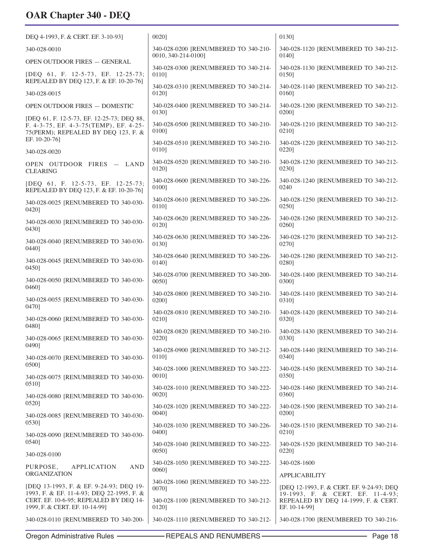| DEQ 4-1993, F. & CERT. EF. 3-10-93]                                                                                         | 00201                                                       | 0130]                                         |
|-----------------------------------------------------------------------------------------------------------------------------|-------------------------------------------------------------|-----------------------------------------------|
| 340-028-0010                                                                                                                | 340-028-0200 [RENUMBERED TO 340-210-<br>0010, 340-214-0100] | 340-028-1120 [RENUMBERED TO 340-212-<br>0140] |
| OPEN OUTDOOR FIRES - GENERAL                                                                                                | 340-028-0300 [RENUMBERED TO 340-214-                        | 340-028-1130 [RENUMBERED TO 340-212-          |
| [DEQ 61, F. 12-5-73, EF. 12-25-73;                                                                                          | 01101                                                       | 0150]                                         |
| REPEALED BY DEQ 123, F. & EF. 10-20-76]                                                                                     | 340-028-0310 [RENUMBERED TO 340-214-                        | 340-028-1140 [RENUMBERED TO 340-212-          |
| 340-028-0015                                                                                                                | 0120]                                                       | 01601                                         |
| OPEN OUTDOOR FIRES - DOMESTIC                                                                                               | 340-028-0400 [RENUMBERED TO 340-214-                        | 340-028-1200 [RENUMBERED TO 340-212-          |
|                                                                                                                             | 0130]                                                       | 02001                                         |
| [DEQ 61, F. 12-5-73, EF. 12-25-73; DEQ 88,<br>F. 4-3-75, EF. 4-3-75(TEMP), EF. 4-25-<br>75(PERM); REPEALED BY DEQ 123, F. & | 340-028-0500 [RENUMBERED TO 340-210-<br>01001               | 340-028-1210 [RENUMBERED TO 340-212-<br>02101 |
| EF. 10-20-76]                                                                                                               | 340-028-0510 [RENUMBERED TO 340-210-                        | 340-028-1220 [RENUMBERED TO 340-212-          |
| 340-028-0020                                                                                                                | 01101                                                       | 0220]                                         |
| OPEN OUTDOOR FIRES - LAND                                                                                                   | 340-028-0520 [RENUMBERED TO 340-210-                        | 340-028-1230 [RENUMBERED TO 340-212-          |
| <b>CLEARING</b>                                                                                                             | 0120]                                                       | 02301                                         |
| [DEQ 61, F. 12-5-73, EF. 12-25-73;                                                                                          | 340-028-0600 [RENUMBERED TO 340-226-                        | 340-028-1240 [RENUMBERED TO 340-212-          |
| REPEALED BY DEQ 123, F. & EF. 10-20-76]                                                                                     | 0100]                                                       | 0240                                          |
| 340-028-0025 [RENUMBERED TO 340-030-                                                                                        | 340-028-0610 [RENUMBERED TO 340-226-                        | 340-028-1250 [RENUMBERED TO 340-212-          |
| 04201                                                                                                                       | 01101                                                       | 02501                                         |
| 340-028-0030 [RENUMBERED TO 340-030-                                                                                        | 340-028-0620 [RENUMBERED TO 340-226-                        | 340-028-1260 [RENUMBERED TO 340-212-          |
| 0430]                                                                                                                       | 01201                                                       | 0260]                                         |
| 340-028-0040 [RENUMBERED TO 340-030-                                                                                        | 340-028-0630 [RENUMBERED TO 340-226-                        | 340-028-1270 [RENUMBERED TO 340-212-          |
| 04401                                                                                                                       | 01301                                                       | 02701                                         |
| 340-028-0045 [RENUMBERED TO 340-030-                                                                                        | 340-028-0640 [RENUMBERED TO 340-226-                        | 340-028-1280 [RENUMBERED TO 340-212-          |
| 04501                                                                                                                       | 0140]                                                       | 02801                                         |
| 340-028-0050 [RENUMBERED TO 340-030-                                                                                        | 340-028-0700 [RENUMBERED TO 340-200-                        | 340-028-1400 [RENUMBERED TO 340-214-          |
| 0460]                                                                                                                       | 00501                                                       | 03001                                         |
| 340-028-0055 [RENUMBERED TO 340-030-                                                                                        | 340-028-0800 [RENUMBERED TO 340-210-<br>0200]               | 340-028-1410 [RENUMBERED TO 340-214-<br>0310] |
| 04701                                                                                                                       | 340-028-0810 [RENUMBERED TO 340-210-                        | 340-028-1420 [RENUMBERED TO 340-214-          |
| 340-028-0060 [RENUMBERED TO 340-030-                                                                                        | 0210]                                                       | 0320]                                         |
| 04801                                                                                                                       | 340-028-0820 [RENUMBERED TO 340-210-                        | 340-028-1430 [RENUMBERED TO 340-214-          |
| 340-028-0065 [RENUMBERED TO 340-030-                                                                                        | 0220]                                                       | 03301                                         |
| 0490]                                                                                                                       | 340-028-0900 [RENUMBERED TO 340-212-                        | 340-028-1440 [RENUMBERED TO 340-214-          |
| 340-028-0070 [RENUMBERED TO 340-030-                                                                                        | 0110]                                                       | 0340]                                         |
| 0500]                                                                                                                       | 340-028-1000 [RENUMBERED TO 340-222-                        | 340-028-1450 [RENUMBERED TO 340-214-          |
| 340-028-0075 [RENUMBERED TO 340-030-                                                                                        | 0010]                                                       | 0350]                                         |
| 0510]                                                                                                                       | 340-028-1010 [RENUMBERED TO 340-222-                        | 340-028-1460 [RENUMBERED TO 340-214-          |
| 340-028-0080 [RENUMBERED TO 340-030-                                                                                        | 0020]                                                       | 0360]                                         |
| 0520]                                                                                                                       | 340-028-1020 [RENUMBERED TO 340-222-                        | 340-028-1500 [RENUMBERED TO 340-214-          |
| 340-028-0085 [RENUMBERED TO 340-030-                                                                                        | 0040]                                                       | 02001                                         |
| 05301                                                                                                                       | 340-028-1030 [RENUMBERED TO 340-226-                        | 340-028-1510 [RENUMBERED TO 340-214-          |
| 340-028-0090 [RENUMBERED TO 340-030-                                                                                        | 0400]                                                       | 0210]                                         |
| 0540]                                                                                                                       | 340-028-1040 [RENUMBERED TO 340-222-<br>0050]               | 340-028-1520 [RENUMBERED TO 340-214-<br>0220] |
| 340-028-0100                                                                                                                | 340-028-1050 [RENUMBERED TO 340-222-                        | 340-028-1600                                  |
| <b>AND</b><br>PURPOSE,<br>APPLICATION<br><b>ORGANIZATION</b>                                                                | 0060]                                                       | <b>APPLICABILITY</b>                          |
| [DEQ 13-1993, F. & EF. 9-24-93; DEQ 19-                                                                                     | 340-028-1060 [RENUMBERED TO 340-222-                        | [DEQ 12-1993, F. & CERT. EF. 9-24-93; DEQ     |
| 1993, F. & EF. 11-4-93; DEQ 22-1995, F. &                                                                                   | 00701                                                       | 19-1993, F. & CERT. EF. 11-4-93;              |
| CERT. EF. 10-6-95; REPEALED BY DEQ 14-                                                                                      | 340-028-1100 [RENUMBERED TO 340-212-                        | REPEALED BY DEQ 14-1999, F. & CERT.           |
| 1999, F. & CERT. EF. 10-14-99]                                                                                              | 0120]                                                       | EF. 10-14-99]                                 |
| 340-028-0110 [RENUMBERED TO 340-200-                                                                                        | 340-028-1110 [RENUMBERED TO 340-212-                        | 340-028-1700 [RENUMBERED TO 340-216-          |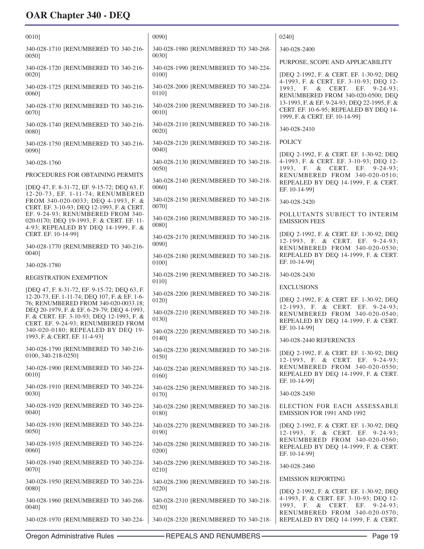| 00101                                                                                                                           | 0090]                                                  | 02401                                                                                                                                                |
|---------------------------------------------------------------------------------------------------------------------------------|--------------------------------------------------------|------------------------------------------------------------------------------------------------------------------------------------------------------|
| 340-028-1710 [RENUMBERED TO 340-216-<br>0050]                                                                                   | 340-028-1980 [RENUMBERED TO 340-268-<br>0030]          | 340-028-2400                                                                                                                                         |
| 340-028-1720 [RENUMBERED TO 340-216-<br>00201                                                                                   | 340-028-1990 [RENUMBERED TO 340-224-<br>0100]          | PURPOSE, SCOPE AND APPLICABILITY<br>[DEQ 2-1992, F. & CERT. EF. 1-30-92; DEQ                                                                         |
| 340-028-1725 [RENUMBERED TO 340-216-<br>00601                                                                                   | 340-028-2000 [RENUMBERED TO 340-224-<br>0110]          | 4-1993, F. & CERT. EF. 3-10-93; DEQ 12-<br>1993, F. & CERT. EF. 9-24-93;<br>RENUMBERED FROM 340-020-0500; DEQ                                        |
| 340-028-1730 [RENUMBERED TO 340-216-<br>00701                                                                                   | 340-028-2100 [RENUMBERED TO 340-218-<br>0010]          | 13-1993, F. & EF. 9-24-93; DEQ 22-1995, F. &<br>CERT. EF. 10-6-95; REPEALED BY DEQ 14-<br>1999, F. & CERT. EF. 10-14-99]                             |
| 340-028-1740 [RENUMBERED TO 340-216-<br>00801                                                                                   | 340-028-2110 [RENUMBERED TO 340-218-<br>0020]          | 340-028-2410                                                                                                                                         |
| 340-028-1750 [RENUMBERED TO 340-216-<br>00901                                                                                   | 340-028-2120 [RENUMBERED TO 340-218-<br>0040]          | <b>POLICY</b>                                                                                                                                        |
| 340-028-1760                                                                                                                    | 340-028-2130 [RENUMBERED TO 340-218-<br>00501          | [DEQ 2-1992, F. & CERT. EF. 1-30-92; DEQ<br>4-1993, F. & CERT. EF. 3-10-93; DEQ 12-<br>1993, F. & CERT. EF. 9-24-93;                                 |
| PROCEDURES FOR OBTAINING PERMITS<br>[DEQ 47, F. 8-31-72, EF. 9-15-72; DEQ 63, F.                                                | 340-028-2140 [RENUMBERED TO 340-218-<br>0060]          | RENUMBERED FROM 340-020-0510;<br>REPEALED BY DEQ 14-1999, F. & CERT.<br>EF. 10-14-991                                                                |
| 12-20-73, EF. 1-11-74; RENUMBERED<br>FROM 340-020-0033; DEQ 4-1993, F. &<br>CERT. EF. 3-10-93; DEQ 12-1993, F. & CERT.          | 340-028-2150 [RENUMBERED TO 340-218-<br>0070]          | 340-028-2420                                                                                                                                         |
| EF. 9-24-93: RENUMBERED FROM 340-<br>020-0170; DEQ 19-1993, F. & CERT. EF. 11-<br>4-93; REPEALED BY DEQ 14-1999, F. &           | 340-028-2160 [RENUMBERED TO 340-218-<br>00801          | POLLUTANTS SUBJECT TO INTERIM<br><b>EMISSION FEES</b>                                                                                                |
| CERT. EF. 10-14-99]<br>340-028-1770 [RENUMBERED TO 340-216-                                                                     | 340-028-2170 [RENUMBERED TO 340-218-<br>0090]          | [DEQ 2-1992, F. & CERT. EF. 1-30-92; DEQ<br>12-1993, F. & CERT. EF. 9-24-93;<br>RENUMBERED FROM 340-020-0530;                                        |
| 00401<br>340-028-1780                                                                                                           | 340-028-2180 [RENUMBERED TO 340-218-<br>0100]          | REPEALED BY DEQ 14-1999, F. & CERT.<br>EF. 10-14-991                                                                                                 |
| <b>REGISTRATION EXEMPTION</b>                                                                                                   | 340-028-2190 [RENUMBERED TO 340-218-<br>01101          | 340-028-2430                                                                                                                                         |
| [DEQ 47, F. 8-31-72, EF. 9-15-72; DEQ 63, F.<br>12-20-73, EF. 1-11-74; DEQ 107, F. & EF. 1-6-                                   | 340-028-2200 [RENUMBERED TO 340-218-                   | <b>EXCLUSIONS</b>                                                                                                                                    |
| 76: RENUMBERED FROM 340-020-0033.18:<br>DEQ 20-1979, F. & EF. 6-29-79; DEQ 4-1993,<br>F. & CERT. EF. 3-10-93; DEQ 12-1993, F. & | 0120]<br>340-028-2210 [RENUMBERED TO 340-218-<br>0130] | [DEQ 2-1992, F. & CERT. EF. 1-30-92; DEQ<br>12-1993, F. & CERT. EF. 9-24-93;<br>RENUMBERED FROM 340-020-0540;<br>REPEALED BY DEQ 14-1999, F. & CERT. |
| CERT. EF. 9-24-93; RENUMBERED FROM<br>340-020-0180; REPEALED BY DEQ 19-<br>1993, F. & CERT. EF. 11-4-93]                        | 340-028-2220 [RENUMBERED TO 340-218-<br>0140]          | EF. 10-14-991<br>340-028-2440 REFERENCES                                                                                                             |
| 340-028-1790 [RENUMBERED TO 340-216-<br>0100, 340-218-0250]                                                                     | 340-028-2230 [RENUMBERED TO 340-218-<br>0150]          | [DEQ 2-1992, F. & CERT. EF. 1-30-92; DEQ                                                                                                             |
| 340-028-1900 [RENUMBERED TO 340-224-<br>0010]                                                                                   | 340-028-2240 [RENUMBERED TO 340-218-<br>0160]          | 12-1993, F. & CERT. EF. 9-24-93;<br>RENUMBERED FROM 340-020-0550;<br>REPEALED BY DEQ 14-1999, F. & CERT.                                             |
| 340-028-1910 [RENUMBERED TO 340-224-<br>0030]                                                                                   | 340-028-2250 [RENUMBERED TO 340-218-<br>0170]          | EF. 10-14-99]<br>340-028-2450                                                                                                                        |
| 340-028-1920 [RENUMBERED TO 340-224-<br>0040]                                                                                   | 340-028-2260 [RENUMBERED TO 340-218-<br>0180]          | ELECTION FOR EACH ASSESSABLE<br>EMISSION FOR 1991 AND 1992                                                                                           |
| 340-028-1930 [RENUMBERED TO 340-224-<br>0050]                                                                                   | 340-028-2270 [RENUMBERED TO 340-218-<br>0190]          | [DEQ 2-1992, F. & CERT. EF. 1-30-92; DEQ<br>12-1993, F. & CERT. EF. 9-24-93;                                                                         |
| 340-028-1935 [RENUMBERED TO 340-224-<br>0060]                                                                                   | 340-028-2280 [RENUMBERED TO 340-218-<br>0200]          | RENUMBERED FROM 340-020-0560;<br>REPEALED BY DEQ 14-1999, F. & CERT.<br>EF. 10-14-99]                                                                |
| 340-028-1940 [RENUMBERED TO 340-224-<br>00701                                                                                   | 340-028-2290 [RENUMBERED TO 340-218-<br>0210]          | 340-028-2460                                                                                                                                         |
| 340-028-1950 [RENUMBERED TO 340-224-<br>0080]                                                                                   | 340-028-2300 [RENUMBERED TO 340-218-<br>0220]          | <b>EMISSION REPORTING</b>                                                                                                                            |
| 340-028-1960 [RENUMBERED TO 340-268-<br>0040]                                                                                   | 340-028-2310 [RENUMBERED TO 340-218-<br>0230]          | [DEQ 2-1992, F. & CERT. EF. 1-30-92; DEQ<br>4-1993, F. & CERT. EF. 3-10-93; DEQ 12-<br>1993, F. & CERT. EF. 9-24-93;                                 |
| 340-028-1970 [RENUMBERED TO 340-224-                                                                                            | 340-028-2320 [RENUMBERED TO 340-218-                   | RENUMBERED FROM 340-020-0570;<br>REPEALED BY DEQ 14-1999, F. & CERT.                                                                                 |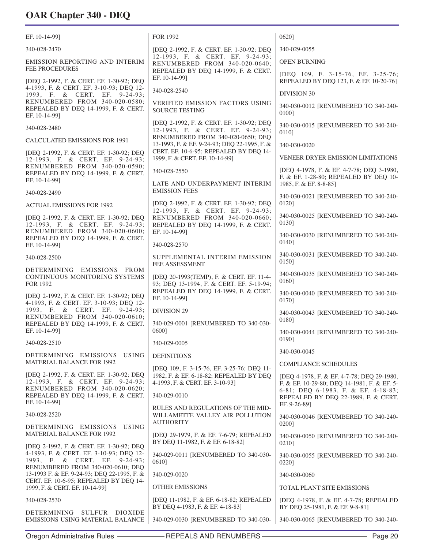| EF. 10-14-99]                                                                         | FOR 1992                                                                                                 | 0620]                                                                                     |
|---------------------------------------------------------------------------------------|----------------------------------------------------------------------------------------------------------|-------------------------------------------------------------------------------------------|
| 340-028-2470                                                                          | [DEQ 2-1992, F. & CERT. EF. 1-30-92; DEQ                                                                 | 340-029-0055                                                                              |
| <b>EMISSION REPORTING AND INTERIM</b><br>FEE PROCEDURES                               | 12-1993, F. & CERT. EF. 9-24-93;<br>RENUMBERED FROM 340-020-0640;<br>REPEALED BY DEQ 14-1999, F. & CERT. | <b>OPEN BURNING</b>                                                                       |
| [DEO 2-1992, F. & CERT. EF. 1-30-92; DEO                                              | EF. 10-14-991                                                                                            | [DEQ 109, F. 3-15-76, EF. 3-25-76;<br>REPEALED BY DEO 123, F. & EF. 10-20-76]             |
| 4-1993, F. & CERT. EF. 3-10-93; DEQ 12-<br>1993, F. & CERT. EF. 9-24-93;              | 340-028-2540                                                                                             | <b>DIVISION 30</b>                                                                        |
| RENUMBERED FROM 340-020-0580;<br>REPEALED BY DEQ 14-1999, F. & CERT.<br>EF. 10-14-99] | <b>VERIFIED EMISSION FACTORS USING</b><br><b>SOURCE TESTING</b>                                          | 340-030-0012 [RENUMBERED TO 340-240-<br>01001                                             |
| 340-028-2480                                                                          | [DEQ 2-1992, F. & CERT. EF. 1-30-92; DEQ<br>12-1993, F. & CERT. EF. 9-24-93;                             | 340-030-0015 [RENUMBERED TO 340-240-<br>0110]                                             |
| <b>CALCULATED EMISSIONS FOR 1991</b>                                                  | RENUMBERED FROM 340-020-0650; DEQ<br>13-1993, F. & EF. 9-24-93; DEQ 22-1995, F. &                        | 340-030-0020                                                                              |
| [DEQ 2-1992, F. & CERT. EF. 1-30-92; DEQ<br>12-1993, F. & CERT. EF. 9-24-93;          | CERT. EF. 10-6-95; REPEALED BY DEQ 14-<br>1999, F. & CERT. EF. 10-14-99]                                 | VENEER DRYER EMISSION LIMITATIONS                                                         |
| RENUMBERED FROM 340-020-0590;<br>REPEALED BY DEQ 14-1999, F. & CERT.<br>EF. 10-14-991 | 340-028-2550                                                                                             | [DEQ 4-1978, F. & EF. 4-7-78; DEQ 3-1980,<br>F. & EF. 1-28-80; REPEALED BY DEQ 10-        |
| 340-028-2490                                                                          | LATE AND UNDERPAYMENT INTERIM<br><b>EMISSION FEES</b>                                                    | 1985, F. & EF. 8-8-85]                                                                    |
| <b>ACTUAL EMISSIONS FOR 1992</b>                                                      | [DEQ 2-1992, F. & CERT. EF. 1-30-92; DEQ<br>12-1993, F. & CERT. EF. 9-24-93;                             | 340-030-0021 [RENUMBERED TO 340-240-<br>0120]                                             |
| [DEO 2-1992, F. & CERT. EF. 1-30-92; DEO<br>12-1993, F. & CERT. EF. 9-24-93;          | RENUMBERED FROM 340-020-0660;<br>REPEALED BY DEQ 14-1999, F. & CERT.                                     | 340-030-0025 [RENUMBERED TO 340-240-<br>01301                                             |
| RENUMBERED FROM 340-020-0600;<br>REPEALED BY DEQ 14-1999, F. & CERT.<br>EF. 10-14-99] | EF. 10-14-99]<br>340-028-2570                                                                            | 340-030-0030 [RENUMBERED TO 340-240-<br>0140]                                             |
| 340-028-2500                                                                          | SUPPLEMENTAL INTERIM EMISSION<br>FEE ASSESSMENT                                                          | 340-030-0031 [RENUMBERED TO 340-240-<br>0150]                                             |
| DETERMINING EMISSIONS FROM<br>CONTINUOUS MONITORING SYSTEMS<br>FOR 1992               | [DEQ 20-1993(TEMP), F. & CERT. EF. 11-4-<br>93; DEQ 13-1994, F. & CERT. EF. 5-19-94;                     | 340-030-0035 [RENUMBERED TO 340-240-<br>0160]                                             |
| [DEQ 2-1992, F. & CERT. EF. 1-30-92; DEQ<br>4-1993, F. & CERT. EF. 3-10-93; DEQ 12-   | REPEALED BY DEQ 14-1999, F. & CERT.<br>EF. 10-14-99]                                                     | 340-030-0040 [RENUMBERED TO 340-240-<br>01701                                             |
| 1993, F. & CERT. EF. 9-24-93;                                                         | <b>DIVISION 29</b>                                                                                       | 340-030-0043 [RENUMBERED TO 340-240-                                                      |
| RENUMBERED FROM 340-020-0610;<br>REPEALED BY DEQ 14-1999, F. & CERT.<br>EF. 10-14-991 | 340-029-0001 [RENUMBERED TO 340-030-<br>06001                                                            | 01801                                                                                     |
| 340-028-2510                                                                          | 340-029-0005                                                                                             | 340-030-0044 [RENUMBERED TO 340-240-<br>0190]                                             |
| DETERMINING EMISSIONS USING                                                           | <b>DEFINITIONS</b>                                                                                       | 340-030-0045                                                                              |
| <b>MATERIAL BALANCE FOR 1992</b>                                                      | [DEQ 109, F. 3-15-76, EF. 3-25-76; DEQ 11-                                                               | <b>COMPLIANCE SCHEDULES</b>                                                               |
| [DEQ 2-1992, F. & CERT. EF. 1-30-92; DEQ<br>12-1993, F. & CERT. EF. 9-24-93;          | 1982, F. & EF. 6-18-82; REPEALED BY DEQ<br>4-1993, F. & CERT. EF. 3-10-93]                               | [DEQ 4-1978, F. & EF. 4-7-78; DEQ 29-1980,<br>F. & EF. 10-29-80; DEQ 14-1981, F. & EF. 5- |
| RENUMBERED FROM 340-020-0620;<br>REPEALED BY DEQ 14-1999, F. & CERT.<br>EF. 10-14-99] | 340-029-0010                                                                                             | 6-81; DEQ 6-1983, F. & EF. 4-18-83;<br>REPEALED BY DEQ 22-1989, F. & CERT.                |
| 340-028-2520                                                                          | RULES AND REGULATIONS OF THE MID-<br>WILLAMETTE VALLEY AIR POLLUTION                                     | EF. 9-26-89]<br>340-030-0046 [RENUMBERED TO 340-240-                                      |
| DETERMINING EMISSIONS USING<br><b>MATERIAL BALANCE FOR 1992</b>                       | <b>AUTHORITY</b>                                                                                         | 0200]                                                                                     |
| [DEQ 2-1992, F. & CERT. EF. 1-30-92; DEQ                                              | [DEQ 29-1979, F. & EF. 7-6-79; REPEALED<br>BY DEQ 11-1982, F. & EF. 6-18-82]                             | 340-030-0050 [RENUMBERED TO 340-240-<br>02101                                             |
| 4-1993, F. & CERT. EF. 3-10-93; DEQ 12-<br>1993, F. & CERT. EF. 9-24-93;              | 340-029-0011 [RENUMBERED TO 340-030-<br>0610]                                                            | 340-030-0055 [RENUMBERED TO 340-240-<br>02201                                             |
| RENUMBERED FROM 340-020-0610; DEQ<br>13-1993 F. & EF. 9-24-93; DEQ 22-1995, F. &      | 340-029-0020                                                                                             | 340-030-0060                                                                              |
| CERT. EF. 10-6-95; REPEALED BY DEQ 14-<br>1999, F. & CERT. EF. 10-14-99]              | <b>OTHER EMISSIONS</b>                                                                                   | TOTAL PLANT SITE EMISSIONS                                                                |
| 340-028-2530                                                                          | [DEQ 11-1982, F. & EF. 6-18-82; REPEALED<br>BY DEQ 4-1983, F. & EF. 4-18-83]                             | [DEQ 4-1978, F. & EF. 4-7-78; REPEALED<br>BY DEQ 25-1981, F. & EF. 9-8-81]                |
| DETERMINING SULFUR DIOXIDE<br>EMISSIONS USING MATERIAL BALANCE                        | 340-029-0030 [RENUMBERED TO 340-030-                                                                     | 340-030-0065 [RENUMBERED TO 340-240-                                                      |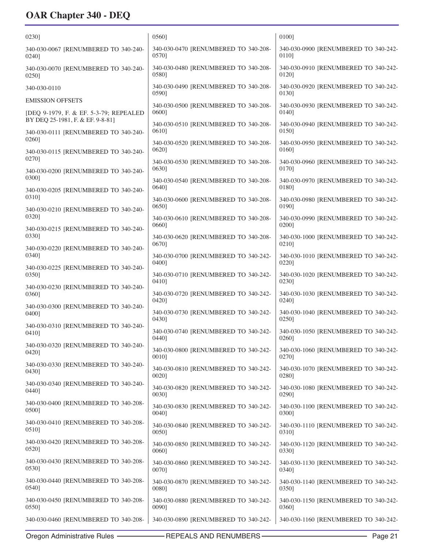| 02301                                         | 05601                                         | 0100]                                         |
|-----------------------------------------------|-----------------------------------------------|-----------------------------------------------|
| 340-030-0067 [RENUMBERED TO 340-240-          | 340-030-0470 [RENUMBERED TO 340-208-          | 340-030-0900 [RENUMBERED TO 340-242-          |
| 02401                                         | 05701                                         | 01101                                         |
| 340-030-0070 [RENUMBERED TO 340-240-          | 340-030-0480 [RENUMBERED TO 340-208-          | 340-030-0910 [RENUMBERED TO 340-242-          |
| $0250$ ]                                      | 05801                                         | 01201                                         |
| 340-030-0110                                  | 340-030-0490 [RENUMBERED TO 340-208-<br>05901 | 340-030-0920 [RENUMBERED TO 340-242-<br>0130] |
| <b>EMISSION OFFSETS</b>                       | 340-030-0500 [RENUMBERED TO 340-208-          | 340-030-0930 [RENUMBERED TO 340-242-          |
| [DEQ 9-1979, F. & EF. 5-3-79; REPEALED        | 06001                                         | 0140]                                         |
| BY DEQ 25-1981, F. & EF. 9-8-81]              | 340-030-0510 [RENUMBERED TO 340-208-          | 340-030-0940 [RENUMBERED TO 340-242-          |
| 340-030-0111 [RENUMBERED TO 340-240-          | 06101                                         | 0150]                                         |
| 02601                                         | 340-030-0520 [RENUMBERED TO 340-208-          | 340-030-0950 [RENUMBERED TO 340-242-          |
| 340-030-0115 [RENUMBERED TO 340-240-          | 0620]                                         | 0160]                                         |
| 02701                                         | 340-030-0530 [RENUMBERED TO 340-208-          | 340-030-0960 [RENUMBERED TO 340-242-          |
| 340-030-0200 [RENUMBERED TO 340-240-<br>0300] | 06301                                         | 0170]                                         |
| 340-030-0205 [RENUMBERED TO 340-240-          | 340-030-0540 [RENUMBERED TO 340-208-<br>0640] | 340-030-0970 [RENUMBERED TO 340-242-<br>0180] |
| 03101                                         | 340-030-0600 [RENUMBERED TO 340-208-<br>06501 | 340-030-0980 [RENUMBERED TO 340-242-<br>01901 |
| 340-030-0210 [RENUMBERED TO 340-240-<br>03201 | 340-030-0610 [RENUMBERED TO 340-208-          | 340-030-0990 [RENUMBERED TO 340-242-          |
| 340-030-0215 [RENUMBERED TO 340-240-          | 06601                                         | 02001                                         |
| 0330]                                         | 340-030-0620 [RENUMBERED TO 340-208-<br>06701 | 340-030-1000 [RENUMBERED TO 340-242-<br>0210] |
| 340-030-0220 [RENUMBERED TO 340-240-          | 340-030-0700 [RENUMBERED TO 340-242-          | 340-030-1010 [RENUMBERED TO 340-242-          |
| 03401                                         | 04001                                         | 0220]                                         |
| 340-030-0225 [RENUMBERED TO 340-240-          | 340-030-0710 [RENUMBERED TO 340-242-          | 340-030-1020 [RENUMBERED TO 340-242-          |
| 03501                                         | 04101                                         | 02301                                         |
| 340-030-0230 [RENUMBERED TO 340-240-          | 340-030-0720 [RENUMBERED TO 340-242-          | 340-030-1030 [RENUMBERED TO 340-242-          |
| 0360]                                         | 04201                                         | 02401                                         |
| 340-030-0300 [RENUMBERED TO 340-240-          | 340-030-0730 [RENUMBERED TO 340-242-          | 340-030-1040 [RENUMBERED TO 340-242-          |
| 04001                                         | 0430]                                         | 0250]                                         |
| 340-030-0310 [RENUMBERED TO 340-240-          | 340-030-0740 [RENUMBERED TO 340-242-          | 340-030-1050 [RENUMBERED TO 340-242-          |
| 04101                                         | 0440]                                         | 02601                                         |
| 340-030-0320 [RENUMBERED TO 340-240-          | 340-030-0800 [RENUMBERED TO 340-242-          | 340-030-1060 [RENUMBERED TO 340-242-          |
| 04201                                         | 0010]                                         | 02701                                         |
| 340-030-0330 [RENUMBERED TO 340-240-          | 340-030-0810 [RENUMBERED TO 340-242-          | 340-030-1070 [RENUMBERED TO 340-242-          |
| 04301                                         | 0020]                                         | 0280]                                         |
| 340-030-0340 [RENUMBERED TO 340-240-          | 340-030-0820 [RENUMBERED TO 340-242-          | 340-030-1080 [RENUMBERED TO 340-242-          |
| 0440]                                         | 0030]                                         | 02901                                         |
| 340-030-0400 [RENUMBERED TO 340-208-          | 340-030-0830 [RENUMBERED TO 340-242-          | 340-030-1100 [RENUMBERED TO 340-242-          |
| 05001                                         | 0040]                                         | 0300]                                         |
| 340-030-0410 [RENUMBERED TO 340-208-          | 340-030-0840 [RENUMBERED TO 340-242-          | 340-030-1110 [RENUMBERED TO 340-242-          |
| 0510]                                         | 0050]                                         | 0310]                                         |
| 340-030-0420 [RENUMBERED TO 340-208-          | 340-030-0850 [RENUMBERED TO 340-242-          | 340-030-1120 [RENUMBERED TO 340-242-          |
| 0520]                                         | 0060]                                         | 0330]                                         |
| 340-030-0430 [RENUMBERED TO 340-208-          | 340-030-0860 [RENUMBERED TO 340-242-          | 340-030-1130 [RENUMBERED TO 340-242-          |
| 05301                                         | 0070]                                         | 0340]                                         |
| 340-030-0440 [RENUMBERED TO 340-208-          | 340-030-0870 [RENUMBERED TO 340-242-          | 340-030-1140 [RENUMBERED TO 340-242-          |
| 0540]                                         | 0080]                                         | 0350]                                         |
| 340-030-0450 [RENUMBERED TO 340-208-          | 340-030-0880 [RENUMBERED TO 340-242-          | 340-030-1150 [RENUMBERED TO 340-242-          |
| 0550]                                         | 0090]                                         | 0360]                                         |
| 340-030-0460 [RENUMBERED TO 340-208-          | 340-030-0890 [RENUMBERED TO 340-242-          | 340-030-1160 [RENUMBERED TO 340-242-          |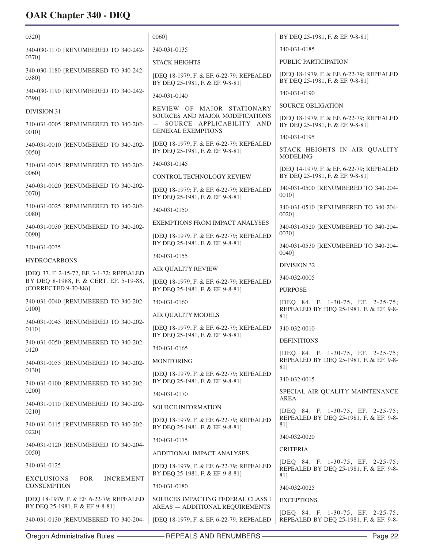| 0320]                                                                               | 0060]                                                                                    | BY DEQ 25-1981, F. & EF. 9-8-81]                                                   |
|-------------------------------------------------------------------------------------|------------------------------------------------------------------------------------------|------------------------------------------------------------------------------------|
| 340-030-1170 [RENUMBERED TO 340-242-                                                | 340-031-0135                                                                             | 340-031-0185                                                                       |
| 03701                                                                               | <b>STACK HEIGHTS</b>                                                                     | PUBLIC PARTICIPATION                                                               |
| 340-030-1180 [RENUMBERED TO 340-242-<br>0380]                                       | [DEQ 18-1979, F. & EF. 6-22-79; REPEALED<br>BY DEQ 25-1981, F. & EF. 9-8-81]             | [DEQ 18-1979, F. & EF. 6-22-79; REPEALED<br>BY DEQ 25-1981, F. & EF. 9-8-81]       |
| 340-030-1190 [RENUMBERED TO 340-242-<br>0390]                                       | 340-031-0140                                                                             | 340-031-0190                                                                       |
| <b>DIVISION 31</b>                                                                  | REVIEW OF MAJOR STATIONARY                                                               | <b>SOURCE OBLIGATION</b>                                                           |
| 340-031-0005 [RENUMBERED TO 340-202-<br>00101                                       | SOURCES AND MAJOR MODIFICATIONS<br>SOURCE APPLICABILITY AND<br><b>GENERAL EXEMPTIONS</b> | [DEQ 18-1979, F. & EF. 6-22-79; REPEALED<br>BY DEQ 25-1981, F. & EF. 9-8-81]       |
|                                                                                     | [DEQ 18-1979, F. & EF. 6-22-79; REPEALED                                                 | 340-031-0195                                                                       |
| 340-031-0010 [RENUMBERED TO 340-202-<br>0050]                                       | BY DEQ 25-1981, F. & EF. 9-8-81]                                                         | STACK HEIGHTS IN AIR QUALITY<br><b>MODELING</b>                                    |
| 340-031-0015 [RENUMBERED TO 340-202-                                                | 340-031-0145                                                                             | [DEQ 14-1979, F. & EF. 6-22-79; REPEALED                                           |
| 0060]                                                                               | CONTROL TECHNOLOGY REVIEW                                                                | BY DEQ 25-1981, F. & EF. 9-8-81]                                                   |
| 340-031-0020 [RENUMBERED TO 340-202-<br>0070]                                       | [DEQ 18-1979; F. & EF. 6-22-79; REPEALED<br>BY DEQ 25-1981, F. & EF. 9-8-81]             | 340-031-0500 [RENUMBERED TO 340-204-<br>0010]                                      |
| 340-031-0025 [RENUMBERED TO 340-202-<br>00801                                       | 340-031-0150                                                                             | 340-031-0510 [RENUMBERED TO 340-204-<br>0020]                                      |
| 340-031-0030 [RENUMBERED TO 340-202-                                                | <b>EXEMPTIONS FROM IMPACT ANALYSES</b>                                                   | 340-031-0520 [RENUMBERED TO 340-204-                                               |
| 00901                                                                               | [DEQ 18-1979, F. & EF. 6-22-79; REPEALED<br>BY DEQ 25-1981, F. & EF. 9-8-81]             | 0030]<br>340-031-0530 [RENUMBERED TO 340-204-                                      |
| 340-031-0035                                                                        | 340-031-0155                                                                             | 0040]                                                                              |
| <b>HYDROCARBONS</b>                                                                 | <b>AIR QUALITY REVIEW</b>                                                                | <b>DIVISION 32</b>                                                                 |
| [DEQ 37, F. 2-15-72, EF. 3-1-72; REPEALED<br>BY DEQ 8-1988, F. & CERT. EF. 5-19-88, | [DEQ 18-1979, F. & EF. 6-22-79; REPEALED                                                 | 340-032-0005                                                                       |
| (CORRECTED 9-30-88)]                                                                | BY DEQ 25-1981, F. & EF. 9-8-81]                                                         | <b>PURPOSE</b>                                                                     |
| 340-031-0040 [RENUMBERED TO 340-202-<br>01001                                       | 340-031-0160                                                                             | [DEQ 84, F. 1-30-75, EF. 2-25-75;<br>REPEALED BY DEQ 25-1981, F. & EF. 9-8-        |
| 340-031-0045 [RENUMBERED TO 340-202-                                                | AIR QUALITY MODELS                                                                       | 81]                                                                                |
| 0110]                                                                               | [DEQ 18-1979, F. & EF. 6-22-79; REPEALED<br>BY DEQ 25-1981, F. & EF. 9-8-81]             | 340-032-0010                                                                       |
| 340-031-0050 [RENUMBERED TO 340-202-                                                | 340-031-0165                                                                             | <b>DEFINITIONS</b>                                                                 |
| 0120<br>340-031-0055 [RENUMBERED TO 340-202-                                        | <b>MONITORING</b>                                                                        | [DEQ 84, F. 1-30-75, EF. 2-25-75;<br>REPEALED BY DEQ 25-1981, F. & EF. 9-8-        |
| 0130]                                                                               | [DEQ 18-1979, F. & EF. 6-22-79; REPEALED                                                 | 81]<br>340-032-0015                                                                |
| 340-031-0100 [RENUMBERED TO 340-202-<br>0200]                                       | BY DEQ 25-1981, F. & EF. 9-8-81]                                                         | SPECIAL AIR QUALITY MAINTENANCE                                                    |
| 340-031-0110 [RENUMBERED TO 340-202-                                                | 340-031-0170                                                                             | AREA                                                                               |
| 0210]                                                                               | SOURCE INFORMATION                                                                       | [DEQ 84, F. 1-30-75, EF. 2-25-75;<br>REPEALED BY DEQ 25-1981, F. & EF. 9-8-        |
| 340-031-0115 [RENUMBERED TO 340-202-<br>0220]                                       | [DEQ 18-1979, F. & EF. 6-22-79; REPEALED<br>BY DEQ 25-1981, F. & EF. 9-8-81]             | 81]                                                                                |
| 340-031-0120 [RENUMBERED TO 340-204-                                                | 340-031-0175                                                                             | 340-032-0020                                                                       |
| $0050$ ]                                                                            | ADDITIONAL IMPACT ANALYSES                                                               | <b>CRITERIA</b>                                                                    |
| 340-031-0125                                                                        | [DEQ 18-1979, F. & EF. 6-22-79; REPEALED<br>BY DEQ 25-1981, F. & EF. 9-8-81]             | [DEQ 84, F. 1-30-75, EF. 2-25-75;<br>REPEALED BY DEQ 25-1981, F. & EF. 9-8-<br>81] |
| <b>EXCLUSIONS</b><br><b>FOR</b><br><b>INCREMENT</b><br><b>CONSUMPTION</b>           | 340-031-0180                                                                             | 340-032-0025                                                                       |
| [DEQ 18-1979, F. & EF. 6-22-79; REPEALED<br>BY DEQ 25-1981, F. & EF. 9-8-81]        | SOURCES IMPACTING FEDERAL CLASS I<br>AREAS - ADDITIONAL REQUIREMENTS                     | <b>EXCEPTIONS</b>                                                                  |
| 340-031-0130 [RENUMBERED TO 340-204-                                                | [DEQ 18-1979, F. & EF. 6-22-79; REPEALED                                                 | [DEQ 84, F. 1-30-75, EF. 2-25-75;<br>REPEALED BY DEQ 25-1981, F. & EF. 9-8-        |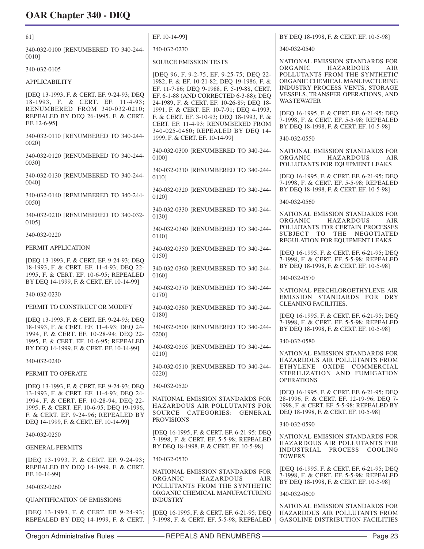| 81]                                                                                                                             | EF. 10-14-991                                                                                                                                                     | BY DEQ 18-1998, F. & CERT. EF. 10-5-98]                                                                                         |
|---------------------------------------------------------------------------------------------------------------------------------|-------------------------------------------------------------------------------------------------------------------------------------------------------------------|---------------------------------------------------------------------------------------------------------------------------------|
| 340-032-0100 [RENUMBERED TO 340-244-                                                                                            | 340-032-0270                                                                                                                                                      | 340-032-0540                                                                                                                    |
| 00101                                                                                                                           | <b>SOURCE EMISSION TESTS</b>                                                                                                                                      | NATIONAL EMISSION STANDARDS FOR<br>ORGANIC<br><b>HAZARDOUS</b><br>AIR                                                           |
| 340-032-0105<br><b>APPLICABILITY</b>                                                                                            | [DEQ 96, F. 9-2-75, EF. 9-25-75; DEQ 22-<br>1982, F. & EF. 10-21-82; DEQ 19-1986, F. &                                                                            | POLLUTANTS FROM THE SYNTHETIC<br>ORGANIC CHEMICAL MANUFACTURING                                                                 |
|                                                                                                                                 | EF. 11-7-86; DEQ 9-1988, F. 5-19-88, CERT.                                                                                                                        | INDUSTRY PROCESS VENTS, STORAGE<br>VESSELS, TRANSFER OPERATIONS, AND                                                            |
| [DEQ 13-1993, F. & CERT. EF. 9-24-93; DEQ<br>18-1993, F. & CERT. EF. 11-4-93;                                                   | EF. 6-1-88 (AND CORRECTED 6-3-88); DEQ<br>24-1989, F. & CERT. EF. 10-26-89; DEQ 18-                                                                               | <b>WASTEWATER</b>                                                                                                               |
| RENUMBERED FROM 340-032-0210;<br>REPEALED BY DEQ 26-1995, F. & CERT.<br>EF. 12-6-951                                            | 1991, F. & CERT. EF. 10-7-91; DEQ 4-1993,<br>F. & CERT. EF. 3-10-93; DEQ 18-1993, F. &<br>CERT. EF. 11-4-93; RENUMBERED FROM<br>340-025-0460; REPEALED BY DEQ 14- | [DEQ 16-1995, F. & CERT. EF. 6-21-95; DEQ<br>7-1998, F. & CERT. EF. 5-5-98; REPEALED<br>BY DEQ 18-1998, F. & CERT. EF. 10-5-98] |
| 340-032-0110 [RENUMBERED TO 340-244-<br>00201                                                                                   | 1999, F. & CERT. EF. 10-14-99]                                                                                                                                    | 340-032-0550                                                                                                                    |
| 340-032-0120 [RENUMBERED TO 340-244-<br>00301                                                                                   | 340-032-0300 [RENUMBERED TO 340-244-<br>01001                                                                                                                     | NATIONAL EMISSION STANDARDS FOR<br>ORGANIC<br>HAZARDOUS<br>AIR<br>POLLUTANTS FOR EQUIPMENT LEAKS                                |
| 340-032-0130 [RENUMBERED TO 340-244-                                                                                            | 340-032-0310 [RENUMBERED TO 340-244-<br>0110]                                                                                                                     | [DEQ 16-1995, F. & CERT. EF. 6-21-95; DEQ                                                                                       |
| 0040]                                                                                                                           | 340-032-0320 [RENUMBERED TO 340-244-                                                                                                                              | 7-1998, F. & CERT. EF. 5-5-98; REPEALED<br>BY DEQ 18-1998, F. & CERT. EF. 10-5-98]                                              |
| 340-032-0140 [RENUMBERED TO 340-244-<br>00501                                                                                   | 01201                                                                                                                                                             | 340-032-0560                                                                                                                    |
| 340-032-0210 [RENUMBERED TO 340-032-<br>$0105$ ]                                                                                | 340-032-0330 [RENUMBERED TO 340-244-<br>01301                                                                                                                     | NATIONAL EMISSION STANDARDS FOR<br>ORGANIC<br><b>HAZARDOUS</b><br>AIR                                                           |
| 340-032-0220                                                                                                                    | 340-032-0340 [RENUMBERED TO 340-244-<br>0140]                                                                                                                     | POLLUTANTS FOR CERTAIN PROCESSES<br>SUBJECT TO THE NEGOTIATED<br>REGULATION FOR EQUIPMENT LEAKS                                 |
| PERMIT APPLICATION                                                                                                              | 340-032-0350 [RENUMBERED TO 340-244-                                                                                                                              | [DEQ 16-1995, F. & CERT. EF. 6-21-95; DEQ                                                                                       |
| [DEQ 13-1993, F. & CERT. EF. 9-24-93; DEQ<br>18-1993, F. & CERT. EF. 11-4-93; DEQ 22-                                           | 0150]<br>340-032-0360 [RENUMBERED TO 340-244-                                                                                                                     | 7-1998, F. & CERT. EF. 5-5-98; REPEALED<br>BY DEQ 18-1998, F. & CERT. EF. 10-5-98]                                              |
| 1995, F. & CERT. EF. 10-6-95; REPEALED<br>BY DEQ 14-1999, F. & CERT. EF. 10-14-99]                                              | 0160]                                                                                                                                                             | 340-032-0570                                                                                                                    |
| 340-032-0230                                                                                                                    | 340-032-0370 [RENUMBERED TO 340-244-<br>0170]                                                                                                                     | NATIONAL PERCHLOROETHYLENE AIR<br>EMISSION STANDARDS FOR DRY                                                                    |
| PERMIT TO CONSTRUCT OR MODIFY                                                                                                   | 340-032-0380 [RENUMBERED TO 340-244-                                                                                                                              | CLEANING FACILITIES.                                                                                                            |
| [DEQ 13-1993, F. & CERT. EF. 9-24-93; DEQ<br>18-1993, F. & CERT. EF. 11-4-93; DEO 24-<br>1994, F. & CERT. EF. 10-28-94; DEQ 22- | 0180]<br>340-032-0500 [RENUMBERED TO 340-244-<br>02001                                                                                                            | [DEQ 16-1995, F. & CERT. EF. 6-21-95; DEQ<br>7-1998, F. & CERT. EF. 5-5-98; REPEALED<br>BY DEQ 18-1998, F. & CERT. EF. 10-5-98] |
| 1995, F. & CERT. EF. 10-6-95; REPEALED<br>BY DEQ 14-1999, F. & CERT. EF. 10-14-99]                                              | 340-032-0505 [RENUMBERED TO 340-244-                                                                                                                              | 340-032-0580                                                                                                                    |
| 340-032-0240                                                                                                                    | 0210]                                                                                                                                                             | NATIONAL EMISSION STANDARDS FOR<br>HAZARDOUS AIR POLLUTANTS FROM                                                                |
| PERMIT TO OPERATE                                                                                                               | 340-032-0510 [RENUMBERED TO 340-244-<br>0220]                                                                                                                     | ETHYLENE OXIDE COMMERCIAL<br>STERILIZATION AND FUMIGATION<br><b>OPERATIONS</b>                                                  |
| [DEQ 13-1993, F. & CERT. EF. 9-24-93; DEQ<br>13-1993, F. & CERT. EF. 11-4-93; DEQ 24-                                           | 340-032-0520                                                                                                                                                      | [DEQ 16-1995, F. & CERT. EF. 6-21-95; DEQ                                                                                       |
| 1994, F. & CERT. EF. 10-28-94; DEQ 22-<br>1995, F. & CERT. EF. 10-6-95; DEQ 19-1996,<br>F. & CERT. EF. 9-24-96; REPEALED BY     | NATIONAL EMISSION STANDARDS FOR<br>HAZARDOUS AIR POLLUTANTS FOR<br>SOURCE CATEGORIES: GENERAL<br><b>PROVISIONS</b>                                                | 28-1996, F. & CERT. EF. 12-19-96; DEQ 7-<br>1998, F. & CERT. EF. 5-5-98; REPEALED BY<br>DEQ 18-1998, F. & CERT. EF. 10-5-98]    |
| DEQ 14-1999, F. & CERT. EF. 10-14-99]                                                                                           | [DEQ 16-1995, F. & CERT. EF. 6-21-95; DEQ                                                                                                                         | 340-032-0590                                                                                                                    |
| 340-032-0250                                                                                                                    | 7-1998, F. & CERT. EF. 5-5-98; REPEALED<br>BY DEQ 18-1998, F. & CERT. EF. 10-5-98]                                                                                | NATIONAL EMISSION STANDARDS FOR<br>HAZARDOUS AIR POLLUTANTS FOR                                                                 |
| <b>GENERAL PERMITS</b>                                                                                                          | 340-032-0530                                                                                                                                                      | INDUSTRIAL PROCESS COOLING<br><b>TOWERS</b>                                                                                     |
| [DEQ 13-1993, F. & CERT. EF. 9-24-93;<br>REPEALED BY DEO 14-1999, F. & CERT.                                                    | NATIONAL EMISSION STANDARDS FOR                                                                                                                                   | [DEQ 16-1995, F. & CERT. EF. 6-21-95; DEQ                                                                                       |
| EF. 10-14-99]<br>340-032-0260                                                                                                   | ORGANIC<br>HAZARDOUS<br>AIR<br>POLLUTANTS FROM THE SYNTHETIC                                                                                                      | 7-1998, F. & CERT. EF. 5-5-98; REPEALED<br>BY DEQ 18-1998, F. & CERT. EF. 10-5-98]                                              |
| <b>QUANTIFICATION OF EMISSIONS</b>                                                                                              | ORGANIC CHEMICAL MANUFACTURING<br><b>INDUSTRY</b>                                                                                                                 | 340-032-0600                                                                                                                    |
| [DEQ 13-1993, F. & CERT. EF. 9-24-93;<br>REPEALED BY DEQ 14-1999, F. & CERT.                                                    | [DEQ 16-1995, F. & CERT. EF. 6-21-95; DEQ<br>7-1998, F. & CERT. EF. 5-5-98; REPEALED                                                                              | NATIONAL EMISSION STANDARDS FOR<br>HAZARDOUS AIR POLLUTANTS FROM<br><b>GASOLINE DISTRIBUTION FACILITIES</b>                     |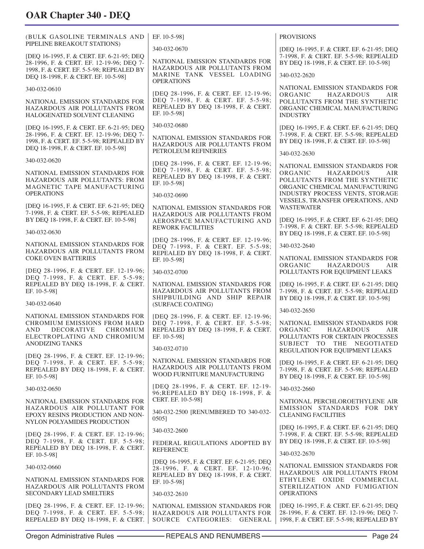| (BULK GASOLINE TERMINALS AND<br>PIPELINE BREAKOUT STATIONS)                                                                                                             | EF. 10-5-981                                                                                                                        | <b>PROVISIONS</b>                                                                                                                      |
|-------------------------------------------------------------------------------------------------------------------------------------------------------------------------|-------------------------------------------------------------------------------------------------------------------------------------|----------------------------------------------------------------------------------------------------------------------------------------|
|                                                                                                                                                                         | 340-032-0670                                                                                                                        | [DEQ 16-1995, F. & CERT. EF. 6-21-95; DEQ<br>7-1998, F. & CERT. EF. 5-5-98; REPEALED                                                   |
| [DEQ 16-1995, F. & CERT. EF. 6-21-95; DEQ<br>28-1996, F. & CERT. EF. 12-19-96; DEQ 7-                                                                                   | NATIONAL EMISSION STANDARDS FOR                                                                                                     | BY DEQ 18-1998, F. & CERT. EF. 10-5-98]                                                                                                |
| 1998, F. & CERT. EF. 5-5-98; REPEALED BY<br>DEQ 18-1998, F. & CERT. EF. 10-5-98]                                                                                        | HAZARDOUS AIR POLLUTANTS FROM<br>MARINE TANK VESSEL LOADING<br><b>OPERATIONS</b>                                                    | 340-032-2620                                                                                                                           |
| 340-032-0610                                                                                                                                                            | [DEQ 28-1996, F. & CERT. EF. 12-19-96;                                                                                              | NATIONAL EMISSION STANDARDS FOR                                                                                                        |
| NATIONAL EMISSION STANDARDS FOR<br>HAZARDOUS AIR POLLUTANTS FROM<br>HALOGENATED SOLVENT CLEANING                                                                        | DEQ 7-1998, F. & CERT. EF. 5-5-98;<br>REPEALED BY DEQ 18-1998, F. & CERT.<br>EF. 10-5-981                                           | HAZARDOUS<br>AIR<br>ORGANIC<br>POLLUTANTS FROM THE SYNTHETIC<br>ORGANIC CHEMICAL MANUFACTURING<br><b>INDUSTRY</b>                      |
| [DEQ 16-1995, F. & CERT. EF. 6-21-95; DEQ                                                                                                                               | 340-032-0680                                                                                                                        | [DEQ 16-1995, F. & CERT. EF. 6-21-95; DEQ                                                                                              |
| 28-1996, F. & CERT. EF. 12-19-96; DEQ 7-<br>1998, F. & CERT. EF. 5-5-98; REPEALED BY<br>DEQ 18-1998, F. & CERT. EF. 10-5-98]                                            | NATIONAL EMISSION STANDARDS FOR<br>HAZARDOUS AIR POLLUTANTS FROM<br>PETROLEUM REFINERIES                                            | 7-1998, F. & CERT. EF. 5-5-98; REPEALED<br>BY DEQ 18-1998, F. & CERT. EF. 10-5-98]                                                     |
| 340-032-0620                                                                                                                                                            | [DEQ 28-1996, F. & CERT. EF. 12-19-96;                                                                                              | 340-032-2630                                                                                                                           |
| NATIONAL EMISSION STANDARDS FOR<br>HAZARDOUS AIR POLLUTANTS: FROM<br>MAGNETIC TAPE MANUFACTURING                                                                        | DEQ 7-1998, F. & CERT. EF. 5-5-98;<br>REPEALED BY DEQ 18-1998, F. & CERT.<br>EF. 10-5-98]                                           | NATIONAL EMISSION STANDARDS FOR<br>ORGANIC<br>HAZARDOUS<br>AIR<br>POLLUTANTS FROM THE SYNTHETIC<br>ORGANIC CHEMICAL MANUFACTURING      |
| <b>OPERATIONS</b>                                                                                                                                                       | 340-032-0690                                                                                                                        | INDUSTRY PROCESS VENTS, STORAGE<br>VESSELS, TRANSFER OPERATIONS, AND                                                                   |
| IDEO 16-1995, F. & CERT. EF. 6-21-95; DEO<br>7-1998, F. & CERT. EF. 5-5-98; REPEALED<br>BY DEQ 18-1998, F. & CERT. EF. 10-5-98]                                         | NATIONAL EMISSION STANDARDS FOR<br>HAZARDOUS AIR POLLUTANTS FROM                                                                    | <b>WASTEWATER</b><br>[DEQ 16-1995, F. & CERT. EF. 6-21-95; DEQ                                                                         |
| 340-032-0630                                                                                                                                                            | AEROSPACE MANUFACTURING AND<br><b>REWORK FACILITIES</b>                                                                             | 7-1998, F. & CERT. EF. 5-5-98; REPEALED                                                                                                |
| NATIONAL EMISSION STANDARDS FOR                                                                                                                                         | [DEO 28-1996, F. & CERT. EF. 12-19-96;                                                                                              | BY DEQ 18-1998, F. & CERT. EF. 10-5-98]                                                                                                |
| HAZARDOUS AIR POLLUTANTS FROM                                                                                                                                           | DEQ 7-1998, F. & CERT. EF. 5-5-98;<br>REPEALED BY DEQ 18-1998, F. & CERT.                                                           | 340-032-2640                                                                                                                           |
| <b>COKE OVEN BATTERIES</b><br>[DEQ 28-1996, F. & CERT. EF. 12-19-96;                                                                                                    | EF. 10-5-981<br>340-032-0700                                                                                                        | NATIONAL EMISSION STANDARDS FOR<br>ORGANIC<br>HAZARDOUS<br>AIR<br>POLLUTANTS FOR EQUIPMENT LEAKS                                       |
| DEQ 7-1998, F. & CERT. EF. 5-5-98;<br>REPEALED BY DEQ 18-1998, F. & CERT.<br>EF. 10-5-981                                                                               | NATIONAL EMISSION STANDARDS FOR<br>HAZARDOUS AIR POLLUTANTS FROM<br>SHIPBUILDING AND SHIP REPAIR                                    | [DEQ 16-1995, F. & CERT. EF. 6-21-95; DEQ<br>7-1998, F. & CERT. EF. 5-5-98; REPEALED<br>BY DEQ 18-1998, F. & CERT. EF. 10-5-98]        |
| 340-032-0640                                                                                                                                                            | (SURFACE COATING)                                                                                                                   | 340-032-2650                                                                                                                           |
| NATIONAL EMISSION STANDARDS FOR<br>CHROMIUM EMISSIONS FROM HARD<br>AND<br><b>DECORATIVE</b><br><b>CHROMIUM</b><br>ELECTROPLATING AND CHROMIUM<br><b>ANODIZING TANKS</b> | IDEO 28-1996, F. & CERT, EF. 12-19-96;<br>DEQ 7-1998, F. & CERT. EF. 5-5-98;<br>REPEALED BY DEQ 18-1998, F. & CERT.<br>EF. 10-5-98] | NATIONAL EMISSION STANDARDS FOR<br>ORGANIC<br><b>HAZARDOUS</b><br>AIR<br>POLLUTANTS FOR CERTAIN PROCESSES<br>SUBJECT TO THE NEGOTIATED |
| [DEQ 28-1996, F. & CERT. EF. 12-19-96;                                                                                                                                  | 340-032-0710                                                                                                                        | REGULATION FOR EQUIPMENT LEAKS                                                                                                         |
| DEQ 7-1998, F. & CERT. EF. 5-5-98;<br>REPEALED BY DEQ 18-1998, F. & CERT.<br>EF. 10-5-98]                                                                               | NATIONAL EMISSION STANDARDS FOR<br>HAZARDOUS AIR POLLUTANTS FROM<br>WOOD FURNITURE MANUFACTURING                                    | [DEQ 16-1995, F. & CERT. EF. 6-21-95; DEQ<br>7-1998, F. & CERT. EF. 5-5-98; REPEALED<br>BY DEQ 18-1998, F. & CERT. EF. 10-5-98]        |
| 340-032-0650                                                                                                                                                            | [DEQ 28-1996, F. & CERT. EF. 12-19-<br>96; REPEALED BY DEQ 18-1998, F. &                                                            | 340-032-2660                                                                                                                           |
| NATIONAL EMISSION STANDARDS FOR                                                                                                                                         | CERT. EF. 10-5-98]                                                                                                                  | NATIONAL PERCHLOROETHYLENE AIR                                                                                                         |
| HAZARDOUS AIR POLLUTANT FOR<br>EPOXY RESINS PRODUCTION AND NON-<br>NYLON POLYAMIDES PRODUCTION                                                                          | 340-032-2500 [RENUMBERED TO 340-032-<br>05051                                                                                       | EMISSION STANDARDS FOR DRY<br><b>CLEANING FACILITIES</b>                                                                               |
| [DEQ 28-1996, F. & CERT. EF. 12-19-96;                                                                                                                                  | 340-032-2600                                                                                                                        | [DEQ 16-1995, F. & CERT. EF. 6-21-95; DEQ<br>7-1998, F. & CERT. EF. 5-5-98; REPEALED                                                   |
| DEQ 7-1998, F. & CERT. EF. 5-5-98;<br>REPEALED BY DEQ 18-1998, F. & CERT.                                                                                               | FEDERAL REGULATIONS ADOPTED BY<br><b>REFERENCE</b>                                                                                  | BY DEQ 18-1998, F. & CERT. EF. 10-5-98]                                                                                                |
| EF. 10-5-98]                                                                                                                                                            | [DEQ 16-1995, F. & CERT. EF. 6-21-95; DEQ                                                                                           | 340-032-2670                                                                                                                           |
| 340-032-0660                                                                                                                                                            | 28-1996, F. & CERT. EF. 12-10-96;<br>REPEALED BY DEQ 18-1998, F. & CERT.                                                            | NATIONAL EMISSION STANDARDS FOR<br>HAZARDOUS AIR POLLUTANTS FROM                                                                       |
| NATIONAL EMISSION STANDARDS FOR<br>HAZARDOUS AIR POLLUTANTS FROM<br><b>SECONDARY LEAD SMELTERS</b>                                                                      | EF. 10-5-981<br>340-032-2610                                                                                                        | ETHYLENE OXIDE COMMERCIAL<br>STERILIZATION AND FUMIGATION<br><b>OPERATIONS</b>                                                         |
| [DEQ 28-1996, F. & CERT. EF. 12-19-96;<br>DEQ 7-1998, F. & CERT. EF. 5-5-98;<br>REPEALED BY DEQ 18-1998, F. & CERT.                                                     | NATIONAL EMISSION STANDARDS FOR<br>HAZARDOUS AIR POLLUTANTS FOR<br>SOURCE CATEGORIES: GENERAL                                       | [DEQ 16-1995, F. & CERT. EF. 6-21-95; DEQ<br>28-1996, F. & CERT. EF. 12-19-96; DEQ 7-<br>1998, F. & CERT. EF. 5-5-98; REPEALED BY      |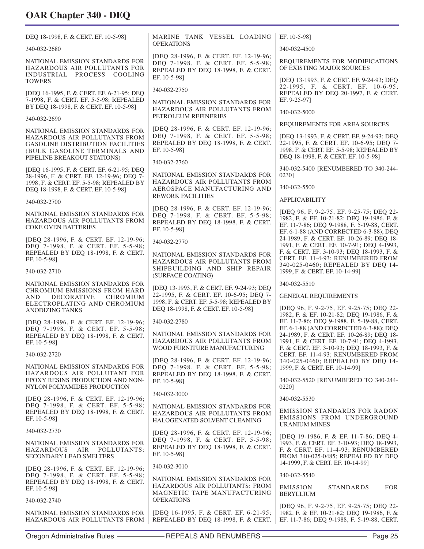| DEO 18-1998, F. & CERT. EF. 10-5-981                                                                                                        | MARINE TANK VESSEL LOADING                                                                                                          | EF. 10-5-981                                                                                                                                                                   |
|---------------------------------------------------------------------------------------------------------------------------------------------|-------------------------------------------------------------------------------------------------------------------------------------|--------------------------------------------------------------------------------------------------------------------------------------------------------------------------------|
| 340-032-2680                                                                                                                                | <b>OPERATIONS</b>                                                                                                                   | 340-032-4500                                                                                                                                                                   |
| NATIONAL EMISSION STANDARDS FOR<br>HAZARDOUS AIR POLLUTANTS FOR<br>INDUSTRIAL PROCESS COOLING                                               | [DEQ 28-1996, F. & CERT. EF. 12-19-96;<br>DEQ 7-1998, F. & CERT. EF. 5-5-98;<br>REPEALED BY DEQ 18-1998, F. & CERT.                 | REQUIREMENTS FOR MODIFICATIONS<br>OF EXISTING MAJOR SOURCES                                                                                                                    |
| <b>TOWERS</b><br>[DEQ 16-1995, F. & CERT. EF. 6-21-95; DEQ                                                                                  | EF. 10-5-98]<br>340-032-2750                                                                                                        | [DEQ 13-1993, F. & CERT. EF. 9-24-93; DEQ<br>22-1995, F. & CERT. EF. 10-6-95;<br>REPEALED BY DEQ 20-1997, F. & CERT.                                                           |
| 7-1998, F. & CERT. EF. 5-5-98; REPEALED<br>BY DEQ 18-1998, F. & CERT. EF. 10-5-98]<br>340-032-2690                                          | NATIONAL EMISSION STANDARDS FOR<br>HAZARDOUS AIR POLLUTANTS FROM<br>PETROLEUM REFINERIES                                            | EF. 9-25-97]<br>340-032-5000                                                                                                                                                   |
|                                                                                                                                             | [DEQ 28-1996, F. & CERT. EF. 12-19-96;                                                                                              | REQUIREMENTS FOR AREA SOURCES                                                                                                                                                  |
| NATIONAL EMISSION STANDARDS FOR<br>HAZARDOUS AIR POLLUTANTS FROM<br><b>GASOLINE DISTRIBUTION FACILITIES</b><br>(BULK GASOLINE TERMINALS AND | DEQ 7-1998, F. & CERT. EF. 5-5-98;<br>REPEALED BY DEQ 18-1998, F. & CERT.<br>EF. 10-5-981                                           | [DEQ 13-1993, F. & CERT. EF. 9-24-93; DEQ<br>22-1995, F. & CERT. EF. 10-6-95; DEQ 7-<br>1998, F. & CERT. EF. 5-5-98; REPEALED BY<br>DEQ 18-1998, F. & CERT. EF. 10-5-98]       |
| PIPELINE BREAKOUT STATIONS)                                                                                                                 | 340-032-2760                                                                                                                        | 340-032-5400 [RENUMBERED TO 340-244-                                                                                                                                           |
| [DEQ 16-1995, F. & CERT. EF. 6-21-95; DEQ<br>28-1996, F. & CERT. EF. 12-19-96; DEQ 7-                                                       | NATIONAL EMISSION STANDARDS FOR<br>HAZARDOUS AIR POLLUTANTS FROM                                                                    | 0230]                                                                                                                                                                          |
| 1998, F. & CERT. EF. 5-5-98; REPEALED BY<br>DEQ 18-1998, F. & CERT. EF. 10-5-98]                                                            | AEROSPACE MANUFACTURING AND                                                                                                         | 340-032-5500                                                                                                                                                                   |
| 340-032-2700                                                                                                                                | <b>REWORK FACILITIES</b>                                                                                                            | <b>APPLICABILITY</b>                                                                                                                                                           |
| NATIONAL EMISSION STANDARDS FOR<br>HAZARDOUS AIR POLLUTANTS FROM<br><b>COKE OVEN BATTERIES</b>                                              | [DEQ 28-1996, F. & CERT. EF. 12-19-96;<br>DEQ 7-1998, F. & CERT. EF. 5-5-98;<br>REPEALED BY DEQ 18-1998, F. & CERT.<br>EF. 10-5-981 | IDEO 96, F. 9-2-75, EF. 9-25-75; DEO 22-<br>1982, F. & EF. 10-21-82; DEQ 19-1986, F. &<br>EF. 11-7-86; DEQ 9-1988, F. 5-19-88, CERT.<br>EF. 6-1-88 (AND CORRECTED 6-3-88); DEQ |
| [DEQ 28-1996, F. & CERT. EF. 12-19-96;<br>DEQ 7-1998, F. & CERT. EF. 5-5-98;<br>REPEALED BY DEQ 18-1998, F. & CERT.                         | 340-032-2770<br>NATIONAL EMISSION STANDARDS FOR                                                                                     | 24-1989, F. & CERT. EF. 10-26-89; DEQ 18-<br>1991, F. & CERT. EF. 10-7-91; DEQ 4-1993,<br>F. & CERT. EF. 3-10-93; DEQ 18-1993, F. &                                            |
| EF. 10-5-98]<br>340-032-2710                                                                                                                | HAZARDOUS AIR POLLUTANTS FROM<br>SHIPBUILDING AND SHIP REPAIR<br>(SURFACE COATING)                                                  | CERT. EF. 11-4-93; RENUMBERED FROM<br>340-025-0460; REPEALED BY DEQ 14-<br>1999, F. & CERT. EF. 10-14-99]                                                                      |
| NATIONAL EMISSION STANDARDS FOR<br>CHROMIUM EMISSIONS FROM HARD                                                                             | [DEQ 13-1993, F. & CERT. EF. 9-24-93; DEQ                                                                                           | 340-032-5510                                                                                                                                                                   |
| <b>DECORATIVE</b><br><b>CHROMIUM</b><br>AND.<br>ELECTROPLATING AND CHROMIUM                                                                 | 22-1995, F. & CERT. EF. 10-6-95; DEQ 7-<br>1998, F. & CERT. EF. 5-5-98; REPEALED BY                                                 | <b>GENERAL REQUIREMENTS</b>                                                                                                                                                    |
| <b>ANODIZING TANKS</b>                                                                                                                      | DEQ 18-1998, F. & CERT. EF. 10-5-98]                                                                                                | [DEQ 96, F. 9-2-75, EF. 9-25-75; DEQ 22-<br>1982, F. & EF. 10-21-82; DEQ 19-1986, F. &                                                                                         |
| [DEQ 28-1996, F. & CERT. EF. 12-19-96; 340-032-2780<br>DEQ 7-1998, F. & CERT. EF. 5-5-98;                                                   |                                                                                                                                     | EF. 11-7-86; DEQ 9-1988, F. 5-19-88, CERT.<br>EF. 6-1-88 (AND CORRECTED 6-3-88); DEQ                                                                                           |
| REPEALED BY DEQ 18-1998, F. & CERT.<br>EF. 10-5-98]                                                                                         | NATIONAL EMISSION STANDARDS FOR<br>HAZARDOUS AIR POLLUTANTS FROM<br>WOOD FURNITURE MANUFACTURING                                    | 24-1989, F. & CERT. EF. 10-26-89; DEQ 18-<br>1991, F. & CERT. EF. 10-7-91; DEQ 4-1993,<br>F. & CERT. EF. 3-10-93; DEQ 18-1993, F. &                                            |
| 340-032-2720                                                                                                                                | [DEQ 28-1996, F. & CERT. EF. 12-19-96;                                                                                              | CERT. EF. 11-4-93; RENUMBERED FROM<br>340-025-0460; REPEALED BY DEQ 14-                                                                                                        |
| NATIONAL EMISSION STANDARDS FOR<br>HAZARDOUS AIR POLLUTANT FOR<br>EPOXY RESINS PRODUCTION AND NON-                                          | DEQ 7-1998, F. & CERT. EF. 5-5-98;<br>REPEALED BY DEQ 18-1998, F. & CERT.<br>EF. 10-5-981                                           | 1999, F. & CERT. EF. 10-14-99]<br>340-032-5520 [RENUMBERED TO 340-244-                                                                                                         |
| NYLON POLYAMIDES PRODUCTION                                                                                                                 | 340-032-3000                                                                                                                        | 0220]                                                                                                                                                                          |
| [DEQ 28-1996, F. & CERT. EF. 12-19-96;<br>DEQ 7-1998, F. & CERT. EF. 5-5-98;                                                                | NATIONAL EMISSION STANDARDS FOR                                                                                                     | 340-032-5530                                                                                                                                                                   |
| REPEALED BY DEQ 18-1998, F. & CERT.<br>EF. 10-5-98]                                                                                         | HAZARDOUS AIR POLLUTANTS FROM<br>HALOGENATED SOLVENT CLEANING                                                                       | <b>EMISSION STANDARDS FOR RADON</b><br>EMISSIONS FROM UNDERGROUND<br><b>URANIUM MINES</b>                                                                                      |
| 340-032-2730                                                                                                                                | [DEQ 28-1996, F. & CERT. EF. 12-19-96;                                                                                              | [DEQ 19-1986, F. & EF. 11-7-86; DEQ 4-                                                                                                                                         |
| NATIONAL EMISSION STANDARDS FOR<br>HAZARDOUS<br>AIR<br>POLLUTANTS:<br>SECONDARY LEAD SMELTERS                                               | DEQ 7-1998, F. & CERT. EF. 5-5-98;<br>REPEALED BY DEQ 18-1998, F. & CERT.<br>EF. 10-5-981                                           | 1993, F. & CERT. EF. 3-10-93; DEO 18-1993,<br>F. & CERT. EF. 11-4-93; RENUMBERED<br>FROM 340-025-0485; REPEALED BY DEQ                                                         |
| [DEQ 28-1996, F. & CERT. EF. 12-19-96;                                                                                                      | 340-032-3010                                                                                                                        | 14-1999, F. & CERT. EF. 10-14-99]                                                                                                                                              |
| DEQ 7-1998, F. & CERT. EF. 5-5-98;<br>REPEALED BY DEQ 18-1998, F. & CERT.<br>EF. 10-5-98]                                                   | NATIONAL EMISSION STANDARDS FOR<br>HAZARDOUS AIR POLLUTANTS: FROM<br>MAGNETIC TAPE MANUFACTURING                                    | 340-032-5540<br><b>EMISSION</b><br><b>STANDARDS</b><br><b>FOR</b><br><b>BERYLLIUM</b>                                                                                          |
| 340-032-2740                                                                                                                                | <b>OPERATIONS</b>                                                                                                                   | [DEQ 96, F. 9-2-75, EF. 9-25-75; DEQ 22-                                                                                                                                       |
| NATIONAL EMISSION STANDARDS FOR                                                                                                             | [DEQ 16-1995, F. & CERT. EF. 6-21-95;                                                                                               | 1982, F. & EF. 10-21-82; DEQ 19-1986, F. &                                                                                                                                     |

HAZARDOUS AIR POLLUTANTS FROM

REPEALED BY DEQ 18-1998, F. & CERT.

EF. 11-7-86; DEQ 9-1988, F. 5-19-88, CERT.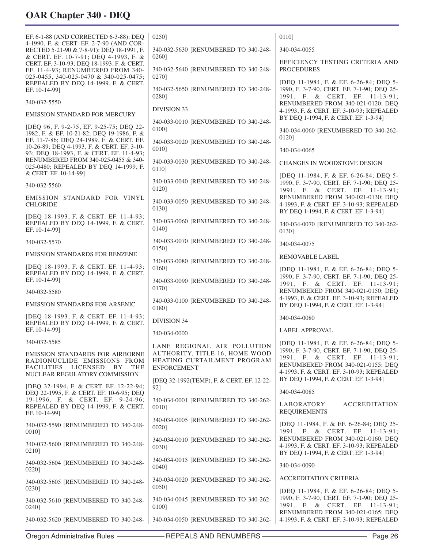EF. 6-1-88 (AND CORRECTED 6-3-88); DEQ 4-1990, F. & CERT. EF. 2-7-90 (AND COR-RECTED 5-21-90 & 7-8-91); DEQ 18-1991, F. & CERT. EF. 10-7-91; DEQ 4-1993, F. & CERT. EF. 3-10-93; DEQ 18-1993, F. & CERT. EF. 11-4-93; RENUMBERED FROM 340- 025-0455, 340-025-0470 & 340-025-0475; REPEALED BY DEQ 14-1999, F. & CERT. EF. 10-14-99] 340-032-5550 EMISSION STANDARD FOR MERCURY [DEQ 96, F. 9-2-75, EF. 9-25-75; DEQ 22- 1982, F. & EF. 10-21-82; DEQ 19-1986, F. & EF. 11-7-86; DEQ 24-1989, F. & CERT. EF. 10-26-89; DEQ 4-1993, F. & CERT. EF. 3-10- 93; DEQ 18-1993, F. & CERT. EF. 11-4-93; RENUMBERED FROM 340-025-0455 & 340- 025-0480; REPEALED BY DEQ 14-1999, F. & CERT. EF. 10-14-99] 340-032-5560 EMISSION STANDARD FOR VINYL CHLORIDE [DEQ 18-1993, F. & CERT. EF. 11-4-93; REPEALED BY DEQ 14-1999, F. & CERT. EF. 10-14-99] 340-032-5570 EMISSION STANDARDS FOR BENZENE [DEQ 18-1993, F. & CERT. EF. 11-4-93; REPEALED BY DEQ 14-1999, F. & CERT. EF. 10-14-99] 340-032-5580 EMISSION STANDARDS FOR ARSENIC [DEQ 18-1993, F. & CERT. EF. 11-4-93; REPEALED BY DEQ 14-1999, F. & CERT. EF. 10-14-99] 340-032-5585 EMISSION STANDARDS FOR AIRBORNE RADIONUCLIDE EMISSIONS FROM FACILITIES LICENSED BY THE NUCLEAR REGULATORY COMMISSION [DEQ 32-1994, F. & CERT. EF. 12-22-94; DEQ 22-1995, F. & CERT. EF. 10-6-95; DEQ 19-1996, F. & CERT. EF. 9-24-96; REPEALED BY DEQ 14-1999, F. & CERT. EF. 10-14-99] 340-032-5590 [RENUMBERED TO 340-248- 0010] 340-032-5600 [RENUMBERED TO 340-248- 0210] 340-032-5604 [RENUMBERED TO 340-248- 0220] 340-032-5605 [RENUMBERED TO 340-248- 0230] 340-032-5610 [RENUMBERED TO 340-248- 0240] 340-032-5620 [RENUMBERED TO 340-248- 0250] 340-032-5630 [RENUMBERED TO 340-248- 0260] 340-032-5640 [RENUMBERED TO 340-248- 0270] 340-032-5650 [RENUMBERED TO 340-248- 0280] DIVISION 33 340-033-0010 [RENUMBERED TO 340-248- 0100] 340-033-0020 [RENUMBERED TO 340-248- 0010] 340-033-0030 [RENUMBERED TO 340-248- 0110] 340-033-0040 [RENUMBERED TO 340-248- 0120] 340-033-0050 [RENUMBERED TO 340-248- 0130] 340-033-0060 [RENUMBERED TO 340-248- 0140] 340-033-0070 [RENUMBERED TO 340-248- 0150] 340-033-0080 [RENUMBERED TO 340-248- 0160] 340-033-0090 [RENUMBERED TO 340-248- 0170] 340-033-0100 [RENUMBERED TO 340-248- 0180] DIVISION 34 340-034-0000 LANE REGIONAL AIR POLLUTION AUTHORITY, TITLE 16, HOME WOOD HEATING CURTAILMENT PROGRAM ENFORCEMENT [DEQ 32-1992(TEMP), F. & CERT. EF. 12-22- 92] 340-034-0001 [RENUMBERED TO 340-262- 0010] 340-034-0005 [RENUMBERED TO 340-262- 0020] 340-034-0010 [RENUMBERED TO 340-262- 0030] 340-034-0015 [RENUMBERED TO 340-262- 0040] 340-034-0020 [RENUMBERED TO 340-262- 0050] 340-034-0045 [RENUMBERED TO 340-262- 0100] 340-034-0050 [RENUMBERED TO 340-262- 0110] 340-034-0055 EFFICIENCY TESTING CRITERIA AND PROCEDURES [DEQ 11-1984, F. & EF. 6-26-84; DEQ 5- 1990, F. 3-7-90, CERT. EF. 7-1-90; DEQ 25- 1991, F. & CERT. EF. 11-13-91; RENUMBERED FROM 340-021-0120; DEQ 4-1993, F. & CERT. EF. 3-10-93; REPEALED BY DEQ 1-1994, F. & CERT. EF. 1-3-94] 340-034-0060 [RENUMBERED TO 340-262- 0120] 340-034-0065 CHANGES IN WOODSTOVE DESIGN [DEQ 11-1984, F. & EF. 6-26-84; DEQ 5- 1990, F. 3-7-90, CERT. EF. 7-1-90; DEQ 25- 1991, F. & CERT. EF. 11-13-91; RENUMBERED FROM 340-021-0130; DEQ 4-1993, F. & CERT. EF. 3-10-93; REPEALED BY DEQ 1-1994, F. & CERT. EF. 1-3-94] 340-034-0070 [RENUMBERED TO 340-262- 0130] 340-034-0075 REMOVABLE LABEL [DEQ 11-1984, F. & EF. 6-26-84; DEQ 5- 1990, F. 3-7-90, CERT. EF. 7-1-90; DEQ 25- 1991, F. & CERT. EF. 11-13-91; RENUMBERED FROM 340-021-0150; DEQ 4-1993, F. & CERT. EF. 3-10-93; REPEALED BY DEQ 1-1994, F. & CERT. EF. 1-3-94] 340-034-0080 LABEL APPROVAL [DEQ 11-1984, F. & EF. 6-26-84; DEQ 5- 1990, F. 3-7-90, CERT. EF. 7-1-90; DEQ 25- 1991, F. & CERT. EF. 11-13-91; RENUMBERED FROM 340-021-0155; DEQ 4-1993, F. & CERT. EF. 3-10-93; REPEALED BY DEQ 1-1994, F. & CERT. EF. 1-3-94] 340-034-0085 LABORATORY ACCREDITATION REQUIREMENTS [DEQ 11-1984, F. & EF. 6-26-84; DEQ 25- 1991, F. & CERT. EF. 11-13-91; RENUMBERED FROM 340-021-0160; DEQ 4-1993, F. & CERT. EF. 3-10-93; REPEALED BY DEQ 1-1994, F. & CERT. EF. 1-3-94] 340-034-0090 ACCREDITATION CRITERIA [DEQ 11-1984, F. & EF. 6-26-84; DEQ 5- 1990, F. 3-7-90, CERT. EF. 7-1-90; DEQ 25- 1991, F. & CERT. EF. 11-13-91; RENUMBERED FROM 340-021-0165; DEQ 4-1993, F. & CERT. EF. 3-10-93; REPEALED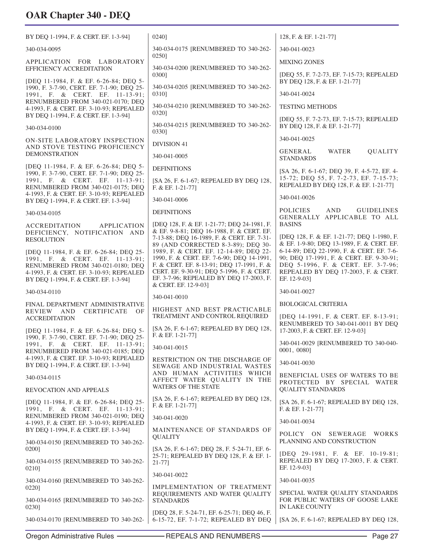| BY DEQ 1-1994, F. & CERT. EF. 1-3-94]                                                                                                                                                               | 0240]                                                                                                                                                                                                                                                                                  | 128, F. & EF. 1-21-77]                                                                                                                                                                                                          |
|-----------------------------------------------------------------------------------------------------------------------------------------------------------------------------------------------------|----------------------------------------------------------------------------------------------------------------------------------------------------------------------------------------------------------------------------------------------------------------------------------------|---------------------------------------------------------------------------------------------------------------------------------------------------------------------------------------------------------------------------------|
| 340-034-0095                                                                                                                                                                                        | 340-034-0175 [RENUMBERED TO 340-262-                                                                                                                                                                                                                                                   | 340-041-0023                                                                                                                                                                                                                    |
| APPLICATION FOR LABORATORY                                                                                                                                                                          | 0250]                                                                                                                                                                                                                                                                                  | <b>MIXING ZONES</b>                                                                                                                                                                                                             |
| <b>EFFICIENCY ACCREDITATION</b><br>[DEQ 11-1984, F. & EF. 6-26-84; DEQ 5-                                                                                                                           | 340-034-0200 [RENUMBERED TO 340-262-<br>03001                                                                                                                                                                                                                                          | [DEQ 55, F. 7-2-73, EF. 7-15-73; REPEALED<br>BY DEQ 128, F. & EF. 1-21-77]                                                                                                                                                      |
| 1990, F. 3-7-90, CERT. EF. 7-1-90; DEQ 25-<br>1991, F. & CERT. EF. 11-13-91;                                                                                                                        | 340-034-0205 [RENUMBERED TO 340-262-<br>0310]                                                                                                                                                                                                                                          | 340-041-0024                                                                                                                                                                                                                    |
| RENUMBERED FROM 340-021-0170; DEQ<br>4-1993, F. & CERT. EF. 3-10-93; REPEALED<br>BY DEQ 1-1994, F. & CERT. EF. 1-3-94]                                                                              | 340-034-0210 [RENUMBERED TO 340-262-<br>0320]                                                                                                                                                                                                                                          | <b>TESTING METHODS</b>                                                                                                                                                                                                          |
| 340-034-0100                                                                                                                                                                                        | 340-034-0215 [RENUMBERED TO 340-262-<br>03301                                                                                                                                                                                                                                          | [DEQ 55, F. 7-2-73, EF. 7-15-73; REPEALED<br>BY DEQ 128, F. & EF. 1-21-77]                                                                                                                                                      |
| ON-SITE LABORATORY INSPECTION<br>AND STOVE TESTING PROFICIENCY                                                                                                                                      | <b>DIVISION 41</b>                                                                                                                                                                                                                                                                     | 340-041-0025<br>GENERAL<br><b>WATER</b><br>QUALITY                                                                                                                                                                              |
| <b>DEMONSTRATION</b>                                                                                                                                                                                | 340-041-0005                                                                                                                                                                                                                                                                           | <b>STANDARDS</b>                                                                                                                                                                                                                |
| [DEQ 11-1984, F. & EF. 6-26-84; DEQ 5-<br>1990, F. 3-7-90, CERT. EF. 7-1-90; DEQ 25-<br>1991, F. & CERT. EF. 11-13-91;                                                                              | <b>DEFINITIONS</b><br>[SA 26, F. 6-1-67; REPEALED BY DEQ 128,                                                                                                                                                                                                                          | [SA 26, F. 6-1-67; DEQ 39, F. 4-5-72, EF. 4-<br>15-72; DEQ 55, F. 7-2-73, EF. 7-15-73;                                                                                                                                          |
| RENUMBERED FROM 340-021-0175; DEQ<br>4-1993, F. & CERT. EF. 3-10-93; REPEALED                                                                                                                       | F. & EF. 1-21-77]                                                                                                                                                                                                                                                                      | REPEALED BY DEQ 128, F. & EF. 1-21-77]                                                                                                                                                                                          |
| BY DEQ 1-1994, F. & CERT. EF. 1-3-94]                                                                                                                                                               | 340-041-0006                                                                                                                                                                                                                                                                           | 340-041-0026                                                                                                                                                                                                                    |
| 340-034-0105                                                                                                                                                                                        | <b>DEFINITIONS</b>                                                                                                                                                                                                                                                                     | <b>POLICIES</b><br><b>AND</b><br><b>GUIDELINES</b><br>GENERALLY APPLICABLE TO ALL                                                                                                                                               |
| <b>ACCREDITATION</b><br><b>APPLICATION</b><br>DEFICIENCY, NOTIFICATION AND<br><b>RESOLUTION</b>                                                                                                     | [DEQ 128, F. & EF. 1-21-77; DEQ 24-1981, F.<br>& EF. 9-8-81; DEQ 16-1988, F. & CERT. EF.<br>7-13-88; DEQ 16-1989, F. & CERT. EF. 7-31-                                                                                                                                                 | <b>BASINS</b><br>[DEQ 128, F. & EF. 1-21-77; DEQ 1-1980, F.                                                                                                                                                                     |
| [DEQ 11-1984, F. & EF. 6-26-84; DEQ 25-<br>1991, F. & CERT. EF. 11-13-91;<br>RENUMBERED FROM 340-021-0180; DEQ<br>4-1993, F. & CERT. EF. 3-10-93; REPEALED<br>BY DEQ 1-1994, F. & CERT. EF. 1-3-94] | 89 (AND CORRECTED 8-3-89); DEQ 30-<br>1989, F. & CERT. EF. 12-14-89; DEQ 22-<br>1990, F. & CERT. EF. 7-6-90; DEQ 14-1991,<br>F. & CERT. EF. 8-13-91; DEQ 17-1991, F. &<br>CERT. EF. 9-30-91; DEQ 5-1996, F. & CERT.<br>EF. 3-7-96; REPEALED BY DEQ 17-2003, F.<br>& CERT. EF. 12-9-03] | & EF. 1-9-80; DEQ 13-1989, F. & CERT. EF.<br>6-14-89; DEQ 22-1990, F. & CERT. EF. 7-6-<br>90; DEQ 17-1991, F. & CERT. EF. 9-30-91;<br>DEQ 5-1996, F. & CERT. EF. 3-7-96;<br>REPEALED BY DEQ 17-2003, F. & CERT.<br>EF. 12-9-03] |
| 340-034-0110                                                                                                                                                                                        | 340-041-0010                                                                                                                                                                                                                                                                           | 340-041-0027                                                                                                                                                                                                                    |
| FINAL DEPARTMENT ADMINISTRATIVE<br>REVIEW AND<br>CERTIFICATE OF                                                                                                                                     | HIGHEST AND BEST PRACTICABLE                                                                                                                                                                                                                                                           | <b>BIOLOGICAL CRITERIA</b>                                                                                                                                                                                                      |
| <b>ACCREDITATION</b><br>[DEQ 11-1984, F. & EF. 6-26-84; DEQ 5-                                                                                                                                      | TREATMENT AND CONTROL REQUIRED<br>[SA 26, F. 6-1-67; REPEALED BY DEQ 128,                                                                                                                                                                                                              | [DEQ 14-1991, F. & CERT. EF. 8-13-91;<br>RENUMBERED TO 340-041-0011 BY DEQ<br>17-2003, F. & CERT. EF. 12-9-03]                                                                                                                  |
| 1990, F. 3-7-90, CERT. EF. 7-1-90; DEQ 25-<br>1991, F. & CERT. EF. 11-13-91;                                                                                                                        | F. & EF. 1-21-77                                                                                                                                                                                                                                                                       | 340-041-0029 [RENUMBERED TO 340-040-                                                                                                                                                                                            |
| RENUMBERED FROM 340-021-0185; DEQ<br>4-1993, F. & CERT. EF. 3-10-93; REPEALED                                                                                                                       | 340-041-0015                                                                                                                                                                                                                                                                           | 0001, 0080]                                                                                                                                                                                                                     |
| BY DEQ 1-1994, F. & CERT. EF. 1-3-94]                                                                                                                                                               | RESTRICTION ON THE DISCHARGE OF<br>SEWAGE AND INDUSTRIAL WASTES                                                                                                                                                                                                                        | 340-041-0030                                                                                                                                                                                                                    |
| 340-034-0115                                                                                                                                                                                        | AND HUMAN ACTIVITIES WHICH<br>AFFECT WATER QUALITY IN THE<br><b>WATERS OF THE STATE</b>                                                                                                                                                                                                | BENEFICIAL USES OF WATERS TO BE<br>PROTECTED BY SPECIAL WATER                                                                                                                                                                   |
| REVOCATION AND APPEALS                                                                                                                                                                              | [SA 26, F. 6-1-67; REPEALED BY DEQ 128,                                                                                                                                                                                                                                                | <b>QUALITY STANDARDS</b><br>[SA 26, F. 6-1-67; REPEALED BY DEQ 128,                                                                                                                                                             |
| [DEQ 11-1984, F. & EF. 6-26-84; DEQ 25-<br>1991, F. & CERT. EF. 11-13-91;                                                                                                                           | F. & EF. 1-21-77]                                                                                                                                                                                                                                                                      | F. & EF. 1-21-771                                                                                                                                                                                                               |
| RENUMBERED FROM 340-021-0190; DEQ<br>4-1993, F. & CERT. EF. 3-10-93; REPEALED                                                                                                                       | 340-041-0020                                                                                                                                                                                                                                                                           | 340-041-0034                                                                                                                                                                                                                    |
| BY DEQ 1-1994, F. & CERT. EF. 1-3-94]<br>340-034-0150 [RENUMBERED TO 340-262-                                                                                                                       | MAINTENANCE OF STANDARDS OF<br><b>QUALITY</b>                                                                                                                                                                                                                                          | POLICY ON<br>SEWERAGE WORKS<br>PLANNING AND CONSTRUCTION                                                                                                                                                                        |
| 0200]                                                                                                                                                                                               | [SA 26, F. 6-1-67; DEQ 28, F. 5-24-71, EF. 6-<br>25-71; REPEALED BY DEQ 128, F. & EF. 1-                                                                                                                                                                                               | [DEQ 29-1981, F. & EF. 10-19-81;                                                                                                                                                                                                |
| 340-034-0155 [RENUMBERED TO 340-262-<br>0210]                                                                                                                                                       | $21 - 77$ ]                                                                                                                                                                                                                                                                            | REPEALED BY DEQ 17-2003, F. & CERT.<br>EF. 12-9-03]                                                                                                                                                                             |
| 340-034-0160 [RENUMBERED TO 340-262-                                                                                                                                                                | 340-041-0022                                                                                                                                                                                                                                                                           | 340-041-0035                                                                                                                                                                                                                    |
| 0220]<br>340-034-0165 [RENUMBERED TO 340-262-                                                                                                                                                       | IMPLEMENTATION OF TREATMENT<br>REQUIREMENTS AND WATER QUALITY<br><b>STANDARDS</b>                                                                                                                                                                                                      | SPECIAL WATER QUALITY STANDARDS<br>FOR PUBLIC WATERS OF GOOSE LAKE                                                                                                                                                              |
| 0230]<br>340-034-0170 [RENUMBERED TO 340-262-                                                                                                                                                       | [DEQ 28, F. 5-24-71, EF. 6-25-71; DEQ 46, F.<br>6-15-72, EF. 7-1-72; REPEALED BY DEQ                                                                                                                                                                                                   | IN LAKE COUNTY<br>[SA 26, F. 6-1-67; REPEALED BY DEQ 128,                                                                                                                                                                       |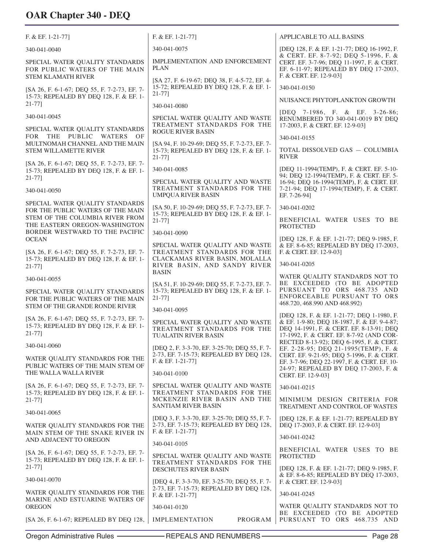| $F. & E. 1-21-77$                                                                                      | F. & EF. 1-21-77]                                                                                             | APPLICABLE TO ALL BASINS                                                                                                            |
|--------------------------------------------------------------------------------------------------------|---------------------------------------------------------------------------------------------------------------|-------------------------------------------------------------------------------------------------------------------------------------|
| 340-041-0040                                                                                           | 340-041-0075                                                                                                  | [DEQ 128, F. & EF. 1-21-77; DEQ 16-1992, F.<br>& CERT. EF. 8-7-92; DEQ 5-1996, F. &                                                 |
| SPECIAL WATER QUALITY STANDARDS<br>FOR PUBLIC WATERS OF THE MAIN<br><b>STEM KLAMATH RIVER</b>          | IMPLEMENTATION AND ENFORCEMENT<br><b>PLAN</b>                                                                 | CERT. EF. 3-7-96; DEQ 11-1997, F. & CERT.<br>EF. 6-11-97; REPEALED BY DEQ 17-2003,<br>F. & CERT. EF. 12-9-03]                       |
| [SA 26, F. 6-1-67; DEQ 55, F. 7-2-73, EF. 7-                                                           | [SA 27, F. 6-19-67; DEQ 38, F. 4-5-72, EF. 4-<br>15-72; REPEALED BY DEQ 128, F. & EF. 1-                      | 340-041-0150                                                                                                                        |
| 15-73; REPEALED BY DEQ 128, F. & EF. 1-<br>21-771                                                      | $21 - 77$ ]                                                                                                   | NUISANCE PHYTOPLANKTON GROWTH                                                                                                       |
| 340-041-0045                                                                                           | 340-041-0080<br>SPECIAL WATER QUALITY AND WASTE                                                               | [DEQ 7-1986, F. & EF. 3-26-86;<br>RENUMBERED TO 340-041-0019 BY DEO                                                                 |
| SPECIAL WATER QUALITY STANDARDS                                                                        | TREATMENT STANDARDS FOR THE<br><b>ROGUE RIVER BASIN</b>                                                       | 17-2003, F. & CERT. EF. 12-9-03]                                                                                                    |
| FOR THE PUBLIC WATERS OF<br>MULTNOMAH CHANNEL AND THE MAIN                                             | [SA 94, F. 10-29-69; DEQ 55, F. 7-2-73, EF. 7-                                                                | 340-041-0155                                                                                                                        |
| <b>STEM WILLAMETTE RIVER</b>                                                                           | 15-73; REPEALED BY DEQ 128, F. & EF. 1-<br>$21 - 77$ ]                                                        | TOTAL DISSOLVED GAS - COLUMBIA<br><b>RIVER</b>                                                                                      |
| [SA 26, F. 6-1-67; DEQ 55, F. 7-2-73, EF. 7-<br>15-73; REPEALED BY DEQ 128, F. & EF. 1-<br>$21 - 77$ ] | 340-041-0085                                                                                                  | [DEQ 11-1994(TEMP), F. & CERT. EF. 5-10-<br>94; DEQ 12-1994(TEMP), F. & CERT. EF. 5-                                                |
| 340-041-0050                                                                                           | SPECIAL WATER QUALITY AND WASTE<br>TREATMENT STANDARDS FOR THE<br><b>UMPOUA RIVER BASIN</b>                   | 16-94; DEQ 16-1994(TEMP), F. & CERT. EF.<br>7-21-94; DEQ 17-1994(TEMP), F. & CERT.<br>EF. 7-26-941                                  |
| SPECIAL WATER QUALITY STANDARDS<br>FOR THE PUBLIC WATERS OF THE MAIN                                   | [SA 50, F. 10-29-69; DEQ 55, F. 7-2-73, EF. 7-                                                                | 340-041-0202                                                                                                                        |
| STEM OF THE COLUMBIA RIVER FROM<br>THE EASTERN OREGON-WASHINGTON<br>BORDER WESTWARD TO THE PACIFIC     | 15-73; REPEALED BY DEQ 128, F. & EF. 1-<br>$21 - 77$ ]                                                        | BENEFICIAL WATER USES TO BE<br><b>PROTECTED</b>                                                                                     |
| <b>OCEAN</b>                                                                                           | 340-041-0090<br>SPECIAL WATER QUALITY AND WASTE                                                               | [DEQ 128, F. & EF. 1-21-77; DEQ 9-1985, F.<br>& EF. 8-6-85; REPEALED BY DEQ 17-2003,                                                |
| [SA 26, F. 6-1-67; DEQ 55, F. 7-2-73, EF. 7-<br>15-73; REPEALED BY DEQ 128, F. & EF. 1-<br>$21-77$ ]   | TREATMENT STANDARDS FOR THE<br>CLACKAMAS RIVER BASIN, MOLALLA<br>RIVER BASIN, AND SANDY RIVER                 | F. & CERT. EF. 12-9-03]<br>340-041-0205                                                                                             |
| 340-041-0055                                                                                           | <b>BASIN</b>                                                                                                  | WATER QUALITY STANDARDS NOT TO                                                                                                      |
| SPECIAL WATER QUALITY STANDARDS<br>FOR THE PUBLIC WATERS OF THE MAIN                                   | [SA 51, F. 10-29-69; DEQ 55, F. 7-2-73, EF. 7-<br>15-73; REPEALED BY DEQ 128, F. & EF. 1-<br>$21 - 77$ ]      | BE EXCEEDED (TO BE ADOPTED<br>PURSUANT TO ORS 468.735 AND<br>ENFORCEABLE PURSUANT TO ORS<br>468.720, 468.990 AND 468.992)           |
| STEM OF THE GRANDE RONDE RIVER                                                                         | 340-041-0095                                                                                                  | [DEQ 128, F. & EF. 1-21-77; DEQ 1-1980, F.                                                                                          |
| [SA 26, F. 6-1-67; DEQ 55, F. 7-2-73, EF. 7-<br>15-73; REPEALED BY DEQ 128, F. & EF. 1-<br>$21 - 77$ ] | SPECIAL WATER QUALITY AND WASTE<br>TREATMENT STANDARDS FOR THE<br><b>TUALATIN RIVER BASIN</b>                 | & EF. 1-9-80; DEQ 18-1987, F. & EF. 9-4-87;<br>DEQ 14-1991, F. & CERT. EF. 8-13-91; DEQ<br>17-1992, F. & CERT. EF. 8-7-92 (AND COR- |
| 340-041-0060                                                                                           | [DEQ 2, F. 3-3-70, EF. 3-25-70; DEQ 55, F. 7-                                                                 | RECTED 8-13-92); DEQ 6-1995, F. & CERT.<br>EF. 2-28-95; DEQ 21-1995(TEMP), F. &                                                     |
| WATER QUALITY STANDARDS FOR THE                                                                        | 2-73, EF. 7-15-73; REPEALED BY DEQ 128,<br>$F. & E. 1-21-77$                                                  | CERT. EF. 9-21-95; DEQ 5-1996, F. & CERT.<br>EF. 3-7-96; DEQ 22-1997, F. & CERT. EF. 10-                                            |
| PUBLIC WATERS OF THE MAIN STEM OF<br>THE WALLA WALLA RIVER                                             | 340-041-0100                                                                                                  | 24-97; REPEALED BY DEQ 17-2003, F. &<br>CERT. EF. 12-9-03]                                                                          |
| [SA 26, F. 6-1-67; DEQ 55, F. 7-2-73, EF. 7-                                                           | SPECIAL WATER QUALITY AND WASTE                                                                               | 340-041-0215                                                                                                                        |
| 15-73; REPEALED BY DEQ 128, F. & EF. 1-<br>21-77]                                                      | TREATMENT STANDARDS FOR THE<br>MCKENZIE RIVER BASIN AND THE                                                   | MINIMUM DESIGN CRITERIA FOR                                                                                                         |
| 340-041-0065                                                                                           | SANTIAM RIVER BASIN                                                                                           | TREATMENT AND CONTROL OF WASTES                                                                                                     |
| WATER QUALITY STANDARDS FOR THE<br>MAIN STEM OF THE SNAKE RIVER IN                                     | [DEQ 3, F. 3-3-70, EF. 3-25-70; DEQ 55, F. 7-<br>2-73, EF. 7-15-73; REPEALED BY DEQ 128,<br>F. & EF. 1-21-77] | [DEO 128, F. & EF. 1-21-77; REPEALED BY<br>DEQ 17-2003, F. & CERT. EF. 12-9-03]                                                     |
| AND ADJACENT TO OREGON                                                                                 | 340-041-0105                                                                                                  | 340-041-0242                                                                                                                        |
| [SA 26, F. 6-1-67; DEQ 55, F. 7-2-73, EF. 7-<br>15-73; REPEALED BY DEQ 128, F. & EF. 1-<br>$21 - 77$ ] | SPECIAL WATER QUALITY AND WASTE<br>TREATMENT STANDARDS FOR THE                                                | BENEFICIAL WATER USES TO BE<br><b>PROTECTED</b><br>[DEQ 128, F. & EF. 1-21-77; DEQ 9-1985, F.                                       |
| 340-041-0070                                                                                           | DESCHUTES RIVER BASIN<br>[DEQ 4, F. 3-3-70, EF. 3-25-70; DEQ 55, F. 7-                                        | & EF. 8-6-85; REPEALED BY DEQ 17-2003,<br>F. & CERT. EF. 12-9-03]                                                                   |
| WATER QUALITY STANDARDS FOR THE                                                                        | 2-73, EF. 7-15-73; REPEALED BY DEQ 128,                                                                       | 340-041-0245                                                                                                                        |
| MARINE AND ESTUARINE WATERS OF<br><b>OREGON</b>                                                        | F. & EF. 1-21-77]<br>340-041-0120                                                                             | WATER QUALITY STANDARDS NOT TO                                                                                                      |
| [SA 26, F. 6-1-67; REPEALED BY DEQ 128,                                                                | <b>IMPLEMENTATION</b><br>PROGRAM                                                                              | BE EXCEEDED (TO BE ADOPTED<br>PURSUANT TO ORS 468.735 AND                                                                           |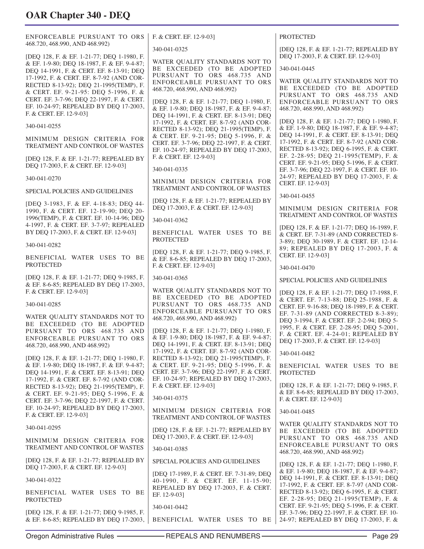ENFORCEABLE PURSUANT TO ORS 468.720, 468.990, AND 468.992)

[DEQ 128, F. & EF. 1-21-77; DEQ 1-1980, F. & EF. 1-9-80; DEQ 18-1987, F. & EF. 9-4-87; DEQ 14-1991, F. & CERT. EF. 8-13-91; DEQ 17-1992, F. & CERT. EF. 8-7-92 (AND COR-RECTED 8-13-92); DEQ 21-1995(TEMP), F. & CERT. EF. 9-21-95: DEQ 5-1996, F. & CERT. EF. 3-7-96; DEQ 22-1997, F. & CERT. EF. 10-24-97; REPEALED BY DEQ 17-2003, F. & CERT. EF. 12-9-03]

340-041-0255

MINIMUM DESIGN CRITERIA FOR TREATMENT AND CONTROL OF WASTES

[DEQ 128, F. & EF. 1-21-77; REPEALED BY DEQ 17-2003, F. & CERT. EF. 12-9-03]

340-041-0270

SPECIAL POLICIES AND GUIDELINES

[DEQ 3-1983, F. & EF. 4-18-83; DEQ 44- 1990, F. & CERT. EF. 12-19-90; DEQ 20- 1996(TEMP), F. & CERT. EF. 10-14-96; DEQ 4-1997, F. & CERT. EF. 3-7-97; REPEALED BY DEQ 17-2003, F. & CERT. EF. 12-9-03]

340-041-0282

BENEFICIAL WATER USES TO BE PROTECTED

[DEQ 128, F. & EF. 1-21-77; DEQ 9-1985, F. & EF. 8-6-85; REPEALED BY DEQ 17-2003, F. & CERT. EF. 12-9-03]

340-041-0285

WATER QUALITY STANDARDS NOT TO BE EXCEEDED (TO BE ADOPTED PURSUANT TO ORS 468.735 AND ENFORCEABLE PURSUANT TO ORS 468.720, 468.990, AND 468.992)

[DEQ 128, F. & EF. 1-21-77; DEQ 1-1980, F. & EF. 1-9-80; DEQ 18-1987, F. & EF. 9-4-87; DEQ 14-1991, F. & CERT. EF. 8-13-91; DEQ 17-1992, F. & CERT. EF. 8-7-92 (AND COR-RECTED 8-13-92); DEQ 21-1995(TEMP), F. & CERT. EF. 9-21-95; DEQ 5-1996, F. & CERT. EF. 3-7-96; DEQ 22-1997, F. & CERT. EF. 10-24-97; REPEALED BY DEQ 17-2003, F. & CERT. EF. 12-9-03]

340-041-0295

MINIMUM DESIGN CRITERIA FOR TREATMENT AND CONTROL OF WASTES

[DEQ 128, F. & EF. 1-21-77; REPEALED BY DEQ 17-2003, F. & CERT. EF. 12-9-03]

340-041-0322

BENEFICIAL WATER USES TO BE PROTECTED

[DEQ 128, F. & EF. 1-21-77; DEQ 9-1985, F. & EF. 8-6-85; REPEALED BY DEQ 17-2003, F. & CERT. EF. 12-9-03]

340-041-0325

WATER QUALITY STANDARDS NOT TO BE EXCEEDED (TO BE ADOPTED PURSUANT TO ORS 468.735 AND ENFORCEABLE PURSUANT TO ORS 468.720, 468.990, AND 468.992)

[DEQ 128, F. & EF. 1-21-77; DEQ 1-1980, F. & EF. 1-9-80; DEQ 18-1987, F. & EF. 9-4-87; DEQ 14-1991, F. & CERT. EF. 8-13-91; DEQ 17-1992, F. & CERT. EF. 8-7-92 (AND COR-RECTED 8-13-92); DEQ 21-1995(TEMP), F. & CERT. EF. 9-21-95; DEQ 5-1996, F. & CERT. EF. 3-7-96; DEQ 22-1997, F. & CERT. EF. 10-24-97; REPEALED BY DEQ 17-2003, F. & CERT. EF. 12-9-03]

340-041-0335

MINIMUM DESIGN CRITERIA FOR TREATMENT AND CONTROL OF WASTES

[DEQ 128, F. & EF. 1-21-77; REPEALED BY DEQ 17-2003, F. & CERT. EF. 12-9-03]

340-041-0362

BENEFICIAL WATER USES TO BE **PROTECTED** 

[DEQ 128, F. & EF. 1-21-77; DEQ 9-1985, F. & EF. 8-6-85; REPEALED BY DEQ 17-2003, F. & CERT. EF. 12-9-03]

340-041-0365

WATER QUALITY STANDARDS NOT TO BE EXCEEDED (TO BE ADOPTED PURSUANT TO ORS 468.735 AND ENFORCEABLE PURSUANT TO ORS 468.720, 468.990, AND 468.992)

[DEQ 128, F. & EF. 1-21-77; DEQ 1-1980, F. & EF. 1-9-80; DEQ 18-1987, F. & EF. 9-4-87; DEQ 14-1991, F. & CERT. EF. 8-13-91; DEQ 17-1992, F. & CERT. EF. 8-7-92 (AND COR-RECTED 8-13-92); DEQ 21-1995(TEMP), F. & CERT. EF. 9-21-95; DEQ 5-1996, F. & CERT. EF. 3-7-96; DEQ 22-1997, F. & CERT. EF. 10-24-97; REPEALED BY DEQ 17-2003, F. & CERT. EF. 12-9-03]

#### 340-041-0375

MINIMUM DESIGN CRITERIA FOR TREATMENT AND CONTROL OF WASTES

[DEQ 128, F. & EF. 1-21-77; REPEALED BY DEQ 17-2003, F. & CERT. EF. 12-9-03]

340-041-0385

SPECIAL POLICIES AND GUIDELINES

[DEQ 17-1989, F. & CERT. EF. 7-31-89; DEQ 40-1990, F. & CERT. EF. 11-15-90; REPEALED BY DEQ 17-2003, F. & CERT. EF. 12-9-03]

340-041-0442

BENEFICIAL WATER USES TO BE

PROTECTED

[DEQ 128, F. & EF. 1-21-77; REPEALED BY DEQ 17-2003, F. & CERT. EF. 12-9-03]

340-041-0445

WATER QUALITY STANDARDS NOT TO BE EXCEEDED (TO BE ADOPTED PURSUANT TO ORS 468.735 AND ENFORCEABLE PURSUANT TO ORS 468.720, 468.990, AND 468.992)

[DEQ 128, F. & EF. 1-21-77; DEQ 1-1980, F. & EF. 1-9-80; DEQ 18-1987, F. & EF. 9-4-87; DEQ 14-1991, F. & CERT. EF. 8-13-91; DEQ 17-1992, F. & CERT. EF. 8-7-92 (AND COR-RECTED 8-13-92); DEQ 6-1995, F. & CERT. EF. 2-28-95; DEQ 21-1995(TEMP), F. & CERT. EF. 9-21-95; DEQ 5-1996, F. & CERT. EF. 3-7-96; DEQ 22-1997, F. & CERT. EF. 10- 24-97; REPEALED BY DEQ 17-2003, F. & CERT. EF. 12-9-03]

340-041-0455

MINIMUM DESIGN CRITERIA FOR TREATMENT AND CONTROL OF WASTES

[DEQ 128, F. & EF. 1-21-77; DEQ 16-1989, F. & CERT. EF. 7-31-89 (AND CORRECTED 8- 3-89); DEQ 30-1989, F. & CERT. EF. 12-14- 89; REPEALED BY DEQ 17-2003, F. & CERT. EF. 12-9-03]

340-041-0470

SPECIAL POLICIES AND GUIDELINES

[DEQ 128, F. & EF. 1-21-77; DEQ 17-1988, F. & CERT. EF. 7-13-88; DEQ 25-1988, F. & CERT. EF. 9-16-88; DEQ 18-1989, F. & CERT. EF. 7-31-89 (AND CORRECTED 8-3-89); DEQ 3-1994, F. & CERT. EF. 2-2-94; DEQ 5- 1995, F. & CERT. EF. 2-28-95; DEQ 5-2001, F. & CERT. EF. 4-24-01; REPEALED BY DEQ 17-2003, F. & CERT. EF. 12-9-03]

340-041-0482

BENEFICIAL WATER USES TO BE PROTECTED

[DEQ 128, F. & EF. 1-21-77; DEQ 9-1985, F. & EF. 8-6-85; REPEALED BY DEQ 17-2003, F. & CERT. EF. 12-9-03]

340-041-0485

WATER QUALITY STANDARDS NOT TO BE EXCEEDED (TO BE ADOPTED PURSUANT TO ORS 468.735 AND ENFORCEABLE PURSUANT TO ORS 468.720, 468.990, AND 468.992)

[DEQ 128, F. & EF. 1-21-77; DEQ 1-1980, F. & EF. 1-9-80; DEQ 18-1987, F. & EF. 9-4-87; DEQ 14-1991, F. & CERT. EF. 8-13-91; DEQ 17-1992, F. & CERT. EF. 8-7-97 (AND COR-RECTED 8-13-92); DEQ 6-1995, F. & CERT. EF. 2-28-95; DEQ 21-1995(TEMP), F. & CERT. EF. 9-21-95; DEQ 5-1996, F. & CERT. EF. 3-7-96; DEQ 22-1997, F. & CERT. EF. 10- 24-97; REPEALED BY DEQ 17-2003, F. &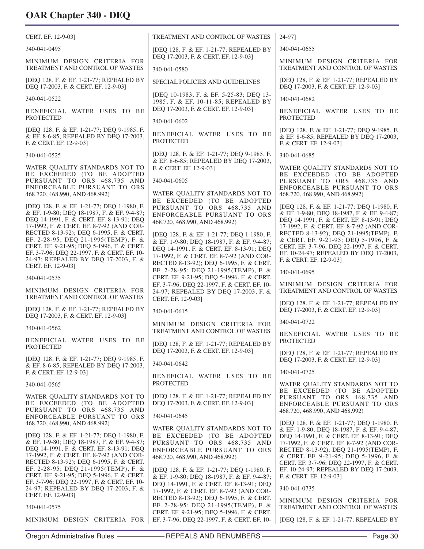| CERT. EF. 12-9-03]                                                                                                                                                                                                                                                                                                                                                                                                             | TREATMENT AND CONTROL OF WASTES                                                                                                                                                                                                                                                                                              | 24-971                                                                                                                                                                                                                                                                                                                                                                                 |
|--------------------------------------------------------------------------------------------------------------------------------------------------------------------------------------------------------------------------------------------------------------------------------------------------------------------------------------------------------------------------------------------------------------------------------|------------------------------------------------------------------------------------------------------------------------------------------------------------------------------------------------------------------------------------------------------------------------------------------------------------------------------|----------------------------------------------------------------------------------------------------------------------------------------------------------------------------------------------------------------------------------------------------------------------------------------------------------------------------------------------------------------------------------------|
| 340-041-0495                                                                                                                                                                                                                                                                                                                                                                                                                   | [DEQ 128, F. & EF. 1-21-77; REPEALED BY                                                                                                                                                                                                                                                                                      | 340-041-0655                                                                                                                                                                                                                                                                                                                                                                           |
| MINIMUM DESIGN CRITERIA FOR<br>TREATMENT AND CONTROL OF WASTES                                                                                                                                                                                                                                                                                                                                                                 | DEQ 17-2003, F. & CERT. EF. 12-9-03]<br>340-041-0580                                                                                                                                                                                                                                                                         | MINIMUM DESIGN CRITERIA FOR<br>TREATMENT AND CONTROL OF WASTES                                                                                                                                                                                                                                                                                                                         |
| [DEQ 128, F. & EF. 1-21-77; REPEALED BY<br>DEQ 17-2003, F. & CERT. EF. 12-9-03]                                                                                                                                                                                                                                                                                                                                                | SPECIAL POLICIES AND GUIDELINES                                                                                                                                                                                                                                                                                              | [DEQ 128, F. & EF. 1-21-77; REPEALED BY<br>DEQ 17-2003, F. & CERT. EF. 12-9-03]                                                                                                                                                                                                                                                                                                        |
| 340-041-0522                                                                                                                                                                                                                                                                                                                                                                                                                   | [DEQ 10-1983, F. & EF. 5-25-83; DEQ 13-<br>1985, F. & EF. 10-11-85; REPEALED BY                                                                                                                                                                                                                                              | 340-041-0682                                                                                                                                                                                                                                                                                                                                                                           |
| BENEFICIAL WATER USES TO BE<br><b>PROTECTED</b>                                                                                                                                                                                                                                                                                                                                                                                | DEQ 17-2003, F. & CERT. EF. 12-9-03]<br>340-041-0602                                                                                                                                                                                                                                                                         | BENEFICIAL WATER USES TO BE<br><b>PROTECTED</b>                                                                                                                                                                                                                                                                                                                                        |
| [DEQ 128, F. & EF. 1-21-77; DEQ 9-1985, F.<br>& EF. 8-6-85; REPEALED BY DEQ 17-2003,<br>F. & CERT. EF. 12-9-03]                                                                                                                                                                                                                                                                                                                | BENEFICIAL WATER USES TO BE<br><b>PROTECTED</b>                                                                                                                                                                                                                                                                              | [DEQ 128, F. & EF. 1-21-77; DEQ 9-1985, F.<br>& EF. 8-6-85; REPEALED BY DEQ 17-2003,<br>F. & CERT. EF. 12-9-03]                                                                                                                                                                                                                                                                        |
| 340-041-0525                                                                                                                                                                                                                                                                                                                                                                                                                   | [DEQ 128, F. & EF. 1-21-77; DEQ 9-1985, F.                                                                                                                                                                                                                                                                                   | 340-041-0685                                                                                                                                                                                                                                                                                                                                                                           |
| WATER QUALITY STANDARDS NOT TO<br>BE EXCEEDED (TO BE ADOPTED<br>PURSUANT TO ORS 468.735 AND<br>ENFORCEABLE PURSUANT TO ORS<br>468.720, 468.990, AND 468.992)                                                                                                                                                                                                                                                                   | & EF. 8-6-85; REPEALED BY DEQ 17-2003,<br>F. & CERT. EF. 12-9-03]<br>340-041-0605<br>WATER QUALITY STANDARDS NOT TO<br>BE EXCEEDED (TO BE ADOPTED                                                                                                                                                                            | WATER QUALITY STANDARDS NOT TO<br>BE EXCEEDED (TO BE ADOPTED<br>PURSUANT TO ORS 468.735 AND<br>ENFORCEABLE PURSUANT TO ORS<br>468.720, 468.990, AND 468.992)                                                                                                                                                                                                                           |
| IDEO 128, F. & EF. 1-21-77; DEO 1-1980, F.<br>& EF. 1-9-80; DEQ 18-1987, F. & EF. 9-4-87;<br>DEQ 14-1991, F. & CERT. EF. 8-13-91; DEQ<br>17-1992, F. & CERT. EF. 8-7-92 (AND COR-<br>RECTED 8-13-92); DEQ 6-1995, F. & CERT.<br>EF. 2-28-95; DEQ 21-1995(TEMP), F. &<br>CERT. EF. 9-21-95; DEQ 5-1996, F. & CERT.<br>EF. 3-7-96; DEQ 22-1997, F. & CERT. EF. 10-<br>24-97; REPEALED BY DEQ 17-2003, F. &<br>CERT. EF. 12-9-03] | PURSUANT TO ORS 468.735 AND<br>ENFORCEABLE PURSUANT TO ORS<br>468.720, 468.990, AND 468.992)<br>[DEQ 128, F. & EF. 1-21-77; DEQ 1-1980, F.<br>& EF. 1-9-80; DEQ 18-1987, F. & EF. 9-4-87;<br>DEQ 14-1991, F. & CERT. EF. 8-13-91; DEQ<br>17-1992, F. & CERT. EF. 8-7-92 (AND COR-<br>RECTED 8-13-92); DEQ 6-1995, F. & CERT. | [DEQ 128, F. & EF. 1-21-77; DEQ 1-1980, F.<br>& EF. 1-9-80; DEQ 18-1987, F. & EF. 9-4-87;<br>DEQ 14-1991, F. & CERT. EF. 8-13-91; DEQ<br>17-1992, F. & CERT, EF. 8-7-92 (AND COR-<br>RECTED 8-13-92); DEQ 21-1995(TEMP), F.<br>& CERT. EF. 9-21-95; DEQ 5-1996, F. &<br>CERT. EF. 3-7-96; DEQ 22-1997, F. & CERT.<br>EF. 10-24-97; REPEALED BY DEQ 17-2003,<br>F. & CERT. EF. 12-9-03] |
| 340-041-0535                                                                                                                                                                                                                                                                                                                                                                                                                   | EF. 2-28-95; DEQ 21-1995(TEMP), F. &<br>CERT. EF. 9-21-95; DEQ 5-1996, F. & CERT.                                                                                                                                                                                                                                            | 340-041-0695                                                                                                                                                                                                                                                                                                                                                                           |
| MINIMUM DESIGN CRITERIA FOR<br>TREATMENT AND CONTROL OF WASTES                                                                                                                                                                                                                                                                                                                                                                 | EF. 3-7-96; DEQ 22-1997, F. & CERT. EF. 10-<br>24-97; REPEALED BY DEQ 17-2003, F. &<br>CERT. EF. 12-9-03]                                                                                                                                                                                                                    | MINIMUM DESIGN CRITERIA FOR<br>TREATMENT AND CONTROL OF WASTES                                                                                                                                                                                                                                                                                                                         |
| [DEQ 128, F. & EF. 1-21-77; REPEALED BY<br>DEQ 17-2003, F. & CERT. EF. 12-9-03]                                                                                                                                                                                                                                                                                                                                                | 340-041-0615                                                                                                                                                                                                                                                                                                                 | [DEQ 128, F. & EF. 1-21-77; REPEALED BY<br>DEQ 17-2003, F. & CERT. EF. 12-9-03]                                                                                                                                                                                                                                                                                                        |
| 340-041-0562                                                                                                                                                                                                                                                                                                                                                                                                                   | MINIMUM DESIGN CRITERIA FOR                                                                                                                                                                                                                                                                                                  | 340-041-0722                                                                                                                                                                                                                                                                                                                                                                           |
| BENEFICIAL WATER USES TO BE<br><b>PROTECTED</b>                                                                                                                                                                                                                                                                                                                                                                                | TREATMENT AND CONTROL OF WASTES<br>[DEQ 128, F. & EF. 1-21-77; REPEALED BY                                                                                                                                                                                                                                                   | BENEFICIAL WATER USES TO BE<br><b>PROTECTED</b>                                                                                                                                                                                                                                                                                                                                        |
| [DEQ 128, F. & EF. 1-21-77; DEQ 9-1985, F.<br>& EF. 8-6-85; REPEALED BY DEQ 17-2003,                                                                                                                                                                                                                                                                                                                                           | DEQ 17-2003, F. & CERT. EF. 12-9-03]<br>340-041-0642                                                                                                                                                                                                                                                                         | [DEQ 128, F. & EF. 1-21-77; REPEALED BY<br>DEQ 17-2003, F. & CERT. EF. 12-9-03]                                                                                                                                                                                                                                                                                                        |
| F. & CERT. EF. 12-9-03]                                                                                                                                                                                                                                                                                                                                                                                                        | BENEFICIAL WATER USES TO BE                                                                                                                                                                                                                                                                                                  | 340-041-0725                                                                                                                                                                                                                                                                                                                                                                           |
| 340-041-0565                                                                                                                                                                                                                                                                                                                                                                                                                   | <b>PROTECTED</b>                                                                                                                                                                                                                                                                                                             | WATER OUALITY STANDARDS NOT TO<br>BE EXCEEDED (TO BE ADOPTED                                                                                                                                                                                                                                                                                                                           |
| WATER QUALITY STANDARDS NOT TO<br>BE EXCEEDED (TO BE ADOPTED<br>PURSUANT TO ORS 468.735 AND                                                                                                                                                                                                                                                                                                                                    | [DEQ 128, F. & EF. 1-21-77; REPEALED BY<br>DEQ 17-2003, F. & CERT. EF. 12-9-03]                                                                                                                                                                                                                                              | PURSUANT TO ORS 468.735 AND<br>ENFORCEABLE PURSUANT TO ORS<br>468.720, 468.990, AND 468.992)                                                                                                                                                                                                                                                                                           |
| ENFORCEABLE PURSUANT TO ORS                                                                                                                                                                                                                                                                                                                                                                                                    | 340-041-0645                                                                                                                                                                                                                                                                                                                 |                                                                                                                                                                                                                                                                                                                                                                                        |
| 468.720, 468.990, AND 468.992)<br>[DEQ 128, F. & EF. 1-21-77; DEQ 1-1980, F.<br>& EF. 1-9-80; DEQ 18-1987, F. & EF. 9-4-87;<br>DEQ 14-1991, F. & CERT. EF. 8-13-91; DEQ<br>17-1992, F. & CERT. EF. 8-7-92 (AND COR-<br>RECTED 8-13-92); DEQ 6-1995, F. & CERT.<br>EF. 2-28-95; DEQ 21-1995(TEMP), F. &<br>CERT. EF. 9-21-95; DEQ 5-1996, F. & CERT.                                                                            | WATER QUALITY STANDARDS NOT TO<br>BE EXCEEDED (TO BE ADOPTED<br>PURSUANT TO ORS 468.735 AND<br>ENFORCEABLE PURSUANT TO ORS<br>468.720, 468.990, AND 468.992)<br>[DEQ 128, F. & EF. 1-21-77; DEQ 1-1980, F.<br>& EF. 1-9-80; DEQ 18-1987, F. & EF. 9-4-87;                                                                    | [DEQ 128, F. & EF. 1-21-77; DEQ 1-1980, F.<br>& EF. 1-9-80; DEQ 18-1987, F. & EF. 9-4-87;<br>DEQ 14-1991, F. & CERT. EF. 8-13-91; DEQ<br>17-1992, F. & CERT. EF. 8-7-92 (AND COR-<br>RECTED 8-13-92); DEQ 21-1995(TEMP), F.<br>& CERT. EF. 9-21-95; DEQ 5-1996, F. &<br>CERT. EF. 3-7-96; DEQ 22-1997, F. & CERT.<br>EF. 10-24-97; REPEALED BY DEQ 17-2003,<br>F. & CERT. EF. 12-9-03] |
| EF. 3-7-96; DEQ 22-1997, F. & CERT. EF. 10-<br>24-97; REPEALED BY DEQ 17-2003, F. &                                                                                                                                                                                                                                                                                                                                            | DEQ 14-1991, F. & CERT. EF. 8-13-91; DEQ<br>17-1992, F. & CERT. EF. 8-7-92 (AND COR-                                                                                                                                                                                                                                         | 340-041-0735                                                                                                                                                                                                                                                                                                                                                                           |
| CERT. EF. 12-9-03]<br>340-041-0575                                                                                                                                                                                                                                                                                                                                                                                             | RECTED 8-13-92); DEQ 6-1995, F. & CERT.<br>EF. 2-28-95; DEQ 21-1995(TEMP), F. &<br>CERT. EF. 9-21-95; DEQ 5-1996, F. & CERT.                                                                                                                                                                                                 | MINIMUM DESIGN CRITERIA FOR<br>TREATMENT AND CONTROL OF WASTES                                                                                                                                                                                                                                                                                                                         |
| MINIMUM DESIGN CRITERIA FOR                                                                                                                                                                                                                                                                                                                                                                                                    | EF. 3-7-96; DEQ 22-1997, F. & CERT. EF. 10-                                                                                                                                                                                                                                                                                  | [DEQ 128, F. & EF. 1-21-77; REPEALED BY                                                                                                                                                                                                                                                                                                                                                |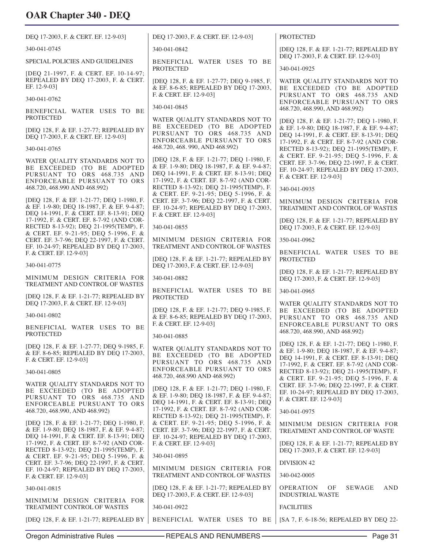| UAN UHAPIEI 340 - DEQ                                                                                                                                       |                                                                                                                                                                                                                             |                                                                                                                                                                                   |
|-------------------------------------------------------------------------------------------------------------------------------------------------------------|-----------------------------------------------------------------------------------------------------------------------------------------------------------------------------------------------------------------------------|-----------------------------------------------------------------------------------------------------------------------------------------------------------------------------------|
| DEQ 17-2003, F. & CERT. EF. 12-9-03]                                                                                                                        | DEQ 17-2003, F. & CERT. EF. 12-9-03]                                                                                                                                                                                        | <b>PROTECTED</b>                                                                                                                                                                  |
| 340-041-0745                                                                                                                                                | 340-041-0842                                                                                                                                                                                                                | [DEQ 128, F. & EF. 1-21-77; REPEALED BY                                                                                                                                           |
| SPECIAL POLICIES AND GUIDELINES                                                                                                                             | BENEFICIAL WATER USES TO BE<br><b>PROTECTED</b>                                                                                                                                                                             | DEQ 17-2003, F. & CERT. EF. 12-9-03]<br>340-041-0925                                                                                                                              |
| [DEQ 21-1997, F. & CERT. EF. 10-14-97;<br>REPEALED BY DEQ 17-2003, F. & CERT.<br>EF. 12-9-03]                                                               | [DEQ 128, F. & EF. 1-27-77; DEQ 9-1985, F.<br>& EF. 8-6-85; REPEALED BY DEQ 17-2003,                                                                                                                                        | WATER QUALITY STANDARDS NOT TO<br>BE EXCEEDED (TO BE ADOPTED                                                                                                                      |
| 340-041-0762                                                                                                                                                | F. & CERT. EF. 12-9-031                                                                                                                                                                                                     | PURSUANT TO ORS 468.735 AND<br>ENFORCEABLE PURSUANT TO ORS                                                                                                                        |
| BENEFICIAL WATER USES TO BE<br>PROTECTED                                                                                                                    | 340-041-0845<br>WATER QUALITY STANDARDS NOT TO                                                                                                                                                                              | 468.720, 468.990, AND 468.992)                                                                                                                                                    |
| [DEQ 128, F. & EF. 1-27-77; REPEALED BY<br>DEQ 17-2003, F. & CERT. EF. 12-9-03]                                                                             | BE EXCEEDED (TO BE ADOPTED<br>PURSUANT TO ORS 468.735 AND<br>ENFORCEABLE PURSUANT TO ORS                                                                                                                                    | [DEQ 128, F. & EF. 1-21-77; DEQ 1-1980, F.<br>& EF. 1-9-80; DEQ 18-1987, F. & EF. 9-4-87;<br>DEQ 14-1991, F. & CERT. EF. 8-13-91; DEQ<br>17-1992, F. & CERT. EF. 8-7-92 (AND COR- |
| 340-041-0765                                                                                                                                                | 468.720, 468.990, AND 468.992)                                                                                                                                                                                              | RECTED 8-13-92); DEQ 21-1995(TEMP), F.<br>& CERT. EF. 9-21-95; DEQ 5-1996, F. &                                                                                                   |
| WATER QUALITY STANDARDS NOT TO<br>BE EXCEEDED (TO BE ADOPTED<br>PURSUANT TO ORS 468.735 AND<br>ENFORCEABLE PURSUANT TO ORS<br>468.720, 468.990 AND 468.992) | [DEQ 128, F. & EF. 1-21-77; DEQ 1-1980, F.<br>& EF. 1-9-80; DEQ 18-1987, F. & EF. 9-4-87;<br>DEQ 14-1991, F. & CERT. EF. 8-13-91; DEQ<br>17-1992, F. & CERT. EF. 8-7-92 (AND COR-<br>RECTED 8-13-92); DEQ 21-1995(TEMP), F. | CERT. EF. 3-7-96; DEQ 22-1997, F. & CERT.<br>EF. 10-24-97; REPEALED BY DEQ 17-2003,<br>F. & CERT. EF. 12-9-03]<br>340-041-0935                                                    |
| [DEQ 128, F. & EF. 1-21-77; DEQ 1-1980, F.<br>& EF. 1-9-80; DEQ 18-1987, F. & EF. 9-4-87;<br>DEO 14-1991, F. & CERT. EF. 8-13-91; DEO                       | & CERT. EF. 9-21-95; DEQ 5-1996, F. &<br>CERT. EF. 3-7-96; DEQ 22-1997, F. & CERT.<br>EF. 10-24-97; REPEALED BY DEQ 17-2003,<br>F. & CERT. EF. 12-9-03]                                                                     | MINIMUM DESIGN CRITERIA FOR<br>TREATMENT AND CONTROL OF WASTES                                                                                                                    |
| 17-1992, F. & CERT. EF. 8-7-92 (AND COR-<br>RECTED 8-13-92); DEQ 21-1995(TEMP), F.                                                                          | 340-041-0855                                                                                                                                                                                                                | [DEQ 128, F. & EF. 1-21-77; REPEALED BY<br>DEQ 17-2003, F. & CERT. EF. 12-9-03]                                                                                                   |
| & CERT. EF. 9-21-95; DEQ 5-1996, F. &<br>CERT. EF. 3-7-96; DEQ 22-1997, F. & CERT.<br>EF. 10-24-97; REPEALED BY DEQ 17-2003,                                | MINIMUM DESIGN CRITERIA FOR<br>TREATMENT AND CONTROL OF WASTES                                                                                                                                                              | 350-041-0962                                                                                                                                                                      |
| F. & CERT. EF. 12-9-03]                                                                                                                                     | [DEQ 128, F. & EF. 1-21-77; REPEALED BY                                                                                                                                                                                     | BENEFICIAL WATER USES TO BE<br><b>PROTECTED</b>                                                                                                                                   |
| 340-041-0775                                                                                                                                                | DEQ 17-2003, F. & CERT. EF. 12-9-03]                                                                                                                                                                                        | [DEQ 128, F. & EF. 1-21-77; REPEALED BY                                                                                                                                           |
| MINIMUM DESIGN CRITERIA FOR<br>TREATMENT AND CONTROL OF WASTES                                                                                              | 340-041-0882                                                                                                                                                                                                                | DEQ 17-2003, F. & CERT. EF. 12-9-03]                                                                                                                                              |
| [DEQ 128, F. & EF. 1-21-77; REPEALED BY<br>DEQ 17-2003, F. & CERT. EF. 12-9-03]                                                                             | BENEFICIAL WATER USES TO BE<br><b>PROTECTED</b>                                                                                                                                                                             | 340-041-0965                                                                                                                                                                      |
| 340-041-0802                                                                                                                                                | [DEQ 128, F. & EF. 1-21-77; DEQ 9-1985, F.<br>& EF. 8-6-85; REPEALED BY DEQ 17-2003,<br>F. & CERT. EF. 12-9-03]                                                                                                             | WATER QUALITY STANDARDS NOT TO<br>BE EXCEEDED (TO BE ADOPTED<br>PURSUANT TO ORS 468.735 AND<br>ENFORCEABLE PURSUANT TO ORS                                                        |
| BENEFICIAL WATER USES TO BE<br>PROTECTED                                                                                                                    | 340-041-0885                                                                                                                                                                                                                | 468.720, 468.990, AND 468.992)                                                                                                                                                    |
| [DEO 128, F. & EF. 1-27-77; DEO 9-1985, F.<br>& EF. 8-6-85; REPEALED BY DEQ 17-2003,<br>F. & CERT. EF. 12-9-03]                                             | WATER QUALITY STANDARDS NOT TO<br>BE EXCEEDED (TO BE ADOPTED<br>PURSUANT TO ORS 468.735 AND                                                                                                                                 | [DEQ 128, F. & EF. 1-21-77; DEQ 1-1980, F.<br>& EF. 1-9-80; DEQ 18-1987, F. & EF. 9-4-87;<br>DEQ 14-1991, F. & CERT. EF. 8-13-91; DEQ<br>17-1992, F. & CERT. EF. 8-7-92 (AND COR- |
| 340-041-0805                                                                                                                                                | ENFORCEABLE PURSUANT TO ORS<br>468.720, 468.990 AND 468.992)                                                                                                                                                                | RECTED 8-13-92); DEQ 21-1995(TEMP), F.<br>& CERT. EF. 9-21-95; DEQ 5-1996, F. &                                                                                                   |
| WATER QUALITY STANDARDS NOT TO<br>BE EXCEEDED (TO BE ADOPTED<br>PURSUANT TO ORS 468.735 AND<br>ENFORCEABLE PURSUANT TO ORS                                  | [DEQ 128, F. & EF. 1-21-77; DEQ 1-1980, F.<br>& EF. 1-9-80; DEQ 18-1987, F. & EF. 9-4-87;<br>DEQ 14-1991, F. & CERT. EF. 8-13-91; DEQ                                                                                       | CERT. EF. 3-7-96; DEQ 22-1997, F. & CERT.<br>EF. 10-24-97; REPEALED BY DEQ 17-2003,<br>F. & CERT. EF. 12-9-03]                                                                    |
| 468.720, 468.990, AND 468.992)                                                                                                                              | 17-1992, F. & CERT. EF. 8-7-92 (AND COR-<br>RECTED 8-13-92); DEQ 21-1995(TEMP), F.                                                                                                                                          | 340-041-0975                                                                                                                                                                      |
| [DEQ 128, F. & EF. 1-21-77; DEQ 1-1980, F.<br>& EF. 1-9-80; DEQ 18-1987, F. & EF. 9-4-87;<br>DEQ 14-1991, F. & CERT. EF. 8-13-91; DEQ                       | & CERT. EF. 9-21-95; DEQ 5-1996, F. &<br>CERT. EF. 3-7-96; DEQ 22-1997, F. & CERT.<br>EF. 10-24-97; REPEALED BY DEQ 17-2003,                                                                                                | MINIMUM DESIGN CRITERIA FOR<br>TREATMENT AND CONTROL OF WASTE                                                                                                                     |
| 17-1992, F. & CERT. EF. 8-7-92 (AND COR-<br>RECTED 8-13-92); DEQ 21-1995(TEMP), F.<br>& CERT. EF. 9-21-95; DEQ 5-1996, F. &                                 | F. & CERT. EF. 12-9-03]<br>340-041-0895                                                                                                                                                                                     | [DEQ 128, F. & EF. 1-21-77; REPEALED BY<br>DEQ 17-2003, F. & CERT. EF. 12-9-03]                                                                                                   |
| CERT. EF. 3-7-96; DEQ 22-1997, F. & CERT.<br>EF. 10-24-97; REPEALED BY DEQ 17-2003,                                                                         | MINIMUM DESIGN CRITERIA FOR                                                                                                                                                                                                 | DIVISION 42                                                                                                                                                                       |
| F. & CERT. EF. 12-9-03]                                                                                                                                     | TREATMENT AND CONTROL OF WASTES                                                                                                                                                                                             | 340-042-0005                                                                                                                                                                      |
| 340-041-0815                                                                                                                                                | [DEQ 128, F. & EF. 1-21-77; REPEALED BY<br>DEQ 17-2003, F. & CERT. EF. 12-9-03]                                                                                                                                             | <b>OPERATION</b><br>SEWAGE<br>AND<br>OF<br><b>INDUSTRIAL WASTE</b>                                                                                                                |
| MINIMUM DESIGN CRITERIA FOR<br>TREATMENT CONTROL OF WASTES                                                                                                  | 340-041-0922                                                                                                                                                                                                                | <b>FACILITIES</b>                                                                                                                                                                 |
| [DEQ 128, F. & EF. 1-21-77; REPEALED BY                                                                                                                     | BENEFICIAL WATER USES TO BE                                                                                                                                                                                                 | [SA 7, F. 6-18-56; REPEALED BY DEQ 22-                                                                                                                                            |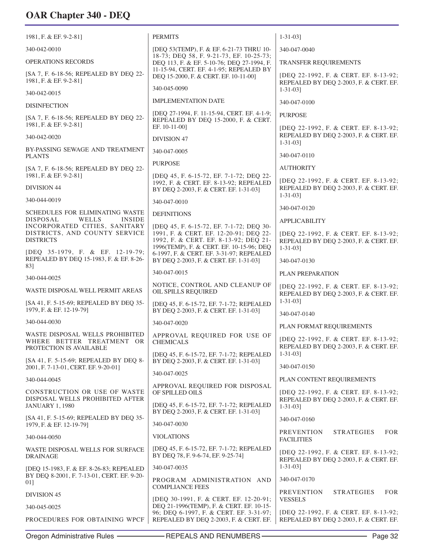| 1981, F. & EF. 9-2-81]                                                                  | <b>PERMITS</b>                                                                                                              | $1 - 31 - 03$ ]                                                                 |
|-----------------------------------------------------------------------------------------|-----------------------------------------------------------------------------------------------------------------------------|---------------------------------------------------------------------------------|
| 340-042-0010                                                                            | [DEQ 53(TEMP), F. & EF. 6-21-73 THRU 10-                                                                                    | 340-047-0040                                                                    |
| <b>OPERATIONS RECORDS</b>                                                               | 18-73; DEQ 58, F. 9-21-73, EF. 10-25-73;<br>DEQ 113, F. & EF. 5-10-76; DEQ 27-1994, F.                                      | TRANSFER REQUIREMENTS                                                           |
| [SA 7, F. 6-18-56; REPEALED BY DEQ 22-<br>1981, F. & EF. 9-2-81]                        | 11-15-94, CERT. EF. 4-1-95; REPEALED BY<br>DEQ 15-2000, F. & CERT. EF. 10-11-00]                                            | [DEQ 22-1992, F. & CERT. EF. 8-13-92;<br>REPEALED BY DEQ 2-2003, F. & CERT. EF. |
| 340-042-0015                                                                            | 340-045-0090                                                                                                                | $1 - 31 - 03$                                                                   |
| <b>DISINFECTION</b>                                                                     | <b>IMPLEMENTATION DATE</b>                                                                                                  | 340-047-0100                                                                    |
| [SA 7, F. 6-18-56; REPEALED BY DEQ 22-<br>1981, F. & EF. 9-2-81]                        | [DEO 27-1994, F. 11-15-94, CERT. EF. 4-1-9;<br>REPEALED BY DEQ 15-2000, F. & CERT.<br>EF. 10-11-00]                         | <b>PURPOSE</b><br>[DEQ 22-1992, F. & CERT. EF. 8-13-92;                         |
| 340-042-0020                                                                            | <b>DIVISION 47</b>                                                                                                          | REPEALED BY DEQ 2-2003, F. & CERT. EF.<br>$1 - 31 - 03$                         |
| BY-PASSING SEWAGE AND TREATMENT<br><b>PLANTS</b>                                        | 340-047-0005                                                                                                                | 340-047-0110                                                                    |
| [SA 7, F. 6-18-56; REPEALED BY DEQ 22-                                                  | <b>PURPOSE</b>                                                                                                              | <b>AUTHORITY</b>                                                                |
| 1981, F. & EF. 9-2-81]<br><b>DIVISION 44</b>                                            | [DEQ 45, F. 6-15-72, EF. 7-1-72; DEQ 22-<br>1992, F. & CERT. EF. 8-13-92; REPEALED                                          | [DEO 22-1992, F. & CERT. EF. 8-13-92;<br>REPEALED BY DEQ 2-2003, F. & CERT. EF. |
| 340-044-0019                                                                            | BY DEQ 2-2003, F. & CERT. EF. 1-31-03]                                                                                      | $1 - 31 - 03$ ]                                                                 |
| SCHEDULES FOR ELIMINATING WASTE                                                         | 340-047-0010                                                                                                                | 340-047-0120                                                                    |
| DISPOSAL<br>WELLS<br><b>INSIDE</b><br>INCORPORATED CITIES, SANITARY                     | <b>DEFINITIONS</b><br>[DEQ 45, F. 6-15-72, EF. 7-1-72; DEQ 30-                                                              | <b>APPLICABILITY</b>                                                            |
| DISTRICTS, AND COUNTY SERVICE<br><b>DISTRICTS</b>                                       | 1991, F. & CERT. EF. 12-20-91; DEQ 22-<br>1992, F. & CERT. EF. 8-13-92; DEQ 21-<br>1996(TEMP), F. & CERT. EF. 10-15-96; DEQ | [DEQ 22-1992, F. & CERT. EF. 8-13-92;<br>REPEALED BY DEQ 2-2003, F. & CERT. EF. |
| [DEQ 35-1979, F. & EF. 12-19-79;<br>REPEALED BY DEQ 15-1983, F. & EF. 8-26-             | 6-1997, F. & CERT. EF. 3-31-97; REPEALED<br>BY DEQ 2-2003, F. & CERT. EF. 1-31-03]                                          | $1 - 31 - 03$ ]<br>340-047-0130                                                 |
| 83]                                                                                     | 340-047-0015                                                                                                                | PLAN PREPARATION                                                                |
| 340-044-0025                                                                            | NOTICE, CONTROL AND CLEANUP OF                                                                                              | [DEQ 22-1992, F. & CERT. EF. 8-13-92;                                           |
| WASTE DISPOSAL WELL PERMIT AREAS                                                        | OIL SPILLS REQUIRED                                                                                                         | REPEALED BY DEQ 2-2003, F. & CERT. EF.                                          |
| [SA 41, F. 5-15-69; REPEALED BY DEQ 35-<br>1979, F. & EF. 12-19-791                     | [DEQ 45, F. 6-15-72, EF. 7-1-72; REPEALED<br>BY DEQ 2-2003, F. & CERT. EF. 1-31-03]                                         | $1 - 31 - 03$ ]<br>340-047-0140                                                 |
| 340-044-0030                                                                            | 340-047-0020                                                                                                                | PLAN FORMAT REQUIREMENTS                                                        |
| WASTE DISPOSAL WELLS PROHIBITED<br>WHERE BETTER TREATMENT OR<br>PROTECTION IS AVAILABLE | APPROVAL REQUIRED FOR USE OF<br><b>CHEMICALS</b>                                                                            | [DEQ 22-1992, F. & CERT. EF. 8-13-92;<br>REPEALED BY DEQ 2-2003, F. & CERT. EF. |
| [SA 41, F. 5-15-69; REPEALED BY DEQ 8-                                                  | [DEO 45, F. 6-15-72, EF. 7-1-72; REPEALED<br>BY DEQ 2-2003, F. & CERT. EF. 1-31-03]                                         | $1 - 31 - 031$<br>340-047-0150                                                  |
| 2001, F. 7-13-01, CERT. EF. 9-20-01]                                                    | 340-047-0025                                                                                                                |                                                                                 |
| 340-044-0045<br>CONSTRUCTION OR USE OF WASTE                                            | APPROVAL REQUIRED FOR DISPOSAL<br>OF SPILLED OILS                                                                           | PLAN CONTENT REQUIREMENTS<br>[DEQ 22-1992, F. & CERT. EF. 8-13-92;              |
| DISPOSAL WELLS PROHIBITED AFTER<br><b>JANUARY 1, 1980</b>                               | [DEQ 45, F. 6-15-72, EF. 7-1-72; REPEALED<br>BY DEQ 2-2003, F. & CERT. EF. 1-31-03]                                         | REPEALED BY DEQ 2-2003, F. & CERT. EF.<br>$1 - 31 - 031$                        |
| [SA 41, F. 5-15-69; REPEALED BY DEQ 35-<br>1979, F. & EF. 12-19-79]                     | 340-047-0030                                                                                                                | 340-047-0160                                                                    |
| 340-044-0050                                                                            | <b>VIOLATIONS</b>                                                                                                           | <b>PREVENTION</b><br><b>STRATEGIES</b><br><b>FOR</b><br><b>FACILITIES</b>       |
| WASTE DISPOSAL WELLS FOR SURFACE<br>DRAINAGE                                            | [DEQ 45, F. 6-15-72, EF. 7-1-72; REPEALED<br>BY DEQ 78, F. 9-6-74, EF. 9-25-74]                                             | [DEQ 22-1992, F. & CERT. EF. 8-13-92;<br>REPEALED BY DEQ 2-2003, F. & CERT. EF. |
| [DEQ 15-1983, F. & EF. 8-26-83; REPEALED                                                | 340-047-0035                                                                                                                | $1 - 31 - 03$ ]                                                                 |
| BY DEQ 8-2001, F. 7-13-01, CERT. EF. 9-20-<br>01]                                       | PROGRAM ADMINISTRATION AND<br><b>COMPLIANCE FEES</b>                                                                        | 340-047-0170                                                                    |
| <b>DIVISION 45</b>                                                                      | [DEQ 30-1991, F. & CERT. EF. 12-20-91;                                                                                      | <b>PREVENTION</b><br><b>STRATEGIES</b><br><b>FOR</b><br><b>VESSELS</b>          |
| 340-045-0025                                                                            | DEQ 21-1996(TEMP), F. & CERT. EF. 10-15-<br>96; DEQ 6-1997, F. & CERT. EF. 3-31-97;                                         | [DEQ 22-1992, F. & CERT. EF. 8-13-92;                                           |
| PROCEDURES FOR OBTAINING WPCF                                                           | REPEALED BY DEQ 2-2003, F. & CERT. EF.                                                                                      | REPEALED BY DEQ 2-2003, F. & CERT. EF.                                          |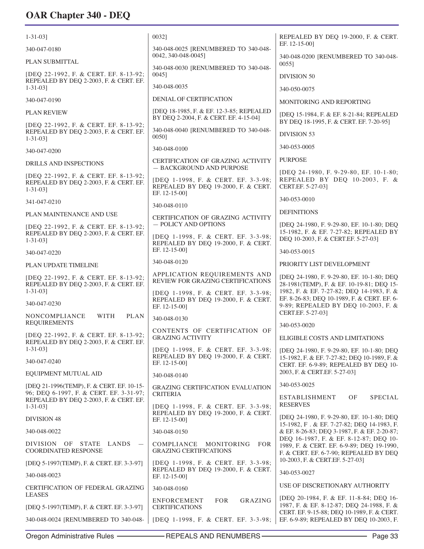| $1 - 31 - 03$ ]                                                                                                                | 00321                                                                                       | REPEALED BY DEQ 19-2000, F. & CERT.                                                                                                  |
|--------------------------------------------------------------------------------------------------------------------------------|---------------------------------------------------------------------------------------------|--------------------------------------------------------------------------------------------------------------------------------------|
| 340-047-0180                                                                                                                   | 340-048-0025 [RENUMBERED TO 340-048-                                                        | EF. 12-15-00]                                                                                                                        |
| PLAN SUBMITTAL                                                                                                                 | 0042, 340-048-0045]                                                                         | 340-048-0200 [RENUMBERED TO 340-048-<br>00551                                                                                        |
| [DEQ 22-1992, F. & CERT. EF. 8-13-92;<br>REPEALED BY DEQ 2-2003, F. & CERT. EF.                                                | 340-048-0030 [RENUMBERED TO 340-048-<br>0045]                                               | <b>DIVISION 50</b>                                                                                                                   |
| $1 - 31 - 03$ ]                                                                                                                | 340-048-0035                                                                                | 340-050-0075                                                                                                                         |
| 340-047-0190                                                                                                                   | <b>DENIAL OF CERTIFICATION</b>                                                              | MONITORING AND REPORTING                                                                                                             |
| <b>PLAN REVIEW</b>                                                                                                             | [DEQ 18-1985, F. & EF. 12-3-85; REPEALED<br>BY DEQ 2-2004, F. & CERT. EF. 4-15-04]          | [DEQ 15-1984, F. & EF. 8-21-84; REPEALED<br>BY DEQ 18-1995, F. & CERT. EF. 7-20-95]                                                  |
| [DEQ 22-1992, F. & CERT. EF. 8-13-92;<br>REPEALED BY DEQ 2-2003, F. & CERT. EF.<br>$1 - 31 - 03$ ]                             | 340-048-0040 [RENUMBERED TO 340-048-<br>00501                                               | DIVISION 53                                                                                                                          |
| 340-047-0200                                                                                                                   | 340-048-0100                                                                                | 340-053-0005                                                                                                                         |
| DRILLS AND INSPECTIONS                                                                                                         | <b>CERTIFICATION OF GRAZING ACTIVITY</b><br>- BACKGROUND AND PURPOSE                        | <b>PURPOSE</b>                                                                                                                       |
| [DEQ 22-1992, F. & CERT. EF. 8-13-92;<br>REPEALED BY DEQ 2-2003, F. & CERT. EF.<br>$1 - 31 - 03$ ]                             | [DEQ 1-1998, F. & CERT. EF. 3-3-98;<br>REPEALED BY DEQ 19-2000, F. & CERT.<br>EF. 12-15-00] | [DEQ 24-1980, F. 9-29-80, EF. 10-1-80;<br>REPEALED BY DEO 10-2003, F. &<br>CERT.EF. 5-27-03]                                         |
| 341-047-0210                                                                                                                   | 340-048-0110                                                                                | 340-053-0010                                                                                                                         |
| PLAN MAINTENANCE AND USE                                                                                                       | <b>CERTIFICATION OF GRAZING ACTIVITY</b>                                                    | <b>DEFINITIONS</b>                                                                                                                   |
| [DEQ 22-1992, F. & CERT. EF. 8-13-92;<br>REPEALED BY DEQ 2-2003, F. & CERT. EF.                                                | - POLICY AND OPTIONS<br>[DEQ 1-1998, F. & CERT. EF. 3-3-98;                                 | [DEO 24-1980, F. 9-29-80, EF. 10-1-80; DEO<br>15-1982, F. & EF. 7-27-82; REPEALED BY                                                 |
| $1 - 31 - 03$ ]                                                                                                                | REPEALED BY DEQ 19-2000, F. & CERT.<br>EF. 12-15-00]                                        | DEQ 10-2003, F. & CERT.EF. 5-27-03]                                                                                                  |
| 340-047-0220                                                                                                                   | 340-048-0120                                                                                | 340-053-0015                                                                                                                         |
| PLAN UPDATE TIMELINE                                                                                                           | APPLICATION REQUIREMENTS AND                                                                | PRIORITY LIST DEVELOPMENT                                                                                                            |
| [DEQ 22-1992, F. & CERT. EF. 8-13-92;<br>REPEALED BY DEQ 2-2003, F. & CERT. EF.<br>$1 - 31 - 03$ ]                             | REVIEW FOR GRAZING CERTIFICATIONS<br>[DEQ 1-1998, F. & CERT. EF. 3-3-98;                    | [DEQ 24-1980, F. 9-29-80, EF. 10-1-80; DEQ<br>28-1981(TEMP), F. & EF. 10-19-81; DEQ 15-<br>1982, F. & EF. 7-27-82; DEQ 14-1983, F. & |
| 340-047-0230                                                                                                                   | REPEALED BY DEQ 19-2000, F. & CERT.<br>EF. 12-15-00]                                        | EF. 8-26-83; DEQ 10-1989, F. & CERT. EF. 6-<br>9-89; REPEALED BY DEQ 10-2003, F. &<br>CERT.EF. 5-27-03]                              |
| <b>WITH</b><br>NONCOMPLIANCE<br><b>PLAN</b><br><b>REQUIREMENTS</b>                                                             | 340-048-0130                                                                                | 340-053-0020                                                                                                                         |
| [DEQ 22-1992, F. & CERT. EF. 8-13-92;<br>REPEALED BY DEQ 2-2003, F. & CERT. EF.                                                | CONTENTS OF CERTIFICATION OF<br><b>GRAZING ACTIVITY</b>                                     | ELIGIBLE COSTS AND LIMITATIONS                                                                                                       |
| $1 - 31 - 03$<br>340-047-0240                                                                                                  | [DEQ 1-1998, F. & CERT. EF. 3-3-98;<br>REPEALED BY DEQ 19-2000, F. & CERT.<br>EF. 12-15-00] | [DEQ 24-1980, F. 9-29-80, EF. 10-1-80; DEQ<br>15-1982, F. & EF. 7-27-82; DEQ 10-1989, F. &<br>CERT. EF. 6-9-89; REPEALED BY DEQ 10-  |
| EQUIPMENT MUTUAL AID                                                                                                           | 340-048-0140                                                                                | 2003, F. & CERT.EF. 5-27-03]                                                                                                         |
| [DEQ 21-1996(TEMP), F. & CERT. EF. 10-15-<br>96; DEQ 6-1997, F. & CERT. EF. 3-31-97;<br>REPEALED BY DEQ 2-2003, F. & CERT. EF. | <b>GRAZING CERTIFICATION EVALUATION</b><br><b>CRITERIA</b>                                  | 340-053-0025<br><b>SPECIAL</b><br><b>ESTABLISHMENT</b><br>OF                                                                         |
| $1 - 31 - 03$                                                                                                                  | [DEQ 1-1998, F. & CERT. EF. 3-3-98;<br>REPEALED BY DEQ 19-2000, F. & CERT.                  | <b>RESERVES</b><br>[DEQ 24-1980, F. 9-29-80, EF. 10-1-80; DEQ                                                                        |
| DIVISION 48                                                                                                                    | EF. 12-15-00]                                                                               | 15-1982, F. & EF. 7-27-82; DEQ 14-1983, F.                                                                                           |
| 340-048-0022                                                                                                                   | 340-048-0150                                                                                | & EF. 8-26-83; DEQ 3-1987, F. & EF. 2-20-87;<br>DEQ 16-1987, F. & EF. 8-12-87; DEQ 10-                                               |
| <b>DIVISION</b><br>OF<br>STATE LANDS<br>$\overline{\phantom{m}}$<br><b>COORDINATED RESPONSE</b>                                | COMPLIANCE<br>MONITORING<br><b>FOR</b><br><b>GRAZING CERTIFICATIONS</b>                     | 1989, F. & CERT. EF. 6-9-89; DEQ 19-1990,<br>F. & CERT. EF. 6-7-90; REPEALED BY DEQ                                                  |
| [DEQ 5-1997(TEMP), F. & CERT. EF. 3-3-97]                                                                                      | [DEQ 1-1998, F. & CERT. EF. 3-3-98;<br>REPEALED BY DEQ 19-2000, F. & CERT.                  | 10-2003, F. & CERT.EF. 5-27-03]                                                                                                      |
| 340-048-0023                                                                                                                   | EF. 12-15-00]                                                                               | 340-053-0027                                                                                                                         |
| <b>CERTIFICATION OF FEDERAL GRAZING</b><br><b>LEASES</b>                                                                       | 340-048-0160                                                                                | USE OF DISCRETIONARY AUTHORITY<br>[DEQ 20-1984, F. & EF. 11-8-84; DEQ 16-                                                            |
| [DEQ 5-1997(TEMP), F. & CERT. EF. 3-3-97]                                                                                      | <b>FOR</b><br>GRAZING<br><b>ENFORCEMENT</b><br><b>CERTIFICATIONS</b>                        | 1987, F. & EF. 8-12-87; DEQ 24-1988, F. &<br>CERT. EF. 9-15-88; DEQ 10-1989, F. & CERT.                                              |
| 340-048-0024 [RENUMBERED TO 340-048-                                                                                           | [DEQ 1-1998, F. & CERT. EF. 3-3-98;                                                         | EF. 6-9-89; REPEALED BY DEQ 10-2003, F.                                                                                              |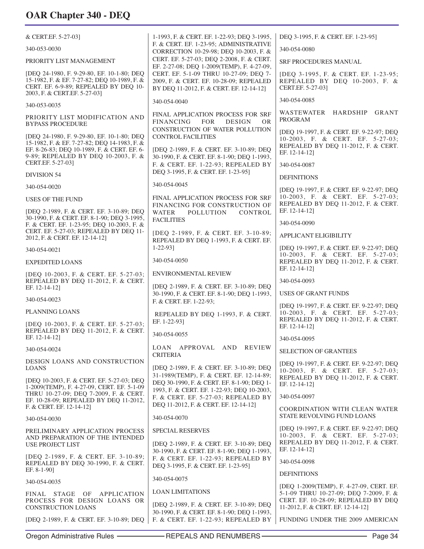| & CERT.EF. 5-27-03]                                                                                                                                                                                   | 1-1993, F. & CERT. EF. 1-22-93; DEQ 3-1995,                                                                                                                                                    | DEQ 3-1995, F. & CERT. EF. 1-23-95]                                                                                                   |
|-------------------------------------------------------------------------------------------------------------------------------------------------------------------------------------------------------|------------------------------------------------------------------------------------------------------------------------------------------------------------------------------------------------|---------------------------------------------------------------------------------------------------------------------------------------|
| 340-053-0030                                                                                                                                                                                          | F. & CERT. EF. 1-23-95; ADMINISTRATIVE<br>CORRECTION 10-29-98; DEQ 10-2003, F. &                                                                                                               | 340-054-0080                                                                                                                          |
| PRIORITY LIST MANAGEMENT                                                                                                                                                                              | CERT. EF. 5-27-03; DEQ 2-2008, F. & CERT.<br>EF. 2-27-08; DEQ 1-2009(TEMP), F. 4-27-09,                                                                                                        | SRF PROCEDURES MANUAL                                                                                                                 |
| [DEQ 24-1980, F. 9-29-80, EF. 10-1-80; DEQ<br>15-1982, F. & EF. 7-27-82; DEQ 10-1989, F. &<br>CERT. EF. 6-9-89; REPEALED BY DEQ 10-<br>2003, F. & CERT.EF. 5-27-03]                                   | CERT. EF. 5-1-09 THRU 10-27-09; DEQ 7-<br>2009, F. & CERT. EF. 10-28-09; REPEALED<br>BY DEQ 11-2012, F. & CERT. EF. 12-14-12]                                                                  | [DEQ 3-1995, F. & CERT. EF. 1-23-95;<br>REPEALED BY DEQ 10-2003, F. &<br>CERT.EF. 5-27-03]                                            |
| 340-053-0035                                                                                                                                                                                          | 340-054-0040                                                                                                                                                                                   | 340-054-0085                                                                                                                          |
| PRIORITY LIST MODIFICATION AND<br><b>BYPASS PROCEDURE</b>                                                                                                                                             | FINAL APPLICATION PROCESS FOR SRF<br><b>FINANCING</b><br><b>FOR</b><br><b>DESIGN</b><br>OR.                                                                                                    | WASTEWATER HARDSHIP GRANT<br>PROGRAM                                                                                                  |
| [DEQ 24-1980, F. 9-29-80, EF. 10-1-80; DEQ<br>15-1982, F. & EF. 7-27-82; DEQ 14-1983, F. &<br>EF. 8-26-83; DEQ 10-1989, F. & CERT. EF. 6-<br>9-89; REPEALED BY DEQ 10-2003, F. &<br>CERT.EF. 5-27-03] | CONSTRUCTION OF WATER POLLUTION<br><b>CONTROL FACILITIES</b><br>[DEQ 2-1989, F. & CERT. EF. 3-10-89; DEQ<br>30-1990, F. & CERT. EF. 8-1-90; DEQ 1-1993,<br>F. & CERT. EF. 1-22-93; REPEALED BY | [DEQ 19-1997, F. & CERT. EF. 9-22-97; DEQ<br>10-2003, F. & CERT. EF. 5-27-03;<br>REPEALED BY DEQ 11-2012, F. & CERT.<br>EF. 12-14-121 |
| <b>DIVISION 54</b>                                                                                                                                                                                    | DEQ 3-1995, F. & CERT. EF. 1-23-95]                                                                                                                                                            | 340-054-0087                                                                                                                          |
| 340-054-0020                                                                                                                                                                                          | 340-054-0045                                                                                                                                                                                   | <b>DEFINITIONS</b>                                                                                                                    |
| <b>USES OF THE FUND</b>                                                                                                                                                                               | FINAL APPLICATION PROCESS FOR SRF                                                                                                                                                              | [DEQ 19-1997, F. & CERT. EF. 9-22-97; DEQ<br>10-2003, F. & CERT. EF. 5-27-03;                                                         |
| [DEQ 2-1989, F. & CERT. EF. 3-10-89; DEQ                                                                                                                                                              | FINANCING FOR CONSTRUCTION OF<br>WATER<br><b>POLLUTION</b><br>CONTROL                                                                                                                          | REPEALED BY DEQ 11-2012, F. & CERT.<br>EF. 12-14-12]                                                                                  |
| 30-1990, F. & CERT. EF. 8-1-90; DEQ 3-1995,<br>F. & CERT. EF. 1-23-95; DEQ 10-2003, F. &                                                                                                              | <b>FACILITIES</b>                                                                                                                                                                              | 340-054-0090                                                                                                                          |
| CERT. EF. 5-27-03; REPEALED BY DEQ 11-<br>2012, F. & CERT. EF. 12-14-12]                                                                                                                              | [DEQ 2-1989, F. & CERT. EF. 3-10-89;<br>REPEALED BY DEQ 1-1993, F. & CERT. EF.                                                                                                                 | APPLICANT ELIGIBILITY                                                                                                                 |
| 340-054-0021                                                                                                                                                                                          | $1 - 22 - 93$                                                                                                                                                                                  | [DEQ 19-1997, F. & CERT. EF. 9-22-97; DEQ<br>10-2003, F. & CERT. EF. 5-27-03;                                                         |
| <b>EXPEDITED LOANS</b>                                                                                                                                                                                | 340-054-0050                                                                                                                                                                                   | REPEALED BY DEQ 11-2012, F. & CERT.<br>EF. 12-14-12]                                                                                  |
| [DEQ 10-2003, F. & CERT. EF. 5-27-03;<br>REPEALED BY DEQ 11-2012, F. & CERT.                                                                                                                          | ENVIRONMENTAL REVIEW                                                                                                                                                                           | 340-054-0093                                                                                                                          |
| EF. 12-14-12]                                                                                                                                                                                         | [DEQ 2-1989, F. & CERT. EF. 3-10-89; DEQ<br>30-1990, F. & CERT. EF. 8-1-90; DEQ 1-1993,                                                                                                        | <b>USES OF GRANT FUNDS</b>                                                                                                            |
| 340-054-0023                                                                                                                                                                                          | F. & CERT. EF. 1-22-93;                                                                                                                                                                        | [DEQ 19-1997, F. & CERT. EF. 9-22-97; DEQ                                                                                             |
| PLANNING LOANS<br>[DEQ 10-2003, F. & CERT. EF. 5-27-03;                                                                                                                                               | REPEALED BY DEQ 1-1993, F. & CERT.<br>EF. 1-22-93]                                                                                                                                             | 10-2003, F. & CERT. EF. 5-27-03;<br>REPEALED BY DEQ 11-2012, F. & CERT.                                                               |
| REPEALED BY DEQ 11-2012, F. & CERT.<br>EF. 12-14-121                                                                                                                                                  | 340-054-0055                                                                                                                                                                                   | EF. 12-14-12]<br>340-054-0095                                                                                                         |
| 340-054-0024                                                                                                                                                                                          | LOAN APPROVAL AND REVIEW                                                                                                                                                                       | <b>SELECTION OF GRANTEES</b>                                                                                                          |
| DESIGN LOANS AND CONSTRUCTION                                                                                                                                                                         | <b>CRITERIA</b>                                                                                                                                                                                | [DEQ 19-1997, F. & CERT. EF. 9-22-97; DEQ                                                                                             |
| <b>LOANS</b><br>[DEQ 10-2003, F. & CERT. EF. 5-27-03; DEQ<br>1-2009(TEMP), F. 4-27-09, CERT. EF. 5-1-09                                                                                               | [DEQ 2-1989, F. & CERT. EF. 3-10-89; DEQ<br>31-1989(TEMP), F. & CERT. EF. 12-14-89;<br>DEQ 30-1990, F. & CERT. EF. 8-1-90; DEQ 1-<br>1993, F. & CERT. EF. 1-22-93; DEQ 10-2003,                | 10-2003, F. & CERT. EF. 5-27-03;<br>REPEALED BY DEQ 11-2012, F. & CERT.<br>EF. 12-14-12]                                              |
| THRU 10-27-09; DEQ 7-2009, F. & CERT.<br>EF. 10-28-09; REPEALED BY DEQ 11-2012,                                                                                                                       | F. & CERT. EF. 5-27-03; REPEALED BY                                                                                                                                                            | 340-054-0097                                                                                                                          |
| F. & CERT. EF. 12-14-12]                                                                                                                                                                              | DEQ 11-2012, F. & CERT. EF. 12-14-12]                                                                                                                                                          | COORDINATION WITH CLEAN WATER<br><b>STATE REVOLVING FUND LOANS</b>                                                                    |
| 340-054-0030                                                                                                                                                                                          | 340-054-0070                                                                                                                                                                                   | [DEQ 19-1997, F. & CERT. EF. 9-22-97; DEQ                                                                                             |
| PRELIMINARY APPLICATION PROCESS<br>AND PREPARATION OF THE INTENDED<br>USE PROJECT LIST                                                                                                                | <b>SPECIAL RESERVES</b><br>[DEQ 2-1989, F. & CERT. EF. 3-10-89; DEQ                                                                                                                            | 10-2003, F. & CERT. EF. 5-27-03;<br>REPEALED BY DEQ 11-2012, F. & CERT.                                                               |
| [DEQ 2-1989, F. & CERT. EF. 3-10-89;<br>REPEALED BY DEQ 30-1990, F. & CERT.                                                                                                                           | 30-1990, F. & CERT. EF. 8-1-90; DEQ 1-1993,<br>F. & CERT. EF. 1-22-93; REPEALED BY                                                                                                             | EF. 12-14-12]<br>340-054-0098                                                                                                         |
| EF. 8-1-90]                                                                                                                                                                                           | DEQ 3-1995, F. & CERT. EF. 1-23-95]                                                                                                                                                            | <b>DEFINITIONS</b>                                                                                                                    |
| 340-054-0035                                                                                                                                                                                          | 340-054-0075                                                                                                                                                                                   | [DEQ 1-2009(TEMP), F. 4-27-09, CERT. EF.                                                                                              |
| FINAL STAGE OF APPLICATION<br>PROCESS FOR DESIGN LOANS OR                                                                                                                                             | <b>LOAN LIMITATIONS</b><br>[DEQ 2-1989, F. & CERT. EF. 3-10-89; DEQ                                                                                                                            | 5-1-09 THRU 10-27-09; DEQ 7-2009, F. &<br>CERT. EF. 10-28-09; REPEALED BY DEQ<br>11-2012, F. & CERT. EF. 12-14-12]                    |
| <b>CONSTRUCTION LOANS</b><br>[DEQ 2-1989, F. & CERT. EF. 3-10-89; DEQ                                                                                                                                 | 30-1990, F. & CERT. EF. 8-1-90; DEQ 1-1993,<br>F. & CERT. EF. 1-22-93; REPEALED BY                                                                                                             | FUNDING UNDER THE 2009 AMERICAN                                                                                                       |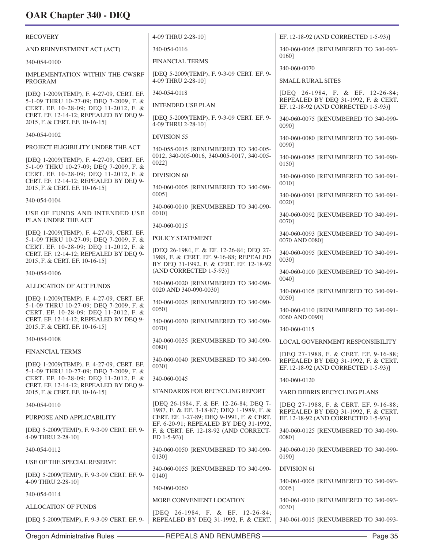| <b>RECOVERY</b>                                                                                                             | 4-09 THRU 2-28-10]                                                                                                             | EF. 12-18-92 (AND CORRECTED 1-5-93)]                                                                                 |
|-----------------------------------------------------------------------------------------------------------------------------|--------------------------------------------------------------------------------------------------------------------------------|----------------------------------------------------------------------------------------------------------------------|
| AND REINVESTMENT ACT (ACT)                                                                                                  | 340-054-0116                                                                                                                   | 340-060-0065 [RENUMBERED TO 340-093-<br>0160]                                                                        |
| 340-054-0100                                                                                                                | <b>FINANCIAL TERMS</b>                                                                                                         | 340-060-0070                                                                                                         |
| IMPLEMENTATION WITHIN THE CWSRF<br><b>PROGRAM</b>                                                                           | [DEQ 5-2009(TEMP), F. 9-3-09 CERT. EF. 9-<br>4-09 THRU 2-28-10]                                                                | <b>SMALL RURAL SITES</b>                                                                                             |
| [DEQ 1-2009(TEMP), F. 4-27-09, CERT. EF.                                                                                    | 340-054-0118                                                                                                                   | [DEO 26-1984, F. & EF. 12-26-84;                                                                                     |
| 5-1-09 THRU 10-27-09; DEQ 7-2009, F. &<br>CERT. EF. 10-28-09; DEQ 11-2012, F. &                                             | <b>INTENDED USE PLAN</b>                                                                                                       | REPEALED BY DEQ 31-1992, F. & CERT.<br>EF. 12-18-92 (AND CORRECTED 1-5-93)]                                          |
| CERT. EF. 12-14-12; REPEALED BY DEQ 9-<br>2015, F. & CERT. EF. 10-16-15]                                                    | [DEQ 5-2009(TEMP), F. 9-3-09 CERT. EF. 9-<br>4-09 THRU 2-28-10]                                                                | 340-060-0075 [RENUMBERED TO 340-090-<br>0090]                                                                        |
| 340-054-0102                                                                                                                | <b>DIVISION 55</b>                                                                                                             | 340-060-0080 [RENUMBERED TO 340-090-                                                                                 |
| PROJECT ELIGIBILITY UNDER THE ACT                                                                                           | 340-055-0015 [RENUMBERED TO 340-005-                                                                                           | 00901                                                                                                                |
| [DEQ 1-2009(TEMP), F. 4-27-09, CERT. EF.<br>5-1-09 THRU 10-27-09; DEQ 7-2009, F. &                                          | 0012, 340-005-0016, 340-005-0017, 340-005-<br>0022]                                                                            | 340-060-0085 [RENUMBERED TO 340-090-<br>0150]                                                                        |
| CERT. EF. 10-28-09; DEQ 11-2012, F. &<br>CERT. EF. 12-14-12; REPEALED BY DEQ 9-                                             | DIVISION 60                                                                                                                    | 340-060-0090 [RENUMBERED TO 340-091-<br>0010]                                                                        |
| 2015, F. & CERT. EF. 10-16-15]                                                                                              | 340-060-0005 [RENUMBERED TO 340-090-<br>$0005$ ]                                                                               | 340-060-0091 [RENUMBERED TO 340-091-                                                                                 |
| 340-054-0104                                                                                                                | 340-060-0010 [RENUMBERED TO 340-090-                                                                                           | 0020]                                                                                                                |
| USE OF FUNDS AND INTENDED USE<br>PLAN UNDER THE ACT                                                                         | 0010]                                                                                                                          | 340-060-0092 [RENUMBERED TO 340-091-<br>0070]                                                                        |
| [DEQ 1-2009(TEMP), F. 4-27-09, CERT. EF.                                                                                    | 340-060-0015                                                                                                                   | 340-060-0093 [RENUMBERED TO 340-091-                                                                                 |
| 5-1-09 THRU 10-27-09; DEQ 7-2009, F. &<br>CERT. EF. 10-28-09; DEQ 11-2012, F. &                                             | POLICY STATEMENT                                                                                                               | 0070 AND 0080]                                                                                                       |
| CERT. EF. 12-14-12; REPEALED BY DEQ 9-<br>2015, F. & CERT. EF. 10-16-15]                                                    | [DEQ 26-1984, F. & EF. 12-26-84; DEQ 27-<br>1988, F. & CERT. EF. 9-16-88; REPEALED<br>BY DEQ 31-1992, F. & CERT. EF. 12-18-92  | 340-060-0095 [RENUMBERED TO 340-091-<br>0030]                                                                        |
| 340-054-0106                                                                                                                | (AND CORRECTED 1-5-93)]                                                                                                        | 340-060-0100 [RENUMBERED TO 340-091-                                                                                 |
| <b>ALLOCATION OF ACT FUNDS</b>                                                                                              | 340-060-0020 [RENUMBERED TO 340-090-<br>0020 AND 340-090-0030]                                                                 | 0040]<br>340-060-0105 [RENUMBERED TO 340-091-                                                                        |
| [DEQ 1-2009(TEMP), F. 4-27-09, CERT. EF.<br>5-1-09 THRU 10-27-09; DEQ 7-2009, F. &<br>CERT. EF. 10-28-09; DEQ 11-2012, F. & | 340-060-0025 [RENUMBERED TO 340-090-<br>0050]                                                                                  | 0050]<br>340-060-0110 [RENUMBERED TO 340-091-                                                                        |
| CERT. EF. 12-14-12; REPEALED BY DEQ 9-<br>2015, F. & CERT. EF. 10-16-15]                                                    | 340-060-0030 [RENUMBERED TO 340-090-<br>00701                                                                                  | 0060 AND 0090]<br>340-060-0115                                                                                       |
| 340-054-0108                                                                                                                | 340-060-0035 [RENUMBERED TO 340-090-                                                                                           |                                                                                                                      |
| <b>FINANCIAL TERMS</b>                                                                                                      | 00801                                                                                                                          | LOCAL GOVERNMENT RESPONSIBILITY                                                                                      |
| [DEQ 1-2009(TEMP), F. 4-27-09, CERT. EF.                                                                                    | 340-060-0040 [RENUMBERED TO 340-090-<br>00301                                                                                  | [DEQ 27-1988, F. & CERT. EF. 9-16-88;<br>REPEALED BY DEQ 31-1992, F. & CERT.<br>EF. 12-18-92 (AND CORRECTED 1-5-93)] |
| 5-1-09 THRU 10-27-09; DEQ 7-2009, F. &<br>CERT. EF. 10-28-09; DEQ 11-2012, F. &                                             | 340-060-0045                                                                                                                   | 340-060-0120                                                                                                         |
| CERT. EF. 12-14-12; REPEALED BY DEQ 9-<br>2015, F. & CERT. EF. 10-16-15]                                                    | STANDARDS FOR RECYCLING REPORT                                                                                                 | YARD DEBRIS RECYCLING PLANS                                                                                          |
| 340-054-0110                                                                                                                | [DEQ 26-1984, F. & EF. 12-26-84; DEQ 7-                                                                                        | [DEQ 27-1988, F. & CERT. EF. 9-16-88;                                                                                |
| PURPOSE AND APPLICABILITY                                                                                                   | 1987, F. & EF. 3-18-87; DEQ 1-1989, F. &<br>CERT. EF. 1-27-89; DEQ 9-1991, F. & CERT.<br>EF. 6-20-91; REPEALED BY DEQ 31-1992, | REPEALED BY DEQ 31-1992, F. & CERT.<br>EF. 12-18-92 (AND CORRECTED 1-5-93)]                                          |
| [DEQ 5-2009(TEMP), F. 9-3-09 CERT. EF. 9-<br>4-09 THRU 2-28-101                                                             | F. & CERT. EF. 12-18-92 (AND CORRECT-<br>$ED$ 1-5-93)]                                                                         | 340-060-0125 [RENUMBERED TO 340-090-<br>0080]                                                                        |
| 340-054-0112                                                                                                                | 340-060-0050 [RENUMBERED TO 340-090-                                                                                           | 340-060-0130 [RENUMBERED TO 340-090-                                                                                 |
| USE OF THE SPECIAL RESERVE                                                                                                  | 0130]                                                                                                                          | 01901                                                                                                                |
| [DEQ 5-2009(TEMP), F. 9-3-09 CERT. EF. 9-<br>4-09 THRU 2-28-101                                                             | 340-060-0055 [RENUMBERED TO 340-090-<br>0140]                                                                                  | <b>DIVISION 61</b><br>340-061-0005 [RENUMBERED TO 340-093-                                                           |
| 340-054-0114                                                                                                                | 340-060-0060                                                                                                                   | 0005]                                                                                                                |
| <b>ALLOCATION OF FUNDS</b>                                                                                                  | MORE CONVENIENT LOCATION                                                                                                       | 340-061-0010 [RENUMBERED TO 340-093-<br>0030]                                                                        |
| [DEQ 5-2009(TEMP), F. 9-3-09 CERT. EF. 9-                                                                                   | [DEQ 26-1984, F. & EF. 12-26-84;<br>REPEALED BY DEQ 31-1992, F. & CERT.                                                        | 340-061-0015 [RENUMBERED TO 340-093-                                                                                 |
|                                                                                                                             |                                                                                                                                |                                                                                                                      |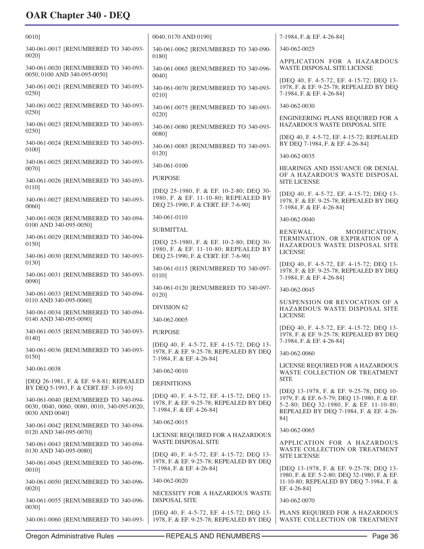| 0010]                                                                                                                                           | 0040, 0170 AND 01901                                                                                                   | 7-1984, F. & EF. 4-26-84]                                                                                                                                                    |
|-------------------------------------------------------------------------------------------------------------------------------------------------|------------------------------------------------------------------------------------------------------------------------|------------------------------------------------------------------------------------------------------------------------------------------------------------------------------|
| 340-061-0017 [RENUMBERED TO 340-093-<br>00201                                                                                                   | 340-061-0062 [RENUMBERED TO 340-090-                                                                                   | 340-062-0025                                                                                                                                                                 |
| 340-061-0020 [RENUMBERED TO 340-093-<br>0050, 0100 AND 340-095-0050]                                                                            | 0180]<br>340-061-0065 [RENUMBERED TO 340-096-<br>00401                                                                 | APPLICATION FOR A HAZARDOUS<br><b>WASTE DISPOSAL SITE LICENSE</b>                                                                                                            |
| 340-061-0021 [RENUMBERED TO 340-093-<br>0250]                                                                                                   | 340-061-0070 [RENUMBERED TO 340-093-<br>0210]                                                                          | [DEO 40, F. 4-5-72, EF. 4-15-72; DEO 13-<br>1978, F. & EF. 9-25-78; REPEALED BY DEQ<br>7-1984, F. & EF. 4-26-84]                                                             |
| 340-061-0022 [RENUMBERED TO 340-093-<br>0250]                                                                                                   | 340-061-0075 [RENUMBERED TO 340-093-                                                                                   | 340-062-0030                                                                                                                                                                 |
| 340-061-0023 [RENUMBERED TO 340-093-<br>0250]                                                                                                   | 0220]<br>340-061-0080 [RENUMBERED TO 340-093-                                                                          | ENGINEERING PLANS REQUIRED FOR A<br>HAZARDOUS WASTE DISPOSAL SITE                                                                                                            |
| 340-061-0024 [RENUMBERED TO 340-093-<br>01001                                                                                                   | 00801<br>340-061-0085 [RENUMBERED TO 340-093-                                                                          | [DEQ 40, F. 4-5-72, EF. 4-15-72; REPEALED<br>BY DEQ 7-1984, F. & EF. 4-26-84]                                                                                                |
| 340-061-0025 [RENUMBERED TO 340-093-                                                                                                            | 0120]                                                                                                                  | 340-062-0035                                                                                                                                                                 |
| 00701                                                                                                                                           | 340-061-0100<br><b>PURPOSE</b>                                                                                         | HEARINGS AND ISSUANCE OR DENIAL<br>OF A HAZARDOUS WASTE DISPOSAL                                                                                                             |
| 340-061-0026 [RENUMBERED TO 340-093-<br>01101                                                                                                   | [DEQ 25-1980, F. & EF. 10-2-80; DEQ 30-                                                                                | <b>SITE LICENSE</b>                                                                                                                                                          |
| 340-061-0027 [RENUMBERED TO 340-093-<br>0060]                                                                                                   | 1980, F. & EF. 11-10-80; REPEALED BY<br>DEQ 23-1990, F. & CERT. EF. 7-6-90]                                            | [DEQ 40, F. 4-5-72, EF. 4-15-72; DEQ 13-<br>1978, F. & EF. 9-25-78; REPEALED BY DEQ<br>7-1984, F. & EF. 4-26-84]                                                             |
| 340-061-0028 [RENUMBERED TO 340-094-<br>0100 AND 340-095-0050]                                                                                  | 340-061-0110                                                                                                           | 340-062-0040                                                                                                                                                                 |
| 340-061-0029 [RENUMBERED TO 340-094-                                                                                                            | <b>SUBMITTAL</b>                                                                                                       | RENEWAL,<br>MODIFICATION,<br>TERMINATION, OR EXPIRATION OF A                                                                                                                 |
| 0150]<br>340-061-0030 [RENUMBERED TO 340-093-                                                                                                   | [DEQ 25-1980, F. & EF. 10-2-80; DEQ 30-<br>1980, F. & EF. 11-10-80; REPEALED BY<br>DEQ 23-1990, F. & CERT. EF. 7-6-90] | HAZARDOUS WASTE DISPOSAL SITE<br><b>LICENSE</b>                                                                                                                              |
| 0130]                                                                                                                                           | 340-061-0115 [RENUMBERED TO 340-097-                                                                                   | [DEQ 40, F. 4-5-72, EF. 4-15-72; DEQ 13-                                                                                                                                     |
| 340-061-0031 [RENUMBERED TO 340-093-<br>00901                                                                                                   | 0110]                                                                                                                  | 1978, F. & EF. 9-25-78; REPEALED BY DEQ<br>7-1984, F. & EF. 4-26-84]                                                                                                         |
| 340-061-0033 [RENUMBERED TO 340-094-                                                                                                            | 340-061-0120 [RENUMBERED TO 340-097-<br>0120]                                                                          | 340-062-0045                                                                                                                                                                 |
| 0110 AND 340-095-0060]                                                                                                                          | <b>DIVISION 62</b>                                                                                                     | SUSPENSION OR REVOCATION OF A<br>HAZARDOUS WASTE DISPOSAL SITE                                                                                                               |
| 340-061-0034 [RENUMBERED TO 340-094-<br>0140 AND 340-095-0090]                                                                                  | 340-062-0005                                                                                                           | <b>LICENSE</b>                                                                                                                                                               |
| 340-061-0035 [RENUMBERED TO 340-093-<br>0140]                                                                                                   | <b>PURPOSE</b>                                                                                                         | [DEQ 40, F. 4-5-72, EF. 4-15-72; DEQ 13-<br>1978, F. & EF. 9-25-78; REPEALED BY DEQ<br>7-1984, F. & EF. 4-26-84]                                                             |
| 340-061-0036 [RENUMBERED TO 340-093-<br>01501                                                                                                   | [DEQ 40, F. 4-5-72, EF. 4-15-72; DEQ 13-<br>1978, F. & EF. 9-25-78; REPEALED BY DEQ<br>7-1984, F. & EF. 4-26-84]       | 340-062-0060                                                                                                                                                                 |
| 340-061-0038                                                                                                                                    | 340-062-0010                                                                                                           | LICENSE REQUIRED FOR A HAZARDOUS<br>WASTE COLLECTION OR TREATMENT                                                                                                            |
| [DEQ 26-1981, F. & EF. 9-8-81; REPEALED                                                                                                         | <b>DEFINITIONS</b>                                                                                                     | <b>SITE</b>                                                                                                                                                                  |
| BY DEQ 5-1993, F. & CERT. EF. 3-10-93]<br>340-061-0040 [RENUMBERED TO 340-094-<br>0030, 0040, 0060, 0080, 0010, 340-095-0020,<br>0030 AND 0040] | [DEO 40, F. 4-5-72, EF. 4-15-72; DEO 13-<br>1978, F. & EF. 9-25-78; REPEALED BY DEQ<br>7-1984, F. & EF. 4-26-84]       | [DEQ 13-1978, F. & EF. 9-25-78; DEQ 10-<br>1979, F. & EF. 6-5-79; DEQ 13-1980, F. & EF.<br>5-2-80; DEQ 32-1980, F. & EF. 11-10-80;<br>REPEALED BY DEQ 7-1984, F. & EF. 4-26- |
| 340-061-0042 [RENUMBERED TO 340-094-<br>0120 AND 340-095-0070]                                                                                  | 340-062-0015                                                                                                           | 84]<br>340-062-0065                                                                                                                                                          |
| 340-061-0043 [RENUMBERED TO 340-094-                                                                                                            | LICENSE REQUIRED FOR A HAZARDOUS<br><b>WASTE DISPOSAL SITE</b>                                                         | APPLICATION FOR A HAZARDOUS                                                                                                                                                  |
| 0130 AND 340-095-0080]                                                                                                                          | [DEQ 40, F. 4-5-72, EF. 4-15-72; DEQ 13-<br>1978, F. & EF. 9-25-78; REPEALED BY DEQ                                    | WASTE COLLECTION OR TREATMENT<br><b>SITE LICENSE</b>                                                                                                                         |
| 340-061-0045 [RENUMBERED TO 340-096-<br>0010]                                                                                                   | 7-1984, F. & EF. 4-26-84]                                                                                              | [DEQ 13-1978, F. & EF. 9-25-78; DEQ 13-<br>1980, F. & EF. 5-2-80; DEQ 32-1980, F. & EF.                                                                                      |
| 340-061-0050 [RENUMBERED TO 340-096-<br>0020]                                                                                                   | 340-062-0020                                                                                                           | 11-10-80; REPEALED BY DEQ 7-1984, F. &<br>EF. 4-26-84]                                                                                                                       |
| 340-061-0055 [RENUMBERED TO 340-096-<br>0030]                                                                                                   | NECESSITY FOR A HAZARDOUS WASTE<br>DISPOSAL SITE                                                                       | 340-062-0070                                                                                                                                                                 |
| 340-061-0060 [RENUMBERED TO 340-093-                                                                                                            | [DEQ 40, F. 4-5-72, EF. 4-15-72; DEQ 13-<br>1978, F. & EF. 9-25-78; REPEALED BY DEQ                                    | PLANS REQUIRED FOR A HAZARDOUS<br>WASTE COLLECTION OR TREATMENT                                                                                                              |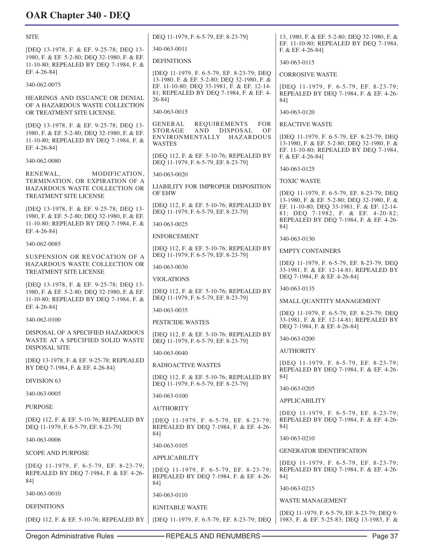| <b>SITE</b>                                                                                            | DEQ 11-1979, F. 6-5-79, EF. 8-23-79]                                                     | 13, 1980, F. & EF. 5-2-80; DEQ 32-1980, F. &<br>EF. 11-10-80; REPEALED BY DEQ 7-1984,                                             |
|--------------------------------------------------------------------------------------------------------|------------------------------------------------------------------------------------------|-----------------------------------------------------------------------------------------------------------------------------------|
| [DEQ 13-1978, F. & EF. 9-25-78; DEQ 13-                                                                | 340-063-0011                                                                             | F. & EF. 4-26-84]                                                                                                                 |
| 1980, F. & EF. 5-2-80; DEQ 32-1980, F. & EF.<br>11-10-80; REPEALED BY DEQ 7-1984, F. &                 | <b>DEFINITIONS</b>                                                                       | 340-063-0115                                                                                                                      |
| EF. 4-26-84]                                                                                           | [DEQ 11-1979, F. 6-5-79, EF. 8-23-79; DEQ<br>13-1980, F. & EF. 5-2-80; DEQ 32-1980, F. & | <b>CORROSIVE WASTE</b>                                                                                                            |
| 340-062-0075                                                                                           | EF. 11-10-80; DEQ 33-1981, F. & EF. 12-14-<br>81; REPEALED BY DEQ 7-1984, F. & EF. 4-    | [DEQ 11-1979, F. 6-5-79, EF. 8-23-79;<br>REPEALED BY DEQ 7-1984, F. & EF. 4-26-                                                   |
| HEARINGS AND ISSUANCE OR DENIAL<br>OF A HAZARDOUS WASTE COLLECTION                                     | 26-841                                                                                   | 841                                                                                                                               |
| OR TREATMENT SITE LICENSE.                                                                             | 340-063-0015                                                                             | 340-063-0120                                                                                                                      |
| [DEQ 13-1978, F. & EF. 9-25-78; DEQ 13-                                                                | REQUIREMENTS<br>GENERAL<br>FOR<br>AND<br><b>DISPOSAL</b><br>OF<br>STORAGE                | <b>REACTIVE WASTE</b>                                                                                                             |
| 1980, F. & EF. 5-2-80; DEQ 32-1980, F. & EF.<br>11-10-80; REPEALED BY DEQ 7-1984, F. &<br>EF. 4-26-84] | ENVIRONMENTALLY HAZARDOUS<br><b>WASTES</b>                                               | [DEQ 11-1979, F. 6-5-79, EF. 8-23-79; DEQ<br>13-1980, F. & EF. 5-2-80; DEQ 32-1980, F. &<br>EF. 11-10-80; REPEALED BY DEQ 7-1984, |
| 340-062-0080                                                                                           | [DEQ 112, F. & EF. 5-10-76; REPEALED BY<br>DEQ 11-1979, F. 6-5-79, EF. 8-23-79]          | F. & EF. 4-26-84]                                                                                                                 |
| RENEWAL,<br>MODIFICATION,                                                                              | 340-063-0020                                                                             | 340-063-0125                                                                                                                      |
| TERMINATION, OR EXPIRATION OF A<br>HAZARDOUS WASTE COLLECTION OR                                       | LIABILITY FOR IMPROPER DISPOSITION                                                       | <b>TOXIC WASTE</b>                                                                                                                |
| <b>TREATMENT SITE LICENSE</b>                                                                          | <b>OF EHW</b>                                                                            | [DEQ 11-1979, F. 6-5-79, EF. 8-23-79; DEQ<br>13-1980, F. & EF. 5-2-80; DEQ 32-1980, F. &                                          |
| [DEQ 13-1978, F. & EF. 9-25-78; DEQ 13-<br>1980, F. & EF. 5-2-80; DEQ 32-1980, F. & EF.                | [DEQ 112, F. & EF. 5-10-76; REPEALED BY<br>DEQ 11-1979, F. 6-5-79, EF. 8-23-79]          | EF. 11-10-80; DEQ 33-1981, F. & EF. 12-14-<br>81; DEQ 7-1982, F. & EF. 4-20-82;                                                   |
| 11-10-80; REPEALED BY DEQ 7-1984, F. &                                                                 | 340-063-0025                                                                             | REPEALED BY DEQ 7-1984, F. & EF. 4-26-<br>84]                                                                                     |
| EF. 4-26-84]                                                                                           | <b>ENFORCEMENT</b>                                                                       | 340-063-0130                                                                                                                      |
| 340-062-0085                                                                                           | [DEQ 112, F. & EF. 5-10-76; REPEALED BY<br>DEQ 11-1979, F. 6-5-79, EF. 8-23-79]          | <b>EMPTY CONTAINERS</b>                                                                                                           |
| SUSPENSION OR REVOCATION OF A<br>HAZARDOUS WASTE COLLECTION OR                                         | 340-063-0030                                                                             | [DEQ 11-1979, F. 6-5-79, EF. 8-23-79; DEQ                                                                                         |
| TREATMENT SITE LICENSE                                                                                 | <b>VIOLATIONS</b>                                                                        | 33-1981, F. & EF. 12-14-81; REPEALED BY<br>DEQ 7-1984, F. & EF. 4-26-84]                                                          |
| [DEQ 13-1978, F. & EF. 9-25-78; DEQ 13-<br>1980, F. & EF. 5-2-80; DEQ 32-1980, F. & EF.                | [DEO 112, F. & EF. 5-10-76; REPEALED BY                                                  | 340-063-0135                                                                                                                      |
| 11-10-80; REPEALED BY DEQ 7-1984, F. &                                                                 | DEQ 11-1979, F. 6-5-79, EF. 8-23-79]                                                     | SMALL QUANTITY MANAGEMENT                                                                                                         |
| EF. 4-26-84]                                                                                           | 340-063-0035                                                                             | [DEQ 11-1979, F. 6-5-79, EF. 8-23-79; DEQ                                                                                         |
| 340-062-0100                                                                                           | <b>PESTICIDE WASTES</b>                                                                  | 33-1981, F. & EF. 12-14-81; REPEALED BY<br>DEQ 7-1984, F. & EF. 4-26-84]                                                          |
| DISPOSAL OF A SPECIFIED HAZARDOUS<br>WASTE AT A SPECIFIED SOLID WASTE                                  | [DEQ 112, F. & EF. 5-10-76; REPEALED BY<br>DEO 11-1979, F. 6-5-79, EF. 8-23-791          | 340-063-0200                                                                                                                      |
| <b>DISPOSAL SITE</b>                                                                                   | 340-063-0040                                                                             | <b>AUTHORITY</b>                                                                                                                  |
| [DEQ 13-1978, F. & EF. 9-25-78; REPEALED<br>BY DEQ 7-1984, F. & EF. 4-26-84]                           | <b>RADIOACTIVE WASTES</b>                                                                | [DEQ 11-1979, F. 6-5-79, EF. 8-23-79;<br>REPEALED BY DEQ 7-1984, F. & EF. 4-26-                                                   |
| <b>DIVISION 63</b>                                                                                     | [DEO 112, F. & EF. 5-10-76; REPEALED BY<br>DEQ 11-1979, F. 6-5-79, EF. 8-23-79]          | 84]                                                                                                                               |
| 340-063-0005                                                                                           | 340-063-0100                                                                             | 340-063-0205                                                                                                                      |
| <b>PURPOSE</b>                                                                                         | <b>AUTHORITY</b>                                                                         | <b>APPLICABILITY</b>                                                                                                              |
| [DEQ 112, F. & EF. 5-10-76; REPEALED BY                                                                | [DEQ 11-1979, F. 6-5-79, EF. 8-23-79;                                                    | [DEQ 11-1979, F. 6-5-79, EF. 8-23-79;<br>REPEALED BY DEQ 7-1984, F. & EF. 4-26-                                                   |
| DEQ 11-1979, F. 6-5-79, EF. 8-23-79]                                                                   | REPEALED BY DEQ 7-1984, F. & EF. 4-26-<br>84]                                            | 84]                                                                                                                               |
| 340-063-0006                                                                                           | 340-063-0105                                                                             | 340-063-0210                                                                                                                      |
| <b>SCOPE AND PURPOSE</b>                                                                               | <b>APPLICABILITY</b>                                                                     | <b>GENERATOR IDENTIFICATION</b>                                                                                                   |
| [DEQ 11-1979, F. 6-5-79, EF. 8-23-79;<br>REPEALED BY DEQ 7-1984, F. & EF. 4-26-<br>84]                 | [DEQ 11-1979, F. 6-5-79, EF. 8-23-79;<br>REPEALED BY DEQ 7-1984, F. & EF. 4-26-          | [DEQ 11-1979, F. 6-5-79, EF. 8-23-79;<br>REPEALED BY DEQ 7-1984, F. & EF. 4-26-<br>84]                                            |
| 340-063-0010                                                                                           | 84]                                                                                      | 340-063-0215                                                                                                                      |
|                                                                                                        | 340-063-0110                                                                             | <b>WASTE MANAGEMENT</b>                                                                                                           |
| <b>DEFINITIONS</b>                                                                                     | <b>IGNITABLE WASTE</b>                                                                   | [DEQ 11-1979, F. 6-5-79, EF. 8-23-79; DEQ 9-                                                                                      |
| [DEQ 112, F. & EF. 5-10-76; REPEALED BY   [DEQ 11-1979, F. 6-5-79, EF. 8-23-79; DEQ                    |                                                                                          | 1983, F. & EF. 5-25-83; DEQ 13-1983, F. &                                                                                         |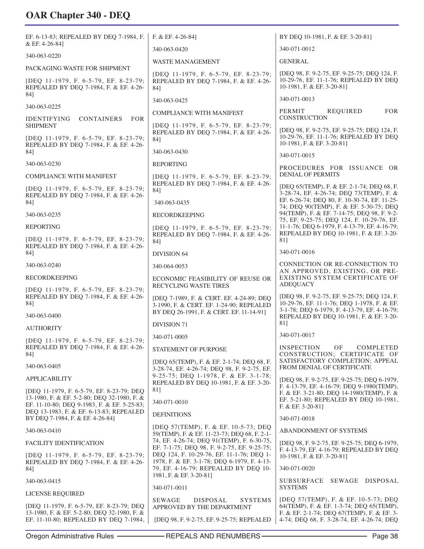| EF. 6-13-83; REPEALED BY DEO 7-1984, F.                                                                         | F. & EF. 4-26-84]                                                                                                                       | BY DEQ 10-1981, F. & EF. 3-20-81]                                                                                                           |
|-----------------------------------------------------------------------------------------------------------------|-----------------------------------------------------------------------------------------------------------------------------------------|---------------------------------------------------------------------------------------------------------------------------------------------|
| & EF. 4-26-84]                                                                                                  | 340-063-0420                                                                                                                            | 340-071-0012                                                                                                                                |
| 340-063-0220                                                                                                    | <b>WASTE MANAGEMENT</b>                                                                                                                 | <b>GENERAL</b>                                                                                                                              |
| PACKAGING WASTE FOR SHIPMENT<br>[DEQ 11-1979, F. 6-5-79, EF. 8-23-79;<br>REPEALED BY DEQ 7-1984, F. & EF. 4-26- | [DEQ 11-1979, F. 6-5-79, EF. 8-23-79;<br>REPEALED BY DEQ 7-1984, F. & EF. 4-26-<br>84]                                                  | [DEQ 98, F. 9-2-75, EF. 9-25-75; DEQ 124, F.<br>10-29-76, EF. 11-1-76; REPEALED BY DEQ<br>10-1981, F. & EF. 3-20-81]                        |
| 84]                                                                                                             | 340-063-0425                                                                                                                            | 340-071-0013                                                                                                                                |
| 340-063-0225                                                                                                    | <b>COMPLIANCE WITH MANIFEST</b>                                                                                                         | PERMIT<br><b>FOR</b><br>REQUIRED                                                                                                            |
| <b>CONTAINERS</b><br>IDENTIFYING<br><b>FOR</b><br><b>SHIPMENT</b>                                               | [DEQ 11-1979, F. 6-5-79, EF. 8-23-79;                                                                                                   | <b>CONSTRUCTION</b>                                                                                                                         |
| [DEQ 11-1979, F. 6-5-79, EF. 8-23-79;<br>REPEALED BY DEO 7-1984, F. & EF. 4-26-                                 | REPEALED BY DEO 7-1984, F. & EF. 4-26-<br>84]                                                                                           | [DEQ 98, F. 9-2-75, EF. 9-25-75; DEQ 124, F.<br>10-29-76, EF. 11-1-76; REPEALED BY DEQ<br>10-1981, F. & EF. 3-20-81]                        |
| 84]                                                                                                             | 340-063-0430                                                                                                                            | 340-071-0015                                                                                                                                |
| 340-063-0230                                                                                                    | <b>REPORTING</b>                                                                                                                        | PROCEDURES FOR ISSUANCE OR                                                                                                                  |
| COMPLIANCE WITH MANIFEST                                                                                        | [DEQ 11-1979, F. 6-5-79, EF. 8-23-79;<br>REPEALED BY DEQ 7-1984, F. & EF. 4-26-                                                         | <b>DENIAL OF PERMITS</b>                                                                                                                    |
| [DEQ 11-1979, F. 6-5-79, EF. 8-23-79;<br>REPEALED BY DEQ 7-1984, F. & EF. 4-26-<br>84]                          | 84]<br>340-063-0435                                                                                                                     | [DEQ 65(TEMP), F. & EF. 2-1-74; DEQ 68, F.<br>3-28-74, EF. 4-26-74; DEQ 73(TEMP), F. &<br>EF. 6-26-74; DEQ 80, F. 10-30-74, EF. 11-25-      |
| 340-063-0235                                                                                                    | <b>RECORDKEEPING</b>                                                                                                                    | 74; DEQ 90(TEMP), F. & EF. 5-30-75; DEQ<br>94(TEMP), F. & EF. 7-14-75; DEQ 98, F. 9-2-                                                      |
| REPORTING                                                                                                       | [DEQ 11-1979, F. 6-5-79, EF. 8-23-79;                                                                                                   | 75, EF. 9-25-75; DEQ 124, F. 10-29-76, EF.<br>11-1-76; DEQ 6-1979, F. 4-13-79, EF. 4-16-79;                                                 |
| [DEQ 11-1979, F. 6-5-79, EF. 8-23-79;<br>REPEALED BY DEQ 7-1984, F. & EF. 4-26-                                 | REPEALED BY DEQ 7-1984, F. & EF. 4-26-<br>84]                                                                                           | REPEALED BY DEQ 10-1981, F. & EF. 3-20-<br>81]                                                                                              |
| 84]                                                                                                             | <b>DIVISION 64</b>                                                                                                                      | 340-071-0016                                                                                                                                |
| 340-063-0240                                                                                                    | 340-064-0053                                                                                                                            | CONNECTION OR RE-CONNECTION TO                                                                                                              |
| <b>RECORDKEEPING</b>                                                                                            | ECONOMIC FEASIBILITY OF REUSE OR<br>RECYCLING WASTE TIRES                                                                               | AN APPROVED, EXISTING, OR PRE-<br>EXISTING SYSTEM CERTIFICATE OF<br><b>ADEQUACY</b>                                                         |
| [DEQ 11-1979, F. 6-5-79, EF. 8-23-79;<br>REPEALED BY DEQ 7-1984, F. & EF. 4-26-<br>84]                          | [DEQ 7-1989, F. & CERT. EF. 4-24-89; DEQ<br>3-1990, F. & CERT. EF. 1-24-90; REPEALED<br>BY DEQ 26-1991, F. & CERT. EF. 11-14-91]        | [DEQ 98, F. 9-2-75, EF. 9-25-75; DEQ 124, F.<br>10-29-76, EF. 11-1-76; DEQ 1-1978, F. & EF.<br>3-1-78; DEQ 6-1979, F. 4-13-79, EF. 4-16-79; |
| 340-063-0400                                                                                                    | <b>DIVISION 71</b>                                                                                                                      | REPEALED BY DEQ 10-1981, F. & EF. 3-20-<br>81]                                                                                              |
| <b>AUTHORITY</b>                                                                                                |                                                                                                                                         | 340-071-0017                                                                                                                                |
| [DEQ 11-1979, F. 6-5-79, EF. 8-23-79;<br>REPEALED BY DEQ 7-1984, F. & EF. 4-26-                                 | 340-071-0005                                                                                                                            | <b>INSPECTION</b><br>OF<br>COMPLETED                                                                                                        |
| 84]                                                                                                             | STATEMENT OF PURPOSE                                                                                                                    | CONSTRUCTION; CERTIFICATE OF                                                                                                                |
| 340-063-0405                                                                                                    | [DEQ 65(TEMP), F. & EF. 2-1-74; DEQ 68, F.<br>3-28-74, EF. 4-26-74; DEQ 98, F. 9-2-75, EF.                                              | SATISFACTORY COMPLETION; APPEAL<br>FROM DENIAL OF CERTIFICATE                                                                               |
| <b>APPLICABILITY</b>                                                                                            | 9-25-75; DEQ 1-1978, F. & EF. 3-1-78;<br>REPEALED BY DEQ 10-1981, F. & EF. 3-20-                                                        | [DEQ 98, F. 9-2-75, EF. 9-25-75; DEQ 6-1979,                                                                                                |
| [DEQ 11-1979, F. 6-5-79, EF. 8-23-79; DEQ                                                                       | 81]                                                                                                                                     | F. 4-13-79, EF. 4-16-79; DEQ 9-1980(TEMP),<br>F. & EF. 3-21-80; DEQ 14-1980(TEMP), F. &                                                     |
| 13-1980, F. & EF. 5-2-80; DEQ 32-1980, F. &<br>EF. 11-10-80; DEQ 9-1983, F. & EF. 5-25-83;                      | 340-071-0010                                                                                                                            | EF. 5-21-80; REPEALED BY DEQ 10-1981,<br>F. & EF. 3-20-81]                                                                                  |
| DEQ 13-1983, F. & EF. 6-13-83; REPEALED<br>BY DEQ 7-1984, F. & EF. 4-26-84]                                     | <b>DEFINITIONS</b>                                                                                                                      | 340-071-0018                                                                                                                                |
| 340-063-0410                                                                                                    | [DEQ 57(TEMP), F. & EF. 10-5-73; DEQ                                                                                                    | ABANDONMENT OF SYSTEMS                                                                                                                      |
| <b>FACILITY IDENTIFICATION</b>                                                                                  | 59(TEMP), F. & EF. 11-23-73; DEQ 68, F. 2-1-<br>74, EF. 4-26-74; DEQ 91(TEMP), F. 6-30-75,                                              | [DEQ 98, F. 9-2-75, EF. 9-25-75; DEQ 6-1979,                                                                                                |
| [DEQ 11-1979, F. 6-5-79, EF. 8-23-79;<br>REPEALED BY DEQ 7-1984, F. & EF. 4-26-                                 | EF. 7-1-75; DEQ 98, F. 9-2-75, EF. 9-25-75;<br>DEQ 124, F. 10-29-76, EF. 11-1-76; DEQ 1-<br>1978, F. & EF. 3-1-78; DEQ 6-1979, F. 4-13- | F. 4-13-79, EF. 4-16-79; REPEALED BY DEQ<br>10-1981, F. & EF. 3-20-81]                                                                      |
| 84]                                                                                                             | 79, EF. 4-16-79; REPEALED BY DEQ 10-                                                                                                    | 340-071-0020                                                                                                                                |
| 340-063-0415                                                                                                    | 1981, F. & EF. 3-20-81]                                                                                                                 | <b>SUBSURFACE</b><br>SEWAGE<br>DISPOSAL                                                                                                     |
| LICENSE REQUIRED                                                                                                | 340-071-0011                                                                                                                            | <b>SYSTEMS</b>                                                                                                                              |
| [DEQ 11-1979, F. 6-5-79, EF. 8-23-79; DEQ<br>13-1980, F. & EF. 5-2-80; DEQ 32-1980, F. &                        | <b>DISPOSAL</b><br><b>SYSTEMS</b><br><b>SEWAGE</b><br>APPROVED BY THE DEPARTMENT                                                        | [DEQ 57(TEMP), F. & EF. 10-5-73; DEQ<br>64(TEMP), F. & EF. 1-3-74; DEQ 65(TEMP),<br>F. & EF. 2-1-74; DEQ 67(TEMP), F. & EF. 3-              |
| EF. 11-10-80; REPEALED BY DEQ 7-1984,                                                                           | [DEQ 98, F. 9-2-75, EF. 9-25-75; REPEALED                                                                                               | 4-74; DEQ 68, F. 3-28-74, EF. 4-26-74; DEQ                                                                                                  |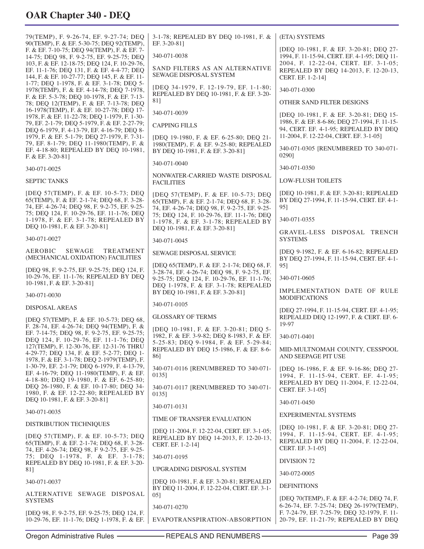79(TEMP), F. 9-26-74, EF. 9-27-74; DEQ 90(TEMP), F. & EF. 5-30-75; DEQ 92(TEMP), F. & EF. 7-10-75; DEQ 94(TEMP), F. & EF. 7- 14-75; DEQ 98, F. 9-2-75, EF. 9-25-75; DEQ 103, F. & EF. 12-18-75; DEQ 124, F. 10-29-76, EF. 11-1-76; DEQ 131, F. & EF. 4-4-77; DEQ 144, F. & EF. 10-27-77; DEQ 145, F. & EF. 11- 1-77; DEQ 1-1978, F. & EF. 3-1-78; DEQ 5- 1978(TEMP), F. & EF. 4-14-78; DEQ 7-1978, F. & EF. 5-3-78; DEQ 10-1978, F. & EF. 7-13- 78; DEQ 12(TEMP), F. & EF. 7-13-78; DEQ 16-1978(TEMP), F. & EF. 10-27-78; DEQ 17- 1978, F. & EF. 11-22-78; DEQ 1-1979, F. 1-30- 79, EF. 2-1-79; DEQ 5-1979, F. & EF. 2-27-79; DEQ 6-1979, F. 4-13-79, EF. 4-16-79; DEQ 8- 1979, F. & EF. 5-1-79; DEQ 27-1979, F. 7-31- 79, EF. 8-1-79; DEQ 11-1980(TEMP), F. & EF. 4-18-80; REPEALED BY DEQ 10-1981, F. & EF. 3-20-81]

340-071-0025

SEPTIC TANKS

[DEQ 57(TEMP), F. & EF. 10-5-73; DEQ 65(TEMP), F. & EF. 2-1-74; DEQ 68, F. 3-28- 74, EF. 4-26-74; DEQ 98, F. 9-2-75, EF. 9-25- 75; DEQ 124, F. 10-29-76, EF. 11-1-76; DEQ 1-1978, F. & EF. 3-1-78; REPEALED BY DEQ 10-1981, F. & EF. 3-20-81]

340-071-0027

AEROBIC SEWAGE TREATMENT (MECHANICAL OXIDATION) FACILITIES

[DEQ 98, F. 9-2-75, EF. 9-25-75; DEQ 124, F. 10-29-76, EF. 11-1-76; REPEALED BY DEQ 10-1981, F. & EF. 3-20-81]

340-071-0030

DISPOSAL AREAS

[DEQ 57(TEMP), F. & EF. 10-5-73; DEQ 68, F. 28-74, EF. 4-26-74; DEQ 94(TEMP), F. & EF. 7-14-75; DEQ 98, F. 9-2-75, EF. 9-25-75; DEQ 124, F. 10-29-76, EF. 11-1-76; DEQ 127(TEMP), F. 12-30-76, EF. 12-31-76 THRU 4-29-77; DEQ 134, F. & EF. 5-2-77; DEQ 1- 1978, F. & EF. 3-1-78; DEQ 2-1979(TEMP), F. 1-30-79, EF. 2-1-79; DEQ 6-1979, F. 4-13-79, EF. 4-16-79; DEQ 11-1980(TEMP), F. & EF. 4-18-80; DEQ 19-1980, F. & EF. 6-25-80; DEQ 26-1980, F. & EF. 10-17-80; DEQ 34- 1980, F. & EF. 12-22-80; REPEALED BY DEQ 10-1981, F. & EF. 3-20-81]

340-071-0035

DISTRIBUTION TECHNIQUES

[DEQ 57(TEMP), F. & EF. 10-5-73; DEQ 65(TEMP), F. & EF. 2-1-74; DEQ 68, F. 3-28- 74, EF. 4-26-74; DEQ 98, F 9-2-75, EF. 9-25- 75; DEQ 1-1978, F. & EF. 3-1-78; REPEALED BY DEQ 10-1981, F. & EF. 3-20- 81]

340-071-0037

ALTERNATIVE SEWAGE DISPOSAL SYSTEMS

[DEQ 98, F. 9-2-75, EF. 9-25-75; DEQ 124, F. 10-29-76, EF. 11-1-76; DEQ 1-1978, F. & EF.

SAND FILTERS AS AN ALTERNATIVE SEWAGE DISPOSAL SYSTEM [DEQ 34-1979, F. 12-19-79, EF. 1-1-80; REPEALED BY DEQ 10-1981, F. & EF. 3-20- 81] 340-071-0039 CAPPING FILLS [DEQ 19-1980, F. & EF. 6-25-80; DEQ 21- 1980(TEMP), F. & EF. 9-25-80; REPEALED BY DEQ 10-1981, F. & EF. 3-20-81] 340-071-0040 NONWATER-CARRIED WASTE DISPOSAL FACILITIES [DEQ 57(TEMP), F. & EF. 10-5-73; DEQ 65(TEMP), F. & EF. 2-1-74; DEQ 68, F. 3-28- 74, EF. 4-26-74; DEQ 98, F. 9-2-75, EF. 9-25- 75; DEQ 124, F. 10-29-76, EF. 11-1-76; DEQ 1-1978, F. & EF. 3-1-78; REPEALED BY DEQ 10-1981, F. & EF. 3-20-81] 340-071-0045 SEWAGE DISPOSAL SERVICE [DEQ 65(TEMP), F. & EF. 2-1-74; DEQ 68, F. 3-28-74, EF. 4-26-74; DEQ 98, F. 9-2-75, EF. 9-25-75; DEQ 124, F. 10-29-76, EF. 11-1-76; DEQ 1-1978, F. & EF. 3-1-78; REPEALED BY DEQ 10-1981, F. & EF. 3-20-81] 340-071-0105 GLOSSARY OF TERMS [DEQ 10-1981, F. & EF. 3-20-81; DEQ 5- 1982, F. & EF. 3-9-82; DEQ 8-1983, F. & EF. 5-25-83; DEQ 9-1984, F. & EF. 5-29-84; REPEALED BY DEQ 15-1986, F. & EF. 8-6- 86] 340-071-0116 [RENUMBERED TO 340-071- 0135] 340-071-0117 [RENUMBERED TO 340-071- 0135] 340-071-0131 TIME OF TRANSFER EVALUATION [DEQ 11-2004, F. 12-22-04, CERT. EF. 3-1-05; REPEALED BY DEQ 14-2013, F. 12-20-13, CERT. EF. 1-2-14] 340-071-0195 UPGRADING DISPOSAL SYSTEM [DEQ 10-1981, F. & EF. 3-20-81; REPEALED BY DEQ 11-2004, F. 12-22-04, CERT. EF. 3-1- 05] 340-071-0270 EVAPOTRANSPIRATION-ABSORPTION 2004, F. 12-22-04, CERT. EF. 3-1-05; REPEALED BY DEQ 14-2013, F. 12-20-13, CERT. EF. 1-2-14] 340-071-0300 OTHER SAND FILTER DESIGNS [DEQ 10-1981, F. & EF. 3-20-81; DEQ 15- 1986, F. & EF. 8-6-86; DEQ 27-1994, F. 11-15- 94, CERT. EF. 4-1-95; REPEALED BY DEQ 11-2004, F. 12-22-04, CERT. EF. 3-1-05] 340-071-0305 [RENUMBERED TO 340-071- 0290] 340-071-0350 LOW-FLUSH TOILETS [DEQ 10-1981, F. & EF. 3-20-81; REPEALED BY DEQ 27-1994, F. 11-15-94, CERT. EF. 4-1- 95] 340-071-0355 GRAVEL-LESS DISPOSAL TRENCH SYSTEMS [DEQ 9-1982, F. & EF. 6-16-82; REPEALED BY DEQ 27-1994, F. 11-15-94, CERT. EF. 4-1- 95] 340-071-0605 IMPLEMENTATION DATE OF RULE MODIFICATIONS [DEQ 27-1994, F. 11-15-94, CERT. EF. 4-1-95; REPEALED DEQ 12-1997, F. & CERT. EF. 6- 19-97 340-071-0401 MID-MULTNOMAH COUNTY, CESSPOOL AND SEEPAGE PIT USE [DEQ 16-1986, F. & EF. 9-16-86; DEQ 27- 1994, F. 11-15-94, CERT. EF. 4-1-95; REPEALED BY DEQ 11-2004, F. 12-22-04, CERT. EF. 3-1-05] 340-071-0450 EXPERIMENTAL SYSTEMS [DEQ 10-1981, F. & EF. 3-20-81; DEQ 27- 1994, F. 11-15-94, CERT. EF. 4-1-95; REPEALED BY DEQ 11-2004, F. 12-22-04, CERT. EF. 3-1-05] DIVISION 72 340-072-0005 DEFINITIONS [DEQ 70(TEMP), F. & EF. 4-2-74; DEQ 74, F. 6-26-74, EF. 7-25-74; DEQ 26-1979(TEMP), F. 7-24-79, EF. 7-25-79; DEQ 32-1979, F. 11- 20-79, EF. 11-21-79; REPEALED BY DEQ

(ETA) SYSTEMS

[DEQ 10-1981, F. & EF. 3-20-81; DEQ 27- 1994, F. 11-15-94, CERT. EF. 4-1-95; DEQ 11-

3-1-78; REPEALED BY DEQ 10-1981, F. &

EF. 3-20-81] 340-071-0038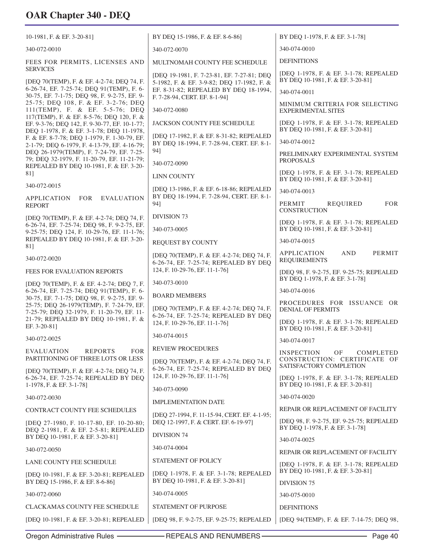| 10-1981, F. & EF. 3-20-81]                                                                                                                | BY DEQ 15-1986, F. & EF. 8-6-86]                                                         | BY DEQ 1-1978, F. & EF. 3-1-78]                                              |
|-------------------------------------------------------------------------------------------------------------------------------------------|------------------------------------------------------------------------------------------|------------------------------------------------------------------------------|
| 340-072-0010                                                                                                                              | 340-072-0070                                                                             | 340-074-0010                                                                 |
| FEES FOR PERMITS, LICENSES AND                                                                                                            | MULTNOMAH COUNTY FEE SCHEDULE                                                            | <b>DEFINITIONS</b>                                                           |
| <b>SERVICES</b><br>[DEQ 70(TEMP), F. & EF. 4-2-74; DEQ 74, F.                                                                             | [DEQ 19-1981, F. 7-23-81, EF. 7-27-81; DEQ<br>5-1982, F. & EF. 3-9-82; DEQ 17-1982, F. & | [DEQ 1-1978, F. & EF. 3-1-78; REPEALED<br>BY DEQ 10-1981, F. & EF. 3-20-81]  |
| 6-26-74, EF. 7-25-74; DEQ 91(TEMP), F. 6-<br>30-75, EF. 7-1-75; DEQ 98, F. 9-2-75, EF. 9-                                                 | EF. 8-31-82; REPEALED BY DEQ 18-1994,                                                    | 340-074-0011                                                                 |
| 25-75; DEQ 108, F. & EF. 3-2-76; DEQ<br>111(TEMP), F. & EF. 5-5-76; DEQ                                                                   | F. 7-28-94, CERT. EF. 8-1-94]<br>340-072-0080                                            | MINIMUM CRITERIA FOR SELECTING<br><b>EXPERIMENTAL SITES</b>                  |
| 117(TEMP), F. & EF. 8-5-76; DEQ 120, F. &<br>EF. 9-3-76; DEQ 142, F. 9-30-77, EF. 10-1-77;                                                | JACKSON COUNTY FEE SCHEDULE                                                              | [DEQ 1-1978, F. & EF. 3-1-78; REPEALED<br>BY DEQ 10-1981, F. & EF. 3-20-81]  |
| DEQ 1-1978, F. & EF. 3-1-78; DEQ 11-1978,<br>F. & EF. 8-7-78; DEQ 1-1979, F. 1-30-79, EF.<br>2-1-79; DEQ 6-1979, F. 4-13-79, EF. 4-16-79; | [DEQ 17-1982, F. & EF. 8-31-82; REPEALED<br>BY DEQ 18-1994, F. 7-28-94, CERT. EF. 8-1-   | 340-074-0012                                                                 |
| DEQ 26-1979(TEMP), F. 7-24-79, EF. 7-25-<br>79; DEQ 32-1979, F. 11-20-79, EF. 11-21-79;                                                   | 94]                                                                                      | PRELIMINARY EXPERIMENTAL SYSTEM                                              |
| REPEALED BY DEQ 10-1981, F. & EF. 3-20-                                                                                                   | 340-072-0090                                                                             | <b>PROPOSALS</b>                                                             |
| 81]                                                                                                                                       | <b>LINN COUNTY</b>                                                                       | [DEQ 1-1978, F. & EF. 3-1-78; REPEALED<br>BY DEQ 10-1981, F. & EF. 3-20-81]  |
| 340-072-0015                                                                                                                              | [DEQ 13-1986, F. & EF. 6-18-86; REPEALED<br>BY DEQ 18-1994, F. 7-28-94, CERT. EF. 8-1-   | 340-074-0013                                                                 |
| <b>APPLICATION</b><br><b>FOR</b><br><b>EVALUATION</b><br><b>REPORT</b>                                                                    | 941                                                                                      | PERMIT<br><b>REQUIRED</b><br><b>FOR</b><br><b>CONSTRUCTION</b>               |
| [DEQ 70(TEMP), F. & EF. 4-2-74; DEQ 74, F.<br>6-26-74, EF. 7-25-74; DEQ 98, F. 9-2-75, EF.                                                | <b>DIVISION 73</b><br>340-073-0005                                                       | [DEQ 1-1978, F. & EF. 3-1-78; REPEALED<br>BY DEQ 10-1981, F. & EF. 3-20-81]  |
| 9-25-75; DEO 124, F. 10-29-76, EF. 11-1-76;<br>REPEALED BY DEQ 10-1981, F. & EF. 3-20-                                                    | REQUEST BY COUNTY                                                                        | 340-074-0015                                                                 |
| 81]                                                                                                                                       | [DEQ 70(TEMP), F. & EF. 4-2-74; DEQ 74, F.                                               | PERMIT<br><b>APPLICATION</b><br><b>AND</b>                                   |
| 340-072-0020                                                                                                                              | 6-26-74, EF. 7-25-74; REPEALED BY DEQ                                                    | <b>REQUIREMENTS</b>                                                          |
| FEES FOR EVALUATION REPORTS                                                                                                               | 124, F. 10-29-76, EF. 11-1-76]                                                           | [DEQ 98, F. 9-2-75, EF. 9-25-75; REPEALED<br>BY DEQ 1-1978, F. & EF. 3-1-78] |
| [DEQ 70(TEMP), F. & EF. 4-2-74; DEQ 7, F.<br>6-26-74, EF. 7-25-74; DEQ 91(TEMP), F. 6-                                                    | 340-073-0010                                                                             | 340-074-0016                                                                 |
| 30-75, EF. 7-1-75; DEQ 98, F. 9-2-75, EF. 9-<br>25-75; DEQ 26-1979(TEMP), F. 7-24-79, EF.<br>7-25-79; DEQ 32-1979, F. 11-20-79, EF. 11-   | <b>BOARD MEMBERS</b><br>[DEQ 70(TEMP), F. & EF. 4-2-74; DEQ 74, F.                       | PROCEDURES FOR ISSUANCE OR<br><b>DENIAL OF PERMITS</b>                       |
| 21-79; REPEALED BY DEQ 10-1981, F. &<br>EF. 3-20-81]                                                                                      | 6-26-74, EF. 7-25-74; REPEALED BY DEQ<br>124, F. 10-29-76, EF. 11-1-76]                  | [DEQ 1-1978, F. & EF. 3-1-78; REPEALED<br>BY DEQ 10-1981, F. & EF. 3-20-81]  |
| 340-072-0025                                                                                                                              | 340-074-0015                                                                             | 340-074-0017                                                                 |
| <b>EVALUATION</b><br><b>REPORTS</b><br><b>FOR</b>                                                                                         | <b>REVIEW PROCEDURES</b>                                                                 | <b>INSPECTION</b><br>OF<br>COMPLETED                                         |
| PARTITIONING OF THREE LOTS OR LESS<br>[DEQ 70(TEMP), F. & EF. 4-2-74; DEQ 74, F.                                                          | [DEQ 70(TEMP), F. & EF. 4-2-74; DEQ 74, F.<br>6-26-74, EF. 7-25-74; REPEALED BY DEQ      | CONSTRUCTION: CERTIFICATE OF<br>SATISFACTORY COMPLETION                      |
| 6-26-74, EF. 7-25-74; REPEALED BY DEQ<br>1-1978, F. & EF. 3-1-78]                                                                         | 124, F. 10-29-76, EF. 11-1-76]                                                           | [DEO 1-1978, F. & EF. 3-1-78; REPEALED<br>BY DEQ 10-1981, F. & EF. 3-20-81]  |
| 340-072-0030                                                                                                                              | 340-073-0090                                                                             | 340-074-0020                                                                 |
| CONTRACT COUNTY FEE SCHEDULES                                                                                                             | <b>IMPLEMENTATION DATE</b>                                                               | REPAIR OR REPLACEMENT OF FACILITY                                            |
| [DEQ 27-1980, F. 10-17-80, EF. 10-20-80;<br>DEQ 2-1981, F. & EF. 2-5-81; REPEALED                                                         | [DEQ 27-1994, F. 11-15-94, CERT. EF. 4-1-95;<br>DEQ 12-1997, F. & CERT. EF. 6-19-97]     | [DEO 98, F. 9-2-75, EF. 9-25-75; REPEALED<br>BY DEQ 1-1978, F. & EF. 3-1-78] |
| BY DEQ 10-1981, F. & EF. 3-20-81]                                                                                                         | <b>DIVISION 74</b>                                                                       | 340-074-0025                                                                 |
| 340-072-0050                                                                                                                              | 340-074-0004                                                                             | REPAIR OR REPLACEMENT OF FACILITY                                            |
| LANE COUNTY FEE SCHEDULE                                                                                                                  | <b>STATEMENT OF POLICY</b>                                                               | [DEQ 1-1978, F. & EF. 3-1-78; REPEALED                                       |
| [DEQ 10-1981, F. & EF. 3-20-81; REPEALED<br>BY DEO 15-1986, F. & EF. 8-6-861                                                              | [DEQ 1-1978, F. & EF. 3-1-78; REPEALED<br>BY DEQ 10-1981, F. & EF. 3-20-81]              | BY DEQ 10-1981, F. & EF. 3-20-81]<br>DIVISION 75                             |
| 340-072-0060                                                                                                                              | 340-074-0005                                                                             | 340-075-0010                                                                 |
| CLACKAMAS COUNTY FEE SCHEDULE                                                                                                             | <b>STATEMENT OF PURPOSE</b>                                                              | <b>DEFINITIONS</b>                                                           |
| [DEQ 10-1981, F. & EF. 3-20-81; REPEALED                                                                                                  | [DEQ 98, F. 9-2-75, EF. 9-25-75; REPEALED                                                | [DEQ 94(TEMP), F. & EF. 7-14-75; DEQ 98,                                     |
|                                                                                                                                           |                                                                                          |                                                                              |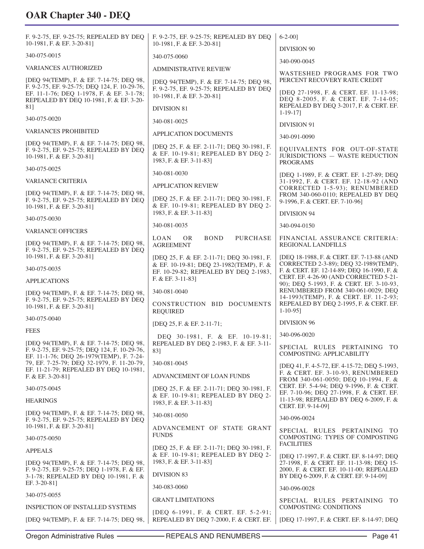F. 9-2-75, EF. 9-25-75; REPEALED BY DEQ 10-1981, F. & EF. 3-20-81] 340-075-0015 VARIANCES AUTHORIZED [DEQ 94(TEMP), F. & EF. 7-14-75; DEQ 98, F. 9-2-75, EF. 9-25-75; DEQ 124, F. 10-29-76, EF. 11-1-76; DEQ 1-1978, F. & EF. 3-1-78; REPEALED BY DEQ 10-1981, F. & EF. 3-20- 81] 340-075-0020 VARIANCES PROHIBITED [DEQ 94(TEMP), F. & EF. 7-14-75; DEQ 98, F. 9-2-75, EF. 9-25-75; REPEALED BY DEQ 10-1981, F. & EF. 3-20-81] 340-075-0025 VARIANCE CRITERIA [DEQ 94(TEMP), F. & EF. 7-14-75; DEQ 98, F. 9-2-75, EF. 9-25-75; REPEALED BY DEQ 10-1981, F. & EF. 3-20-81] 340-075-0030 VARIANCE OFFICERS [DEQ 94(TEMP), F. & EF. 7-14-75; DEQ 98, F. 9-2-75, EF. 9-25-75; REPEALED BY DEQ 10-1981, F. & EF. 3-20-81] 340-075-0035 APPLICATIONS [DEQ 94(TEMP), F. & EF. 7-14-75; DEQ 98, F. 9-2-75, EF. 9-25-75; REPEALED BY DEQ 10-1981, F. & EF. 3-20-81] 340-075-0040 FEES [DEQ 94(TEMP), F. & EF. 7-14-75; DEQ 98, F. 9-2-75, EF. 9-25-75; DEQ 124, F. 10-29-76, EF. 11-1-76; DEQ 26-1979(TEMP), F. 7-24- 79, EF. 7-25-79; DEQ 32-1979, F. 11-20-79, EF. 11-21-79; REPEALED BY DEQ 10-1981, F. & EF. 3-20-81] 340-075-0045 HEARINGS [DEQ 94(TEMP), F. & EF. 7-14-75; DEQ 98, F. 9-2-75, EF. 9-25-75; REPEALED BY DEQ 10-1981, F. & EF. 3-20-81] 340-075-0050 APPEALS [DEQ 94(TEMP), F. & EF. 7-14-75; DEQ 98, F. 9-2-75, EF. 9-25-75; DEQ 1-1978, F. & EF. 3-1-78; REPEALED BY DEQ 10-1981, F. & EF. 3-20-81] 340-075-0055 INSPECTION OF INSTALLED SYSTEMS [DEQ 94(TEMP), F. & EF. 7-14-75; DEQ 98, F. 9-2-75, EF. 9-25-75; REPEALED BY DEQ 10-1981, F. & EF. 3-20-81] 340-075-0060 ADMINISTRATIVE REVIEW [DEQ 94(TEMP), F. & EF. 7-14-75; DEQ 98, F. 9-2-75, EF. 9-25-75; REPEALED BY DEQ 10-1981, F. & EF. 3-20-81] DIVISION 81 340-081-0025 APPLICATION DOCUMENTS [DEQ 25, F. & EF. 2-11-71; DEQ 30-1981, F. & EF. 10-19-81; REPEALED BY DEQ 2- 1983, F. & EF. 3-11-83] 340-081-0030 APPLICATION REVIEW [DEQ 25, F. & EF. 2-11-71; DEQ 30-1981, F. & EF. 10-19-81; REPEALED BY DEQ 2- 1983, F. & EF. 3-11-83] 340-081-0035 LOAN OR BOND PURCHASE AGREEMENT [DEQ 25, F. & EF. 2-11-71; DEQ 30-1981, F. & EF. 10-19-81; DEQ 23-1982(TEMP), F. & EF. 10-29-82; REPEALED BY DEQ 2-1983, F. & EF. 3-11-83] 340-081-0040 CONSTRUCTION BID DOCUMENTS REQUIRED [DEQ 25, F. & EF. 2-11-71; DEQ 30-1981, F. & EF. 10-19-81; REPEALED BY DEQ 2-1983, F. & EF. 3-11- 83] 340-081-0045 ADVANCEMENT OF LOAN FUNDS [DEQ 25, F. & EF. 2-11-71; DEQ 30-1981, F. & EF. 10-19-81; REPEALED BY DEQ 2- 1983, F. & EF. 3-11-83] 340-081-0050 ADVANCEMENT OF STATE GRANT FUNDS [DEQ 25, F. & EF. 2-11-71; DEQ 30-1981, F. & EF. 10-19-81; REPEALED BY DEQ 2- 1983, F. & EF. 3-11-83] DIVISION 83 340-083-0060 GRANT LIMITATIONS [DEQ 6-1991, F. & CERT. EF. 5-2-91; REPEALED BY DEQ 7-2000, F. & CERT. EF. 6-2-00] DIVISION 90 340-090-0045 WASTESHED PROGRAMS FOR TWO PERCENT RECOVERY RATE CREDIT [DEQ 27-1998, F. & CERT. EF. 11-13-98; DEQ 8-2005, F. & CERT. EF. 7-14-05; REPEALED BY DEQ 3-2017, F. & CERT. EF. 1-19-17] DIVISION 91 340-091-0090 EQUIVALENTS FOR OUT-OF-STATE JURISDICTIONS — WASTE REDUCTION PROGRAMS [DEQ 1-1989, F. & CERT. EF. 1-27-89; DEQ 31-1992, F. & CERT. EF. 12-18-92 (AND CORRECTED 1-5-93); RENUMBERED FROM 340-060-0110; REPEALED BY DEQ 9-1996, F. & CERT. EF. 7-10-96] DIVISION 94 340-094-0150 FINANCIAL ASSURANCE CRITERIA: REGIONAL LANDFILLS [DEQ 18-1988, F. & CERT. EF. 7-13-88 (AND CORRECTED 2-3-89); DEQ 32-1989(TEMP), F. & CERT. EF. 12-14-89; DEQ 16-1990, F. & CERT. EF. 4-26-90 (AND CORRECTED 5-21- 90); DEQ 5-1993, F. & CERT. EF. 3-10-93, RENUMBERED FROM 340-061-0029; DEQ 14-1993(TEMP), F. & CERT. EF. 11-2-93; REPEALED BY DEQ 2-1995, F. & CERT. EF. 1-10-95] DIVISION 96 340-096-0020 SPECIAL RULES PERTAINING TO COMPOSTING: APPLICABILITY [DEQ 41, F. 4-5-72, EF. 4-15-72; DEQ 5-1993, F. & CERT. EF. 3-10-93, RENUM BERED FROM 340-061-0050; DEQ 10-1994, F. & CERT. EF. 5-4-94; DEQ 9-1996, F. & CERT. EF. 7-10-96; DEQ 27-1998, F. & CERT. EF. 11-13-98; REPEALED BY DEQ 6-2009, F. & CERT. EF. 9-14-09] 340-096-0024 SPECIAL RULES PERTAINING TO COMPOSTING: TYPES OF COMPOSTING FACILITIES [DEQ 17-1997, F. & CERT. EF. 8-14-97; DEQ 27-1998, F. & CERT. EF. 11-13-98; DEQ 15- 2000, F. & CERT. EF. 10-11-00; REPEALED BY DEQ 6-2009, F. & CERT. EF. 9-14-09] 340-096-0028 SPECIAL RULES PERTAINING TO COMPOSTING: CONDITIONS [DEQ 17-1997, F. & CERT. EF. 8-14-97; DEQ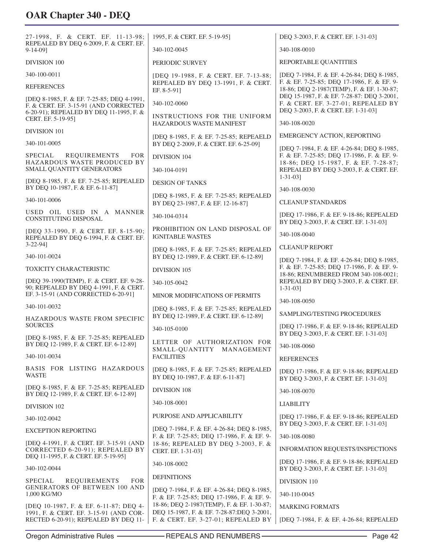| 27-1998, F. & CERT. EF. 11-13-98;<br>REPEALED BY DEQ 6-2009, F. & CERT. EF.                                                    | 1995, F. & CERT. EF. 5-19-95]                                                            | DEO 3-2003, F. & CERT. EF. 1-31-03]                                                                                      |
|--------------------------------------------------------------------------------------------------------------------------------|------------------------------------------------------------------------------------------|--------------------------------------------------------------------------------------------------------------------------|
| $9-14-09$ ]                                                                                                                    | 340-102-0045                                                                             | 340-108-0010                                                                                                             |
| <b>DIVISION 100</b>                                                                                                            | PERIODIC SURVEY                                                                          | REPORTABLE QUANTITIES                                                                                                    |
| 340-100-0011                                                                                                                   | [DEQ 19-1988, F. & CERT. EF. 7-13-88;                                                    | [DEQ 7-1984, F. & EF. 4-26-84; DEQ 8-1985,                                                                               |
| <b>REFERENCES</b>                                                                                                              | REPEALED BY DEO 13-1991, F. & CERT.<br>EF. 8-5-91]                                       | F. & EF. 7-25-85; DEQ 17-1986, F. & EF. 9-<br>18-86; DEQ 2-1987(TEMP), F. & EF. 1-30-87;                                 |
| [DEQ 8-1985, F. & EF. 7-25-85; DEQ 4-1991,<br>F. & CERT. EF. 3-15-91 (AND CORRECTED<br>6-20-91); REPEALED BY DEQ 11-1995, F. & | 340-102-0060                                                                             | DEQ 15-1987, F. & EF. 7-28-87: DEQ 3-2001,<br>F. & CERT. EF. 3-27-01; REPEALED BY<br>DEQ 3-2003, F. & CERT. EF. 1-31-03] |
| CERT. EF. 5-19-95]                                                                                                             | INSTRUCTIONS FOR THE UNIFORM<br>HAZARDOUS WASTE MANIFEST                                 | 340-108-0020                                                                                                             |
| <b>DIVISION 101</b>                                                                                                            | [DEQ 8-1985, F. & EF. 7-25-85; REPEAELD                                                  | <b>EMERGENCY ACTION, REPORTING</b>                                                                                       |
| 340-101-0005                                                                                                                   | BY DEQ 2-2009, F. & CERT. EF. 6-25-09]                                                   | [DEQ 7-1984, F. & EF. 4-26-84; DEQ 8-1985,                                                                               |
| <b>REQUIREMENTS</b><br>SPECIAL<br><b>FOR</b><br>HAZARDOUS WASTE PRODUCED BY                                                    | <b>DIVISION 104</b>                                                                      | F. & EF. 7-25-85; DEQ 17-1986, F. & EF. 9-<br>18-86; DEQ 15-1987, F. & EF. 7-28-87;                                      |
| SMALL QUANTITY GENERATORS                                                                                                      | 340-104-0191                                                                             | REPEALED BY DEQ 3-2003, F. & CERT. EF.                                                                                   |
| [DEQ 8-1985, F. & EF. 7-25-85; REPEALED<br>BY DEQ 10-1987, F. & EF. 6-11-87]                                                   | <b>DESIGN OF TANKS</b>                                                                   | $1 - 31 - 03$ ]<br>340-108-0030                                                                                          |
| 340-101-0006                                                                                                                   | [DEQ 8-1985, F. & EF. 7-25-85; REPEALED                                                  | <b>CLEANUP STANDARDS</b>                                                                                                 |
| USED OIL USED IN A MANNER                                                                                                      | BY DEQ 23-1987, F. & EF. 12-16-87]                                                       |                                                                                                                          |
| <b>CONSTITUTING DISPOSAL</b>                                                                                                   | 340-104-0314                                                                             | [DEQ 17-1986, F. & EF. 9-18-86; REPEALED<br>BY DEQ 3-2003, F. & CERT. EF. 1-31-03]                                       |
| [DEQ 33-1990, F. & CERT. EF. 8-15-90;<br>REPEALED BY DEQ 6-1994, F. & CERT. EF.                                                | PROHIBITION ON LAND DISPOSAL OF<br><b>IGNITABLE WASTES</b>                               | 340-108-0040                                                                                                             |
| $3-22-94$ ]                                                                                                                    | [DEQ 8-1985, F. & EF. 7-25-85; REPEALED                                                  | <b>CLEANUP REPORT</b>                                                                                                    |
| 340-101-0024<br>TOXICITY CHARACTERISTIC                                                                                        | BY DEQ 12-1989, F. & CERT. EF. 6-12-89]                                                  | [DEQ 7-1984, F. & EF. 4-26-84; DEQ 8-1985,<br>F. & EF. 7-25-85; DEQ 17-1986, F. & EF. 9-                                 |
|                                                                                                                                | DIVISION 105                                                                             | 18-86; RENUMBERED FROM 340-108-0021;                                                                                     |
| [DEQ 39-1990(TEMP), F. & CERT. EF. 9-28-<br>90; REPEALED BY DEQ 4-1991, F. & CERT.                                             | 340-105-0042                                                                             | REPEALED BY DEQ 3-2003, F. & CERT. EF.<br>$1 - 31 - 03$ ]                                                                |
| EF. 3-15-91 (AND CORRECTED 6-20-91]                                                                                            | MINOR MODIFICATIONS OF PERMITS                                                           | 340-108-0050                                                                                                             |
| 340-101-0032<br>HAZARDOUS WASTE FROM SPECIFIC                                                                                  | [DEQ 8-1985, F. & EF. 7-25-85; REPEALED<br>BY DEQ 12-1989, F. & CERT. EF. 6-12-89]       | SAMPLING/TESTING PROCEDURES                                                                                              |
| <b>SOURCES</b>                                                                                                                 | 340-105-0100                                                                             | [DEQ 17-1986, F. & EF. 9-18-86; REPEALED<br>BY DEQ 3-2003, F. & CERT. EF. 1-31-03]                                       |
| [DEQ 8-1985, F. & EF. 7-25-85; REPEALED<br>BY DEQ 12-1989, F. & CERT. EF. 6-12-89]                                             | LETTER OF AUTHORIZATION FOR                                                              | 340-108-0060                                                                                                             |
| 340-101-0034                                                                                                                   | SMALL-QUANTITY MANAGEMENT<br><b>FACILITIES</b>                                           | <b>REFERENCES</b>                                                                                                        |
| BASIS FOR LISTING HAZARDOUS<br><b>WASTE</b>                                                                                    | [DEQ 8-1985, F. & EF. 7-25-85; REPEALED<br>BY DEO 10-1987, F. & EF. 6-11-871             | [DEQ 17-1986, F. & EF. 9-18-86; REPEALED<br>BY DEQ 3-2003, F. & CERT. EF. 1-31-03]                                       |
| [DEQ 8-1985, F. & EF. 7-25-85; REPEALED<br>BY DEQ 12-1989, F. & CERT. EF. 6-12-89]                                             | <b>DIVISION 108</b>                                                                      | 340-108-0070                                                                                                             |
| DIVISION 102                                                                                                                   | 340-108-0001                                                                             | <b>LIABILITY</b>                                                                                                         |
| 340-102-0042                                                                                                                   | PURPOSE AND APPLICABILITY                                                                | [DEQ 17-1986, F. & EF. 9-18-86; REPEALED                                                                                 |
| <b>EXCEPTION REPORTING</b>                                                                                                     | [DEQ 7-1984, F. & EF. 4-26-84; DEQ 8-1985,                                               | BY DEO 3-2003, F. & CERT. EF. 1-31-03]                                                                                   |
| [DEQ 4-1991, F. & CERT. EF. 3-15-91 (AND                                                                                       | F. & EF. 7-25-85; DEQ 17-1986, F. & EF. 9-<br>18-86; REPEALED BY DEQ 3-2003, F. &        | 340-108-0080                                                                                                             |
| CORRECTED 6-20-91); REPEALED BY<br>DEQ 11-1995, F. & CERT. EF. 5-19-95]                                                        | CERT. EF. 1-31-03]                                                                       | INFORMATION REQUESTS/INSPECTIONS<br>[DEQ 17-1986, F. & EF. 9-18-86; REPEALED                                             |
| 340-102-0044                                                                                                                   | 340-108-0002                                                                             | BY DEQ 3-2003, F. & CERT. EF. 1-31-03]                                                                                   |
| SPECIAL<br><b>FOR</b><br><b>REQUIREMENTS</b>                                                                                   | <b>DEFINITIONS</b>                                                                       | <b>DIVISION 110</b>                                                                                                      |
| <b>GENERATORS OF BETWEEN 100 AND</b><br>1,000 KG/MO                                                                            | [DEQ 7-1984, F. & EF. 4-26-84; DEQ 8-1985,<br>F. & EF. 7-25-85; DEQ 17-1986, F. & EF. 9- | 340-110-0045                                                                                                             |
| [DEQ 10-1987, F. & EF. 6-11-87; DEQ 4-                                                                                         | 18-86; DEQ 2-1987(TEMP), F. & EF. 1-30-87;<br>DEQ 15-1987, F. & EF. 7-28-87:DEQ 3-2001,  | <b>MARKING FORMATS</b>                                                                                                   |
| 1991, F. & CERT. EF. 3-15-91 (AND COR-<br>RECTED 6-20-91); REPEALED BY DEQ 11-                                                 | F. & CERT. EF. 3-27-01; REPEALED BY                                                      | [DEQ 7-1984, F. & EF. 4-26-84; REPEALED                                                                                  |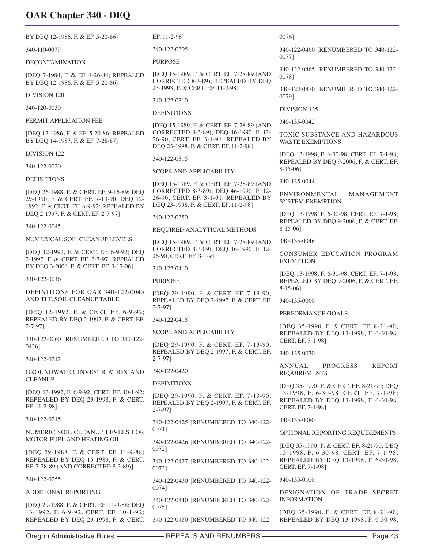| BY DEQ 12-1986, F. & EF. 5-20-86]                                                                                                 | EF. 11-2-98]                                                                                                           | 0076]                                                                                                                                            |
|-----------------------------------------------------------------------------------------------------------------------------------|------------------------------------------------------------------------------------------------------------------------|--------------------------------------------------------------------------------------------------------------------------------------------------|
| 340-110-0079                                                                                                                      | 340-122-0305                                                                                                           | 340-122-0460 [RENUMBERED TO 340-122-<br>00771                                                                                                    |
| <b>DECONTAMINATION</b>                                                                                                            | <b>PURPOSE</b>                                                                                                         |                                                                                                                                                  |
| [DEQ 7-1984, F. & EF. 4-26-84; REPEALED<br>BY DEO 12-1986, F. & EF. 5-20-86]                                                      | [DEQ 15-1989, F. & CERT. EF. 7-28-89 (AND<br>CORRECTED 8-3-89); REPEALED BY DEQ                                        | 340-122-0465 [RENUMBERED TO 340-122-<br>0078]                                                                                                    |
| DIVISION 120                                                                                                                      | 23-1998, F. & CERT. EF. 11-2-98]                                                                                       | 340-122-0470 [RENUMBERED TO 340-122-<br>00791                                                                                                    |
| 340-120-0030                                                                                                                      | 340-122-0310<br><b>DEFINITIONS</b>                                                                                     | <b>DIVISION 135</b>                                                                                                                              |
| PERMIT APPLICATION FEE                                                                                                            | [DEQ 15-1989, F. & CERT. EF. 7-28-89 (AND                                                                              | 340-135-0042                                                                                                                                     |
| [DEQ 12-1986, F. & EF. 5-20-86; REPEALED<br>BY DEQ 14-1987, F. & EF. 7-28-87]                                                     | CORRECTED 8-3-89); DEQ 46-1990, F. 12-<br>26-90, CERT. EF. 3-1-91; REPEALED BY<br>DEQ 23-1998, F. & CERT. EF. 11-2-98] | TOXIC SUBSTANCE AND HAZARDOUS<br><b>WASTE EXEMPTIONS</b>                                                                                         |
| DIVISION 122                                                                                                                      | 340-122-0315                                                                                                           | [DEQ 13-1998, F. 6-30-98, CERT. EF. 7-1-98;                                                                                                      |
| 340-122-0020                                                                                                                      | <b>SCOPE AND APPLICABILITY</b>                                                                                         | REPEALED BY DEQ 9-2006, F. & CERT. EF.<br>$8-15-06$ ]                                                                                            |
| <b>DEFINITIONS</b>                                                                                                                | [DEQ 15-1989, F. & CERT. EF. 7-28-89 (AND                                                                              | 340-135-0044                                                                                                                                     |
| [DEQ 26-1988, F. & CERT. EF. 9-16-89; DEQ<br>29-1990, F. & CERT. EF. 7-13-90; DEQ 12-<br>1992, F. & CERT. EF. 6-9-92; REPEALED BY | CORRECTED 8-3-89); DEQ 46-1990, F. 12-<br>26-90, CERT. EF. 3-1-91; REPEALED BY<br>DEQ 23-1998, F. & CERT. EF. 11-2-98] | ENVIRONMENTAL<br>MANAGEMENT<br><b>SYSTEM EXEMPTION</b>                                                                                           |
| DEQ 2-1997, F. & CERT. EF. 2-7-97]                                                                                                | 340-122-0350                                                                                                           | [DEQ 13-1998, F. 6-30-98, CERT. EF. 7-1-98;<br>REPEALED BY DEQ 9-2006, F. & CERT. EF.                                                            |
| 340-122-0045                                                                                                                      | REQUIRED ANALYTICAL METHODS                                                                                            | $8-15-06$ ]                                                                                                                                      |
| NUMERICAL SOIL CLEANUP LEVELS                                                                                                     | [DEQ 15-1989, F. & CERT. EF. 7-28-89 (AND                                                                              | 340-135-0046                                                                                                                                     |
| [DEQ 12-1992, F. & CERT. EF. 6-9-92; DEQ<br>2-1997, F. & CERT. EF. 2-7-97; REPEALED                                               | CORRECTED 8-3-89); DEQ 46-1990, F. 12-<br>26-90, CERT. EF. 3-1-91]                                                     | CONSUMER EDUCATION PROGRAM<br><b>EXEMPTION</b>                                                                                                   |
| BY DEQ 3-2006, F. & CERT. EF. 3-17-06]                                                                                            | 340-122-0410                                                                                                           | [DEQ 13-1998, F. 6-30-98, CERT. EF. 7-1-98;                                                                                                      |
| 340-122-0046                                                                                                                      | <b>PURPOSE</b>                                                                                                         | REPEALED BY DEQ 9-2006, F. & CERT. EF.<br>$8-15-06$ ]                                                                                            |
| DEFINITIONS FOR OAR 340-122-0045<br>AND THE SOIL CLEANUP TABLE                                                                    | [DEQ 29-1990, F. & CERT. EF. 7-13-90;<br>REPEALED BY DEQ 2-1997, F. & CERT. EF.<br>$2 - 7 - 97$                        | 340-135-0060                                                                                                                                     |
| [DEQ 12-1992, F. & CERT. EF. 6-9-92;<br>REPEALED BY DEQ 2-1997, F. & CERT. EF.                                                    | 340-122-0415                                                                                                           | PERFORMANCE GOALS                                                                                                                                |
| $2 - 7 - 97$ ]                                                                                                                    | <b>SCOPE AND APPLICABILITY</b>                                                                                         | [DEQ 35-1990, F. & CERT. EF. 8-21-90;<br>REPEALED BY DEQ 13-1998, F. 6-30-98,                                                                    |
| 340-122-0060 [RENUMBERED TO 340-122-                                                                                              | [DEQ 29-1990, F. & CERT. EF. 7-13-90;                                                                                  | CERT. EF. 7-1-98]                                                                                                                                |
| 0426]                                                                                                                             | REPEALED BY DEQ 2-1997, F. & CERT. EF.<br>$2 - 7 - 97$                                                                 | 340-135-0070                                                                                                                                     |
| 340-122-0242<br>GROUNDWATER INVESTIGATION AND                                                                                     | 340-122-0420                                                                                                           | <b>REPORT</b><br>ANNUAL<br>PROGRESS                                                                                                              |
| <b>CLEANUP</b>                                                                                                                    | <b>DEFINITIONS</b>                                                                                                     | <b>REQUIREMENTS</b>                                                                                                                              |
| [DEQ 13-1992, F. 6-9-92, CERT. EF. 10-1-92;<br>REPEALED BY DEQ 23-1998, F. & CERT.<br>EF. 11-2-981                                | [DEQ 29-1990, F. & CERT. EF. 7-13-90;<br>REPEALED BY DEQ 2-1997, F. & CERT. EF.<br>$2 - 7 - 97$ ]                      | [DEQ 35-1990, F. & CERT. EF. 8-21-90; DEQ<br>13-1998, F. 6-30-98, CERT. EF. 7-1-98;<br>REPEALED BY DEQ 13-1998, F. 6-30-98,<br>CERT. EF. 7-1-98] |
| 340-122-0245                                                                                                                      | 340-122-0425 [RENUMBERED TO 340-122-                                                                                   | 340-135-0080                                                                                                                                     |
| NUMERIC SOIL CLEANUP LEVELS FOR                                                                                                   | 0071]                                                                                                                  | OPTIONAL REPORTING REQUIREMENTS                                                                                                                  |
| MOTOR FUEL AND HEATING OIL<br>[DEQ 29-1988, F. & CERT. EF. 11-9-88;                                                               | 340-122-0426 [RENUMBERED TO 340-122-<br>0072]                                                                          | [DEQ 35-1990, F. & CERT. EF. 8-21-90; DEQ<br>13-1998, F. 6-30-98, CERT. EF. 7-1-98;                                                              |
| REPEALED BY DEQ 15-1989, F. & CERT.<br>EF. 7-28-89 (AND CORRECTED 8-3-89)]                                                        | 340-122-0427 [RENUMBERED TO 340-122-<br>00731                                                                          | REPEALED BY DEQ 13-1998, F. 6-30-98,<br>CERT. EF. 7-1-98]                                                                                        |
| 340-122-0255                                                                                                                      | 340-122-0430 [RENUMBERED TO 340-122-                                                                                   | 340-135-0100                                                                                                                                     |
| ADDITIONAL REPORTING                                                                                                              | 0074]<br>340-122-0440 [RENUMBERED TO 340-122-                                                                          | DESIGNATION OF TRADE SECRET<br><b>INFORMATION</b>                                                                                                |
| [DEQ 29-1988, F. & CERT. EF. 11-9-88; DEQ<br>13-1992, F. 6-9-92, CERT. EF. 10-1-92;                                               | $0075$ ]                                                                                                               | [DEQ 35-1990, F. & CERT. EF. 8-21-90;                                                                                                            |
| REPEALED BY DEQ 23-1998, F. & CERT.                                                                                               | 340-122-0450 [RENUMBERED TO 340-122-                                                                                   | REPEALED BY DEQ 13-1998, F. 6-30-98,                                                                                                             |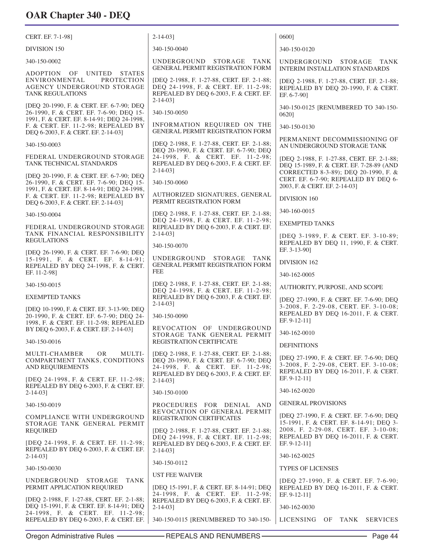| CERT. EF. 7-1-98]                                                                                                                                   | $2 - 14 - 03$                                                                                                                                                       | 06001                                                                                                                          |
|-----------------------------------------------------------------------------------------------------------------------------------------------------|---------------------------------------------------------------------------------------------------------------------------------------------------------------------|--------------------------------------------------------------------------------------------------------------------------------|
| DIVISION 150                                                                                                                                        | 340-150-0040                                                                                                                                                        | 340-150-0120                                                                                                                   |
| 340-150-0002                                                                                                                                        | UNDERGROUND STORAGE TANK<br><b>GENERAL PERMIT REGISTRATION FORM</b>                                                                                                 | UNDERGROUND STORAGE TANK<br><b>INTERIM INSTALLATION STANDARDS</b>                                                              |
| ADOPTION OF<br><b>UNITED</b><br><b>STATES</b><br><b>ENVIRONMENTAL</b><br><b>PROTECTION</b><br>AGENCY UNDERGROUND STORAGE<br><b>TANK REGULATIONS</b> | [DEQ 2-1988, F. 1-27-88, CERT. EF. 2-1-88;<br>DEQ 24-1998, F. & CERT. EF. 11-2-98;<br>REPEALED BY DEQ 6-2003, F. & CERT. EF.<br>$2 - 14 - 03$ ]                     | [DEQ 2-1988, F. 1-27-88, CERT. EF. 2-1-88;<br>REPEALED BY DEQ 20-1990, F. & CERT.<br>EF. 6-7-90]                               |
| [DEQ 20-1990, F. & CERT. EF. 6-7-90; DEQ<br>26-1990, F. & CERT. EF. 7-6-90; DEO 15-                                                                 | 340-150-0050                                                                                                                                                        | 340-150-0125 [RENUMBERED TO 340-150-<br>06201                                                                                  |
| 1991, F. & CERT. EF. 8-14-91; DEQ 24-1998,<br>F. & CERT. EF. 11-2-98; REPEALED BY<br>DEQ 6-2003, F. & CERT. EF. 2-14-03]                            | INFORMATION REQUIRED ON THE<br>GENERAL PERMIT REGISTRATION FORM                                                                                                     | 340-150-0130                                                                                                                   |
| 340-150-0003                                                                                                                                        | [DEQ 2-1988, F. 1-27-88, CERT. EF. 2-1-88;<br>DEQ 20-1990, F. & CERT. EF. 6-7-90; DEQ                                                                               | PERMANENT DECOMMISSIONING OF<br>AN UNDERGROUND STORAGE TANK                                                                    |
| FEDERAL UNDERGROUND STORAGE<br>TANK TECHNICAL STANDARDS                                                                                             | 24-1998, F. & CERT. EF. 11-2-98;<br>REPEALED BY DEO 6-2003, F. & CERT. EF.<br>$2 - 14 - 03$                                                                         | [DEQ 2-1988, F. 1-27-88, CERT. EF. 2-1-88;<br>DEQ 15-1989, F. & CERT. EF. 7-28-89 (AND<br>CORRECTED 8-3-89); DEQ 20-1990, F. & |
| [DEQ 20-1990, F. & CERT. EF. 6-7-90; DEQ<br>26-1990, F. & CERT. EF. 7-6-90; DEQ 15-                                                                 | 340-150-0060                                                                                                                                                        | CERT. EF. 6-7-90; REPEALED BY DEQ 6-<br>2003, F. & CERT. EF. 2-14-03]                                                          |
| 1991, F. & CERT. EF. 8-14-91; DEQ 24-1998,<br>F. & CERT. EF. 11-2-98; REPEALED BY<br>DEQ 6-2003, F. & CERT. EF. 2-14-03]                            | AUTHORIZED SIGNATURES, GENERAL<br>PERMIT REGISTRATION FORM                                                                                                          | DIVISION 160                                                                                                                   |
| 340-150-0004                                                                                                                                        | [DEQ 2-1988, F. 1-27-88, CERT. EF. 2-1-88;                                                                                                                          | 340-160-0015                                                                                                                   |
| FEDERAL UNDERGROUND STORAGE                                                                                                                         | DEQ 24-1998, F. & CERT. EF. 11-2-98;<br>REPEALED BY DEQ 6-2003, F. & CERT. EF.                                                                                      | <b>EXEMPTED TANKS</b>                                                                                                          |
| TANK FINANCIAL RESPONSIBILITY<br><b>REGULATIONS</b>                                                                                                 | $2 - 14 - 03$ ]<br>340-150-0070                                                                                                                                     | [DEQ 3-1989, F. & CERT. EF. 3-10-89;<br>REPEALED BY DEQ 11, 1990, F. & CERT.                                                   |
| [DEQ 26-1990, F. & CERT. EF. 7-6-90; DEQ                                                                                                            | UNDERGROUND STORAGE TANK                                                                                                                                            | EF. 3-13-90]                                                                                                                   |
| 15-1991, F. & CERT. EF. 8-14-91;<br>REPEALED BY DEQ 24-1998, F. & CERT.<br>EF. 11-2-98]                                                             | <b>GENERAL PERMIT REGISTRATION FORM</b><br><b>FEE</b>                                                                                                               | DIVISION 162<br>340-162-0005                                                                                                   |
| 340-150-0015                                                                                                                                        | [DEQ 2-1988, F. 1-27-88, CERT. EF. 2-1-88;                                                                                                                          | AUTHORITY, PURPOSE, AND SCOPE                                                                                                  |
| <b>EXEMPTED TANKS</b>                                                                                                                               | DEQ 24-1998, F. & CERT. EF. 11-2-98;<br>REPEALED BY DEQ 6-2003, F. & CERT. EF.                                                                                      | [DEQ 27-1990, F. & CERT. EF. 7-6-90; DEQ                                                                                       |
| [DEO 10-1990, F. & CERT. EF. 3-13-90; DEO<br>20-1990, F. & CERT. EF. 6-7-90; DEQ 24-<br>1998, F. & CERT. EF. 11-2-98; REPEALED                      | $2 - 14 - 03$ ]<br>340-150-0090                                                                                                                                     | 3-2008, F. 2-29-08, CERT. EF. 3-10-08;<br>REPEALED BY DEQ 16-2011, F. & CERT.<br>EF. 9-12-11]                                  |
| BY DEQ 6-2003, F. & CERT. EF. 2-14-03]                                                                                                              | REVOCATION OF UNDERGROUND<br>STORAGE TANK GENERAL PERMIT                                                                                                            | 340-162-0010                                                                                                                   |
| 340-150-0016                                                                                                                                        | REGISTRATION CERTIFICATE                                                                                                                                            | <b>DEFINITIONS</b>                                                                                                             |
| OR.<br>MULTI-<br>MULTI-CHAMBER<br>COMPARTMENT TANKS, CONDITIONS<br><b>AND REQUIREMENTS</b>                                                          | [DEQ 2-1988, F. 1-27-88, CERT. EF. 2-1-88;<br>DEQ 20-1990, F. & CERT. EF. 6-7-90; DEQ<br>24-1998, F. & CERT. EF. 11-2-98;<br>REPEALED BY DEQ 6-2003, F. & CERT. EF. | [DEQ 27-1990, F. & CERT. EF. 7-6-90; DEQ<br>3-2008, F. 2-29-08, CERT. EF. 3-10-08;<br>REPEALED BY DEQ 16-2011, F. & CERT.      |
| [DEQ 24-1998, F. & CERT. EF. 11-2-98;<br>REPEALED BY DEQ 6-2003, F. & CERT. EF.<br>$2 - 14 - 03$ ]                                                  | $2 - 14 - 03$<br>340-150-0100                                                                                                                                       | EF. 9-12-11]<br>340-162-0020                                                                                                   |
| 340-150-0019                                                                                                                                        | PROCEDURES FOR DENIAL AND                                                                                                                                           | <b>GENERAL PROVISIONS</b>                                                                                                      |
| COMPLIANCE WITH UNDERGROUND<br>STORAGE TANK GENERAL PERMIT                                                                                          | REVOCATION OF GENERAL PERMIT<br>REGISTRATION CERTIFICATES                                                                                                           | [DEQ 27-1990, F. & CERT. EF. 7-6-90; DEQ<br>15-1991, F. & CERT. EF. 8-14-91; DEQ 3-                                            |
| <b>REQUIRED</b>                                                                                                                                     | [DEQ 2-1988, F. 1-27-88, CERT. EF. 2-1-88;<br>DEQ 24-1998, F. & CERT. EF. 11-2-98;                                                                                  | 2008, F. 2-29-08, CERT. EF. 3-10-08;<br>REPEALED BY DEQ 16-2011, F. & CERT.                                                    |
| [DEQ 24-1998, F. & CERT. EF. 11-2-98;<br>REPEALED BY DEQ 6-2003, F. & CERT. EF.                                                                     | REPEALED BY DEQ 6-2003, F. & CERT. EF.<br>$2 - 14 - 03$ ]                                                                                                           | EF. 9-12-11]                                                                                                                   |
| $2 - 14 - 03$ ]                                                                                                                                     | 340-150-0112                                                                                                                                                        | 340-162-0025                                                                                                                   |
| 340-150-0030                                                                                                                                        | <b>UST FEE WAIVER</b>                                                                                                                                               | <b>TYPES OF LICENSES</b>                                                                                                       |
| STORAGE<br>UNDERGROUND<br>TANK<br>PERMIT APPLICATION REQUIRED                                                                                       | [DEQ 15-1991, F. & CERT. EF. 8-14-91; DEQ<br>24-1998, F. & CERT. EF. 11-2-98;                                                                                       | [DEQ 27-1990, F. & CERT. EF. 7-6-90;<br>REPEALED BY DEQ 16-2011, F. & CERT.<br>EF. 9-12-11]                                    |
| [DEO 2-1988, F. 1-27-88, CERT. EF. 2-1-88;<br>DEQ 15-1991, F. & CERT. EF. 8-14-91; DEQ<br>24-1998, F. & CERT. EF. 11-2-98;                          | REPEALED BY DEQ 6-2003, F. & CERT. EF.<br>$2 - 14 - 03$ ]                                                                                                           | 340-162-0030                                                                                                                   |
| REPEALED BY DEQ 6-2003, F. & CERT. EF.                                                                                                              | 340-150-0115 [RENUMBERED TO 340-150-                                                                                                                                | LICENSING<br>OF<br>TANK<br><b>SERVICES</b>                                                                                     |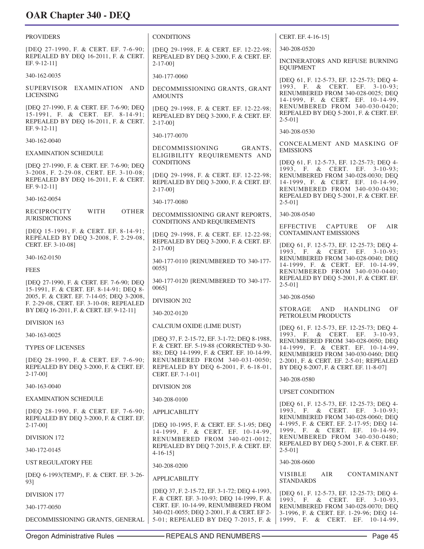PROVIDERS [DEQ 27-1990, F. & CERT. EF. 7-6-90; REPEALED BY DEQ 16-2011, F. & CERT. EF. 9-12-11] 340-162-0035 SUPERVISOR EXAMINATION AND LICENSING [DEQ 27-1990, F. & CERT. EF. 7-6-90; DEQ 15-1991, F. & CERT. EF. 8-14-91; REPEALED BY DEQ 16-2011, F. & CERT. EF. 9-12-11] 340-162-0040 EXAMINATION SCHEDULE [DEQ 27-1990, F. & CERT. EF. 7-6-90; DEQ 3-2008, F. 2-29-08, CERT. EF. 3-10-08; REPEALED BY DEQ 16-2011, F. & CERT. EF. 9-12-11] 340-162-0054 RECIPROCITY WITH OTHER *IURISDICTIONS* [DEQ 15-1991, F. & CERT. EF. 8-14-91; REPEALED BY DEQ 3-2008, F. 2-29-08, CERT. EF. 3-10-08] 340-162-0150 **FEES** [DEQ 27-1990, F. & CERT. EF. 7-6-90; DEQ 15-1991, F. & CERT. EF. 8-14-91; DEQ 8- 2005, F. & CERT. EF. 7-14-05; DEQ 3-2008, F. 2-29-08, CERT. EF. 3-10-08; REPEALED BY DEQ 16-2011, F. & CERT. EF. 9-12-11] DIVISION 163 340-163-0025 TYPES OF LICENSES [DEQ 28-1990, F. & CERT. EF. 7-6-90; REPEALED BY DEQ 3-2000, F. & CERT. EF. 2-17-00] 340-163-0040 EXAMINATION SCHEDULE [DEQ 28-1990, F. & CERT. EF. 7-6-90; REPEALED BY DEQ 3-2000, F. & CERT. EF. 2-17-00] DIVISION 172 340-172-0145 UST REGULATORY FEE [DEQ 6-1993(TEMP), F. & CERT. EF. 3-26- 93] DIVISION 177 340-177-0050 DECOMMISSIONING GRANTS, GENERAL CONDITIONS [DEQ 29-1998, F. & CERT. EF. 12-22-98; REPEALED BY DEQ 3-2000, F. & CERT. EF. 2-17-00] 340-177-0060 DECOMMISSIONING GRANTS, GRANT AMOUNTS [DEQ 29-1998, F. & CERT. EF. 12-22-98; REPEALED BY DEQ 3-2000, F. & CERT. EF. 2-17-00] 340-177-0070 DECOMMISSIONING GRANTS, ELIGIBILITY REQUIREMENTS AND CONDITIONS [DEQ 29-1998, F. & CERT. EF. 12-22-98; REPEALED BY DEQ 3-2000, F. & CERT. EF. 2-17-00] 340-177-0080 DECOMMISSIONING GRANT REPORTS, CONDITIONS AND REQUIREMENTS [DEQ 29-1998, F. & CERT. EF. 12-22-98; REPEALED BY DEQ 3-2000, F. & CERT. EF. 2-17-00] 340-177-0110 [RENUMBERED TO 340-177- 0055] 340-177-0120 [RENUMBERED TO 340-177- 0065] DIVISION 202 340-202-0120 CALCIUM OXIDE (LIME DUST) [DEQ 37, F. 2-15-72, EF. 3-1-72; DEQ 8-1988, F. & CERT. EF. 5-19-88 (CORRECTED 9-30- 88); DEQ 14-1999, F. & CERT. EF. 10-14-99, RENUMBERED FROM 340-031-0050; REPEALED BY DEQ 6-2001, F. 6-18-01, CERT. EF. 7-1-01] DIVISION 208 340-208-0100 APPLICABILITY [DEQ 10-1995, F. & CERT. EF. 5-1-95; DEQ 14-1999, F. & CERT. EF. 10-14-99, RENUMBERED FROM 340-021-0012; REPEALED BY DEQ 7-2015, F. & CERT. EF. 4-16-15] 340-208-0200 APPLICABILITY [DEQ 37, F. 2-15-72, EF. 3-1-72; DEQ 4-1993, F. & CERT. EF. 3-10-93; DEQ 14-1999, F. & CERT. EF. 10-14-99, RENUMBERED FROM 340-021-0055; DEQ 2-2001, F. & CERT. EF 2- 5-01; REPEALED BY DEQ 7-2015, F. & CERT. EF. 4-16-15] 340-208-0520 INCINERATORS AND REFUSE BURNING **EQUIPMENT** [DEQ 61, F. 12-5-73, EF. 12-25-73; DEQ 4- 1993, F. & CERT. EF. 3-10-93; RENUMBERED FROM 340-028-0025; DEQ 14-1999, F. & CERT. EF. 10-14-99, RENUMBERED FROM 340-030-0420; REPEALED BY DEQ 5-2001, F. & CERT. EF. 2-5-01] 340-208-0530 CONCEALMENT AND MASKING OF EMISSIONS [DEQ 61, F. 12-5-73, EF. 12-25-73; DEQ 4- 1993, F. & CERT. EF. 3-10-93; RENUMBERED FROM 340-028-0030; DEQ 14-1999, F. & CERT. EF. 10-14-99, RENUMBERED FROM 340-030-0430; REPEALED BY DEQ 5-2001, F. & CERT. EF. 2-5-01] 340-208-0540 EFFECTIVE CAPTURE OF AIR CONTAMINANT EMISSIONS [DEQ 61, F. 12-5-73, EF. 12-25-73; DEQ 4- 1993, F. & CERT. EF. 3-10-93; RENUMBERED FROM 340-028-0040; DEQ 14-1999, F. & CERT. EF. 10-14-99, RENUMBERED FROM 340-030-0440; REPEALED BY DEQ 5-2001, F. & CERT. EF. 2-5-01] 340-208-0560 STORAGE AND HANDLING OF PETROLEUM PRODUCTS [DEQ 61, F. 12-5-73, EF. 12-25-73; DEQ 4- 1993, F. & CERT. EF. 3-10-93, RENUMBERED FROM 340-028-0050; DEQ 14-1999, F. & CERT. EF. 10-14-99, RENUMBERED FROM 340-030-0460; DEQ 2-2001, F. & CERT. EF. 2-5-01; REPEALED BY DEQ 8-2007, F. & CERT. EF. 11-8-07] 340-208-0580 UPSET CONDITION [DEQ 61, F. 12-5-73, EF. 12-25-73; DEQ 4- 1993, F. & CERT. EF. 3-10-93; RENUMBERED FROM 340-028-0060; DEQ 4-1995, F. & CERT. EF. 2-17-95; DEQ 14- 1999, F. & CERT. EF. 10-14-99, RENUMBERED FROM 340-030-0480; REPEALED BY DEQ 5-2001, F. & CERT. EF. 2-5-01] 340-208-0600 VISIBLE AIR CONTAMINANT STANDARDS [DEQ 61, F. 12-5-73, EF. 12-25-73; DEQ 4- 1993, F. & CERT. EF. 3-10-93, RENUMBERED FROM 340-028-0070; DEQ 3-1996, F. & CERT. EF. 1-29-96; DEQ 14- 1999, F. & CERT. EF. 10-14-99,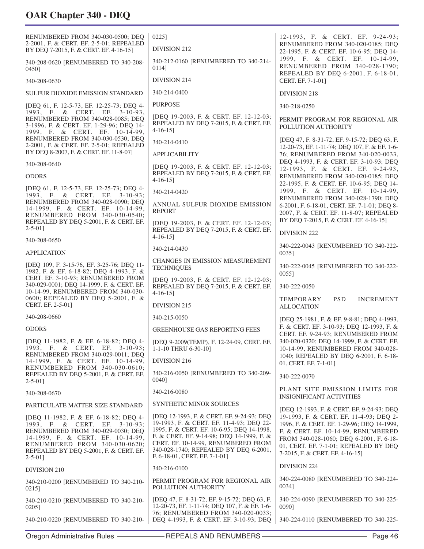| RENUMBERED FROM 340-030-0500; DEQ<br>2-2001, F. & CERT. EF. 2-5-01; REPEALED<br>BY DEQ 7-2015, F. & CERT. EF. 4-16-15]                                                                                                                       | $0225$ ]<br>DIVISION 212                                                                                                                                                                                                                                                                          | 12-1993, F. & CERT. EF. 9-24-93;<br>RENUMBERED FROM 340-020-0185; DEQ<br>22-1995, F. & CERT. EF. 10-6-95; DEQ 14-                                                                                                                                   |
|----------------------------------------------------------------------------------------------------------------------------------------------------------------------------------------------------------------------------------------------|---------------------------------------------------------------------------------------------------------------------------------------------------------------------------------------------------------------------------------------------------------------------------------------------------|-----------------------------------------------------------------------------------------------------------------------------------------------------------------------------------------------------------------------------------------------------|
| 340-208-0620 [RENUMBERED TO 340-208-<br>0450]                                                                                                                                                                                                | 340-212-0160 [RENUMBERED TO 340-214-<br>01141                                                                                                                                                                                                                                                     | 1999, F. & CERT. EF. 10-14-99,<br>RENUMBERED FROM 340-028-1790;                                                                                                                                                                                     |
| 340-208-0630                                                                                                                                                                                                                                 | DIVISION 214                                                                                                                                                                                                                                                                                      | REPEALED BY DEQ 6-2001, F. 6-18-01,<br>CERT. EF. 7-1-01]                                                                                                                                                                                            |
| SULFUR DIOXIDE EMISSION STANDARD                                                                                                                                                                                                             | 340-214-0400                                                                                                                                                                                                                                                                                      | DIVISION 218                                                                                                                                                                                                                                        |
| [DEQ 61, F. 12-5-73, EF. 12-25-73; DEQ 4-                                                                                                                                                                                                    | <b>PURPOSE</b>                                                                                                                                                                                                                                                                                    | 340-218-0250                                                                                                                                                                                                                                        |
| 1993, F. & CERT. EF. 3-10-93,<br>RENUMBERED FROM 340-028-0085; DEQ<br>3-1996, F. & CERT. EF. 1-29-96; DEQ 14-<br>1999, F. & CERT. EF. 10-14-99,                                                                                              | [DEQ 19-2003, F. & CERT. EF. 12-12-03;<br>REPEALED BY DEQ 7-2015, F. & CERT. EF.<br>$4-16-15$ ]                                                                                                                                                                                                   | PERMIT PROGRAM FOR REGIONAL AIR<br>POLLUTION AUTHORITY                                                                                                                                                                                              |
| RENUMBERED FROM 340-030-0530; DEQ<br>2-2001, F. & CERT. EF. 2-5-01; REPEALED                                                                                                                                                                 | 340-214-0410                                                                                                                                                                                                                                                                                      | [DEQ 47, F. 8-31-72, EF. 9-15-72; DEQ 63, F.<br>12-20-73, EF. 1-11-74; DEQ 107, F. & EF. 1-6-                                                                                                                                                       |
| BY DEQ 8-2007, F. & CERT. EF. 11-8-07]                                                                                                                                                                                                       | <b>APPLICABILITY</b>                                                                                                                                                                                                                                                                              | 76; RENUMBERED FROM 340-020-0033,                                                                                                                                                                                                                   |
| 340-208-0640<br><b>ODORS</b>                                                                                                                                                                                                                 | [DEO 19-2003, F. & CERT. EF. 12-12-03;<br>REPEALED BY DEQ 7-2015, F. & CERT. EF.<br>$4-16-15$ ]                                                                                                                                                                                                   | DEQ 4-1993, F. & CERT. EF. 3-10-93; DEQ<br>12-1993, F. & CERT. EF. 9-24-93,<br>RENUMBERED FROM 340-020-0185; DEQ                                                                                                                                    |
| [DEQ 61, F. 12-5-73, EF. 12-25-73; DEQ 4-<br>1993, F. & CERT. EF. 3-10-93;                                                                                                                                                                   | 340-214-0420                                                                                                                                                                                                                                                                                      | 22-1995, F. & CERT. EF. 10-6-95; DEQ 14-<br>1999, F. & CERT. EF. 10-14-99,                                                                                                                                                                          |
| RENUMBERED FROM 340-028-0090; DEQ<br>14-1999, F. & CERT. EF. 10-14-99,<br>RENUMBERED FROM 340-030-0540;                                                                                                                                      | ANNUAL SULFUR DIOXIDE EMISSION<br><b>REPORT</b>                                                                                                                                                                                                                                                   | RENUMBERED FROM 340-028-1790; DEQ<br>6-2001, F. 6-18-01, CERT. EF. 7-1-01; DEQ 8-<br>2007, F. & CERT. EF. 11-8-07; REPEALED                                                                                                                         |
| REPEALED BY DEQ 5-2001, F. & CERT. EF.<br>$2 - 5 - 01$ ]                                                                                                                                                                                     | [DEQ 19-2003, F. & CERT. EF. 12-12-03;<br>REPEALED BY DEQ 7-2015, F. & CERT. EF.                                                                                                                                                                                                                  | BY DEQ 7-2015, F. & CERT. EF. 4-16-15]                                                                                                                                                                                                              |
| 340-208-0650                                                                                                                                                                                                                                 | $4-16-15$                                                                                                                                                                                                                                                                                         | <b>DIVISION 222</b>                                                                                                                                                                                                                                 |
| <b>APPLICATION</b>                                                                                                                                                                                                                           | 340-214-0430                                                                                                                                                                                                                                                                                      | 340-222-0043 [RENUMBERED TO 340-222-<br>$0035$ ]                                                                                                                                                                                                    |
| [DEQ 109, F. 3-15-76, EF. 3-25-76; DEQ 11-<br>1982, F. & EF. 6-18-82; DEO 4-1993, F. &                                                                                                                                                       | <b>CHANGES IN EMISSION MEASUREMENT</b><br><b>TECHNIQUES</b>                                                                                                                                                                                                                                       | 340-222-0045 [RENUMBERED TO 340-222-<br>00551                                                                                                                                                                                                       |
| CERT. EF. 3-10-93; RENUMBERED FROM<br>340-029-0001; DEQ 14-1999, F. & CERT. EF.<br>10-14-99, RENUMBERED FROM 340-030-                                                                                                                        | [DEQ 19-2003, F. & CERT. EF. 12-12-03;<br>REPEALED BY DEQ 7-2015, F. & CERT. EF.<br>$4-16-15$ ]                                                                                                                                                                                                   | 340-222-0050                                                                                                                                                                                                                                        |
| 0600; REPEALED BY DEQ 5-2001, F. &<br>CERT. EF. 2-5-01]                                                                                                                                                                                      | DIVISION 215                                                                                                                                                                                                                                                                                      | <b>PSD</b><br>TEMPORARY<br><b>INCREMENT</b><br><b>ALLOCATION</b>                                                                                                                                                                                    |
| 340-208-0660                                                                                                                                                                                                                                 | 340-215-0050                                                                                                                                                                                                                                                                                      | [DEQ 25-1981, F. & EF. 9-8-81; DEQ 4-1993,                                                                                                                                                                                                          |
| <b>ODORS</b>                                                                                                                                                                                                                                 | <b>GREENHOUSE GAS REPORTING FEES</b>                                                                                                                                                                                                                                                              | F. & CERT. EF. 3-10-93; DEQ 12-1993, F. &<br>CERT. EF. 9-24-93; RENUMBERED FROM                                                                                                                                                                     |
| [DEQ 11-1982, F. & EF. 6-18-82; DEQ 4-<br>1993, F. & CERT. EF. 3-10-93;<br>RENUMBERED FROM 340-029-0011; DEQ                                                                                                                                 | [DEQ 9-2009(TEMP), F. 12-24-09, CERT. EF.<br>1-1-10 THRU 6-30-10]                                                                                                                                                                                                                                 | 340-020-0320; DEQ 14-1999, F. & CERT. EF.<br>10-14-99, RENUMBERED FROM 340-028-                                                                                                                                                                     |
| 14-1999, F. & CERT. EF. 10-14-99,                                                                                                                                                                                                            | DIVISION 216                                                                                                                                                                                                                                                                                      | 1040; REPEALED BY DEQ 6-2001, F. 6-18-<br>01, CERT. EF. 7-1-011                                                                                                                                                                                     |
| RENUMBERED FROM 340-030-0610;<br>REPEALED BY DEQ 5-2001, F. & CERT. EF.<br>$2 - 5 - 01$                                                                                                                                                      | 340-216-0050 [RENUMBERED TO 340-209-<br>0040]                                                                                                                                                                                                                                                     | 340-222-0070                                                                                                                                                                                                                                        |
| 340-208-0670                                                                                                                                                                                                                                 | 340-216-0080                                                                                                                                                                                                                                                                                      | PLANT SITE EMISSION LIMITS FOR<br><b>INSIGNIFICANT ACTIVITIES</b>                                                                                                                                                                                   |
| PARTICULATE MATTER SIZE STANDARD                                                                                                                                                                                                             | <b>SYNTHETIC MINOR SOURCES</b>                                                                                                                                                                                                                                                                    | [DEQ 12-1993, F. & CERT. EF. 9-24-93; DEQ                                                                                                                                                                                                           |
| [DEQ 11-1982, F. & EF. 6-18-82; DEQ 4-<br>1993, F. & CERT. EF. 3-10-93;<br>RENUMBERED FROM 340-029-0030; DEQ<br>14-1999, F. & CERT. EF. 10-14-99,<br>RENUMBERED FROM 340-030-0620;<br>REPEALED BY DEQ 5-2001, F. & CERT. EF.<br>$2 - 5 - 01$ | [DEQ 12-1993, F. & CERT. EF. 9-24-93; DEQ<br>19-1993, F. & CERT. EF. 11-4-93; DEQ 22-<br>1995, F. & CERT. EF. 10-6-95; DEQ 14-1998,<br>F. & CERT. EF. 9-14-98; DEQ 14-1999, F. &<br>CERT. EF. 10-14-99, RENUMBERED FROM<br>340-028-1740; REPEALED BY DEQ 6-2001,<br>F. 6-18-01, CERT. EF. 7-1-01] | 19-1993, F. & CERT. EF. 11-4-93; DEQ 2-<br>1996, F. & CERT. EF. 1-29-96; DEQ 14-1999,<br>F. & CERT. EF. 10-14-99, RENUMBERED<br>FROM 340-028-1060; DEQ 6-2001, F. 6-18-<br>01, CERT. EF. 7-1-01; REPEALED BY DEQ<br>7-2015, F. & CERT. EF. 4-16-15] |
| DIVISION 210                                                                                                                                                                                                                                 | 340-216-0100                                                                                                                                                                                                                                                                                      | DIVISION 224                                                                                                                                                                                                                                        |
| 340-210-0200 [RENUMBERED TO 340-210-<br>0215]                                                                                                                                                                                                | PERMIT PROGRAM FOR REGIONAL AIR<br>POLLUTION AUTHORITY                                                                                                                                                                                                                                            | 340-224-0080 [RENUMBERED TO 340-224-<br>00341                                                                                                                                                                                                       |
| 340-210-0210 [RENUMBERED TO 340-210-<br>0205]                                                                                                                                                                                                | [DEQ 47, F. 8-31-72, EF. 9-15-72; DEQ 63, F.<br>12-20-73, EF. 1-11-74; DEQ 107, F. & EF. 1-6-<br>76; RENUMBERED FROM 340-020-0033;                                                                                                                                                                | 340-224-0090 [RENUMBERED TO 340-225-<br>0090]                                                                                                                                                                                                       |
| 340-210-0220 [RENUMBERED TO 340-210-                                                                                                                                                                                                         | DEQ 4-1993, F. & CERT. EF. 3-10-93; DEQ                                                                                                                                                                                                                                                           | 340-224-0110 [RENUMBERED TO 340-225-                                                                                                                                                                                                                |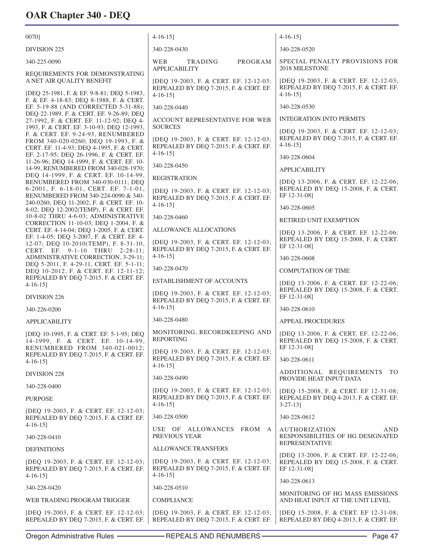| 0070]                                                                                                                                                                 | $4-16-15$ ]                                                                                             | $4-16-15$ ]                                                                                     |
|-----------------------------------------------------------------------------------------------------------------------------------------------------------------------|---------------------------------------------------------------------------------------------------------|-------------------------------------------------------------------------------------------------|
| <b>DIVISION 225</b>                                                                                                                                                   | 340-228-0430                                                                                            | 340-228-0520                                                                                    |
| 340-225-0090                                                                                                                                                          | PROGRAM<br>WEB<br>TRADING<br><b>APPLICABILITY</b>                                                       | SPECIAL PENALTY PROVISIONS FOR<br>2018 MILESTONE                                                |
| REQUIREMENTS FOR DEMONSTRATING<br>A NET AIR QUALITY BENEFIT<br>[DEQ 25-1981, F. & EF. 9-8-81; DEQ 5-1983,                                                             | [DEQ 19-2003, F. & CERT. EF. 12-12-03;<br>REPEALED BY DEQ 7-2015, F. & CERT. EF.<br>$4-16-15$ ]         | [DEQ 19-2003, F. & CERT. EF. 12-12-03;<br>REPEALED BY DEQ 7-2015, F. & CERT. EF.<br>$4-16-15$   |
| F. & EF. 4-18-83; DEQ 8-1988, F. & CERT.<br>EF. 5-19-88 (AND CORRECTED 5-31-88);                                                                                      | 340-228-0440                                                                                            | 340-228-0530                                                                                    |
| DEQ 22-1989, F. & CERT. EF. 9-26-89; DEQ<br>27-1992, F. & CERT. EF. 11-12-92; DEQ 4-                                                                                  | ACCOUNT REPRESENTATIVE FOR WEB                                                                          | <b>INTEGRATION INTO PERMITS</b>                                                                 |
| 1993, F. & CERT. EF. 3-10-93; DEQ 12-1993,<br>F. & CERT. EF. 9-24-93, RENUMBERED<br>FROM 340-020-0260; DEQ 19-1993, F. &<br>CERT. EF. 11-4-93; DEQ 4-1995, F. & CERT. | <b>SOURCES</b><br>[DEQ 19-2003, F. & CERT. EF. 12-12-03;<br>REPEALED BY DEQ 7-2015, F. & CERT. EF.      | [DEQ 19-2003, F. & CERT. EF. 12-12-03;<br>REPEALED BY DEQ 7-2015, F. & CERT. EF.<br>$4-16-15$ ] |
| EF. 2-17-95; DEQ 26-1996, F. & CERT. EF.<br>11-26-96; DEQ 14-1999, F. & CERT. EF. 10-                                                                                 | $4-16-15$ ]                                                                                             | 340-228-0604                                                                                    |
| 14-99, RENUMBERED FROM 340-028-1970;<br>DEQ 14-1999, F. & CERT. EF. 10-14-99,                                                                                         | 340-228-0450                                                                                            | APPLICABILITY                                                                                   |
| RENUMBERED FROM 340-030-0111; DEQ<br>6-2001, F. 6-18-01, CERT. EF. 7-1-01,<br>RENUMBERED FROM 340-224-0090 & 340-                                                     | <b>REGISTRATION</b><br>[DEQ 19-2003, F. & CERT. EF. 12-12-03;<br>REPEALED BY DEQ 7-2015, F. & CERT. EF. | [DEQ 13-2006, F. & CERT. EF. 12-22-06;<br>REPEALED BY DEQ 15-2008, F. & CERT.<br>EF 12-31-08]   |
| 240-0260; DEQ 11-2002, F. & CERT. EF. 10-<br>8-02; DEQ 12-2002(TEMP), F. & CERT. EF.                                                                                  | $4-16-15$ ]                                                                                             | 340-228-0605                                                                                    |
| 10-8-02 THRU 4-6-03; ADMINISTRATIVE<br>CORRECTION 11-10-03; DEQ 1-2004, F. &                                                                                          | 340-228-0460                                                                                            | RETIRED UNIT EXEMPTION                                                                          |
| CERT. EF. 4-14-04; DEQ 1-2005, F. & CERT.<br>EF. 1-4-05; DEQ 3-2007, F. & CERT. EF. 4-<br>12-07; DEQ 10-2010(TEMP), F. 8-31-10,                                       | ALLOWANCE ALLOCATIONS<br>[DEQ 19-2003, F. & CERT. EF. 12-12-03;                                         | [DEQ 13-2006, F. & CERT. EF. 12-22-06;<br>REPEALED BY DEQ 15-2008, F. & CERT.<br>EF 12-31-08]   |
| CERT. EF. 9-1-10 THRU 2-28-11;<br>ADMINISTRATIVE CORRECTION, 3-29-11;                                                                                                 | REPEALED BY DEQ 7-2015, F. & CERT. EF.<br>$4-16-15$ ]                                                   | 340-228-0608                                                                                    |
| DEQ 5-2011, F. 4-29-11, CERT. EF. 5-1-11;<br>DEQ 10-2012, F. & CERT. EF. 12-11-12;                                                                                    | 340-228-0470                                                                                            | <b>COMPUTATION OF TIME</b>                                                                      |
| REPEALED BY DEQ 7-2015, F. & CERT. EF.<br>$4-16-15$ ]                                                                                                                 | ESTABLISHMENT OF ACCOUNTS                                                                               | [DEQ 13-2006, F. & CERT. EF. 12-22-06;                                                          |
| DIVISION 226                                                                                                                                                          | [DEQ 19-2003, F. & CERT. EF. 12-12-03;<br>REPEALED BY DEQ 7-2015, F. & CERT. EF.                        | REPEALED BY DEQ 15-2008, F. & CERT.<br>EF 12-31-08]                                             |
| 340-226-0200                                                                                                                                                          | $4-16-15$                                                                                               | 340-228-0610                                                                                    |
| <b>APPLICABILITY</b>                                                                                                                                                  | 340-228-0480                                                                                            | APPEAL PROCEDURES                                                                               |
| [DEQ 10-1995, F. & CERT. EF. 5-1-95; DEQ<br>14-1999, F. & CERT. EF. 10-14-99,<br>RENUMBERED FROM 340-021-0012;                                                        | MONITORING, RECORDKEEPING AND<br><b>REPORTING</b>                                                       | [DEQ 13-2006, F. & CERT. EF. 12-22-06;<br>REPEALED BY DEQ 15-2008, F. & CERT.<br>EF 12-31-08]   |
| REPEALED BY DEQ 7-2015, F. & CERT. EF.<br>$4-16-15$ ]                                                                                                                 | [DEQ 19-2003, F. & CERT. EF. 12-12-03;<br>REPEALED BY DEQ 7-2015, F. & CERT. EF.<br>$4-16-15$           | 340-228-0611                                                                                    |
| <b>DIVISION 228</b>                                                                                                                                                   | 340-228-0490                                                                                            | ADDITIONAL REQUIREMENTS<br>TO<br>PROVIDE HEAT INPUT DATA                                        |
| 340-228-0400                                                                                                                                                          | [DEO 19-2003, F. & CERT. EF. 12-12-03;                                                                  | [DEQ 15-2008, F. & CERT. EF 12-31-08;                                                           |
| <b>PURPOSE</b>                                                                                                                                                        | REPEALED BY DEQ 7-2015, F. & CERT. EF.<br>$4-16-15$ ]                                                   | REPEALED BY DEQ 4-2013, F. & CERT. EF.<br>$3 - 27 - 13$ ]                                       |
| [DEQ 19-2003, F. & CERT. EF. 12-12-03;<br>REPEALED BY DEQ 7-2015, F. & CERT. EF.<br>$4-16-15$ ]                                                                       | 340-228-0500                                                                                            | 340-228-0612                                                                                    |
| 340-228-0410                                                                                                                                                          | USE OF ALLOWANCES FROM A<br>PREVIOUS YEAR                                                               | <b>AUTHORIZATION</b><br>AND<br>RESPONSIBILITIES OF HG DESIGNATED                                |
| <b>DEFINITIONS</b>                                                                                                                                                    | <b>ALLOWANCE TRANSFERS</b>                                                                              | <b>REPRESENTATIVE</b>                                                                           |
| [DEQ 19-2003, F. & CERT. EF. 12-12-03;<br>REPEALED BY DEQ 7-2015, F. & CERT. EF.<br>$4-16-15$ ]                                                                       | [DEQ 19-2003, F. & CERT. EF. 12-12-03;<br>REPEALED BY DEQ 7-2015, F. & CERT. EF.<br>$4-16-15$ ]         | [DEQ 13-2006, F. & CERT. EF. 12-22-06;<br>REPEALED BY DEQ 15-2008, F. & CERT.<br>EF 12-31-08]   |
| 340-228-0420                                                                                                                                                          | 340-228-0510                                                                                            | 340-228-0613                                                                                    |
| WEB TRADING PROGRAM TRIGGER                                                                                                                                           | COMPLIANCE                                                                                              | MONITORING OF HG MASS EMISSIONS<br>AND HEAT INPUT AT THE UNIT LEVEL                             |
| [DEQ 19-2003, F. & CERT. EF. 12-12-03;<br>REPEALED BY DEQ 7-2015, F. & CERT. EF.                                                                                      | [DEQ 19-2003, F. & CERT. EF. 12-12-03;<br>REPEALED BY DEQ 7-2015, F. & CERT. EF.                        | [DEQ 15-2008, F. & CERT. EF 12-31-08;<br>REPEALED BY DEQ 4-2013, F. & CERT. EF.                 |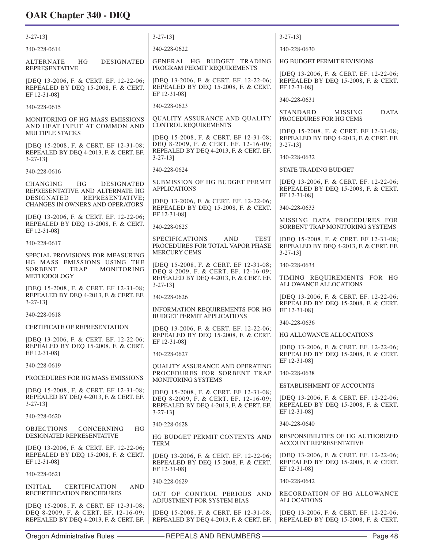| $3-27-13$ ]                                                                                                            | $3 - 27 - 13$                                                                                                           | $3 - 27 - 13$                                                                                      |
|------------------------------------------------------------------------------------------------------------------------|-------------------------------------------------------------------------------------------------------------------------|----------------------------------------------------------------------------------------------------|
| 340-228-0614                                                                                                           | 340-228-0622                                                                                                            | 340-228-0630                                                                                       |
| HG<br><b>DESIGNATED</b><br><b>ALTERNATE</b><br><b>REPRESENTATIVE</b>                                                   | GENERAL HG BUDGET TRADING<br>PROGRAM PERMIT REQUIREMENTS                                                                | HG BUDGET PERMIT REVISIONS                                                                         |
| [DEQ 13-2006, F. & CERT. EF. 12-22-06;<br>REPEALED BY DEQ 15-2008, F. & CERT.<br>EF 12-31-08]                          | [DEQ 13-2006, F. & CERT. EF. 12-22-06;<br>REPEALED BY DEQ 15-2008, F. & CERT.<br>EF 12-31-08]                           | [DEQ 13-2006, F. & CERT. EF. 12-22-06;<br>REPEALED BY DEQ 15-2008, F. & CERT.<br>EF 12-31-08]      |
| 340-228-0615                                                                                                           | 340-228-0623                                                                                                            | 340-228-0631                                                                                       |
| MONITORING OF HG MASS EMISSIONS<br>AND HEAT INPUT AT COMMON AND                                                        | QUALITY ASSURANCE AND QUALITY<br><b>CONTROL REQUIREMENTS</b>                                                            | <b>DATA</b><br><b>STANDARD</b><br><b>MISSING</b><br>PROCEDURES FOR HG CEMS                         |
| MULTIPLE STACKS<br>[DEQ 15-2008, F. & CERT. EF 12-31-08;<br>REPEALED BY DEQ 4-2013, F. & CERT. EF.                     | [DEQ 15-2008, F. & CERT. EF 12-31-08;<br>DEQ 8-2009, F. & CERT. EF. 12-16-09;<br>REPEALED BY DEQ 4-2013, F. & CERT. EF. | [DEQ 15-2008, F. & CERT. EF 12-31-08;<br>REPEALED BY DEQ 4-2013, F. & CERT. EF.<br>$3 - 27 - 13$ ] |
| $3 - 27 - 13$ ]                                                                                                        | $3 - 27 - 13$ ]                                                                                                         | 340-228-0632                                                                                       |
| 340-228-0616                                                                                                           | 340-228-0624                                                                                                            | STATE TRADING BUDGET                                                                               |
| HG.<br><b>CHANGING</b><br><b>DESIGNATED</b><br>REPRESENTATIVE AND ALTERNATE HG<br><b>DESIGNATED</b><br>REPRESENTATIVE: | SUBMISSION OF HG BUDGET PERMIT<br><b>APPLICATIONS</b>                                                                   | [DEQ 13-2006, F. & CERT. EF. 12-22-06;<br>REPEALED BY DEQ 15-2008, F. & CERT.<br>EF 12-31-08]      |
| CHANGES IN OWNERS AND OPERATORS                                                                                        | [DEQ 13-2006, F. & CERT. EF. 12-22-06;<br>REPEALED BY DEQ 15-2008, F. & CERT.<br>EF 12-31-08]                           | 340-228-0633                                                                                       |
| [DEQ 13-2006, F. & CERT. EF. 12-22-06;<br>REPEALED BY DEQ 15-2008, F. & CERT.<br>EF 12-31-08]                          | 340-228-0625                                                                                                            | MISSING DATA PROCEDURES FOR<br>SORBENT TRAP MONITORING SYSTEMS                                     |
| 340-228-0617                                                                                                           | <b>SPECIFICATIONS</b><br><b>AND</b><br><b>TEST</b><br>PROCEDURES FOR TOTAL VAPOR PHASE                                  | [DEQ 15-2008, F. & CERT. EF 12-31-08;<br>REPEALED BY DEQ 4-2013, F. & CERT. EF.                    |
| SPECIAL PROVISIONS FOR MEASURING<br>HG MASS EMISSIONS USING THE                                                        | <b>MERCURY CEMS</b>                                                                                                     | $3-27-13$ ]                                                                                        |
| SORBENT<br>TRAP<br>MONITORING<br>METHODOLOGY                                                                           | [DEQ 15-2008, F. & CERT. EF 12-31-08;<br>DEQ 8-2009, F. & CERT. EF. 12-16-09;                                           | 340-228-0634                                                                                       |
| [DEQ 15-2008, F. & CERT. EF 12-31-08;                                                                                  | REPEALED BY DEQ 4-2013, F. & CERT. EF.<br>$3 - 27 - 13$ ]                                                               | TIMING REQUIREMENTS FOR HG<br>ALLOWANCE ALLOCATIONS                                                |
| REPEALED BY DEQ 4-2013, F. & CERT. EF.<br>$3 - 27 - 13$ ]                                                              | 340-228-0626                                                                                                            | [DEQ 13-2006, F. & CERT. EF. 12-22-06;<br>REPEALED BY DEQ 15-2008, F. & CERT.                      |
| 340-228-0618                                                                                                           | INFORMATION REQUIREMENTS FOR HG<br><b>BUDGET PERMIT APPLICATIONS</b>                                                    | EF 12-31-08]                                                                                       |
| CERTIFICATE OF REPRESENTATION                                                                                          | [DEQ 13-2006, F. & CERT. EF. 12-22-06;                                                                                  | 340-228-0636                                                                                       |
| [DEO 13-2006, F. & CERT, EF. 12-22-06;                                                                                 | REPEALED BY DEQ 15-2008, F. & CERT.<br>EF 12-31-08]                                                                     | HG ALLOWANCE ALLOCATIONS                                                                           |
| REPEALED BY DEQ 15-2008, F. & CERT.<br>EF 12-31-08]                                                                    | 340-228-0627                                                                                                            | [DEQ 13-2006, F. & CERT. EF. 12-22-06;<br>REPEALED BY DEQ 15-2008, F. & CERT.<br>EF 12-31-08]      |
| 340-228-0619                                                                                                           | QUALITY ASSURANCE AND OPERATING<br>PROCEDURES FOR SORBENT TRAP                                                          | 340-228-0638                                                                                       |
| PROCEDURES FOR HG MASS EMISSIONS                                                                                       | MONITORING SYSTEMS                                                                                                      | <b>ESTABLISHMENT OF ACCOUNTS</b>                                                                   |
| [DEQ 15-2008, F. & CERT. EF 12-31-08;<br>REPEALED BY DEQ 4-2013, F. & CERT. EF.<br>$3 - 27 - 13$ ]                     | [DEQ 15-2008, F. & CERT. EF 12-31-08;<br>DEQ 8-2009, F. & CERT. EF. 12-16-09;                                           | [DEO 13-2006, F. & CERT. EF. 12-22-06;<br>REPEALED BY DEQ 15-2008, F. & CERT.                      |
| 340-228-0620                                                                                                           | REPEALED BY DEQ 4-2013, F. & CERT. EF.<br>$3 - 27 - 13$ ]                                                               | EF 12-31-08]                                                                                       |
| <b>OBJECTIONS</b><br>HG<br>CONCERNING                                                                                  | 340-228-0628                                                                                                            | 340-228-0640                                                                                       |
| <b>DESIGNATED REPRESENTATIVE</b>                                                                                       | HG BUDGET PERMIT CONTENTS AND<br><b>TERM</b>                                                                            | RESPONSIBILITIES OF HG AUTHORIZED<br><b>ACCOUNT REPRESENTATIVE</b>                                 |
| [DEQ 13-2006, F. & CERT. EF. 12-22-06;<br>REPEALED BY DEQ 15-2008, F. & CERT.<br>EF 12-31-08]                          | [DEQ 13-2006, F. & CERT. EF. 12-22-06;<br>REPEALED BY DEQ 15-2008, F. & CERT.                                           | [DEQ 13-2006, F. & CERT. EF. 12-22-06;<br>REPEALED BY DEQ 15-2008, F. & CERT.                      |
| 340-228-0621                                                                                                           | EF 12-31-08]                                                                                                            | EF 12-31-08]                                                                                       |
| <b>INITIAL</b><br><b>CERTIFICATION</b><br>AND<br>RECERTIFICATION PROCEDURES                                            | 340-228-0629                                                                                                            | 340-228-0642                                                                                       |
| [DEQ 15-2008, F. & CERT. EF 12-31-08;                                                                                  | OUT OF CONTROL PERIODS AND<br>ADJUSTMENT FOR SYSTEM BIAS                                                                | RECORDATION OF HG ALLOWANCE<br><b>ALLOCATIONS</b>                                                  |
| DEQ 8-2009, F. & CERT. EF. 12-16-09;<br>REPEALED BY DEQ 4-2013, F. & CERT. EF.                                         | [DEQ 15-2008, F. & CERT. EF 12-31-08;<br>REPEALED BY DEQ 4-2013, F. & CERT. EF.                                         | [DEQ 13-2006, F. & CERT. EF. 12-22-06;<br>REPEALED BY DEQ 15-2008, F. & CERT.                      |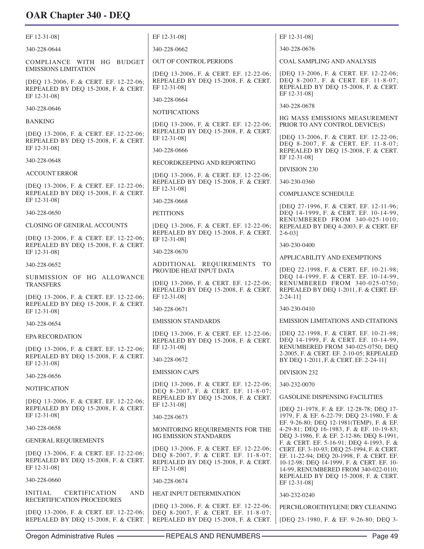| EF 12-31-08]                                                                                                                 | EF 12-31-08]                                                                                                                         | EF 12-31-08]                                                                                                                                                                 |
|------------------------------------------------------------------------------------------------------------------------------|--------------------------------------------------------------------------------------------------------------------------------------|------------------------------------------------------------------------------------------------------------------------------------------------------------------------------|
| 340-228-0644                                                                                                                 | 340-228-0662                                                                                                                         | 340-228-0676                                                                                                                                                                 |
| COMPLIANCE WITH HG BUDGET                                                                                                    | OUT OF CONTROL PERIODS                                                                                                               | <b>COAL SAMPLING AND ANALYSIS</b>                                                                                                                                            |
| <b>EMISSIONS LIMITATION</b><br>[DEQ 13-2006, F. & CERT. EF. 12-22-06;<br>REPEALED BY DEQ 15-2008, F. & CERT.<br>EF 12-31-08] | [DEQ 13-2006, F. & CERT. EF. 12-22-06;<br>REPEALED BY DEQ 15-2008, F. & CERT.<br>EF 12-31-08]                                        | [DEQ 13-2006, F. & CERT. EF. 12-22-06;<br>DEQ 8-2007, F. & CERT. EF. 11-8-07;<br>REPEALED BY DEQ 15-2008, F. & CERT.<br>EF 12-31-08]                                         |
| 340-228-0646                                                                                                                 | 340-228-0664                                                                                                                         | 340-228-0678                                                                                                                                                                 |
| <b>BANKING</b>                                                                                                               | <b>NOTIFICATIONS</b>                                                                                                                 | HG MASS EMISSIONS MEASUREMENT                                                                                                                                                |
| [DEQ 13-2006, F. & CERT. EF. 12-22-06;<br>REPEALED BY DEQ 15-2008, F. & CERT.                                                | [DEQ 13-2006, F. & CERT. EF. 12-22-06;<br>REPEALED BY DEQ 15-2008, F. & CERT.<br>EF 12-31-08]                                        | PRIOR TO ANY CONTROL DEVICE(S)<br>[DEQ 13-2006, F. & CERT. EF. 12-22-06;                                                                                                     |
| EF 12-31-08]                                                                                                                 | 340-228-0666                                                                                                                         | DEQ 8-2007, F. & CERT. EF. 11-8-07;<br>REPEALED BY DEQ 15-2008, F. & CERT.                                                                                                   |
| 340-228-0648                                                                                                                 | RECORDKEEPING AND REPORTING                                                                                                          | EF 12-31-08]                                                                                                                                                                 |
| <b>ACCOUNT ERROR</b>                                                                                                         | [DEQ 13-2006, F. & CERT. EF. 12-22-06;                                                                                               | DIVISION 230                                                                                                                                                                 |
| [DEQ 13-2006, F. & CERT. EF. 12-22-06;<br>REPEALED BY DEQ 15-2008, F. & CERT.                                                | REPEALED BY DEQ 15-2008, F. & CERT.<br>EF 12-31-08]                                                                                  | 340-230-0360                                                                                                                                                                 |
| EF 12-31-08]                                                                                                                 | 340-228-0668                                                                                                                         | COMPLIANCE SCHEDULE<br>[DEQ 27-1996, F. & CERT. EF. 12-11-96;                                                                                                                |
| 340-228-0650                                                                                                                 | <b>PETITIONS</b>                                                                                                                     | DEQ 14-1999, F. & CERT. EF. 10-14-99,                                                                                                                                        |
| <b>CLOSING OF GENERAL ACCOUNTS</b>                                                                                           | [DEQ 13-2006, F. & CERT. EF. 12-22-06;                                                                                               | RENUMBERED FROM 340-025-1010;<br>REPEALED BY DEQ 4-2003, F. & CERT. EF                                                                                                       |
| [DEQ 13-2006, F. & CERT. EF. 12-22-06;<br>REPEALED BY DEQ 15-2008, F. & CERT.                                                | REPEALED BY DEQ 15-2008, F. & CERT.<br>EF 12-31-08]                                                                                  | $2 - 6 - 03$<br>340-230-0400                                                                                                                                                 |
| EF 12-31-08]                                                                                                                 | 340-228-0670                                                                                                                         | APPLICABILITY AND EXEMPTIONS                                                                                                                                                 |
| 340-228-0652                                                                                                                 | ADDITIONAL REQUIREMENTS TO<br>PROVIDE HEAT INPUT DATA                                                                                | [DEQ 22-1998, F. & CERT. EF. 10-21-98;                                                                                                                                       |
| SUBMISSION OF HG ALLOWANCE<br><b>TRANSFERS</b><br>[DEQ 13-2006, F. & CERT. EF. 12-22-06;                                     | [DEQ 13-2006, F. & CERT. EF. 12-22-06;<br>REPEALED BY DEQ 15-2008, F. & CERT.<br>EF 12-31-08]                                        | DEQ 14-1999, F. & CERT. EF. 10-14-99,<br>RENUMBERED FROM 340-025-0750;<br>REPEALED BY DEQ 1-2011, F. & CERT. EF.<br>$2 - 24 - 11$ ]                                          |
| REPEALED BY DEQ 15-2008, F. & CERT.<br>EF 12-31-08]                                                                          | 340-228-0671                                                                                                                         | 340-230-0410                                                                                                                                                                 |
| 340-228-0654                                                                                                                 | <b>EMISSION STANDARDS</b>                                                                                                            | <b>EMISSION LIMITATIONS AND CITATIONS</b>                                                                                                                                    |
| <b>EPA RECORDATION</b>                                                                                                       | [DEQ 13-2006, F. & CERT. EF. 12-22-06;                                                                                               | [DEO 22-1998, F. & CERT. EF. 10-21-98;                                                                                                                                       |
| [DEQ 13-2006, F. & CERT. EF. 12-22-06;<br>REPEALED BY DEQ 15-2008, F. & CERT.                                                | REPEALED BY DEQ 15-2008, F. & CERT.<br>EF 12-31-08]                                                                                  | DEQ 14-1999, F. & CERT. EF. 10-14-99,<br>RENUMBERED FROM 340-025-0750; DEQ<br>2-2005, F. & CERT. EF. 2-10-05; REPEALED                                                       |
| EF 12-31-08]                                                                                                                 | 340-228-0672                                                                                                                         | BY DEQ 1-2011, F. & CERT. EF. 2-24-11]                                                                                                                                       |
| 340-228-0656                                                                                                                 | <b>EMISSION CAPS</b>                                                                                                                 | DIVISION 232                                                                                                                                                                 |
| <b>NOTIFICATION</b>                                                                                                          | [DEQ 13-2006, F. & CERT. EF. 12-22-06;<br>DEQ 8-2007, F. & CERT. EF. 11-8-07;                                                        | 340-232-0070                                                                                                                                                                 |
| [DEQ 13-2006, F. & CERT. EF. 12-22-06;<br>REPEALED BY DEQ 15-2008, F. & CERT.                                                | REPEALED BY DEQ 15-2008, F. & CERT.<br>EF 12-31-08]                                                                                  | <b>GASOLINE DISPENSING FACILITIES</b><br>[DEQ 21-1978, F. & EF. 12-28-78; DEQ 17-                                                                                            |
| EF 12-31-08]                                                                                                                 | 340-228-0673                                                                                                                         | 1979, F. & EF. 6-22-79; DEQ 23-1980, F. &                                                                                                                                    |
| 340-228-0658                                                                                                                 | MONITORING REQUIREMENTS FOR THE                                                                                                      | EF. 9-26-80; DEQ 12-1981(TEMP), F. & EF.<br>4-29-81; DEQ 16-1983, F. & EF. 10-19-83;                                                                                         |
| <b>GENERAL REQUIREMENTS</b>                                                                                                  | HG EMISSION STANDARDS                                                                                                                | DEQ 3-1986, F. & EF. 2-12-86; DEQ 8-1991,<br>F. & CERT. EF. 5-16-91; DEQ 4-1993, F. &                                                                                        |
| [DEQ 13-2006, F. & CERT. EF. 12-22-06;<br>REPEALED BY DEQ 15-2008, F. & CERT.<br>EF 12-31-08]                                | [DEQ 13-2006, F. & CERT. EF. 12-22-06;<br>DEQ 8-2007, F. & CERT. EF. 11-8-07;<br>REPEALED BY DEQ 15-2008, F. & CERT.<br>EF 12-31-08] | CERT. EF. 3-10-93; DEQ 25-1994, F. & CERT.<br>EF. 11-22-94; DEQ 20-1998, F. & CERT. EF.<br>10-12-98; DEQ 14-1999, F. & CERT. EF. 10-<br>14-99, RENUMBERED FROM 340-022-0110; |
| 340-228-0660                                                                                                                 | 340-228-0674                                                                                                                         | REPEALED BY DEQ 15-2008, F. & CERT.<br>EF 12-31-08]                                                                                                                          |
| <b>INITIAL</b><br><b>CERTIFICATION</b><br><b>AND</b><br>RECERTIFICATION PROCEDURES                                           | HEAT INPUT DETERMINATION                                                                                                             | 340-232-0240                                                                                                                                                                 |
| [DEQ 13-2006, F. & CERT. EF. 12-22-06;                                                                                       | [DEQ 13-2006, F. & CERT. EF. 12-22-06;<br>DEQ 8-2007, F. & CERT. EF. 11-8-07;                                                        | PERCHLOROETHYLENE DRY CLEANING                                                                                                                                               |
| REPEALED BY DEQ 15-2008, F. & CERT.                                                                                          | REPEALED BY DEQ 15-2008, F. & CERT.                                                                                                  | [DEQ 23-1980, F. & EF. 9-26-80; DEQ 3-                                                                                                                                       |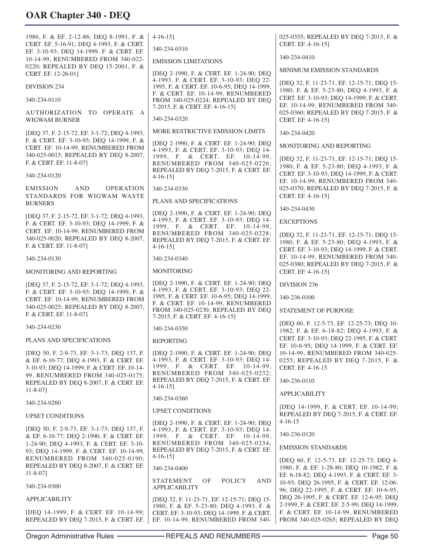| 1986, F. & EF. 2-12-86; DEQ 8-1991, F. &<br>CERT. EF. 5-16-91; DEQ 4-1993, F. & CERT.                                                                                        | $4-16-15$ ]                                                                                                                                            | 025-0355; REPEALED BY DEQ 7-2015, F. &<br>CERT. EF. 4-16-15]                                                                              |
|------------------------------------------------------------------------------------------------------------------------------------------------------------------------------|--------------------------------------------------------------------------------------------------------------------------------------------------------|-------------------------------------------------------------------------------------------------------------------------------------------|
| EF. 3-10-93; DEQ 14-1999, F. & CERT. EF.                                                                                                                                     | 340-234-0310                                                                                                                                           | 340-234-0410                                                                                                                              |
| 10-14-99, RENUMBERED FROM 340-022-<br>0220; REPEALED BY DEQ 15-2001, F. &                                                                                                    | <b>EMISSION LIMITATIONS</b>                                                                                                                            | MINIMUM EMISSION STANDARDS                                                                                                                |
| CERT. EF. 12-26-01]                                                                                                                                                          | [DEQ 2-1990, F. & CERT. EF. 1-24-90; DEQ<br>4-1993, F. & CERT. EF. 3-10-93; DEQ 22-                                                                    |                                                                                                                                           |
| <b>DIVISION 234</b>                                                                                                                                                          | 1995, F. & CERT. EF. 10-6-95; DEQ 14-1999,<br>F. & CERT. EF. 10-14-99, RENUMBERED                                                                      | [DEQ 32, F. 11-23-71, EF. 12-15-71; DEQ 15-<br>1980, F. & EF. 5-23-80; DEQ 4-1993, F. &                                                   |
| 340-234-0110                                                                                                                                                                 | FROM 340-025-0224; REPEALED BY DEQ<br>7-2015, F. & CERT. EF. 4-16-15]                                                                                  | CERT. EF. 3-10-93; DEQ 14-1999, F. & CERT.<br>EF. 10-14-99, RENUMBERED FROM 340-                                                          |
| AUTHORIZATION TO OPERATE A<br>WIGWAM BURNER                                                                                                                                  | 340-234-0320                                                                                                                                           | 025-0360; REPEALED BY DEQ 7-2015, F. &<br>CERT. EF. 4-16-15]                                                                              |
| [DEQ 37, F. 2-15-72, EF. 3-1-72; DEQ 4-1993,                                                                                                                                 | MORE RESTRICTIVE EMISSION LIMITS                                                                                                                       | 340-234-0420                                                                                                                              |
| F. & CERT. EF. 3-10-93; DEQ 14-1999, F. &<br>CERT. EF. 10-14-99, RENUMBERED FROM                                                                                             | [DEQ 2-1990, F. & CERT. EF. 1-24-90; DEQ<br>4-1993, F. & CERT. EF. 3-10-93; DEQ 14-                                                                    | MONITORING AND REPORTING                                                                                                                  |
| 340-025-0015; REPEALED BY DEQ 8-2007,<br>F. & CERT. EF. 11-8-07]                                                                                                             | 1999, F. & CERT. EF. 10-14-99,<br>RENUMBERED FROM 340-025-0226;<br>REPEALED BY DEQ 7-2015, F. & CERT. EF.                                              | [DEQ 32, F. 11-23-71, EF. 12-15-71; DEQ 15-<br>1980, F. & EF. 5-23-80; DEQ 4-1993, F. &                                                   |
| 340-234-0120                                                                                                                                                                 | $4-16-15$                                                                                                                                              | CERT. EF. 3-10-93; DEQ 14-1999, F. & CERT.<br>EF. 10-14-99, RENUMBERED FROM 340-                                                          |
| <b>EMISSION</b><br><b>AND</b><br><b>OPERATION</b><br>STANDARDS FOR WIGWAM WASTE                                                                                              | 340-234-0330                                                                                                                                           | 025-0370; REPEALED BY DEQ 7-2015, F. &<br>CERT. EF. 4-16-15]                                                                              |
| <b>BURNERS</b>                                                                                                                                                               | PLANS AND SPECIFICATIONS                                                                                                                               | 340-234-0430                                                                                                                              |
| [DEQ 37, F. 2-15-72, EF. 3-1-72; DEQ 4-1993,                                                                                                                                 | [DEQ 2-1990, F. & CERT. EF. 1-24-90; DEQ<br>4-1993, F. & CERT. EF. 3-10-93; DEQ 14-                                                                    | <b>EXCEPTIONS</b>                                                                                                                         |
| F. & CERT. EF. 3-10-93; DEQ 14-1999, F. &<br>CERT. EF. 10-14-99, RENUMBERED FROM                                                                                             | 1999, F. & CERT. EF. 10-14-99,<br>RENUMBERED FROM 340-025-0228;                                                                                        | [DEQ 32, F. 11-23-71, EF. 12-15-71; DEQ 15-                                                                                               |
| 340-025-0020; REPEALED BY DEQ 8-2007,<br>F. & CERT. EF. 11-8-071                                                                                                             | REPEALED BY DEQ 7-2015, F. & CERT. EF.<br>$4-16-15$                                                                                                    | 1980, F. & EF. 5-23-80; DEQ 4-1993, F. &                                                                                                  |
| 340-234-0130                                                                                                                                                                 | 340-234-0340                                                                                                                                           | CERT. EF. 3-10-93; DEQ 14-1999, F. & CERT.<br>EF. 10-14-99, RENUMBERED FROM 340-                                                          |
| MONITORING AND REPORTING                                                                                                                                                     | <b>MONITORING</b>                                                                                                                                      | 025-0380; REPEALED BY DEQ 7-2015, F. &<br>CERT. EF. 4-16-15]                                                                              |
| [DEQ 37, F. 2-15-72, EF. 3-1-72; DEQ 4-1993,                                                                                                                                 | [DEQ 2-1990, F. & CERT. EF. 1-24-90; DEQ                                                                                                               | DIVISION 236                                                                                                                              |
| F. & CERT. EF. 3-10-93; DEQ 14-1999, F. &<br>CERT. EF. 10-14-99, RENUMBERED FROM                                                                                             | 4-1993, F. & CERT. EF. 3-10-93; DEQ 22-<br>1995, F. & CERT. EF. 10-6-95; DEQ 14-1999,                                                                  | 340-236-0100                                                                                                                              |
| 340-025-0025; REPEALED BY DEQ 8-2007,<br>F. & CERT. EF. 11-8-07]                                                                                                             | F. & CERT. EF. 10-14-99, RENUMBERED<br>FROM 340-025-0230; REPEALED BY DEQ<br>7-2015, F. & CERT. EF. 4-16-15]                                           | <b>STATEMENT OF PURPOSE</b>                                                                                                               |
| 340-234-0230                                                                                                                                                                 | 340-234-0350                                                                                                                                           | [DEQ 60, F. 12-5-73, EF. 12-25-73; DEQ 10-<br>1982, F. & EF. 6-18-82; DEQ 4-1993, F. &                                                    |
| PLANS AND SPECIFICATIONS                                                                                                                                                     | <b>REPORTING</b>                                                                                                                                       | CERT. EF. 3-10-93; DEQ 22-1995, F. & CERT.                                                                                                |
| [DEQ 50, F. 2-9-73, EF. 3-1-73; DEQ 137, F.<br>& EF. 6-10-77; DEO 4-1993, F. & CERT. EF.<br>3-10-93; DEQ 14-1999, F. & CERT. EF. 10-14-<br>99, RENUMBERED FROM 340-025-0175; | [DEQ 2-1990, F. & CERT. EF. 1-24-90; DEQ<br>4-1993, F. & CERT. EF. 3-10-93; DEQ 14-<br>1999, F. & CERT. EF. 10-14-99,<br>RENUMBERED FROM 340-025-0232; | EF. 10-6-95; DEQ 14-1999, F. & CERT. EF.<br>10-14-99, RENUMBERED FROM 340-025-<br>0255; REPEALED BY DEQ 7-2015, F. &<br>CERT. EF. 4-16-15 |
| REPEALED BY DEQ 8-2007, F. & CERT. EF.<br>$11 - 8 - 07$ ]                                                                                                                    | REPEALED BY DEQ 7-2015, F. & CERT. EF.<br>$4-16-15$ ]                                                                                                  | 340-236-0110                                                                                                                              |
| 340-234-0260                                                                                                                                                                 | 340-234-0360                                                                                                                                           | <b>APPLICABILITY</b>                                                                                                                      |
| <b>UPSET CONDITIONS</b>                                                                                                                                                      | <b>UPSET CONDITIONS</b>                                                                                                                                | [DEQ 14-1999, F. & CERT. EF. 10-14-99;<br>REPEALED BY DEQ 7-2015, F. & CERT. EF.                                                          |
|                                                                                                                                                                              | [DEQ 2-1990, F. & CERT. EF. 1-24-90; DEQ                                                                                                               | $4 - 16 - 15$                                                                                                                             |
| [DEQ 50, F. 2-9-73, EF. 3-1-73; DEQ 137, F.<br>& EF. 6-10-77; DEQ 2-1990, F. & CERT. EF.                                                                                     | 4-1993, F. & CERT. EF. 3-10-93; DEQ 14-<br>1999, F. & CERT. EF. 10-14-99,                                                                              | 340-236-0120                                                                                                                              |
| 1-24-90; DEQ 4-1993, F. & CERT. EF. 3-10-<br>93; DEQ 14-1999, F. & CERT. EF. 10-14-99,                                                                                       | RENUMBERED FROM 340-025-0234;<br>REPEALED BY DEQ 7-2015, F. & CERT. EF.                                                                                | <b>EMISSION STANDARDS</b>                                                                                                                 |
| RENUMBERED FROM 340-025-0190;<br>REPEALED BY DEQ 8-2007, F. & CERT. EF.                                                                                                      | $4-16-15$ ]<br>340-234-0400                                                                                                                            | [DEQ 60, F. 12-5-73, EF. 12-25-73; DEQ 4-<br>1980, F. & EF. 1-28-80; DEQ 10-1982, F. &                                                    |
| $11 - 8 - 07$ ]                                                                                                                                                              | STATEMENT<br>ΟF<br>POLICY<br><b>AND</b>                                                                                                                | EF. 6-18-82; DEQ 4-1993, F. & CERT. EF. 3-                                                                                                |
| 340-234-0300                                                                                                                                                                 | <b>APPLICABILITY</b>                                                                                                                                   | 10-93; DEQ 26-1995, F. & CERT. EF. 12-06-<br>96; DEQ 22-1995, F. & CERT. EF. 10-6-95;                                                     |
| <b>APPLICABILITY</b>                                                                                                                                                         | [DEQ 32, F. 11-23-71, EF. 12-15-71; DEQ 15-                                                                                                            | DEQ 26-1995, F. & CERT. EF. 12-6-95; DEQ<br>2-1999, F. & CERT. EF. 2-5-99; DEQ 14-1999,                                                   |
| [DEQ 14-1999, F. & CERT. EF. 10-14-99;                                                                                                                                       | 1980, F. & EF. 5-23-80; DEQ 4-1993, F. &<br>CERT. EF. 3-10-93; DEQ 14-1999, F. & CERT.                                                                 | F. & CERT. EF. 10-14-99, RENUMBERED                                                                                                       |

REPEALED BY DEQ 7-2015, F. & CERT. EF.

EF. 10-14-99, RENUMBERED FROM 340-

FROM 340-025-0265; REPEALED BY DEQ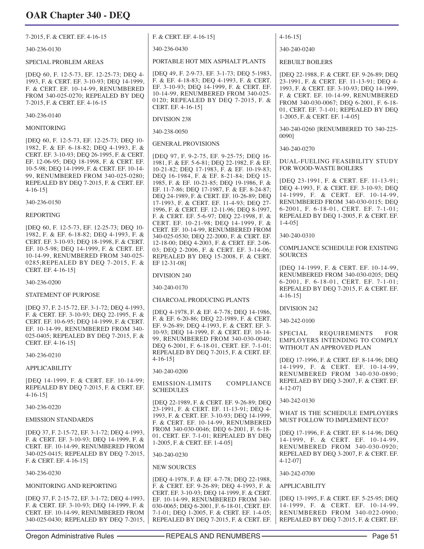7-2015, F. & CERT. EF. 4-16-15

340-236-0130

SPECIAL PROBLEM AREAS

[DEQ 60, F. 12-5-73, EF. 12-25-73; DEQ 4- 1993, F. & CERT. EF. 3-10-93; DEQ 14-1999, F. & CERT. EF. 10-14-99, RENUMBERED FROM 340-025-0270; REPEALED BY DEQ 7-2015, F. & CERT. EF. 4-16-15

340-236-0140

MONITORING

[DEQ 60, F. 12-5-73, EF. 12-25-73; DEQ 10- 1982, F. & EF. 6-18-82; DEQ 4-1993, F. & CERT. EF. 3-10-93; DEQ 26-1995, F. & CERT. EF. 12-06-95; DEQ 18-1998, F. & CERT. EF. 10-5-98; DEQ 14-1999, F. & CERT. EF. 10-14- 99, RENUMBERED FROM 340-025-0280; REPEALED BY DEQ 7-2015, F. & CERT. EF. 4-16-15]

340-236-0150

#### REPORTING

[DEQ 60, F. 12-5-73, EF. 12-25-73; DEQ 10- 1982, F. & EF. 6-18-82; DEQ 4-1993, F. & CERT. EF. 3-10-93; DEQ 18-1998, F. & CERT. EF. 10-5-98; DEQ 14-1999, F. & CERT. EF. 10-14-99, RENUMBERED FROM 340-025- 0285;REPEALED BY DEQ 7-2015, F. & CERT. EF. 4-16-15]

340-236-0200

STATEMENT OF PURPOSE

[DEQ 37, F. 2-15-72, EF. 3-1-72; DEQ 4-1993, F. & CERT. EF. 3-10-93; DEQ 22-1995, F. & CERT. EF. 10-6-95; DEQ 14-1999, F. & CERT. EF. 10-14-99, RENUMBERED FROM 340- 025-0405; REPEALED BY DEQ 7-2015, F. & CERT. EF. 4-16-15]

340-236-0210

#### APPLICABILITY

[DEQ 14-1999, F. & CERT. EF. 10-14-99; REPEALED BY DEQ 7-2015, F. & CERT. EF. 4-16-15]

340-236-0220

EMISSION STANDARDS

[DEQ 37, F. 2-15-72, EF. 3-1-72; DEQ 4-1993, F. & CERT. EF. 3-10-93; DEQ 14-1999, F. & CERT. EF. 10-14-99, RENUMBERED FROM 340-025-0415; REPEALED BY DEQ 7-2015, F. & CERT. EF. 4-16-15]

340-236-0230

MONITORING AND REPORTING

[DEQ 37, F. 2-15-72, EF. 3-1-72; DEQ 4-1993, F. & CERT. EF. 3-10-93; DEQ 14-1999, F. & CERT. EF. 10-14-99, RENUMBERED FROM 340-025-0430; REPEALED BY DEQ 7-2015, F. & CERT. EF. 4-16-15]

340-236-0430

PORTABLE HOT MIX ASPHALT PLANTS

[DEQ 49, F. 2-9-73, EF. 3-1-73; DEQ 5-1983, F. & EF. 4-18-83; DEQ 4-1993, F. & CERT. EF. 3-10-93; DEQ 14-1999, F. & CERT. EF. 10-14-99, RENUMBERED FROM 340-025- 0120; REPEALED BY DEQ 7-2015, F. & CERT. EF. 4-16-15]

DIVISION 238

340-238-0050

GENERAL PROVISIONS

[DEQ 97, F. 9-2-75, EF. 9-25-75; DEQ 16- 1981, F. & EF. 5-6-81; DEQ 22-1982, F. & EF. 10-21-82; DEQ 17-1983, F. & EF. 10-19-83; DEQ 16-1984, F. & EF. 8-21-84; DEQ 15- 1985, F. & EF. 10-21-85; DEQ 19-1986, F. & EF. 11-7-86; DEQ 17-1987, F. & EF. 8-24-87; DEQ 24-1989, F. & CERT. EF. 10-26-89; DEQ 17-1993, F. & CERT. EF. 11-4-93; DEQ 27- 1996, F. & CERT. EF. 12-11-96; DEQ 8-1997, F. & CERT. EF. 5-6-97; DEQ 22-1998, F. & CERT. EF. 10-21-98; DEQ 14-1999, F. & CERT. EF. 10-14-99, RENUMBERED FROM 340-025-0530; DEQ 22-2000, F. & CERT. EF. 12-18-00; DEQ 4-2003, F. & CERT. EF. 2-06- 03; DEQ 2-2006, F. & CERT. EF. 3-14-06; REPEALED BY DEQ 15-2008, F. & CERT. EF 12-31-08]

DIVISION 240

340-240-0170

CHARCOAL PRODUCING PLANTS

[DEQ 4-1978, F. & EF. 4-7-78; DEQ 14-1986, F. & EF. 6-20-86; DEQ 22-1989, F. & CERT. EF. 9-26-89; DEQ 4-1993, F. & CERT. EF. 3- 10-93; DEQ 14-1999, F. & CERT. EF. 10-14- 99, RENUMBERED FROM 340-030-0040; DEQ 6-2001, F. 6-18-01, CERT. EF. 7-1-01; REPEALED BY DEQ 7-2015, F. & CERT. EF. 4-16-15]

340-240-0200

EMISSION-LIMITS COMPLIANCE SCHEDULES

[DEQ 22-1989, F. & CERT. EF. 9-26-89; DEQ 23-1991, F. & CERT. EF. 11-13-91; DEQ 4- 1993, F. & CERT. EF. 3-10-93; DEQ 14-1999, F. & CERT. EF. 10-14-99, RENUMBERED FROM 340-030-0046; DEQ 6-2001, F. 6-18- 01, CERT. EF. 7-1-01; REPEALED BY DEQ 1-2005, F. & CERT. EF. 1-4-05]

340-240-0230

#### NEW SOURCES

[DEQ 4-1978, F. & EF. 4-7-78; DEQ 22-1988, F. & CERT. EF. 9-26-89; DEQ 4-1993, F. & CERT. EF. 3-10-93; DEQ 14-1999, F. & CERT. EF. 10-14-99, RENUMBERED FROM 340- 030-0065; DEQ 6-2001, F. 6-18-01, CERT. EF. 7-1-01; DEQ 1-2005, F. & CERT. EF. 1-4-05; REPEALED BY DEQ 7-2015, F. & CERT. EF. 4-16-15]

340-240-0240

REBUILT BOILERS

[DEQ 22-1988, F. & CERT. EF. 9-26-89; DEQ 23-1991, F. & CERT. EF. 11-13-91; DEQ 4- 1993, F. & CERT. EF. 3-10-93; DEQ 14-1999, F. & CERT. EF. 10-14-99, RENUMBERED FROM 340-030-0067; DEQ 6-2001, F. 6-18- 01, CERT. EF. 7-1-01; REPEALED BY DEQ 1-2005, F. & CERT. EF. 1-4-05]

340-240-0260 [RENUMBERED TO 340-225- 0090]

340-240-0270

DUAL-FUELING FEASIBILITY STUDY FOR WOOD-WASTE BOILERS

[DEQ 23-1991, F. & CERT. EF. 11-13-91; DEQ 4-1993, F. & CERT. EF. 3-10-93; DEQ 14-1999, F. & CERT. EF. 10-14-99, RENUMBERED FROM 340-030-0115; DEQ 6-2001, F. 6-18-01, CERT. EF. 7-1-01; REPEALED BY DEQ 1-2005, F. & CERT. EF. 1-4-05]

340-240-0310

COMPLIANCE SCHEDULE FOR EXISTING **SOURCES** 

[DEQ 14-1999, F. & CERT. EF. 10-14-99, RENUMBERED FROM 340-030-0205; DEQ 6-2001, F. 6-18-01, CERT. EF. 7-1-01; REPEALED BY DEQ 7-2015, F. & CERT. EF. 4-16-15]

DIVISION 242

340-242-0100

SPECIAL REQUIREMENTS FOR EMPLOYERS INTENDING TO COMPLY WITHOUT AN APPROVED PLAN

[DEQ 17-1996, F. & CERT. EF. 8-14-96; DEQ 14-1999, F. & CERT. EF. 10-14-99, RENUMBERED FROM 340-030-0890; REPELAED BY DEQ 3-2007, F. & CERT. EF. 4-12-07]

340-242-0130

WHAT IS THE SCHEDULE EMPLOYERS MUST FOLLOW TO IMPLEMENT ECO?

[DEQ 17-1996, F. & CERT. EF. 8-14-96; DEQ 14-1999, F. & CERT. EF. 10-14-99, RENUMBERED FROM 340-030-0920; REPELAED BY DEQ 3-2007, F. & CERT. EF. 4-12-07]

340-242-0700

APPLICABILITY

[DEQ 13-1995, F. & CERT. EF. 5-25-95; DEQ 14-1999, F. & CERT. EF. 10-14-99, RENUMBERED FROM 340-022-0900; REPEALED BY DEQ 7-2015, F. & CERT. EF.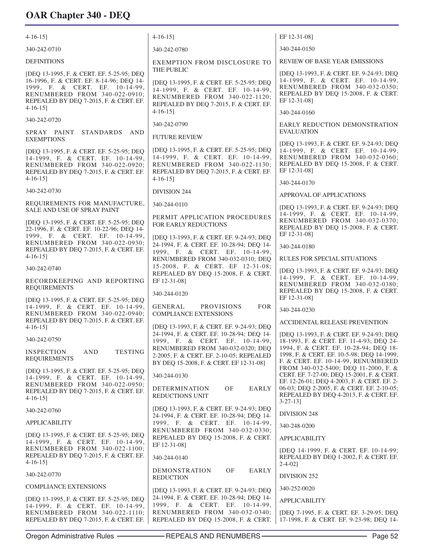| $4-16-15$ ]                                                                                                                                                                                                     | $4-16-15$ ]                                                                                                                                                                            | EF 12-31-08]                                                                                                                                                           |
|-----------------------------------------------------------------------------------------------------------------------------------------------------------------------------------------------------------------|----------------------------------------------------------------------------------------------------------------------------------------------------------------------------------------|------------------------------------------------------------------------------------------------------------------------------------------------------------------------|
| 340-242-0710                                                                                                                                                                                                    | 340-242-0780                                                                                                                                                                           | 340-244-0150                                                                                                                                                           |
| <b>DEFINITIONS</b>                                                                                                                                                                                              | EXEMPTION FROM DISCLOSURE TO                                                                                                                                                           | <b>REVIEW OF BASE YEAR EMISSIONS</b>                                                                                                                                   |
| [DEQ 13-1995, F. & CERT. EF. 5-25-95; DEQ<br>16-1996, F. & CERT. EF. 8-14-96; DEQ 14-<br>1999, F. & CERT. EF. 10-14-99,<br>RENUMBERED FROM 340-022-0910;<br>REPEALED BY DEQ 7-2015, F. & CERT. EF.<br>$4-16-15$ | THE PUBLIC<br>[DEQ 13-1995, F. & CERT. EF. 5-25-95; DEQ<br>14-1999, F. & CERT. EF. 10-14-99,<br>RENUMBERED FROM 340-022-1120;<br>REPEALED BY DEQ 7-2015, F. & CERT. EF.<br>$4-16-15$ ] | [DEQ 13-1993, F. & CERT. EF. 9-24-93; DEQ<br>14-1999, F. & CERT. EF. 10-14-99,<br>RENUMBERED FROM 340-032-0350;<br>REPEALED BY DEQ 15-2008, F. & CERT.<br>EF 12-31-08] |
| 340-242-0720                                                                                                                                                                                                    |                                                                                                                                                                                        | 340-244-0160                                                                                                                                                           |
| SPRAY PAINT<br>STANDARDS AND<br><b>EXEMPTIONS</b>                                                                                                                                                               | 340-242-0790<br><b>FUTURE REVIEW</b>                                                                                                                                                   | EARLY REDUCTION DEMONSTRATION<br><b>EVALUATION</b>                                                                                                                     |
| [DEQ 13-1995, F. & CERT. EF. 5-25-95; DEQ<br>14-1999, F. & CERT. EF. 10-14-99,<br>RENUMBERED FROM 340-022-0920;<br>REPEALED BY DEQ 7-2015, F. & CERT. EF.<br>$4-16-15$                                          | [DEQ 13-1995, F. & CERT. EF. 5-25-95; DEQ<br>14-1999, F. & CERT. EF. 10-14-99,<br>RENUMBERED FROM 340-022-1130;<br>REPEALED BY DEQ 7-2015, F. & CERT. EF.<br>$4-16-15$ ]               | [DEQ 13-1993, F. & CERT. EF. 9-24-93; DEQ<br>14-1999, F. & CERT. EF. 10-14-99,<br>RENUMBERED FROM 340-032-0360;<br>REPEALED BY DEQ 15-2008, F. & CERT.<br>EF 12-31-08] |
| 340-242-0730                                                                                                                                                                                                    | <b>DIVISION 244</b>                                                                                                                                                                    | 340-244-0170                                                                                                                                                           |
| REQUIREMENTS FOR MANUFACTURE,                                                                                                                                                                                   | 340-244-0110                                                                                                                                                                           | APPROVAL OF APPLICATIONS<br>[DEQ 13-1993, F. & CERT. EF. 9-24-93; DEQ                                                                                                  |
| SALE AND USE OF SPRAY PAINT<br>[DEQ 13-1995, F. & CERT. EF. 5-25-95; DEQ<br>22-1996, F. & CERT. EF. 10-22-96; DEQ 14-<br>1999, F. & CERT. EF. 10-14-99,                                                         | PERMIT APPLICATION PROCEDURES<br><b>FOR EARLY REDUCTIONS</b>                                                                                                                           | 14-1999, F. & CERT. EF. 10-14-99,<br>RENUMBERED FROM 340-032-0370;<br>REPEALED BY DEQ 15-2008, F. & CERT.<br>EF 12-31-08]                                              |
| RENUMBERED FROM 340-022-0930;<br>REPEALED BY DEQ 7-2015, F. & CERT. EF.                                                                                                                                         | [DEQ 13-1993, F. & CERT. EF. 9-24-93; DEQ<br>24-1994, F. & CERT. EF. 10-28-94; DEQ 14-<br>1999, F. & CERT. EF. 10-14-99,                                                               | 340-244-0180                                                                                                                                                           |
| $4-16-15$ ]                                                                                                                                                                                                     | RENUMBERED FROM 340-032-0310; DEQ                                                                                                                                                      | <b>RULES FOR SPECIAL SITUATIONS</b>                                                                                                                                    |
| 340-242-0740                                                                                                                                                                                                    | 15-2008, F. & CERT. EF 12-31-08;<br>REPEALED BY DEQ 15-2008, F. & CERT.                                                                                                                | [DEQ 13-1993, F. & CERT. EF. 9-24-93; DEQ<br>14-1999, F. & CERT. EF. 10-14-99,                                                                                         |
| RECORDKEEPING AND REPORTING<br><b>REQUIREMENTS</b>                                                                                                                                                              | EF 12-31-08]<br>340-244-0120                                                                                                                                                           | RENUMBERED FROM 340-032-0380;<br>REPEALED BY DEQ 15-2008, F. & CERT.                                                                                                   |
| [DEQ 13-1995, F. & CERT. EF. 5-25-95; DEQ<br>14-1999, F. & CERT. EF. 10-14-99,<br>RENUMBERED FROM 340-022-0940;<br>REPEALED BY DEQ 7-2015, F. & CERT. EF.<br>$4-16-15$                                          | <b>PROVISIONS</b><br><b>FOR</b><br>GENERAL<br><b>COMPLIANCE EXTENSIONS</b><br>[DEQ 13-1993, F. & CERT. EF. 9-24-93; DEQ                                                                | EF 12-31-08]<br>340-244-0230<br>ACCIDENTAL RELEASE PREVENTION                                                                                                          |
| 340-242-0750                                                                                                                                                                                                    | 24-1994, F. & CERT. EF. 10-28-94; DEQ 14-<br>1999, F. & CERT. EF. 10-14-99,                                                                                                            | [DEQ 13-1993, F. & CERT. EF. 9-24-93; DEQ<br>18-1993, F. & CERT. EF. 11-4-93; DEQ 24-                                                                                  |
| <b>TESTING</b><br><b>INSPECTION</b><br><b>AND</b><br><b>REQUIREMENTS</b>                                                                                                                                        | RENUMBERED FROM 340-032-0320; DEQ<br>2-2005, F. & CERT. EF. 2-10-05; REPEALED<br>BY DEQ 15-2008, F. & CERT. EF 12-31-08]                                                               | 1994, F. & CERT. EF. 10-28-94; DEQ 18-<br>1998, F. & CERT. EF. 10-5-98; DEO 14-1999,<br>F. & CERT. EF. 10-14-99, RENUMBERED                                            |
| [DEQ 13-1995, F. & CERT. EF. 5-25-95; DEQ<br>14-1999, F. & CERT. EF. 10-14-99,<br>RENUMBERED FROM 340-022-0950;                                                                                                 | 340-244-0130                                                                                                                                                                           | FROM 340-032-5400; DEQ 11-2000, F. &<br>CERT. EF. 7-27-00; DEQ 15-2001, F. & CERT.<br>EF. 12-26-01; DEQ 4-2003, F. & CERT. EF. 2-                                      |
| REPEALED BY DEQ 7-2015, F. & CERT. EF.<br>$4-16-15$                                                                                                                                                             | OF<br>EARLY<br><b>DETERMINATION</b><br>REDUCTIONS UNIT                                                                                                                                 | 06-03; DEQ 2-2005, F. & CERT. EF. 2-10-05;<br>REPEALED BY DEQ 4-2013, F. & CERT. EF.<br>$3 - 27 - 13$                                                                  |
| 340-242-0760                                                                                                                                                                                                    | [DEQ 13-1993, F. & CERT. EF. 9-24-93; DEQ<br>24-1994, F. & CERT. EF. 10-28-94; DEQ 14-                                                                                                 | DIVISION 248                                                                                                                                                           |
| <b>APPLICABILITY</b>                                                                                                                                                                                            | 1999, F. & CERT. EF. 10-14-99,                                                                                                                                                         | 340-248-0200                                                                                                                                                           |
| [DEQ 13-1995, F. & CERT. EF. 5-25-95; DEQ<br>14-1999, F. & CERT. EF. 10-14-99,                                                                                                                                  | RENUMBERED FROM 340-032-0330;<br>REPEALED BY DEQ 15-2008, F. & CERT.<br>EF 12-31-08]                                                                                                   | <b>APPLICABILITY</b>                                                                                                                                                   |
| RENUMBERED FROM 340-022-1100;<br>REPEALED BY DEQ 7-2015, F. & CERT. EF.<br>$4-16-15$ ]                                                                                                                          | 340-244-0140                                                                                                                                                                           | [DEQ 14-1999, F. & CERT. EF. 10-14-99;<br>REPEALED BY DEQ 1-2002, F. & CERT. EF.<br>$2 - 4 - 02$ ]                                                                     |
| 340-242-0770                                                                                                                                                                                                    | DEMONSTRATION<br>OF<br>EARLY<br><b>REDUCTION</b>                                                                                                                                       | DIVISION 252                                                                                                                                                           |
| <b>COMPLIANCE EXTENSIONS</b>                                                                                                                                                                                    | [DEQ 13-1993, F. & CERT. EF. 9-24-93; DEQ                                                                                                                                              | 340-252-0020                                                                                                                                                           |
| [DEQ 13-1995, F. & CERT. EF. 5-25-95; DEQ<br>14-1999, F. & CERT. EF. 10-14-99,                                                                                                                                  | 24-1994, F. & CERT. EF. 10-28-94; DEQ 14-<br>1999, F. & CERT. EF. 10-14-99,                                                                                                            | <b>APPLICABILITY</b>                                                                                                                                                   |
| RENUMBERED FROM 340-022-1110;<br>REPEALED BY DEQ 7-2015, F. & CERT. EF.                                                                                                                                         | RENUMBERED FROM 340-032-0340;<br>REPEALED BY DEQ 15-2008, F. & CERT.                                                                                                                   | [DEQ 7-1995, F. & CERT. EF. 3-29-95; DEQ<br>17-1998, F. & CERT. EF. 9-23-98; DEQ 14-                                                                                   |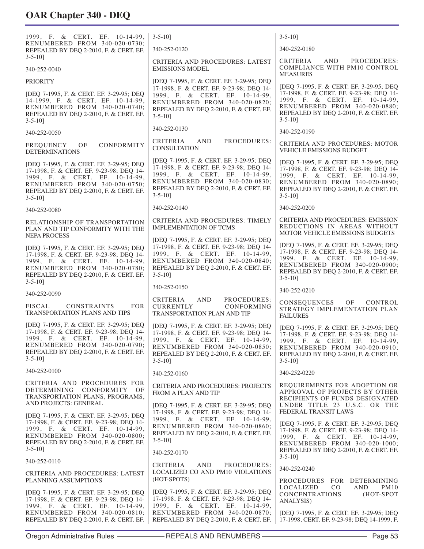| 1999, F. & CERT. EF. 10-14-99,<br>RENUMBERED FROM 340-020-0730;<br>REPEALED BY DEQ 2-2010, F. & CERT. EF.                                                                                                           | $3 - 5 - 10$                                                                                                                                                                                                      | $3 - 5 - 10$                                                                                                                                                                                                              |
|---------------------------------------------------------------------------------------------------------------------------------------------------------------------------------------------------------------------|-------------------------------------------------------------------------------------------------------------------------------------------------------------------------------------------------------------------|---------------------------------------------------------------------------------------------------------------------------------------------------------------------------------------------------------------------------|
|                                                                                                                                                                                                                     | 340-252-0120                                                                                                                                                                                                      | 340-252-0180                                                                                                                                                                                                              |
| $3 - 5 - 10$<br>340-252-0040                                                                                                                                                                                        | CRITERIA AND PROCEDURES: LATEST<br><b>EMISSIONS MODEL</b>                                                                                                                                                         | AND<br>PROCEDURES:<br>CRITERIA<br>COMPLIANCE WITH PM10 CONTROL<br><b>MEASURES</b>                                                                                                                                         |
| <b>PRIORITY</b>                                                                                                                                                                                                     | [DEQ 7-1995, F. & CERT. EF. 3-29-95; DEQ                                                                                                                                                                          | [DEQ 7-1995, F. & CERT. EF. 3-29-95; DEQ                                                                                                                                                                                  |
| [DEQ 7-1995, F. & CERT. EF. 3-29-95; DEQ<br>14-1999, F. & CERT. EF. 10-14-99,<br>RENUMBERED FROM 340-020-0740;<br>REPEALED BY DEQ 2-2010, F. & CERT. EF.<br>$3 - 5 - 10$ ]                                          | 17-1998, F. & CERT. EF. 9-23-98; DEQ 14-<br>1999, F. & CERT. EF. 10-14-99,<br>RENUMBERED FROM 340-020-0820;<br>REPEALED BY DEQ 2-2010, F. & CERT. EF.<br>$3 - 5 - 10$                                             | 17-1998, F. & CERT. EF. 9-23-98; DEQ 14-<br>1999, F. & CERT. EF. 10-14-99,<br>RENUMBERED FROM 340-020-0880;<br>REPEALED BY DEQ 2-2010, F. & CERT. EF.<br>$3 - 5 - 10$                                                     |
| 340-252-0050                                                                                                                                                                                                        | 340-252-0130                                                                                                                                                                                                      | 340-252-0190                                                                                                                                                                                                              |
| FREQUENCY<br>OF<br>CONFORMITY<br><b>DETERMINATIONS</b>                                                                                                                                                              | CRITERIA<br>PROCEDURES:<br>AND<br><b>CONSULTATION</b>                                                                                                                                                             | CRITERIA AND PROCEDURES: MOTOR<br><b>VEHICLE EMISSIONS BUDGET</b>                                                                                                                                                         |
| [DEQ 7-1995, F. & CERT. EF. 3-29-95; DEQ<br>17-1998, F. & CERT. EF. 9-23-98; DEQ 14-<br>1999, F. & CERT. EF. 10-14-99,<br>RENUMBERED FROM 340-020-0750;<br>REPEALED BY DEQ 2-2010, F. & CERT. EF.<br>$3 - 5 - 10$   | [DEQ 7-1995, F. & CERT. EF. 3-29-95; DEQ<br>17-1998, F. & CERT. EF. 9-23-98; DEQ 14-<br>1999, F. & CERT. EF. 10-14-99,<br>RENUMBERED FROM 340-020-0830;<br>REPEALED BY DEQ 2-2010, F. & CERT. EF.<br>$3 - 5 - 10$ | [DEQ 7-1995, F. & CERT. EF. 3-29-95; DEQ<br>17-1998, F. & CERT. EF. 9-23-98; DEQ 14-<br>1999, F. & CERT. EF. 10-14-99,<br>RENUMBERED FROM 340-020-0890;<br>REPEALED BY DEQ 2-2010, F. & CERT. EF.<br>$3 - 5 - 10$         |
| 340-252-0080                                                                                                                                                                                                        | 340-252-0140                                                                                                                                                                                                      | 340-252-0200                                                                                                                                                                                                              |
| RELATIONSHIP OF TRANSPORTATION<br>PLAN AND TIP CONFORMITY WITH THE<br><b>NEPA PROCESS</b>                                                                                                                           | <b>CRITERIA AND PROCEDURES: TIMELY</b><br><b>IMPLEMENTATION OF TCMS</b>                                                                                                                                           | CRITERIA AND PROCEDURES: EMISSION<br>REDUCTIONS IN AREAS WITHOUT<br>MOTOR VEHICLE EMISSIONS BUDGETS                                                                                                                       |
| [DEQ 7-1995, F. & CERT. EF. 3-29-95; DEQ<br>17-1998, F. & CERT. EF. 9-23-98; DEQ 14-<br>1999, F. & CERT. EF. 10-14-99,<br>RENUMBERED FROM 340-020-0780;<br>REPEALED BY DEQ 2-2010, F. & CERT. EF.<br>$3 - 5 - 10$ ] | [DEQ 7-1995, F. & CERT. EF. 3-29-95; DEQ<br>17-1998, F. & CERT. EF. 9-23-98; DEQ 14-<br>1999, F. & CERT. EF. 10-14-99,<br>RENUMBERED FROM 340-020-0840;<br>REPEALED BY DEQ 2-2010, F. & CERT. EF.<br>$3 - 5 - 10$ | [DEQ 7-1995, F. & CERT. EF. 3-29-95; DEQ<br>17-1998, F. & CERT. EF. 9-23-98; DEQ 14-<br>1999, F. & CERT. EF. 10-14-99,<br>RENUMBERED FROM 340-020-0900;<br>REPEALED BY DEQ 2-2010, F. & CERT. EF.<br>$3 - 5 - 10$         |
| 340-252-0090                                                                                                                                                                                                        | 340-252-0150                                                                                                                                                                                                      | 340-252-0210                                                                                                                                                                                                              |
| <b>FISCAL</b><br><b>CONSTRAINTS</b><br><b>FOR</b><br>TRANSPORTATION PLANS AND TIPS                                                                                                                                  | CRITERIA<br>AND<br>PROCEDURES:<br><b>CURRENTLY</b><br>CONFORMING<br><b>TRANSPORTATION PLAN AND TIP</b>                                                                                                            | CONSEQUENCES OF<br>CONTROL<br>STRATEGY IMPLEMENTATION PLAN<br><b>FAILURES</b>                                                                                                                                             |
| [DEQ 7-1995, F. & CERT. EF. 3-29-95; DEQ<br>17-1998, F. & CERT. EF. 9-23-98; DEQ 14-<br>1999, F. & CERT. EF. 10-14-99.<br>RENUMBERED FROM 340-020-0790;<br>REPEALED BY DEQ 2-2010, F. & CERT. EF.<br>$3 - 5 - 10$   | [DEQ 7-1995, F. & CERT. EF. 3-29-95; DEQ<br>17-1998, F. & CERT. EF. 9-23-98; DEQ 14-<br>1999, F. & CERT. EF. 10-14-99,<br>RENUMBERED FROM 340-020-0850;<br>REPEALED BY DEQ 2-2010, F. & CERT. EF.<br>$3 - 5 - 10$ | [DEQ 7-1995, F. & CERT. EF. 3-29-95; DEQ<br>17-1998, F. & CERT. EF. 9-23-98; DEQ 14-<br>1999, F. & CERT. EF. 10-14-99,<br>RENUMBERED FROM 340-020-0910;<br>REPEALED BY DEQ 2-2010, F. & CERT. EF.<br>$3 - 5 - 10$         |
| 340-252-0100                                                                                                                                                                                                        | 340-252-0160                                                                                                                                                                                                      | 340-252-0220                                                                                                                                                                                                              |
| CRITERIA AND PROCEDURES FOR<br>DETERMINING CONFORMITY OF<br>TRANSPORTATION PLANS, PROGRAMS,<br>AND PROJECTS: GENERAL                                                                                                | CRITERIA AND PROCEDURES: PROJECTS<br>FROM A PLAN AND TIP<br>[DEQ 7-1995, F. & CERT. EF. 3-29-95; DEQ                                                                                                              | REQUIREMENTS FOR ADOPTION OR<br>APPROVAL OF PROJECTS BY OTHER<br>RECIPIENTS OF FUNDS DESIGNATED<br>UNDER TITLE 23 U.S.C. OR THE                                                                                           |
| [DEQ 7-1995, F. & CERT. EF. 3-29-95; DEQ<br>17-1998, F. & CERT. EF. 9-23-98; DEQ 14-<br>1999, F. & CERT. EF. 10-14-99,<br>RENUMBERED FROM 340-020-0800;<br>REPEALED BY DEQ 2-2010, F. & CERT. EF.<br>$3 - 5 - 10$   | 17-1998, F. & CERT. EF. 9-23-98; DEQ 14-<br>1999, F. & CERT. EF. 10-14-99,<br>RENUMBERED FROM 340-020-0860;<br>REPEALED BY DEQ 2-2010, F. & CERT. EF.<br>$3 - 5 - 10$<br>340-252-0170                             | FEDERAL TRANSIT LAWS<br>[DEO 7-1995, F. & CERT. EF. 3-29-95; DEO<br>17-1998, F. & CERT. EF. 9-23-98; DEQ 14-<br>1999, F. & CERT. EF. 10-14-99,<br>RENUMBERED FROM 340-020-1000;<br>REPEALED BY DEQ 2-2010, F. & CERT. EF. |
| 340-252-0110                                                                                                                                                                                                        | CRITERIA<br>AND<br>PROCEDURES:                                                                                                                                                                                    | $3 - 5 - 10$                                                                                                                                                                                                              |
| CRITERIA AND PROCEDURES: LATEST<br>PLANNING ASSUMPTIONS                                                                                                                                                             | LOCALIZED CO AND PM10 VIOLATIONS<br>(HOT-SPOTS)                                                                                                                                                                   | 340-252-0240<br>PROCEDURES FOR DETERMINING                                                                                                                                                                                |
| [DEQ 7-1995, F. & CERT. EF. 3-29-95; DEQ<br>17-1998, F. & CERT. EF. 9-23-98; DEQ 14-<br>1999, F. & CERT. EF. 10-14-99,<br>RENUMBERED FROM 340-020-0810;<br>REPEALED BY DEQ 2-2010, F. & CERT. EF.                   | [DEQ 7-1995, F. & CERT. EF. 3-29-95; DEQ<br>17-1998, F. & CERT. EF. 9-23-98; DEQ 14-<br>1999, F. & CERT. EF. 10-14-99,<br>RENUMBERED FROM 340-020-0870;<br>REPEALED BY DEQ 2-2010, F. & CERT. EF.                 | <b>PM10</b><br>LOCALIZED<br>CO.<br>AND<br><b>CONCENTRATIONS</b><br>(HOT-SPOT<br><b>ANALYSIS</b> )<br>[DEQ 7-1995, F. & CERT. EF. 3-29-95; DEQ<br>17-1998, CERT. EF. 9-23-98; DEQ 14-1999, F.                              |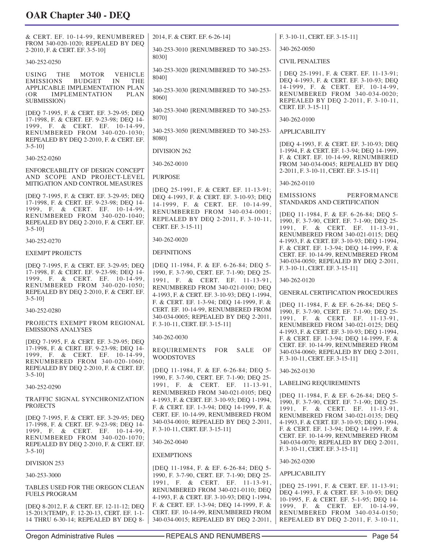| & CERT. EF. 10-14-99, RENUMBERED<br>FROM 340-020-1020; REPEALED BY DEO                                                                                                             | 2014, F. & CERT. EF. 6-26-14]                                                                                                | F. 3-10-11, CERT. EF. 3-15-11]                                                                                                                                      |
|------------------------------------------------------------------------------------------------------------------------------------------------------------------------------------|------------------------------------------------------------------------------------------------------------------------------|---------------------------------------------------------------------------------------------------------------------------------------------------------------------|
| 2-2010, F. & CERT. EF. 3-5-10]                                                                                                                                                     | 340-253-3010 [RENUMBERED TO 340-253-<br>8030]                                                                                | 340-262-0050                                                                                                                                                        |
| 340-252-0250                                                                                                                                                                       |                                                                                                                              | <b>CIVIL PENALTIES</b>                                                                                                                                              |
| <b>USING</b><br>MOTOR<br><b>VEHICLE</b><br>THE<br><b>EMISSIONS</b><br><b>BUDGET</b><br>IN<br><b>THE</b><br>APPLICABLE IMPLEMENTATION PLAN<br><b>IMPLEMENTATION</b><br>PLAN<br>(OR) | 340-253-3020 [RENUMBERED TO 340-253-<br>80401<br>340-253-3030 [RENUMBERED TO 340-253-<br>8060]                               | [DEQ 25-1991, F. & CERT. EF. 11-13-91;<br>DEQ 4-1993, F. & CERT. EF. 3-10-93; DEQ<br>14-1999, F. & CERT. EF. 10-14-99,<br>RENUMBERED FROM 340-034-0020;             |
| SUBMISSION)                                                                                                                                                                        | 340-253-3040 [RENUMBERED TO 340-253-                                                                                         | REPEALED BY DEQ 2-2011, F. 3-10-11,<br>CERT. EF. 3-15-11]                                                                                                           |
| [DEQ 7-1995, F. & CERT. EF. 3-29-95; DEQ<br>17-1998, F. & CERT. EF. 9-23-98; DEQ 14-                                                                                               | 8070]                                                                                                                        | 340-262-0100                                                                                                                                                        |
| 1999, F. & CERT. EF. 10-14-99,<br>RENUMBERED FROM 340-020-1030;<br>REPEALED BY DEQ 2-2010, F. & CERT. EF.<br>$3 - 5 - 10$                                                          | 340-253-3050 [RENUMBERED TO 340-253-<br>80801                                                                                | <b>APPLICABILITY</b><br>[DEQ 4-1993, F. & CERT. EF. 3-10-93; DEQ                                                                                                    |
| 340-252-0260                                                                                                                                                                       | DIVISION 262                                                                                                                 | 1-1994, F. & CERT. EF. 1-3-94; DEQ 14-1999,<br>F. & CERT. EF. 10-14-99, RENUMBERED                                                                                  |
| ENFORCEABILITY OF DESIGN CONCEPT                                                                                                                                                   | 340-262-0010                                                                                                                 | FROM 340-034-0045; REPEALED BY DEQ<br>2-2011, F. 3-10-11, CERT. EF. 3-15-11]                                                                                        |
| AND SCOPE AND PROJECT-LEVEL<br>MITIGATION AND CONTROL MEASURES                                                                                                                     | <b>PURPOSE</b>                                                                                                               | 340-262-0110                                                                                                                                                        |
| [DEQ 7-1995, F. & CERT. EF. 3-29-95; DEQ<br>17-1998, F. & CERT. EF. 9-23-98; DEQ 14-<br>1999, F. & CERT. EF. 10-14-99,                                                             | [DEQ 25-1991, F. & CERT. EF. 11-13-91;<br>DEQ 4-1993, F. & CERT. EF. 3-10-93; DEQ<br>14-1999, F. & CERT. EF. 10-14-99,       | PERFORMANCE<br><b>EMISSIONS</b><br>STANDARDS AND CERTIFICATION                                                                                                      |
| RENUMBERED FROM 340-020-1040;<br>REPEALED BY DEQ 2-2010, F. & CERT. EF.<br>$3 - 5 - 10$                                                                                            | RENUMBERED FROM 340-034-0001;<br>REPEALED BY DEQ 2-2011, F. 3-10-11,<br>CERT. EF. 3-15-11]                                   | [DEQ 11-1984, F. & EF. 6-26-84; DEQ 5-<br>1990, F. 3-7-90, CERT. EF. 7-1-90; DEQ 25-<br>1991, F. & CERT. EF. 11-13-91,                                              |
| 340-252-0270                                                                                                                                                                       | 340-262-0020                                                                                                                 | RENUMBERED FROM 340-021-0115; DEQ<br>4-1993, F. & CERT. EF. 3-10-93; DEQ 1-1994,                                                                                    |
| <b>EXEMPT PROJECTS</b>                                                                                                                                                             | <b>DEFINITIONS</b>                                                                                                           | F. & CERT. EF. 1-3-94; DEQ 14-1999, F. &<br>CERT. EF. 10-14-99, RENUMBERED FROM                                                                                     |
| [DEQ 7-1995, F. & CERT. EF. 3-29-95; DEQ<br>17-1998, F. & CERT. EF. 9-23-98; DEQ 14-                                                                                               | [DEQ 11-1984, F. & EF. 6-26-84; DEQ 5-<br>1990, F. 3-7-90, CERT. EF. 7-1-90; DEQ 25-                                         | 340-034-0050; REPEALED BY DEQ 2-2011,<br>F. 3-10-11, CERT. EF. 3-15-11]                                                                                             |
| 1999, F. & CERT. EF. 10-14-99,<br>RENUMBERED FROM 340-020-1050;                                                                                                                    | 1991, F. & CERT. EF. 11-13-91,<br>RENUMBERED FROM 340-021-0100; DEQ                                                          | 340-262-0120                                                                                                                                                        |
| REPEALED BY DEQ 2-2010, F. & CERT. EF.<br>$3 - 5 - 10$                                                                                                                             | 4-1993, F. & CERT. EF. 3-10-93; DEQ 1-1994,<br>F. & CERT. EF. 1-3-94; DEQ 14-1999, F. &                                      | <b>GENERAL CERTIFICATION PROCEDURES</b>                                                                                                                             |
| 340-252-0280                                                                                                                                                                       | CERT. EF. 10-14-99, RENUMBERED FROM                                                                                          | [DEQ 11-1984, F. & EF. 6-26-84; DEQ 5-<br>1990, F. 3-7-90, CERT. EF. 7-1-90; DEQ 25-                                                                                |
| PROJECTS EXEMPT FROM REGIONAL<br><b>EMISSIONS ANALYSES</b>                                                                                                                         | 340-034-0005; REPEALED BY DEQ 2-2011,<br>F. 3-10-11, CERT. EF. 3-15-11]                                                      | 1991, F. & CERT. EF. 11-13-91,<br>RENUMBERED FROM 340-021-0125; DEQ<br>4-1993, F. & CERT. EF. 3-10-93; DEQ 1-1994,                                                  |
| [DEQ 7-1995, F. & CERT. EF. 3-29-95; DEQ                                                                                                                                           | 340-262-0030                                                                                                                 | F. & CERT. EF. 1-3-94; DEQ 14-1999, F. &<br>CERT. EF. 10-14-99, RENUMBERED FROM                                                                                     |
| 17-1998, F. & CERT. EF. 9-23-98; DEQ 14-<br>1999, F. & CERT. EF. 10-14-99,<br>RENUMBERED FROM 340-020-1060;                                                                        | <b>REQUIREMENTS</b><br>FOR<br><b>SALE</b><br>OF<br><b>WOODSTOVES</b>                                                         | 340-034-0060; REPEALED BY DEQ 2-2011,<br>F. 3-10-11, CERT. EF. 3-15-11]                                                                                             |
| REPEALED BY DEQ 2-2010, F. & CERT. EF.<br>$3 - 5 - 10$                                                                                                                             | [DEQ 11-1984, F. & EF. 6-26-84; DEQ 5-<br>1990, F. 3-7-90, CERT. EF. 7-1-90; DEQ 25-                                         | 340-262-0130                                                                                                                                                        |
| 340-252-0290                                                                                                                                                                       | 1991, F. & CERT. EF. 11-13-91,                                                                                               | <b>LABELING REQUIREMENTS</b>                                                                                                                                        |
| TRAFFIC SIGNAL SYNCHRONIZATION<br><b>PROJECTS</b>                                                                                                                                  | RENUMBERED FROM 340-021-0105; DEQ<br>4-1993, F. & CERT. EF. 3-10-93; DEQ 1-1994,<br>F. & CERT. EF. 1-3-94; DEQ 14-1999, F. & | [DEQ 11-1984, F. & EF. 6-26-84; DEQ 5-<br>1990, F. 3-7-90, CERT. EF. 7-1-90; DEQ 25-<br>1991, F. & CERT. EF. 11-13-91,                                              |
| [DEQ 7-1995, F. & CERT. EF. 3-29-95; DEQ<br>17-1998, F. & CERT. EF. 9-23-98; DEQ 14-<br>1999, F. & CERT. EF. 10-14-99,<br>RENUMBERED FROM 340-020-1070;                            | CERT. EF. 10-14-99, RENUMBERED FROM<br>340-034-0010; REPEALED BY DEQ 2-2011,<br>F. 3-10-11, CERT. EF. 3-15-11]               | RENUMBERED FROM 340-021-0135; DEQ<br>4-1993, F. & CERT. EF. 3-10-93; DEQ 1-1994,<br>F. & CERT. EF. 1-3-94; DEQ 14-1999, F. &<br>CERT. EF. 10-14-99, RENUMBERED FROM |
| REPEALED BY DEQ 2-2010, F. & CERT. EF.<br>$3 - 5 - 10$                                                                                                                             | 340-262-0040                                                                                                                 | 340-034-0070; REPEALED BY DEQ 2-2011,<br>F. 3-10-11, CERT. EF. 3-15-11]                                                                                             |
| DIVISION 253                                                                                                                                                                       | <b>EXEMPTIONS</b>                                                                                                            | 340-262-0200                                                                                                                                                        |
| 340-253-3000                                                                                                                                                                       | [DEQ 11-1984, F. & EF. 6-26-84; DEQ 5-<br>1990, F. 3-7-90, CERT. EF. 7-1-90; DEQ 25-                                         | <b>APPLICABILITY</b>                                                                                                                                                |
| TABLES USED FOR THE OREGON CLEAN                                                                                                                                                   | 1991, F. & CERT. EF. 11-13-91,                                                                                               | [DEQ 25-1991, F. & CERT. EF. 11-13-91;                                                                                                                              |
| <b>FUELS PROGRAM</b>                                                                                                                                                               | RENUMBERED FROM 340-021-0110; DEQ<br>4-1993, F. & CERT. EF. 3-10-93; DEQ 1-1994,                                             | DEQ 4-1993, F. & CERT. EF. 3-10-93; DEQ<br>10-1995, F. & CERT. EF. 5-1-95; DEQ 14-                                                                                  |

[DEQ 8-2012, F. & CERT. EF. 12-11-12; DEQ 15-2013(TEMP), F. 12-20-13, CERT. EF. 1-1- 14 THRU 6-30-14; REPEALED BY DEQ 8-

340-034-0015; REPEALED BY DEQ 2-2011, REPEALED BY DEQ 2-2011, F. 3-10-11,

F. & CERT. EF. 1-3-94; DEQ 14-1999, F. & CERT. EF. 10-14-99, RENUMBERED FROM

1999, F. & CERT. EF. 10-14-99, RENUMBERED FROM 340-034-0150;